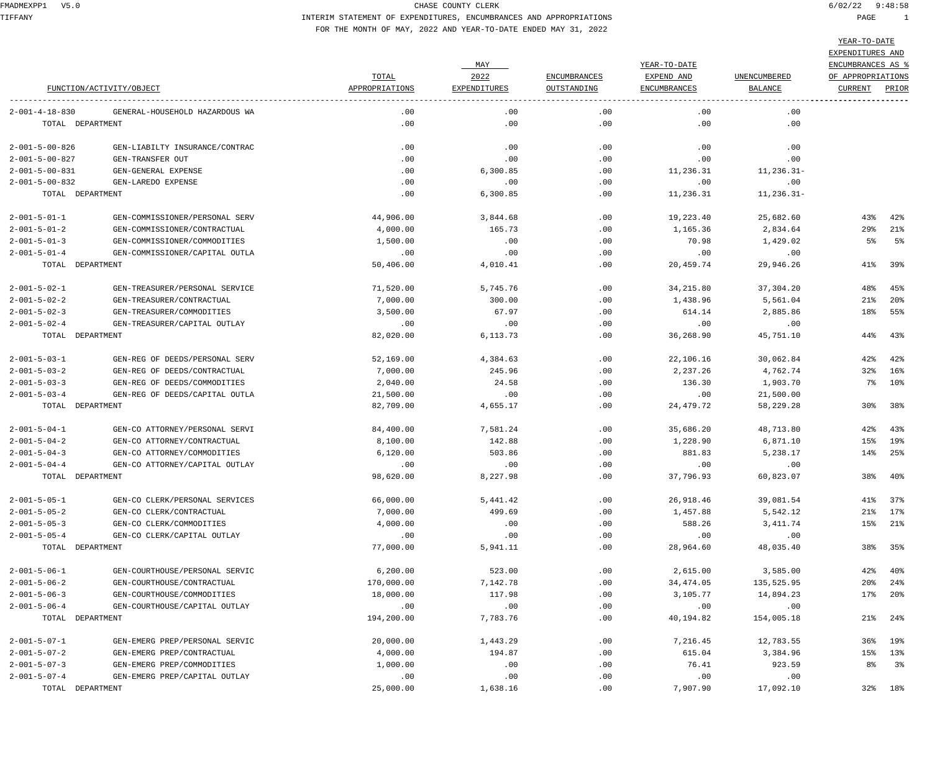TIFFANY INTERIM STATEMENT OF EXPENDITURES, ENCUMBRANCES AND APPROPRIATIONS PAGE 1 FOR THE MONTH OF MAY, 2022 AND YEAR-TO-DATE ENDED MAY 31, 2022

|  |  |  | ستندى ب د             |  |
|--|--|--|-----------------------|--|
|  |  |  |                       |  |
|  |  |  |                       |  |
|  |  |  | חזוג מהתודחה דתות התו |  |

|                          |                                |                |              |                     |              |                     | EXPENDITURES AND  |         |
|--------------------------|--------------------------------|----------------|--------------|---------------------|--------------|---------------------|-------------------|---------|
|                          |                                |                | MAY          |                     | YEAR-TO-DATE |                     | ENCUMBRANCES AS % |         |
|                          |                                | TOTAL          | 2022         | <b>ENCUMBRANCES</b> | EXPEND AND   | <b>UNENCUMBERED</b> | OF APPROPRIATIONS |         |
|                          | FUNCTION/ACTIVITY/OBJECT       | APPROPRIATIONS | EXPENDITURES | OUTSTANDING         | ENCUMBRANCES | BALANCE             | CURRENT           | PRIOR   |
| $2 - 001 - 4 - 18 - 830$ | GENERAL-HOUSEHOLD HAZARDOUS WA | $.00 \,$       | $.00 \,$     | .00                 | .00          | .00                 |                   |         |
|                          | TOTAL DEPARTMENT               | $.00 \,$       | .00          | .00                 | .00          | $.00 \ \,$          |                   |         |
| $2 - 001 - 5 - 00 - 826$ | GEN-LIABILTY INSURANCE/CONTRAC | $.00 \,$       | $.00 \,$     | $.00 \ \,$          | .00          | .00                 |                   |         |
| $2 - 001 - 5 - 00 - 827$ | GEN-TRANSFER OUT               | $.00 \,$       | $.00 \,$     | .00                 | .00          | .00                 |                   |         |
| $2 - 001 - 5 - 00 - 831$ | GEN-GENERAL EXPENSE            | $.00 \,$       | 6,300.85     | $.00 \,$            | 11,236.31    | $11, 236.31 -$      |                   |         |
| $2 - 001 - 5 - 00 - 832$ | GEN-LAREDO EXPENSE             | $.00 \,$       | $.00 \,$     | .00                 | .00          | .00                 |                   |         |
|                          | TOTAL DEPARTMENT               | $.00 \,$       | 6,300.85     | $.00 \,$            | 11,236.31    | $11, 236.31 -$      |                   |         |
| $2 - 001 - 5 - 01 - 1$   | GEN-COMMISSIONER/PERSONAL SERV | 44,906.00      | 3,844.68     | $.00 \ \,$          | 19,223.40    | 25,682.60           | 43%               | 42%     |
| $2 - 001 - 5 - 01 - 2$   | GEN-COMMISSIONER/CONTRACTUAL   | 4,000.00       | 165.73       | .00                 | 1,165.36     | 2,834.64            | $29$ $\circ$      | 21%     |
| $2 - 001 - 5 - 01 - 3$   | GEN-COMMISSIONER/COMMODITIES   | 1,500.00       | .00          | .00                 | 70.98        | 1,429.02            | 5%                | 5%      |
| $2 - 001 - 5 - 01 - 4$   | GEN-COMMISSIONER/CAPITAL OUTLA | $.00 \,$       | .00          | .00                 | .00          | .00                 |                   |         |
|                          | TOTAL DEPARTMENT               | 50,406.00      | 4,010.41     | $.00 \,$            | 20,459.74    | 29,946.26           | 41%               | 39%     |
| $2 - 001 - 5 - 02 - 1$   | GEN-TREASURER/PERSONAL SERVICE | 71,520.00      | 5,745.76     | $.00 \ \,$          | 34, 215, 80  | 37,304.20           | 48%               | 45%     |
| $2 - 001 - 5 - 02 - 2$   | GEN-TREASURER/CONTRACTUAL      | 7,000.00       | 300.00       | .00                 | 1,438.96     | 5,561.04            | 21%               | 20%     |
| $2 - 001 - 5 - 02 - 3$   | GEN-TREASURER/COMMODITIES      | 3,500.00       | 67.97        | .00                 | 614.14       | 2,885.86            |                   | 18% 55% |
| $2 - 001 - 5 - 02 - 4$   | GEN-TREASURER/CAPITAL OUTLAY   | $.00 \,$       | .00          | .00                 | .00          | .00                 |                   |         |
|                          | TOTAL DEPARTMENT               | 82,020.00      | 6,113.73     | $.00 \,$            | 36,268.90    | 45,751.10           | 44%               | 43%     |
| $2 - 001 - 5 - 03 - 1$   | GEN-REG OF DEEDS/PERSONAL SERV | 52,169.00      | 4,384.63     | $.00 \ \,$          | 22,106.16    | 30,062.84           | 42%               | 42%     |
| $2 - 001 - 5 - 03 - 2$   | GEN-REG OF DEEDS/CONTRACTUAL   | 7,000.00       | 245.96       | .00                 | 2,237.26     | 4,762.74            | $32\%$            | $16\%$  |
| $2 - 001 - 5 - 03 - 3$   | GEN-REG OF DEEDS/COMMODITIES   | 2,040.00       | 24.58        | .00                 | 136.30       | 1,903.70            |                   | 7% 10%  |
| $2 - 001 - 5 - 03 - 4$   | GEN-REG OF DEEDS/CAPITAL OUTLA | 21,500.00      | .00          | $.00 \ \,$          | .00          | 21,500.00           |                   |         |
|                          | TOTAL DEPARTMENT               | 82,709.00      | 4,655.17     | $.00 \ \,$          | 24,479.72    | 58,229.28           | 30%               | 38%     |
| $2 - 001 - 5 - 04 - 1$   | GEN-CO ATTORNEY/PERSONAL SERVI | 84,400.00      | 7,581.24     | $.00 \ \,$          | 35,686.20    | 48,713.80           | 42%               | 43%     |
| $2 - 001 - 5 - 04 - 2$   | GEN-CO ATTORNEY/CONTRACTUAL    | 8,100.00       | 142.88       | $.00 \,$            | 1,228.90     | 6,871.10            | 15%               | 19%     |
| $2 - 001 - 5 - 04 - 3$   | GEN-CO ATTORNEY/COMMODITIES    | 6,120.00       | 503.86       | .00                 | 881.83       | 5,238.17            | 14%               | 25%     |
| $2 - 001 - 5 - 04 - 4$   | GEN-CO ATTORNEY/CAPITAL OUTLAY | .00            | .00          | $.00 \ \,$          | .00          | .00                 |                   |         |
|                          | TOTAL DEPARTMENT               | 98,620.00      | 8,227.98     | $.00 \ \,$          | 37,796.93    | 60,823.07           | 38%               | $40\,$  |
| $2 - 001 - 5 - 05 - 1$   | GEN-CO CLERK/PERSONAL SERVICES | 66,000.00      | 5,441.42     | .00                 | 26,918.46    | 39,081.54           | 41%               | 37%     |
| $2 - 001 - 5 - 05 - 2$   | GEN-CO CLERK/CONTRACTUAL       | 7,000.00       | 499.69       | .00                 | 1,457.88     | 5,542.12            | 21%               | 17%     |
| $2 - 001 - 5 - 05 - 3$   | GEN-CO CLERK/COMMODITIES       | 4,000.00       | .00          | .00                 | 588.26       | 3,411.74            |                   | 15% 21% |
| $2 - 001 - 5 - 05 - 4$   | GEN-CO CLERK/CAPITAL OUTLAY    | .00            | .00          | .00                 | .00          | .00                 |                   |         |
|                          | TOTAL DEPARTMENT               | 77,000.00      | 5,941.11     | .00                 | 28,964.60    | 48,035.40           | 38%               | 35%     |
| $2 - 001 - 5 - 06 - 1$   | GEN-COURTHOUSE/PERSONAL SERVIC | 6,200.00       | 523.00       | $.00 \,$            | 2,615.00     | 3,585.00            | $42\%$            | $40\,$  |
| $2 - 001 - 5 - 06 - 2$   | GEN-COURTHOUSE/CONTRACTUAL     | 170,000.00     | 7,142.78     | .00                 | 34,474.05    | 135,525.95          | 20%               | $24\,$  |
| $2 - 001 - 5 - 06 - 3$   | GEN-COURTHOUSE/COMMODITIES     | 18,000.00      | 117.98       | .00                 | 3,105.77     | 14,894.23           | 17%               | $20\%$  |
| $2 - 001 - 5 - 06 - 4$   | GEN-COURTHOUSE/CAPITAL OUTLAY  | .00            | .00          | .00                 | .00          | .00                 |                   |         |
|                          | TOTAL DEPARTMENT               | 194,200.00     | 7,783.76     | .00                 | 40,194.82    | 154,005.18          | 21%               | $24\,$  |
| $2 - 001 - 5 - 07 - 1$   | GEN-EMERG PREP/PERSONAL SERVIC | 20,000.00      | 1,443.29     | $.00 \,$            | 7,216.45     | 12,783.55           | 36%               | 19%     |
| $2 - 001 - 5 - 07 - 2$   | GEN-EMERG PREP/CONTRACTUAL     | 4,000.00       | 194.87       | .00                 | 615.04       | 3,384.96            | 15%               | 13%     |
| $2 - 001 - 5 - 07 - 3$   | GEN-EMERG PREP/COMMODITIES     | 1,000.00       | .00          | .00                 | 76.41        | 923.59              | 8%                | 3%      |
| $2 - 001 - 5 - 07 - 4$   | GEN-EMERG PREP/CAPITAL OUTLAY  | .00            | .00          | .00                 | .00          | .00                 |                   |         |
|                          | TOTAL DEPARTMENT               | 25,000.00      | 1,638.16     | .00                 | 7,907.90     | 17,092.10           |                   | 32% 18% |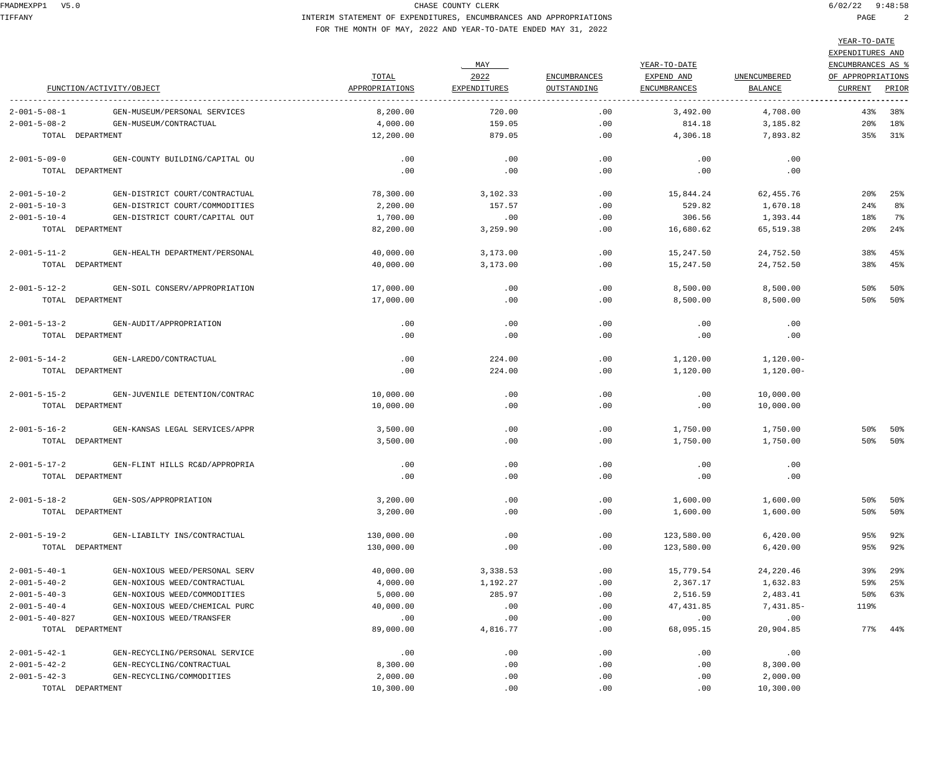TIFFANY INTERIM STATEMENT OF EXPENDITURES, ENCUMBRANCES AND APPROPRIATIONS PAGE 2 FOR THE MONTH OF MAY, 2022 AND YEAR-TO-DATE ENDED MAY 31, 2022

|                          |                                |                |              |                     |                     |                     | ILAR-IU-DAIL             |                |
|--------------------------|--------------------------------|----------------|--------------|---------------------|---------------------|---------------------|--------------------------|----------------|
|                          |                                |                |              |                     |                     |                     | EXPENDITURES AND         |                |
|                          |                                |                | MAY          |                     | YEAR-TO-DATE        |                     | ENCUMBRANCES AS %        |                |
|                          |                                | TOTAL          | 2022         | <b>ENCUMBRANCES</b> | EXPEND AND          | <b>UNENCUMBERED</b> | OF APPROPRIATIONS        |                |
|                          | FUNCTION/ACTIVITY/OBJECT       | APPROPRIATIONS | EXPENDITURES | OUTSTANDING         | <b>ENCUMBRANCES</b> | BALANCE             | CURRENT                  | PRIOR          |
|                          |                                |                |              |                     |                     |                     |                          |                |
| $2 - 001 - 5 - 08 - 1$   | GEN-MUSEUM/PERSONAL SERVICES   | 8,200.00       | 720.00       | .00                 | 3,492.00            | 4,708.00            | 43%                      | 38%            |
| $2 - 001 - 5 - 08 - 2$   | GEN-MUSEUM/CONTRACTUAL         | 4,000.00       | 159.05       | .00                 | 814.18              | 3,185.82            |                          | 20% 18%        |
|                          | TOTAL DEPARTMENT               | 12,200.00      | 879.05       | .00                 | 4,306.18            | 7,893.82            |                          | 35% 31%        |
| $2 - 001 - 5 - 09 - 0$   | GEN-COUNTY BUILDING/CAPITAL OU | .00            | .00          | .00                 | .00                 | .00                 |                          |                |
|                          | TOTAL DEPARTMENT               | .00            | .00          | .00                 | .00                 | .00                 |                          |                |
| $2 - 001 - 5 - 10 - 2$   | GEN-DISTRICT COURT/CONTRACTUAL | 78,300.00      | 3,102.33     | $.00 \,$            | 15,844.24           | 62,455.76           |                          | $20\%$ 25%     |
| $2 - 001 - 5 - 10 - 3$   | GEN-DISTRICT COURT/COMMODITIES | 2,200.00       | 157.57       | .00                 | 529.82              | 1,670.18            | 24%                      | 8 <sup>°</sup> |
| $2 - 001 - 5 - 10 - 4$   | GEN-DISTRICT COURT/CAPITAL OUT | 1,700.00       | .00          | .00                 | 306.56              | 1,393.44            | 18%                      | 7%             |
|                          | TOTAL DEPARTMENT               | 82,200.00      | 3,259.90     | .00                 | 16,680.62           | 65,519.38           | $20\mathrm{\textdegree}$ | 24%            |
| $2 - 001 - 5 - 11 - 2$   | GEN-HEALTH DEPARTMENT/PERSONAL | 40,000.00      | 3,173.00     | .00                 | 15,247.50           | 24,752.50           | 38%                      | 45%            |
|                          | TOTAL DEPARTMENT               | 40,000.00      | 3,173.00     | .00                 | 15,247.50           | 24,752.50           | 38%                      | 45%            |
|                          |                                |                |              |                     |                     |                     |                          |                |
| $2 - 001 - 5 - 12 - 2$   | GEN-SOIL CONSERV/APPROPRIATION | 17,000.00      | .00          | .00                 | 8,500.00            | 8,500.00            | 50%                      | 50%            |
|                          | TOTAL DEPARTMENT               | 17,000.00      | .00          | $.00 \ \,$          | 8,500.00            | 8,500.00            |                          | 50% 50%        |
| $2 - 001 - 5 - 13 - 2$   | GEN-AUDIT/APPROPRIATION        | .00            | .00          | $.00 \,$            | .00                 | .00                 |                          |                |
|                          | TOTAL DEPARTMENT               | .00            | .00          | .00                 | .00                 | .00                 |                          |                |
|                          |                                |                |              |                     |                     |                     |                          |                |
| $2 - 001 - 5 - 14 - 2$   | GEN-LAREDO/CONTRACTUAL         | .00            | 224.00       | .00                 | 1,120.00            | 1,120.00-           |                          |                |
|                          | TOTAL DEPARTMENT               | .00            | 224.00       | $.00 \ \,$          | 1,120.00            | 1,120.00-           |                          |                |
| $2 - 001 - 5 - 15 - 2$   | GEN-JUVENILE DETENTION/CONTRAC | 10,000.00      | .00          | .00                 | .00                 | 10,000.00           |                          |                |
|                          | TOTAL DEPARTMENT               | 10,000.00      | .00          | .00                 | .00                 | 10,000.00           |                          |                |
|                          |                                |                |              |                     |                     |                     |                          |                |
| $2 - 001 - 5 - 16 - 2$   | GEN-KANSAS LEGAL SERVICES/APPR | 3,500.00       | .00          | $.00 \,$            | 1,750.00            | 1,750.00            | 50%                      | 50%            |
|                          | TOTAL DEPARTMENT               | 3,500.00       | .00          | $.00 \ \,$          | 1,750.00            | 1,750.00            |                          | 50% 50%        |
| $2 - 001 - 5 - 17 - 2$   | GEN-FLINT HILLS RC&D/APPROPRIA | .00            | .00          | .00                 | .00                 | .00                 |                          |                |
|                          | TOTAL DEPARTMENT               | .00            | .00          | .00                 | .00                 | .00                 |                          |                |
|                          |                                |                |              |                     |                     |                     |                          |                |
| $2 - 001 - 5 - 18 - 2$   | GEN-SOS/APPROPRIATION          | 3,200.00       | .00          | .00                 | 1,600.00            | 1,600.00            | 50%                      | 50%            |
|                          | TOTAL DEPARTMENT               | 3,200.00       | .00          | .00                 | 1,600.00            | 1,600.00            | 50%                      | $50\%$         |
| $2 - 001 - 5 - 19 - 2$   | GEN-LIABILTY INS/CONTRACTUAL   | 130,000.00     | .00          | .00                 | 123,580.00          | 6,420.00            | 95%                      | 92%            |
|                          | TOTAL DEPARTMENT               | 130,000.00     | .00          | .00                 | 123,580.00          | 6,420.00            | 95%                      | 92%            |
| $2 - 001 - 5 - 40 - 1$   | GEN-NOXIOUS WEED/PERSONAL SERV | 40,000.00      | 3,338.53     | .00                 | 15,779.54           | 24,220.46           | 39%                      | 29%            |
| $2 - 001 - 5 - 40 - 2$   | GEN-NOXIOUS WEED/CONTRACTUAL   | 4,000.00       | 1,192.27     | .00                 | 2,367.17            | 1,632.83            | 59%                      | 25%            |
| $2 - 001 - 5 - 40 - 3$   | GEN-NOXIOUS WEED/COMMODITIES   | 5,000.00       | 285.97       | .00                 | 2,516.59            | 2,483.41            | 50%                      | 63%            |
| $2 - 001 - 5 - 40 - 4$   | GEN-NOXIOUS WEED/CHEMICAL PURC | 40,000.00      | .00          | .00                 | 47,431.85           | 7,431.85-           | 119%                     |                |
| $2 - 001 - 5 - 40 - 827$ | GEN-NOXIOUS WEED/TRANSFER      | .00            | .00          | .00                 | .00                 | .00                 |                          |                |
|                          | TOTAL DEPARTMENT               | 89,000.00      | 4,816.77     | .00                 | 68,095.15           | 20,904.85           | $77\%$                   | 44%            |
|                          |                                |                |              |                     |                     |                     |                          |                |
| $2 - 001 - 5 - 42 - 1$   | GEN-RECYCLING/PERSONAL SERVICE | .00            | .00          | .00                 | .00                 | .00                 |                          |                |
| $2 - 001 - 5 - 42 - 2$   | GEN-RECYCLING/CONTRACTUAL      | 8,300.00       | .00          | .00                 | .00                 | 8,300.00            |                          |                |
| $2 - 001 - 5 - 42 - 3$   | GEN-RECYCLING/COMMODITIES      | 2,000.00       | .00          | .00                 | .00                 | 2,000.00            |                          |                |
|                          | TOTAL DEPARTMENT               | 10,300.00      | .00          | .00                 | .00                 | 10,300.00           |                          |                |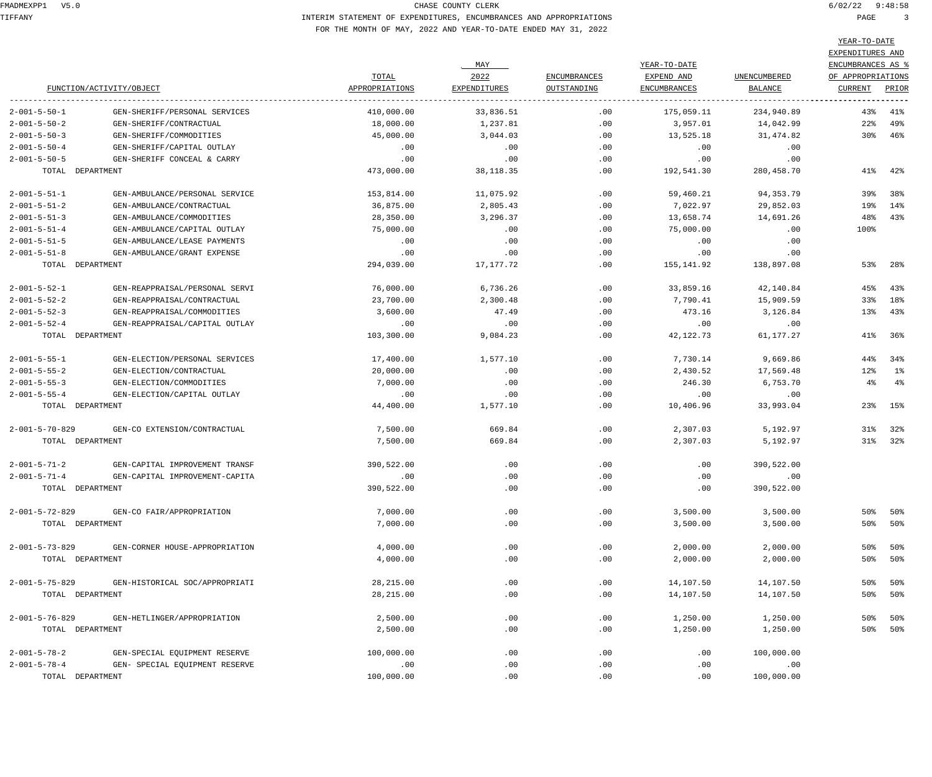TIFFANY INTERIM STATEMENT OF EXPENDITURES, ENCUMBRANCES AND APPROPRIATIONS PAGE 3 FOR THE MONTH OF MAY, 2022 AND YEAR-TO-DATE ENDED MAY 31, 2022

 $-TO-D$ 

|                          |                                |                |              |                     |                     |              | YEAR-TO-DATE      |         |
|--------------------------|--------------------------------|----------------|--------------|---------------------|---------------------|--------------|-------------------|---------|
|                          |                                |                |              |                     |                     |              | EXPENDITURES AND  |         |
|                          |                                |                | MAY          |                     | YEAR-TO-DATE        |              | ENCUMBRANCES AS % |         |
|                          |                                | TOTAL          | 2022         | <b>ENCUMBRANCES</b> | EXPEND AND          | UNENCUMBERED | OF APPROPRIATIONS |         |
|                          | FUNCTION/ACTIVITY/OBJECT       | APPROPRIATIONS | EXPENDITURES | OUTSTANDING         | <b>ENCUMBRANCES</b> | BALANCE      | CURRENT           | PRIOR   |
| $2 - 001 - 5 - 50 - 1$   | GEN-SHERIFF/PERSONAL SERVICES  | 410,000.00     | 33,836.51    | .00                 | 175,059.11          | 234,940.89   | 43%               | 41%     |
| $2 - 001 - 5 - 50 - 2$   | GEN-SHERIFF/CONTRACTUAL        | 18,000.00      | 1,237.81     | .00                 | 3,957.01            | 14,042.99    | $22\%$            | 49%     |
| $2 - 001 - 5 - 50 - 3$   | GEN-SHERIFF/COMMODITIES        | 45,000.00      | 3,044.03     | .00                 | 13,525.18           | 31,474.82    | 30%               | 46%     |
| $2 - 001 - 5 - 50 - 4$   | GEN-SHERIFF/CAPITAL OUTLAY     | .00            | .00          | .00                 | .00                 | .00          |                   |         |
| $2 - 001 - 5 - 50 - 5$   | GEN-SHERIFF CONCEAL & CARRY    | .00            | .00          | .00                 | .00                 | .00          |                   |         |
| TOTAL DEPARTMENT         |                                | 473,000.00     | 38, 118.35   | .00                 | 192,541.30          | 280,458.70   | 41%               | 42%     |
| $2 - 001 - 5 - 51 - 1$   | GEN-AMBULANCE/PERSONAL SERVICE | 153,814.00     | 11,075.92    | .00                 | 59,460.21           | 94, 353. 79  | 39%               | 38%     |
| $2 - 001 - 5 - 51 - 2$   | GEN-AMBULANCE/CONTRACTUAL      | 36,875.00      | 2,805.43     | .00                 | 7,022.97            | 29,852.03    | 19%               | 14%     |
| $2 - 001 - 5 - 51 - 3$   | GEN-AMBULANCE/COMMODITIES      | 28,350.00      | 3,296.37     | .00                 | 13,658.74           | 14,691.26    | 48%               | 43%     |
| $2 - 001 - 5 - 51 - 4$   | GEN-AMBULANCE/CAPITAL OUTLAY   | 75,000.00      | .00          | .00                 | 75,000.00           | .00          | 100%              |         |
| $2 - 001 - 5 - 51 - 5$   | GEN-AMBULANCE/LEASE PAYMENTS   | .00            | .00          | .00                 | .00                 | .00          |                   |         |
| $2 - 001 - 5 - 51 - 8$   | GEN-AMBULANCE/GRANT EXPENSE    | .00            | .00          | .00                 | .00                 | .00          |                   |         |
| TOTAL DEPARTMENT         |                                | 294,039.00     | 17,177.72    | .00                 | 155,141.92          | 138,897.08   | 53%               | 28%     |
|                          |                                |                |              |                     |                     |              |                   |         |
| $2 - 001 - 5 - 52 - 1$   | GEN-REAPPRAISAL/PERSONAL SERVI | 76,000.00      | 6,736.26     | .00                 | 33,859.16           | 42,140.84    | 45%               | 43%     |
| $2 - 001 - 5 - 52 - 2$   | GEN-REAPPRAISAL/CONTRACTUAL    | 23,700.00      | 2,300.48     | .00                 | 7,790.41            | 15,909.59    | 33%               | 18%     |
| $2 - 001 - 5 - 52 - 3$   | GEN-REAPPRAISAL/COMMODITIES    | 3,600.00       | 47.49        | .00                 | 473.16              | 3,126.84     | 13%               | 43%     |
| $2 - 001 - 5 - 52 - 4$   | GEN-REAPPRAISAL/CAPITAL OUTLAY | .00            | .00          | .00                 | .00                 | .00          |                   |         |
| TOTAL DEPARTMENT         |                                | 103,300.00     | 9,084.23     | .00                 | 42,122.73           | 61,177.27    | 41%               | 36%     |
| $2 - 001 - 5 - 55 - 1$   | GEN-ELECTION/PERSONAL SERVICES | 17,400.00      | 1,577.10     | .00                 | 7,730.14            | 9,669.86     | 44%               | 34%     |
| $2 - 001 - 5 - 55 - 2$   | GEN-ELECTION/CONTRACTUAL       | 20,000.00      | .00          | .00                 | 2,430.52            | 17,569.48    | 12%               | $1\%$   |
| $2 - 001 - 5 - 55 - 3$   | GEN-ELECTION/COMMODITIES       | 7,000.00       | .00          | .00                 | 246.30              | 6,753.70     | $4\%$             | $4\%$   |
| $2 - 001 - 5 - 55 - 4$   | GEN-ELECTION/CAPITAL OUTLAY    | .00            | .00          | .00                 | $.00 \,$            | .00          |                   |         |
| TOTAL DEPARTMENT         |                                | 44,400.00      | 1,577.10     | $.00 \ \,$          | 10,406.96           | 33,993.04    | 23%               | 15%     |
| $2 - 001 - 5 - 70 - 829$ | GEN-CO EXTENSION/CONTRACTUAL   | 7,500.00       | 669.84       | .00                 | 2,307.03            | 5,192.97     | 31%               | 32%     |
| TOTAL DEPARTMENT         |                                | 7,500.00       | 669.84       | .00                 | 2,307.03            | 5,192.97     | 31%               | 32%     |
| $2 - 001 - 5 - 71 - 2$   | GEN-CAPITAL IMPROVEMENT TRANSF | 390,522.00     | .00          | .00                 | .00                 | 390,522.00   |                   |         |
| $2 - 001 - 5 - 71 - 4$   | GEN-CAPITAL IMPROVEMENT-CAPITA | .00            | .00          | .00                 | .00                 | .00          |                   |         |
| TOTAL DEPARTMENT         |                                | 390,522.00     | .00          | .00                 | .00                 | 390,522.00   |                   |         |
| $2 - 001 - 5 - 72 - 829$ | GEN-CO FAIR/APPROPRIATION      | 7,000.00       | .00          | .00                 | 3,500.00            | 3,500.00     | 50%               | 50%     |
| TOTAL DEPARTMENT         |                                | 7,000.00       | .00          | .00                 | 3,500.00            | 3,500.00     |                   | 50% 50% |
|                          |                                |                |              |                     |                     |              |                   |         |
| $2 - 001 - 5 - 73 - 829$ | GEN-CORNER HOUSE-APPROPRIATION | 4,000.00       | .00          | .00                 | 2,000.00            | 2,000.00     | 50%               | 50%     |
| TOTAL DEPARTMENT         |                                | 4,000.00       | .00          | .00                 | 2,000.00            | 2,000.00     | 50%               | 50%     |
| $2 - 001 - 5 - 75 - 829$ | GEN-HISTORICAL SOC/APPROPRIATI | 28, 215.00     | .00          | .00                 | 14,107.50           | 14,107.50    | $50\%$            | 50%     |
| TOTAL DEPARTMENT         |                                | 28, 215.00     | .00          | .00                 | 14,107.50           | 14,107.50    | 50%               | 50%     |
| $2 - 001 - 5 - 76 - 829$ | GEN-HETLINGER/APPROPRIATION    | 2,500.00       | .00          | .00                 | 1,250.00            | 1,250.00     | 50%               | 50%     |
| TOTAL DEPARTMENT         |                                | 2,500.00       | .00          | .00                 | 1,250.00            | 1,250.00     | 50%               | 50%     |
| $2 - 001 - 5 - 78 - 2$   | GEN-SPECIAL EQUIPMENT RESERVE  | 100,000.00     | .00          | .00                 | .00                 | 100,000.00   |                   |         |
| $2 - 001 - 5 - 78 - 4$   | GEN- SPECIAL EQUIPMENT RESERVE | .00            | .00          | .00                 | .00                 | .00          |                   |         |
| TOTAL DEPARTMENT         |                                | 100,000.00     | .00          | .00                 | .00                 | 100,000.00   |                   |         |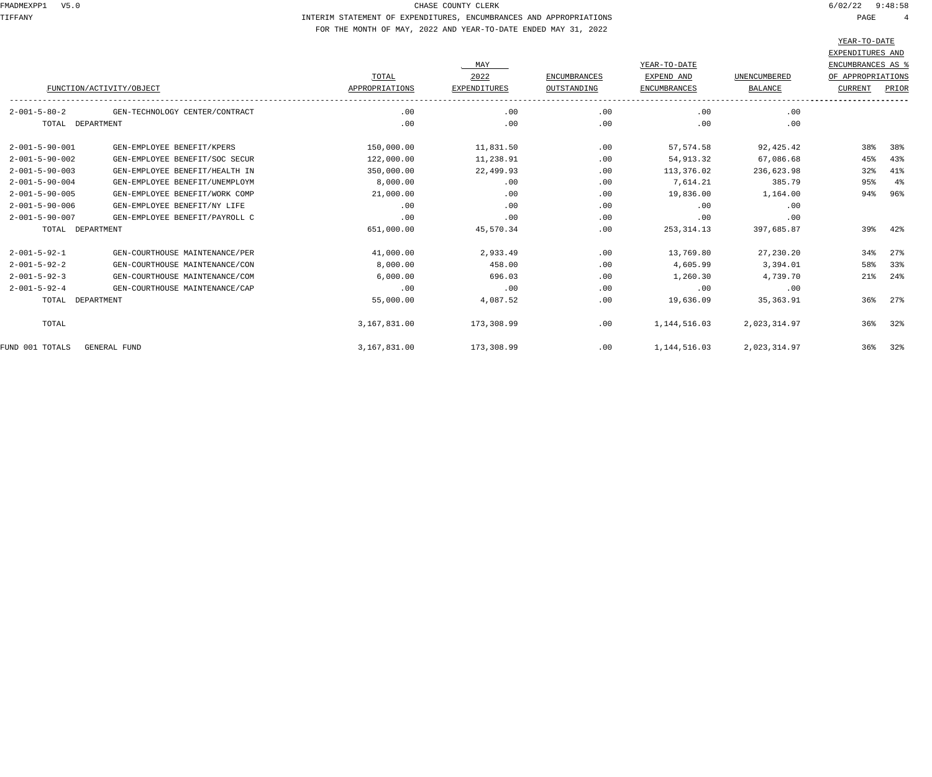TIFFANY INTERIM STATEMENT OF EXPENDITURES, ENCUMBRANCES AND APPROPRIATIONS PAGE 4 FOR THE MONTH OF MAY, 2022 AND YEAR-TO-DATE ENDED MAY 31, 2022

|                          |                                |                |                     |                     |                     |                | ILAR-IU-DAIL      |         |
|--------------------------|--------------------------------|----------------|---------------------|---------------------|---------------------|----------------|-------------------|---------|
|                          |                                |                |                     |                     |                     |                | EXPENDITURES AND  |         |
|                          |                                |                | MAY                 |                     | YEAR-TO-DATE        |                | ENCUMBRANCES AS % |         |
|                          |                                | TOTAL          | 2022                | <b>ENCUMBRANCES</b> | EXPEND AND          | UNENCUMBERED   | OF APPROPRIATIONS |         |
|                          | FUNCTION/ACTIVITY/OBJECT       | APPROPRIATIONS | <b>EXPENDITURES</b> | OUTSTANDING         | <b>ENCUMBRANCES</b> | <b>BALANCE</b> | <b>CURRENT</b>    | PRIOR   |
| $2 - 001 - 5 - 80 - 2$   | GEN-TECHNOLOGY CENTER/CONTRACT | .00            | .00                 | .00                 | .00                 | .00            |                   |         |
| TOTAL DEPARTMENT         |                                | .00            | .00                 | .00                 | .00                 | .00            |                   |         |
| $2 - 001 - 5 - 90 - 001$ | GEN-EMPLOYEE BENEFIT/KPERS     | 150,000.00     | 11,831.50           | .00                 | 57,574.58           | 92,425.42      | 38%               | 38%     |
| $2 - 001 - 5 - 90 - 002$ | GEN-EMPLOYEE BENEFIT/SOC SECUR | 122,000.00     | 11,238.91           | .00                 | 54,913.32           | 67,086.68      | 45%               | 43%     |
| $2 - 001 - 5 - 90 - 003$ | GEN-EMPLOYEE BENEFIT/HEALTH IN | 350,000.00     | 22,499.93           | .00                 | 113,376.02          | 236,623.98     | 32%               | 41%     |
| $2 - 001 - 5 - 90 - 004$ | GEN-EMPLOYEE BENEFIT/UNEMPLOYM | 8,000.00       | .00                 | .00                 | 7,614.21            | 385.79         | 95%               | 4%      |
| $2 - 001 - 5 - 90 - 005$ | GEN-EMPLOYEE BENEFIT/WORK COMP | 21,000.00      | .00                 | .00                 | 19,836.00           | 1,164.00       | 94%               | 96%     |
| $2 - 001 - 5 - 90 - 006$ | GEN-EMPLOYEE BENEFIT/NY LIFE   | .00            | .00                 | .00                 | .00                 | .00            |                   |         |
| $2 - 001 - 5 - 90 - 007$ | GEN-EMPLOYEE BENEFIT/PAYROLL C | .00            | .00                 | .00                 | .00                 | .00            |                   |         |
| TOTAL DEPARTMENT         |                                | 651,000.00     | 45,570.34           | .00                 | 253,314.13          | 397,685.87     |                   | 39% 42% |
| $2 - 001 - 5 - 92 - 1$   | GEN-COURTHOUSE MAINTENANCE/PER | 41,000.00      | 2,933.49            | .00                 | 13,769.80           | 27,230.20      | 34%               | $27$ %  |
| $2 - 001 - 5 - 92 - 2$   | GEN-COURTHOUSE MAINTENANCE/CON | 8,000.00       | 458.00              | .00                 | 4,605.99            | 3,394.01       | 58%               | 33%     |
| $2 - 001 - 5 - 92 - 3$   | GEN-COURTHOUSE MAINTENANCE/COM | 6,000.00       | 696.03              | .00                 | 1,260.30            | 4,739.70       | 21%               | 24%     |
| $2 - 001 - 5 - 92 - 4$   | GEN-COURTHOUSE MAINTENANCE/CAP | .00            | .00                 | .00                 | .00                 | .00            |                   |         |
| TOTAL DEPARTMENT         |                                | 55,000.00      | 4,087.52            | .00                 | 19,636.09           | 35,363.91      | 36%               | 27%     |
| TOTAL                    |                                | 3,167,831.00   | 173,308.99          | .00                 | 1,144,516.03        | 2,023,314.97   | 36%               | 32%     |
| FUND 001 TOTALS          | GENERAL FUND                   | 3,167,831.00   | 173,308.99          | .00                 | 1,144,516.03        | 2,023,314.97   |                   | 36% 32% |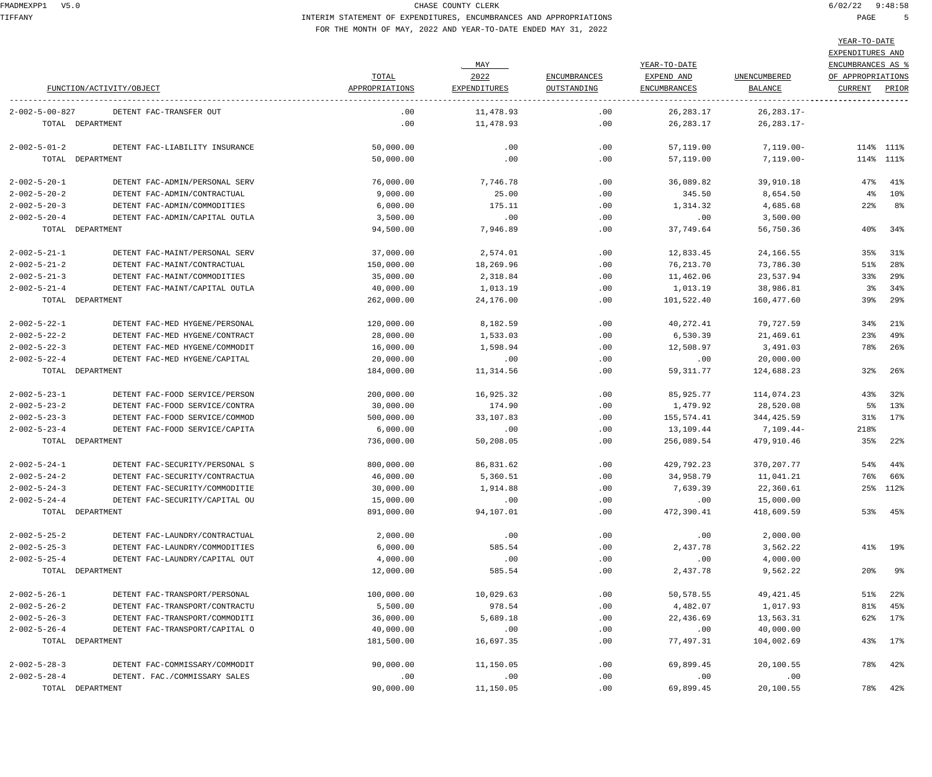# TIFFANY INTERIM STATEMENT OF EXPENDITURES, ENCUMBRANCES AND APPROPRIATIONS PAGE 5 FOR THE MONTH OF MAY, 2022 AND YEAR-TO-DATE ENDED MAY 31, 2022

|                          |                                | TOTAL          | MAY<br>2022  | <b>ENCUMBRANCES</b> | YEAR-TO-DATE<br>EXPEND AND | UNENCUMBERED   | EXPENDITURES AND<br><b>ENCUMBRANCES AS %</b><br>OF APPROPRIATIONS |           |
|--------------------------|--------------------------------|----------------|--------------|---------------------|----------------------------|----------------|-------------------------------------------------------------------|-----------|
|                          | FUNCTION/ACTIVITY/OBJECT       | APPROPRIATIONS | EXPENDITURES | OUTSTANDING         | <b>ENCUMBRANCES</b>        | <b>BALANCE</b> | CURRENT                                                           | PRIOR     |
| $2 - 002 - 5 - 00 - 827$ | DETENT FAC-TRANSFER OUT        | .00            | 11,478.93    | .00                 | 26, 283. 17                | 26,283.17-     |                                                                   |           |
|                          | TOTAL DEPARTMENT               | .00            | 11,478.93    | .00                 | 26, 283. 17                | $26, 283.17 -$ |                                                                   |           |
| $2 - 002 - 5 - 01 - 2$   | DETENT FAC-LIABILITY INSURANCE | 50,000.00      | .00          | .00                 | 57,119.00                  | 7,119.00-      |                                                                   | 114% 111% |
|                          | TOTAL DEPARTMENT               | 50,000.00      | .00          | .00                 | 57,119.00                  | $7,119.00 -$   |                                                                   | 114% 111% |
| $2 - 002 - 5 - 20 - 1$   | DETENT FAC-ADMIN/PERSONAL SERV | 76,000.00      | 7,746.78     | $.00 \,$            | 36,089.82                  | 39,910.18      | 47%                                                               | 41%       |
| $2 - 002 - 5 - 20 - 2$   | DETENT FAC-ADMIN/CONTRACTUAL   | 9,000.00       | 25.00        | .00                 | 345.50                     | 8,654.50       | $4\,$                                                             | $10\%$    |
| $2 - 002 - 5 - 20 - 3$   | DETENT FAC-ADMIN/COMMODITIES   | 6,000.00       | 175.11       | .00                 | 1,314.32                   | 4,685.68       | $22\%$                                                            | 8%        |
| $2 - 002 - 5 - 20 - 4$   | DETENT FAC-ADMIN/CAPITAL OUTLA | 3,500.00       | .00          | .00                 | .00                        | 3,500.00       |                                                                   |           |
|                          | TOTAL DEPARTMENT               | 94,500.00      | 7,946.89     | .00.                | 37,749.64                  | 56,750.36      | 40%                                                               | 34%       |
| $2 - 002 - 5 - 21 - 1$   | DETENT FAC-MAINT/PERSONAL SERV | 37,000.00      | 2,574.01     | .00                 | 12,833.45                  | 24,166.55      | 35%                                                               | 31%       |
| $2 - 002 - 5 - 21 - 2$   | DETENT FAC-MAINT/CONTRACTUAL   | 150,000.00     | 18,269.96    | .00                 | 76,213.70                  | 73,786.30      | 51%                                                               | 28%       |
| $2 - 002 - 5 - 21 - 3$   | DETENT FAC-MAINT/COMMODITIES   | 35,000.00      | 2,318.84     | .00                 | 11,462.06                  | 23,537.94      | 33%                                                               | 29%       |
| $2 - 002 - 5 - 21 - 4$   | DETENT FAC-MAINT/CAPITAL OUTLA | 40,000.00      | 1,013.19     | .00                 | 1,013.19                   | 38,986.81      | 3%                                                                | 34%       |
|                          | TOTAL DEPARTMENT               | 262,000.00     | 24,176.00    | .00.                | 101,522.40                 | 160,477.60     | 39%                                                               | 29%       |
| $2 - 002 - 5 - 22 - 1$   | DETENT FAC-MED HYGENE/PERSONAL | 120,000.00     | 8,182.59     | .00                 | 40,272.41                  | 79,727.59      | 34%                                                               | 21%       |
| $2 - 002 - 5 - 22 - 2$   | DETENT FAC-MED HYGENE/CONTRACT | 28,000.00      | 1,533.03     | .00                 | 6,530.39                   | 21,469.61      | 23%                                                               | 49%       |
| $2 - 002 - 5 - 22 - 3$   | DETENT FAC-MED HYGENE/COMMODIT | 16,000.00      | 1,598.94     | $.00 \,$            | 12,508.97                  | 3,491.03       | 78%                                                               | 26%       |
| $2 - 002 - 5 - 22 - 4$   | DETENT FAC-MED HYGENE/CAPITAL  | 20,000.00      | .00          | .00                 | .00                        | 20,000.00      |                                                                   |           |
|                          | TOTAL DEPARTMENT               | 184,000.00     | 11,314.56    | $.00 \,$            | 59, 311.77                 | 124,688.23     | 32%                                                               | 26%       |
| $2 - 002 - 5 - 23 - 1$   | DETENT FAC-FOOD SERVICE/PERSON | 200,000.00     | 16,925.32    | .00                 | 85,925.77                  | 114,074.23     | 43%                                                               | 32%       |
| $2 - 002 - 5 - 23 - 2$   | DETENT FAC-FOOD SERVICE/CONTRA | 30,000.00      | 174.90       | .00                 | 1,479.92                   | 28,520.08      | 5%                                                                | 13%       |
| $2 - 002 - 5 - 23 - 3$   | DETENT FAC-FOOD SERVICE/COMMOD | 500,000.00     | 33,107.83    | .00                 | 155,574.41                 | 344,425.59     | 31%                                                               | 17%       |
| $2 - 002 - 5 - 23 - 4$   | DETENT FAC-FOOD SERVICE/CAPITA | 6,000.00       | .00          | .00                 | 13,109.44                  | 7,109.44-      | 218%                                                              |           |
|                          | TOTAL DEPARTMENT               | 736,000.00     | 50,208.05    | .00.                | 256,089.54                 | 479,910.46     | $35\%$                                                            | $22\%$    |
| $2 - 002 - 5 - 24 - 1$   | DETENT FAC-SECURITY/PERSONAL S | 800,000.00     | 86,831.62    | $.00 \,$            | 429,792.23                 | 370, 207. 77   | 54%                                                               | 44%       |
| $2 - 002 - 5 - 24 - 2$   | DETENT FAC-SECURITY/CONTRACTUA | 46,000.00      | 5,360.51     | $.00 \,$            | 34,958.79                  | 11,041.21      | 76%                                                               | 66%       |
| $2 - 002 - 5 - 24 - 3$   | DETENT FAC-SECURITY/COMMODITIE | 30,000.00      | 1,914.88     | .00                 | 7,639.39                   | 22,360.61      |                                                                   | 25% 112%  |
| $2 - 002 - 5 - 24 - 4$   | DETENT FAC-SECURITY/CAPITAL OU | 15,000.00      | .00          | .00                 | .00                        | 15,000.00      |                                                                   |           |
|                          | TOTAL DEPARTMENT               | 891,000.00     | 94,107.01    | .00                 | 472,390.41                 | 418,609.59     |                                                                   | 53% 45%   |
| $2 - 002 - 5 - 25 - 2$   | DETENT FAC-LAUNDRY/CONTRACTUAL | 2,000.00       | .00          | .00                 | .00                        | 2,000.00       |                                                                   |           |
| $2 - 002 - 5 - 25 - 3$   | DETENT FAC-LAUNDRY/COMMODITIES | 6,000.00       | 585.54       | .00                 | 2,437.78                   | 3,562.22       |                                                                   | 41% 19%   |
| $2 - 002 - 5 - 25 - 4$   | DETENT FAC-LAUNDRY/CAPITAL OUT | 4,000.00       | .00          | .00                 | .00                        | 4,000.00       |                                                                   |           |
|                          | TOTAL DEPARTMENT               | 12,000.00      | 585.54       | .00                 | 2,437.78                   | 9,562.22       | 20%                                                               | 9%        |
| $2 - 002 - 5 - 26 - 1$   | DETENT FAC-TRANSPORT/PERSONAL  | 100,000.00     | 10,029.63    | .00                 | 50,578.55                  | 49, 421.45     | 51%                                                               | $22\,$    |
| $2 - 002 - 5 - 26 - 2$   | DETENT FAC-TRANSPORT/CONTRACTU | 5,500.00       | 978.54       | .00                 | 4,482.07                   | 1,017.93       | 81%                                                               | 45%       |
| $2 - 002 - 5 - 26 - 3$   | DETENT FAC-TRANSPORT/COMMODITI | 36,000.00      | 5,689.18     | .00                 | 22,436.69                  | 13,563.31      |                                                                   | 62% 17%   |
| $2 - 002 - 5 - 26 - 4$   | DETENT FAC-TRANSPORT/CAPITAL O | 40,000.00      | .00          | .00                 | .00                        | 40,000.00      |                                                                   |           |
|                          | TOTAL DEPARTMENT               | 181,500.00     | 16,697.35    | .00                 | 77,497.31                  | 104,002.69     |                                                                   | 43% 17%   |
|                          |                                |                |              |                     |                            |                |                                                                   |           |
| $2 - 002 - 5 - 28 - 3$   | DETENT FAC-COMMISSARY/COMMODIT | 90,000.00      | 11,150.05    | .00                 | 69,899.45                  | 20,100.55      |                                                                   | 78% 42%   |
| $2 - 002 - 5 - 28 - 4$   | DETENT. FAC./COMMISSARY SALES  | .00            | .00          | .00                 | .00                        | .00            |                                                                   |           |
|                          | TOTAL DEPARTMENT               | 90,000.00      | 11,150.05    | $.00 \,$            | 69,899.45                  | 20,100.55      |                                                                   | 78% 42%   |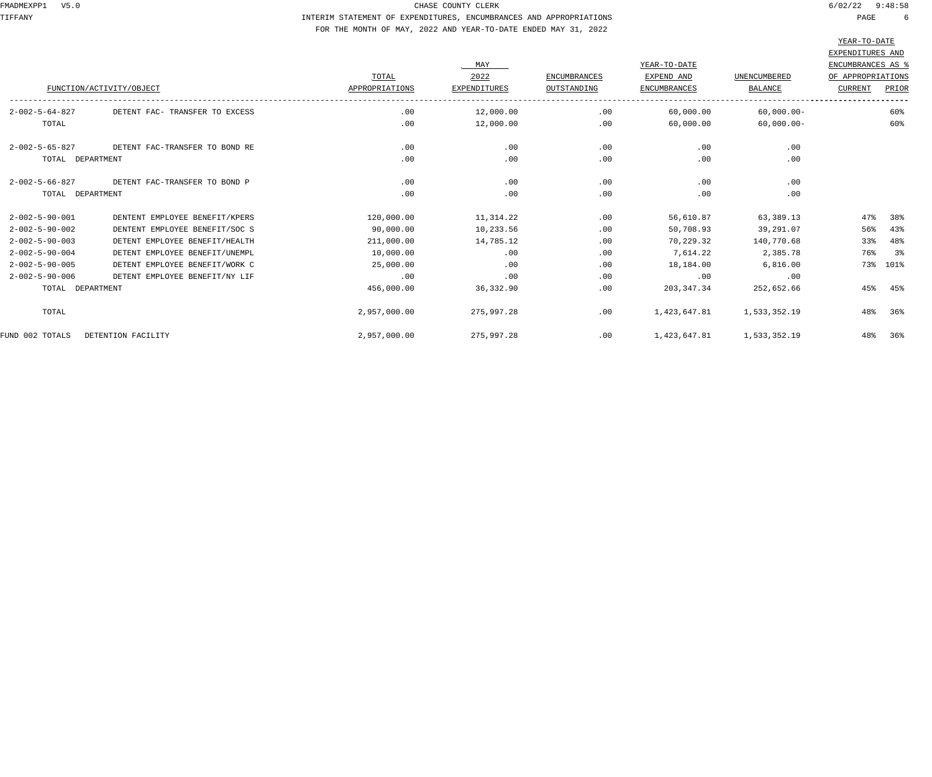# TIFFANY INTERIM STATEMENT OF EXPENDITURES, ENCUMBRANCES AND APPROPRIATIONS PAGE 6 FOR THE MONTH OF MAY, 2022 AND YEAR-TO-DATE ENDED MAY 31, 2022

|                          |                                |                | MAY                 |                     | YEAR-TO-DATE        |                | EXPENDITURES AND<br>ENCUMBRANCES AS % |          |
|--------------------------|--------------------------------|----------------|---------------------|---------------------|---------------------|----------------|---------------------------------------|----------|
|                          |                                | TOTAL          | 2022                | <b>ENCUMBRANCES</b> | EXPEND AND          | UNENCUMBERED   | OF APPROPRIATIONS                     |          |
|                          | FUNCTION/ACTIVITY/OBJECT       | APPROPRIATIONS | <b>EXPENDITURES</b> | OUTSTANDING         | <b>ENCUMBRANCES</b> | <b>BALANCE</b> | <b>CURRENT</b>                        | PRIOR    |
| $2 - 002 - 5 - 64 - 827$ | DETENT FAC- TRANSFER TO EXCESS | .00            | 12,000.00           | .00                 | 60,000.00           | $60,000.00 -$  |                                       | 60%      |
| TOTAL                    |                                | .00            | 12,000.00           | .00                 | 60,000.00           | $60,000.00 -$  |                                       | 60%      |
| $2 - 002 - 5 - 65 - 827$ | DETENT FAC-TRANSFER TO BOND RE | .00            | .00                 | .00                 | .00                 | .00            |                                       |          |
| TOTAL DEPARTMENT         |                                | .00            | .00                 | .00                 | .00                 | .00            |                                       |          |
| $2 - 002 - 5 - 66 - 827$ | DETENT FAC-TRANSFER TO BOND P  | .00            | .00                 | .00                 | .00                 | .00            |                                       |          |
| TOTAL DEPARTMENT         |                                | .00            | .00                 | .00                 | .00                 | .00            |                                       |          |
| $2 - 002 - 5 - 90 - 001$ | DENTENT EMPLOYEE BENEFIT/KPERS | 120,000.00     | 11,314.22           | .00                 | 56,610.87           | 63,389.13      | 47%                                   | 38%      |
| $2 - 002 - 5 - 90 - 002$ | DENTENT EMPLOYEE BENEFIT/SOC S | 90,000.00      | 10,233.56           | .00                 | 50,708.93           | 39,291.07      | 56%                                   | 43%      |
| $2 - 002 - 5 - 90 - 003$ | DETENT EMPLOYEE BENEFIT/HEALTH | 211,000.00     | 14,785.12           | .00                 | 70,229.32           | 140,770.68     | 33%                                   | 48%      |
| $2 - 002 - 5 - 90 - 004$ | DETENT EMPLOYEE BENEFIT/UNEMPL | 10,000.00      | .00                 | .00                 | 7,614.22            | 2,385.78       | 76%                                   | 3 శ      |
| $2 - 002 - 5 - 90 - 005$ | DETENT EMPLOYEE BENEFIT/WORK C | 25,000.00      | .00                 | .00                 | 18,184.00           | 6,816.00       |                                       | 73% 101% |
| $2 - 002 - 5 - 90 - 006$ | DETENT EMPLOYEE BENEFIT/NY LIF | .00            | .00                 | .00                 | .00                 | .00            |                                       |          |
| TOTAL DEPARTMENT         |                                | 456,000.00     | 36,332.90           | .00                 | 203, 347.34         | 252,652.66     | 45%                                   | 45%      |
| TOTAL                    |                                | 2,957,000.00   | 275,997.28          | .00                 | 1,423,647.81        | 1,533,352.19   | 48%                                   | 36%      |
| FUND 002 TOTALS          | DETENTION FACILITY             | 2,957,000.00   | 275,997.28          | .00                 | 1,423,647.81        | 1,533,352.19   | 48%                                   | 36%      |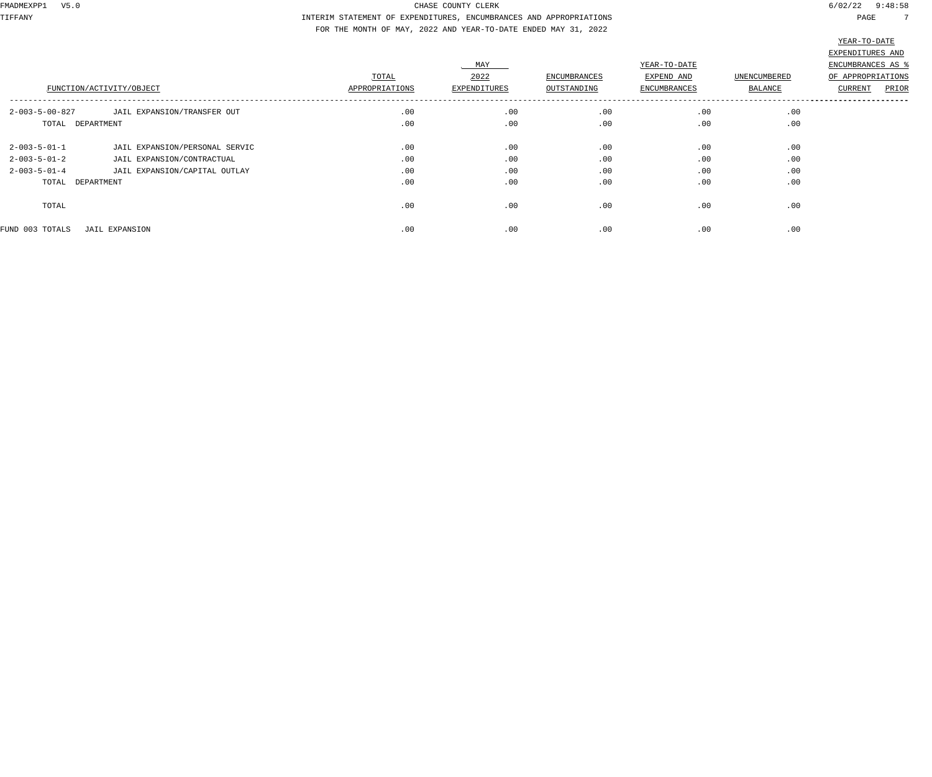TIFFANY INTERIM STATEMENT OF EXPENDITURES, ENCUMBRANCES AND APPROPRIATIONS PAGE 7 FOR THE MONTH OF MAY, 2022 AND YEAR-TO-DATE ENDED MAY 31, 2022

|                          |                                |                |              |                     |                     |                     | TEUT IO DUIE            |
|--------------------------|--------------------------------|----------------|--------------|---------------------|---------------------|---------------------|-------------------------|
|                          |                                |                |              |                     |                     |                     | EXPENDITURES AND        |
|                          |                                |                | MAY          |                     | YEAR-TO-DATE        |                     | ENCUMBRANCES AS %       |
|                          |                                | TOTAL          | 2022         | <b>ENCUMBRANCES</b> | EXPEND AND          | <b>UNENCUMBERED</b> | OF APPROPRIATIONS       |
|                          | FUNCTION/ACTIVITY/OBJECT       | APPROPRIATIONS | EXPENDITURES | OUTSTANDING         | <b>ENCUMBRANCES</b> | BALANCE             | PRIOR<br><b>CURRENT</b> |
| $2 - 003 - 5 - 00 - 827$ | JAIL EXPANSION/TRANSFER OUT    | .00            | .00          | .00                 | .00                 | .00                 |                         |
| TOTAL DEPARTMENT         |                                | .00            | .00          | .00                 | .00                 | .00                 |                         |
| $2 - 003 - 5 - 01 - 1$   | JAIL EXPANSION/PERSONAL SERVIC | .00            | .00          | .00                 | .00                 | .00                 |                         |
| $2 - 003 - 5 - 01 - 2$   | JAIL EXPANSION/CONTRACTUAL     | .00            | .00          | .00                 | .00                 | .00                 |                         |
| $2 - 003 - 5 - 01 - 4$   | JAIL EXPANSION/CAPITAL OUTLAY  | .00            | .00          | .00                 | .00                 | .00                 |                         |
| TOTAL DEPARTMENT         |                                | .00            | .00          | .00                 | .00                 | .00                 |                         |
| TOTAL                    |                                | .00            | .00          | .00                 | .00                 | .00                 |                         |
| FUND 003 TOTALS          | JAIL EXPANSION                 | .00            | .00          | .00                 | .00                 | .00                 |                         |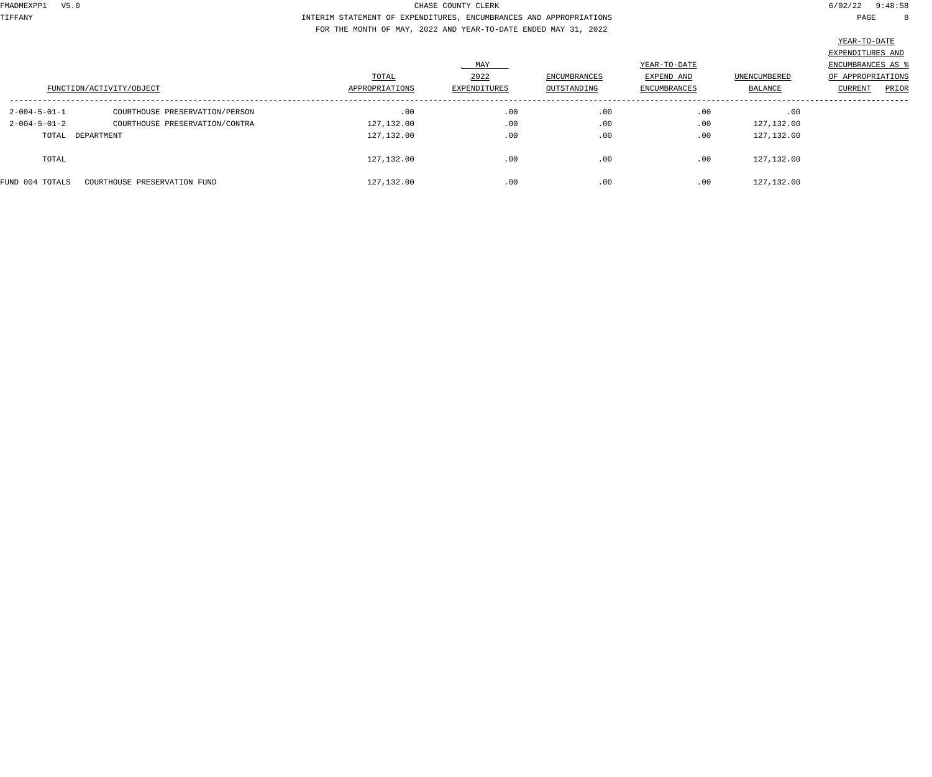TIFFANY INTERIM STATEMENT OF EXPENDITURES, ENCUMBRANCES AND APPROPRIATIONS PAGE 8 FOR THE MONTH OF MAY, 2022 AND YEAR-TO-DATE ENDED MAY 31, 2022

|                        |                                |                |              |              |              |              | YEAR-TO-DATE      |
|------------------------|--------------------------------|----------------|--------------|--------------|--------------|--------------|-------------------|
|                        |                                |                |              |              |              |              | EXPENDITURES AND  |
|                        |                                |                | MAY          |              | YEAR-TO-DATE |              | ENCUMBRANCES AS % |
|                        |                                | TOTAL          | 2022         | ENCUMBRANCES | EXPEND AND   | UNENCUMBERED | OF APPROPRIATIONS |
|                        | FUNCTION/ACTIVITY/OBJECT       | APPROPRIATIONS | EXPENDITURES | OUTSTANDING  | ENCUMBRANCES | BALANCE      | PRIOR<br>CURRENT  |
| $2 - 004 - 5 - 01 - 1$ | COURTHOUSE PRESERVATION/PERSON | .00            | .00          | .00          | .00          | .00          |                   |
| $2 - 004 - 5 - 01 - 2$ | COURTHOUSE PRESERVATION/CONTRA | 127,132.00     | .00          | .00          | .00          | 127,132.00   |                   |
| TOTAL DEPARTMENT       |                                | 127,132.00     | .00          | .00          | .00          | 127,132.00   |                   |
| TOTAL                  |                                | 127,132.00     | .00          | .00          | .00          | 127, 132.00  |                   |
| FUND 004 TOTALS        | COURTHOUSE PRESERVATION FUND   | 127,132.00     | .00          | .00          | .00          | 127, 132.00  |                   |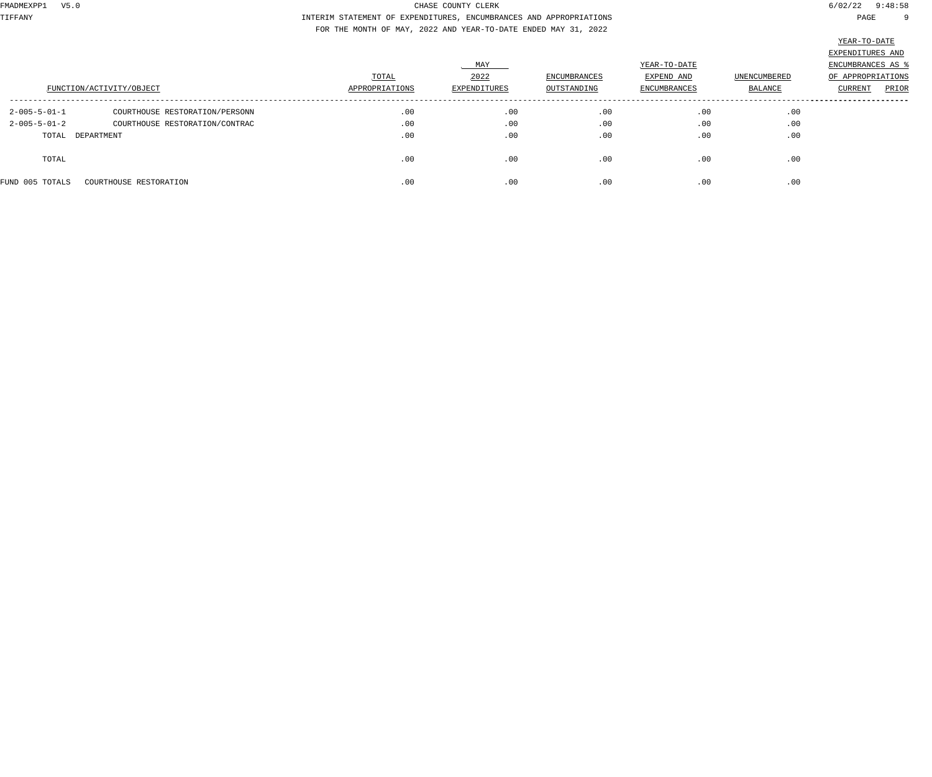TIFFANY INTERIM STATEMENT OF EXPENDITURES, ENCUMBRANCES AND APPROPRIATIONS PAGE 9 FOR THE MONTH OF MAY, 2022 AND YEAR-TO-DATE ENDED MAY 31, 2022

|                        |                                |                |              |              |              |              | سنطط بالمسن       |
|------------------------|--------------------------------|----------------|--------------|--------------|--------------|--------------|-------------------|
|                        |                                |                |              |              |              |              | EXPENDITURES AND  |
|                        |                                |                | MAY          |              | YEAR-TO-DATE |              | ENCUMBRANCES AS % |
|                        |                                | TOTAL          | 2022         | ENCUMBRANCES | EXPEND AND   | UNENCUMBERED | OF APPROPRIATIONS |
|                        | FUNCTION/ACTIVITY/OBJECT       | APPROPRIATIONS | EXPENDITURES | OUTSTANDING  | ENCUMBRANCES | BALANCE      | PRIOR<br>CURRENT  |
| $2 - 005 - 5 - 01 - 1$ | COURTHOUSE RESTORATION/PERSONN | .00            | .00          | .00          | .00          | .00          |                   |
| $2 - 005 - 5 - 01 - 2$ | COURTHOUSE RESTORATION/CONTRAC | .00            | .00          | .00          | .00          | .00          |                   |
| TOTAL DEPARTMENT       |                                | .00            | .00          | .00          | .00          | .00          |                   |
| TOTAL                  |                                | .00            | .00          | .00          | .00          | .00          |                   |
| FUND 005 TOTALS        | COURTHOUSE RESTORATION         | .00            | .00          | .00          | .00          | .00          |                   |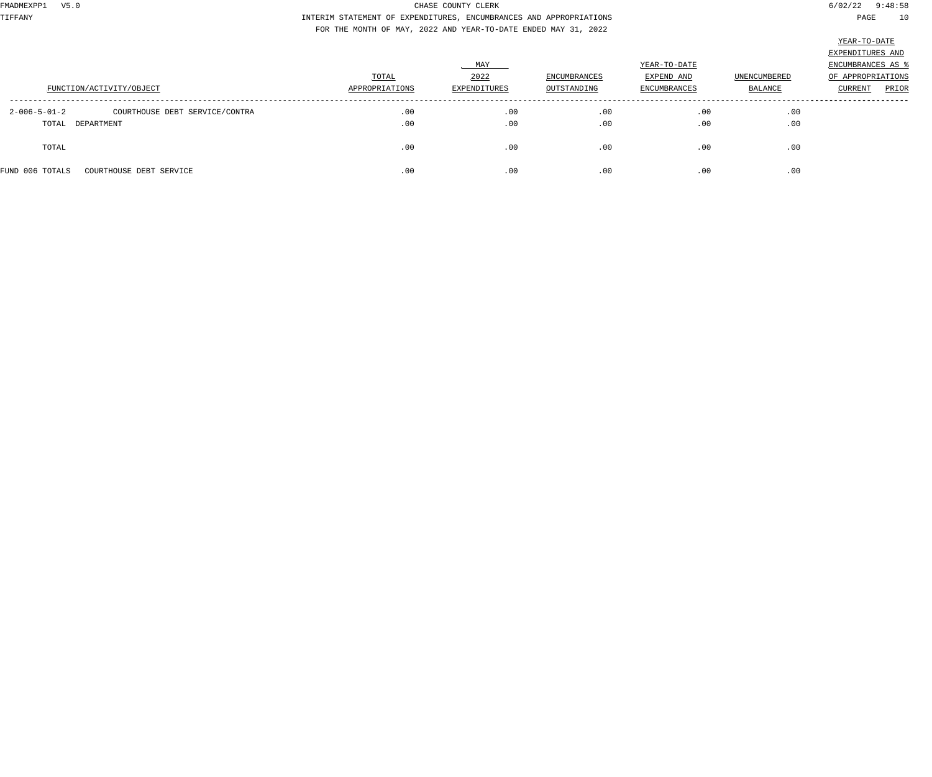TIFFANY INTERIM STATEMENT OF EXPENDITURES, ENCUMBRANCES AND APPROPRIATIONS PAGE 10 FOR THE MONTH OF MAY, 2022 AND YEAR-TO-DATE ENDED MAY 31, 2022

|                                                          |                |              |              |                     |              | EXPENDITURES AND        |
|----------------------------------------------------------|----------------|--------------|--------------|---------------------|--------------|-------------------------|
|                                                          |                | . MAY        |              | YEAR-TO-DATE        |              | ENCUMBRANCES AS 9       |
|                                                          | TOTAL          | 2022         | ENCUMBRANCES | EXPEND AND          | UNENCUMBERED | OF APPROPRIATIONS       |
| FUNCTION/ACTIVITY/OBJECT                                 | APPROPRIATIONS | EXPENDITURES | OUTSTANDING  | <b>ENCUMBRANCES</b> | BALANCE      | PRIOR<br><b>CURRENT</b> |
| $2 - 006 - 5 - 01 - 2$<br>COURTHOUSE DEBT SERVICE/CONTRA | .00            | .00          | .00          | .00                 | .00          |                         |
| TOTAL DEPARTMENT                                         | .00            | .00          | .00          | .00                 | .00          |                         |
| TOTAL                                                    | .00            | .00          | .00          | .00                 | .00          |                         |
| FUND 006 TOTALS<br>COURTHOUSE DEBT SERVICE               | .00            | .00          | .00          | .00                 | .00          |                         |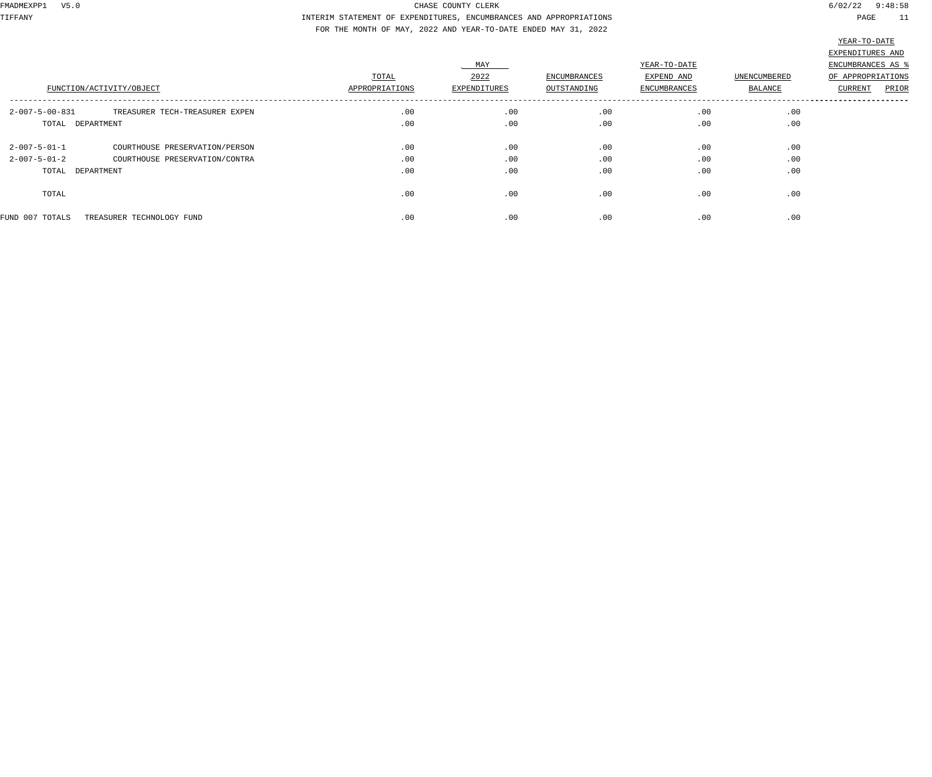TIFFANY INTERIM STATEMENT OF EXPENDITURES, ENCUMBRANCES AND APPROPRIATIONS PAGE 11 FOR THE MONTH OF MAY, 2022 AND YEAR-TO-DATE ENDED MAY 31, 2022

|                          | FUNCTION/ACTIVITY/OBJECT       | TOTAL<br>APPROPRIATIONS | MAY<br>2022<br>EXPENDITURES | ENCUMBRANCES<br>OUTSTANDING | YEAR-TO-DATE<br>EXPEND AND<br><b>ENCUMBRANCES</b> | <b>UNENCUMBERED</b><br><b>BALANCE</b> | the contract of the contract of the contract of the contract of the contract of<br>EXPENDITURES AND<br>ENCUMBRANCES AS %<br>OF APPROPRIATIONS<br>PRIOR<br>CURRENT |
|--------------------------|--------------------------------|-------------------------|-----------------------------|-----------------------------|---------------------------------------------------|---------------------------------------|-------------------------------------------------------------------------------------------------------------------------------------------------------------------|
| $2 - 007 - 5 - 00 - 831$ | TREASURER TECH-TREASURER EXPEN | .00                     | .00                         | .00                         | .00                                               | .00                                   |                                                                                                                                                                   |
| TOTAL DEPARTMENT         |                                | .00                     | .00                         | .00                         | .00                                               | .00                                   |                                                                                                                                                                   |
| $2 - 007 - 5 - 01 - 1$   | COURTHOUSE PRESERVATION/PERSON | .00                     | .00                         | .00                         | .00                                               | .00                                   |                                                                                                                                                                   |
| $2 - 007 - 5 - 01 - 2$   | COURTHOUSE PRESERVATION/CONTRA | .00                     | .00                         | .00                         | .00                                               | .00                                   |                                                                                                                                                                   |
| TOTAL DEPARTMENT         |                                | .00                     | .00                         | .00                         | .00                                               | .00                                   |                                                                                                                                                                   |
| TOTAL                    |                                | .00                     | .00                         | .00                         | .00                                               | .00                                   |                                                                                                                                                                   |
| FUND 007 TOTALS          | TREASURER TECHNOLOGY FUND      | .00                     | .00                         | .00                         | .00                                               | .00                                   |                                                                                                                                                                   |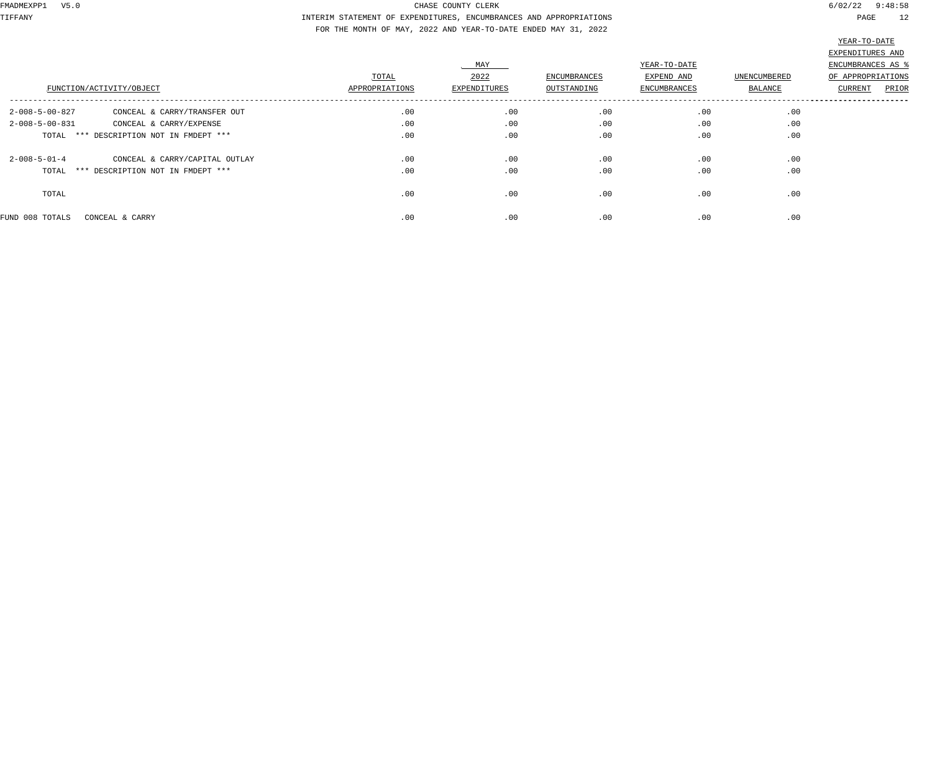TIFFANY INTERIM STATEMENT OF EXPENDITURES, ENCUMBRANCES AND APPROPRIATIONS PAGE 12 FOR THE MONTH OF MAY, 2022 AND YEAR-TO-DATE ENDED MAY 31, 2022

| FUNCTION/ACTIVITY/OBJECT                                 | TOTAL<br>APPROPRIATIONS | MAY<br>2022<br>EXPENDITURES | ENCUMBRANCES<br>OUTSTANDING | YEAR-TO-DATE<br>EXPEND AND<br><b>ENCUMBRANCES</b> | <b>UNENCUMBERED</b><br><b>BALANCE</b> | EXPENDITURES AND<br>ENCUMBRANCES AS %<br>OF APPROPRIATIONS<br>PRIOR<br>CURRENT |
|----------------------------------------------------------|-------------------------|-----------------------------|-----------------------------|---------------------------------------------------|---------------------------------------|--------------------------------------------------------------------------------|
| $2 - 008 - 5 - 00 - 827$<br>CONCEAL & CARRY/TRANSFER OUT | .00                     | .00                         | .00                         | .00                                               | .00                                   |                                                                                |
| $2 - 008 - 5 - 00 - 831$<br>CONCEAL & CARRY/EXPENSE      | .00                     | .00                         | .00                         | .00                                               | .00                                   |                                                                                |
| TOTAL *** DESCRIPTION NOT IN FMDEPT ***                  | .00                     | .00                         | .00                         | .00                                               | .00                                   |                                                                                |
| $2 - 008 - 5 - 01 - 4$<br>CONCEAL & CARRY/CAPITAL OUTLAY | .00                     | .00                         | .00                         | .00                                               | .00                                   |                                                                                |
| TOTAL *** DESCRIPTION NOT IN FMDEPT ***                  | .00                     | .00                         | .00                         | .00                                               | .00                                   |                                                                                |
| TOTAL                                                    | .00                     | .00                         | .00                         | .00                                               | .00                                   |                                                                                |
| FUND 008 TOTALS<br>CONCEAL & CARRY                       | .00                     | .00                         | .00                         | .00                                               | .00                                   |                                                                                |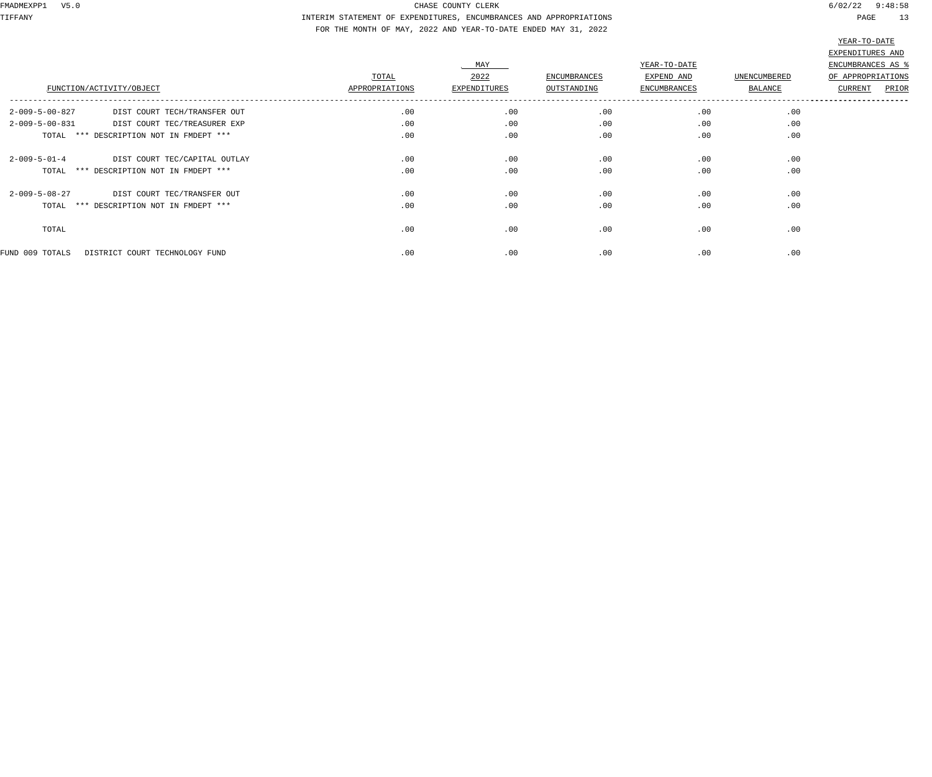TIFFANY INTERIM STATEMENT OF EXPENDITURES, ENCUMBRANCES AND APPROPRIATIONS PAGE 13 FOR THE MONTH OF MAY, 2022 AND YEAR-TO-DATE ENDED MAY 31, 2022

|                                                          |                |              |                     |              |              | سيبيع جو حسيسية   |
|----------------------------------------------------------|----------------|--------------|---------------------|--------------|--------------|-------------------|
|                                                          |                |              |                     |              |              | EXPENDITURES AND  |
|                                                          |                | MAY          |                     | YEAR-TO-DATE |              | ENCUMBRANCES AS   |
|                                                          | TOTAL          | 2022         | <b>ENCUMBRANCES</b> | EXPEND AND   | UNENCUMBERED | OF APPROPRIATIONS |
| FUNCTION/ACTIVITY/OBJECT                                 | APPROPRIATIONS | EXPENDITURES | OUTSTANDING         | ENCUMBRANCES | BALANCE      | PRIOR<br>CURRENT  |
| $2 - 009 - 5 - 00 - 827$<br>DIST COURT TECH/TRANSFER OUT | .00            | .00          | .00                 | .00          | .00          |                   |
| $2 - 009 - 5 - 00 - 831$<br>DIST COURT TEC/TREASURER EXP | .00            | .00          | .00                 | .00          | .00          |                   |
| TOTAL *** DESCRIPTION NOT IN FMDEPT ***                  | .00            | .00          | .00                 | .00          | .00          |                   |
| $2 - 009 - 5 - 01 - 4$<br>DIST COURT TEC/CAPITAL OUTLAY  | .00            | .00          | .00                 | .00          | .00          |                   |
| TOTAL *** DESCRIPTION NOT IN FMDEPT ***                  | .00            | .00          | .00                 | .00          | .00          |                   |
| $2 - 009 - 5 - 08 - 27$<br>DIST COURT TEC/TRANSFER OUT   | .00            | .00          | .00                 | .00          | .00          |                   |
| TOTAL *** DESCRIPTION NOT IN FMDEPT ***                  | .00            | .00          | .00                 | .00          | .00          |                   |
| TOTAL                                                    | .00            | .00          | .00                 | .00          | .00          |                   |
| FUND 009 TOTALS<br>DISTRICT COURT TECHNOLOGY FUND        | .00            | .00          | .00                 | .00          | .00          |                   |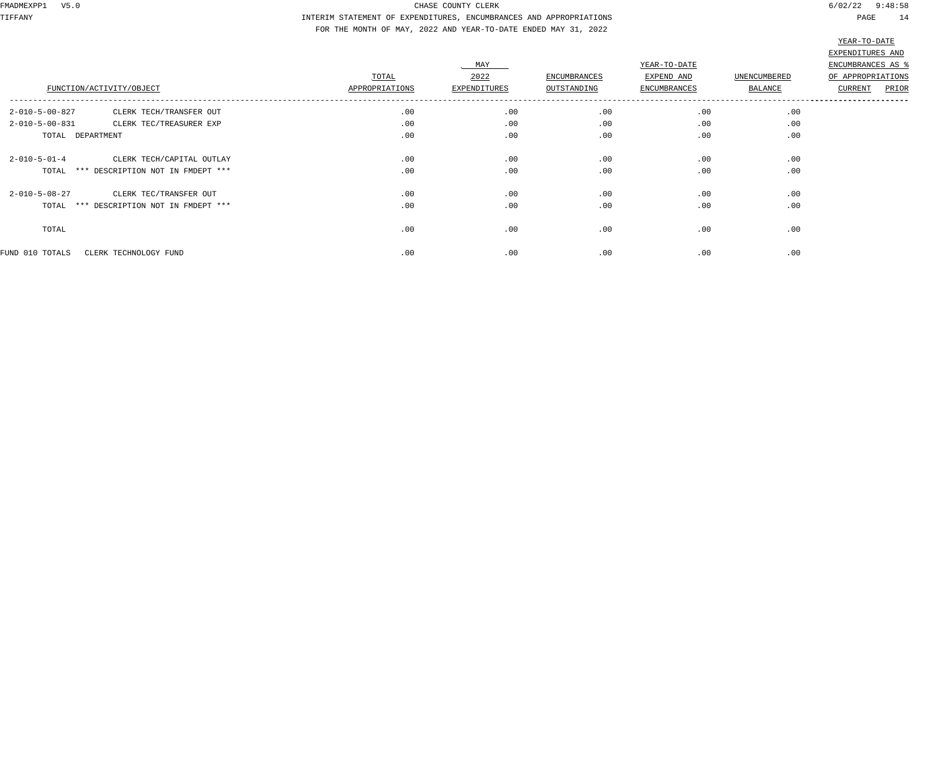TIFFANY INTERIM STATEMENT OF EXPENDITURES, ENCUMBRANCES AND APPROPRIATIONS PAGE 14 FOR THE MONTH OF MAY, 2022 AND YEAR-TO-DATE ENDED MAY 31, 2022

|                                                     |                |              |                     |                     |              | EXPENDITURES AND  |
|-----------------------------------------------------|----------------|--------------|---------------------|---------------------|--------------|-------------------|
|                                                     |                | <b>MAY</b>   |                     | YEAR-TO-DATE        |              | ENCUMBRANCES AS % |
|                                                     | TOTAL          | 2022         | <b>ENCUMBRANCES</b> | EXPEND AND          | UNENCUMBERED | OF APPROPRIATIONS |
| FUNCTION/ACTIVITY/OBJECT                            | APPROPRIATIONS | EXPENDITURES | OUTSTANDING         | <b>ENCUMBRANCES</b> | BALANCE      | PRIOR<br>CURRENT  |
| $2 - 010 - 5 - 00 - 827$<br>CLERK TECH/TRANSFER OUT | .00            | .00          | .00                 | .00                 | .00          |                   |
| $2 - 010 - 5 - 00 - 831$<br>CLERK TEC/TREASURER EXP | .00            | .00          | .00                 | .00                 | .00          |                   |
| TOTAL DEPARTMENT                                    | .00            | .00          | .00                 | .00                 | .00          |                   |
| $2 - 010 - 5 - 01 - 4$<br>CLERK TECH/CAPITAL OUTLAY | .00            | .00          | .00                 | .00                 | .00          |                   |
| TOTAL *** DESCRIPTION NOT IN FMDEPT ***             | .00            | .00          | .00                 | .00                 | .00          |                   |
| $2 - 010 - 5 - 08 - 27$<br>CLERK TEC/TRANSFER OUT   | .00            | .00          | .00                 | .00                 | .00          |                   |
| TOTAL *** DESCRIPTION NOT IN FMDEPT ***             | .00            | .00          | .00                 | .00                 | .00          |                   |
| TOTAL                                               | .00            | .00          | .00                 | .00                 | .00          |                   |
| FUND 010 TOTALS<br>CLERK TECHNOLOGY FUND            | .00            | .00          | .00                 | .00                 | .00          |                   |
|                                                     |                |              |                     |                     |              |                   |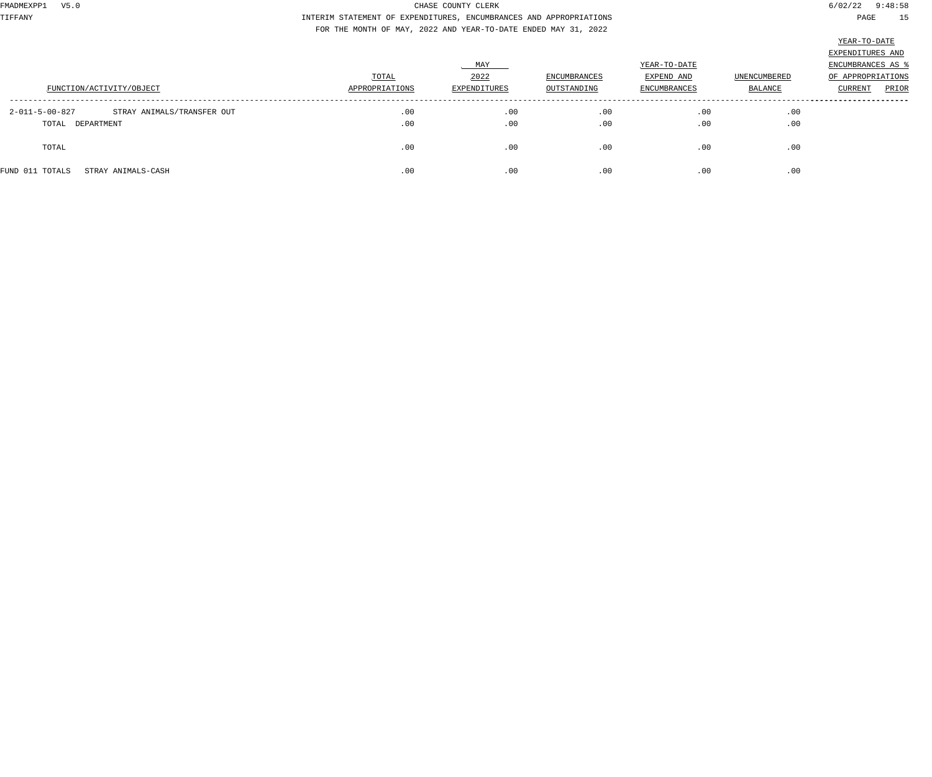TIFFANY INTERIM STATEMENT OF EXPENDITURES, ENCUMBRANCES AND APPROPRIATIONS PAGE 15 FOR THE MONTH OF MAY, 2022 AND YEAR-TO-DATE ENDED MAY 31, 2022

|                                                                                                      | EXPENDITURES AND  |
|------------------------------------------------------------------------------------------------------|-------------------|
| MAY<br>YEAR-TO-DATE                                                                                  | ENCUMBRANCES AS   |
| 2022<br>UNENCUMBERED<br>TOTAL<br>ENCUMBRANCES<br>EXPEND AND                                          | OF APPROPRIATIONS |
| OUTSTANDING<br>FUNCTION/ACTIVITY/OBJECT<br>APPROPRIATIONS<br>EXPENDITURES<br>BALANCE<br>ENCUMBRANCES | PRIOR<br>CURRENT  |
|                                                                                                      |                   |
| .00<br>.00<br>.00<br>STRAY ANIMALS/TRANSFER OUT<br>.00<br>2-011-5-00-827                             | .00               |
| .00<br>.00<br>.00<br>.00<br>TOTAL DEPARTMENT                                                         | .00               |
|                                                                                                      |                   |
| .00<br>.00<br>.00<br>.00<br>TOTAL                                                                    | .00               |
|                                                                                                      |                   |
| .00<br>.00<br>.00<br>.00<br>FUND 011 TOTALS<br>STRAY ANIMALS-CASH                                    | .00               |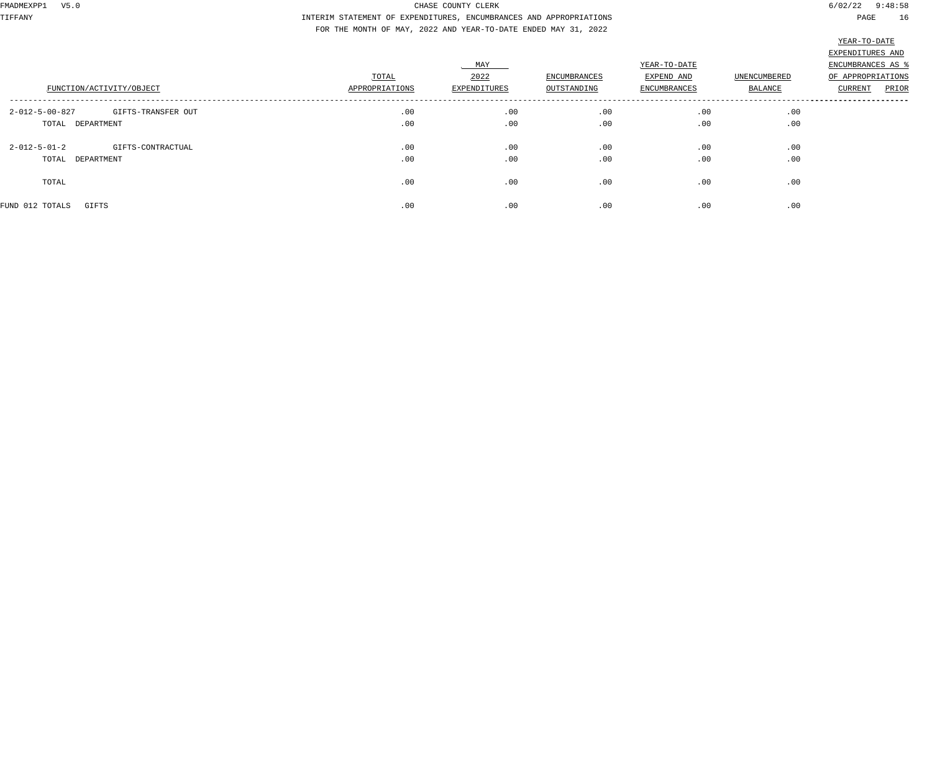TIFFANY INTERIM STATEMENT OF EXPENDITURES, ENCUMBRANCES AND APPROPRIATIONS PAGE 16 FOR THE MONTH OF MAY, 2022 AND YEAR-TO-DATE ENDED MAY 31, 2022

|                                             |                |              |              |              |              | 22111             |
|---------------------------------------------|----------------|--------------|--------------|--------------|--------------|-------------------|
|                                             |                |              |              |              |              | EXPENDITURES AND  |
|                                             |                | MAY          |              | YEAR-TO-DATE |              | ENCUMBRANCES AS % |
|                                             | TOTAL          | 2022         | ENCUMBRANCES | EXPEND AND   | UNENCUMBERED | OF APPROPRIATIONS |
| FUNCTION/ACTIVITY/OBJECT                    | APPROPRIATIONS | EXPENDITURES | OUTSTANDING  | ENCUMBRANCES | BALANCE      | CURRENT<br>PRIOR  |
| 2-012-5-00-827<br>GIFTS-TRANSFER OUT        | .00            | .00          | .00          | .00          | .00          |                   |
| TOTAL DEPARTMENT                            | .00            | .00          | .00          | .00          | .00          |                   |
| $2 - 012 - 5 - 01 - 2$<br>GIFTS-CONTRACTUAL | .00            | .00          | .00          | .00          | .00          |                   |
| TOTAL DEPARTMENT                            | .00            | .00          | .00          | .00          | .00          |                   |
| TOTAL                                       | .00            | .00          | .00          | .00          | .00          |                   |
| FUND 012 TOTALS<br>GIFTS                    | .00            | .00          | .00          | .00          | .00          |                   |
|                                             |                |              |              |              |              |                   |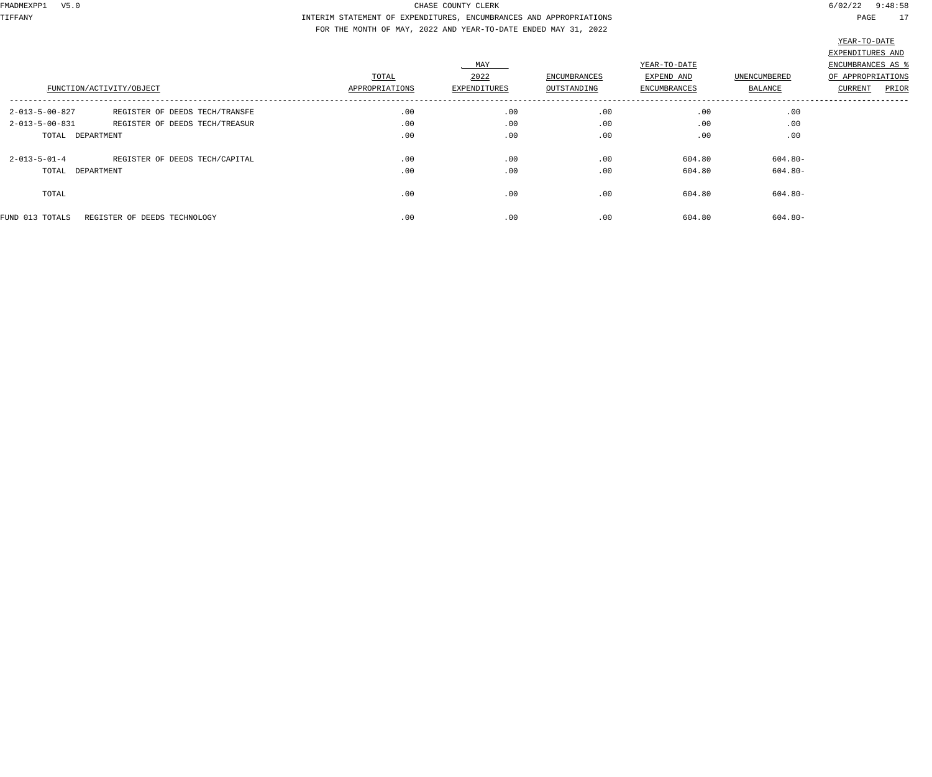TIFFANY INTERIM STATEMENT OF EXPENDITURES, ENCUMBRANCES AND APPROPRIATIONS PAGE 17 FOR THE MONTH OF MAY, 2022 AND YEAR-TO-DATE ENDED MAY 31, 2022

|                          | FUNCTION/ACTIVITY/OBJECT       | TOTAL<br>APPROPRIATIONS | MAY<br>2022<br>EXPENDITURES | ENCUMBRANCES<br>OUTSTANDING | YEAR-TO-DATE<br>EXPEND AND<br><b>ENCUMBRANCES</b> | UNENCUMBERED<br>BALANCE | EXPENDITURES AND<br>ENCUMBRANCES AS %<br>OF APPROPRIATIONS<br>PRIOR<br>CURRENT |
|--------------------------|--------------------------------|-------------------------|-----------------------------|-----------------------------|---------------------------------------------------|-------------------------|--------------------------------------------------------------------------------|
| 2-013-5-00-827           | REGISTER OF DEEDS TECH/TRANSFE | .00                     | .00                         | .00                         | .00                                               | .00                     |                                                                                |
| $2 - 013 - 5 - 00 - 831$ | REGISTER OF DEEDS TECH/TREASUR | .00                     | .00                         | .00                         | .00                                               | .00                     |                                                                                |
| TOTAL DEPARTMENT         |                                | .00                     | .00                         | .00                         | .00                                               | .00                     |                                                                                |
| $2 - 013 - 5 - 01 - 4$   | REGISTER OF DEEDS TECH/CAPITAL | .00                     | .00                         | .00                         | 604.80                                            | $604.80 -$              |                                                                                |
| TOTAL DEPARTMENT         |                                | .00                     | .00                         | .00                         | 604.80                                            | $604.80 -$              |                                                                                |
| TOTAL                    |                                | .00                     | .00                         | .00                         | 604.80                                            | $604.80 -$              |                                                                                |
| FUND 013 TOTALS          | REGISTER OF DEEDS TECHNOLOGY   | .00                     | .00                         | .00                         | 604.80                                            | $604.80 -$              |                                                                                |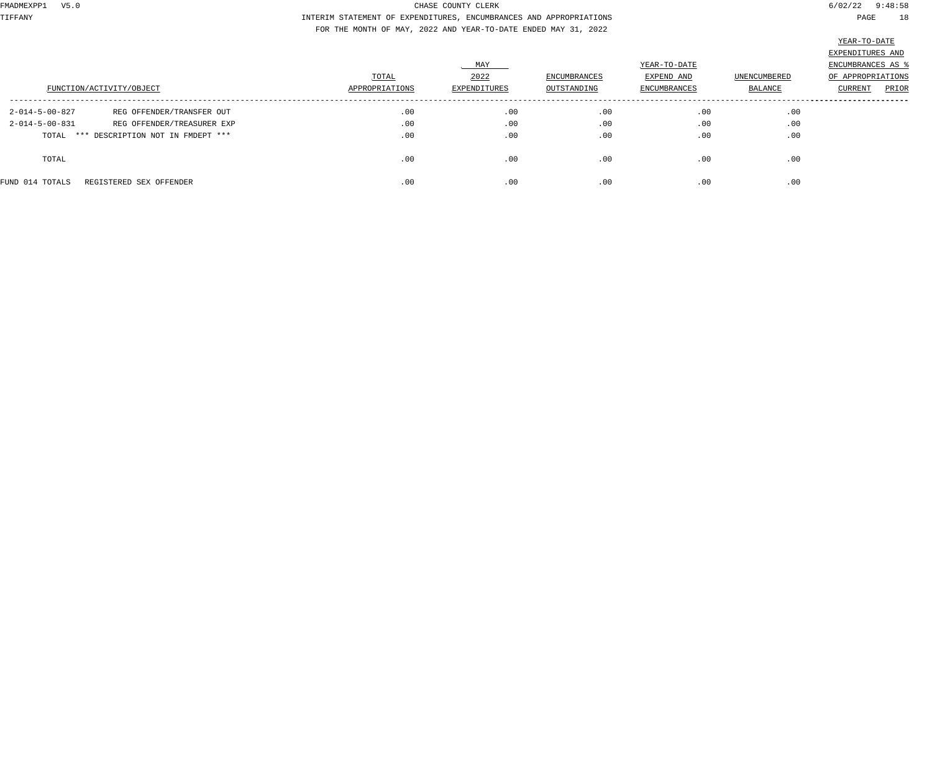TIFFANY INTERIM STATEMENT OF EXPENDITURES, ENCUMBRANCES AND APPROPRIATIONS PAGE 18 FOR THE MONTH OF MAY, 2022 AND YEAR-TO-DATE ENDED MAY 31, 2022

|                          | FUNCTION/ACTIVITY/OBJECT                | TOTAL<br>APPROPRIATIONS | MAY<br>2022<br>EXPENDITURES | ENCUMBRANCES<br>OUTSTANDING | YEAR-TO-DATE<br>EXPEND AND<br>ENCUMBRANCES | UNENCUMBERED<br>BALANCE | EXPENDITURES AND<br><b>ENCUMBRANCES AS %</b><br>OF APPROPRIATIONS<br>PRIOR<br>CURRENT |
|--------------------------|-----------------------------------------|-------------------------|-----------------------------|-----------------------------|--------------------------------------------|-------------------------|---------------------------------------------------------------------------------------|
| $2 - 014 - 5 - 00 - 827$ | REG OFFENDER/TRANSFER OUT               | .00                     | .00                         | .00                         | .00                                        | .00                     |                                                                                       |
| $2 - 014 - 5 - 00 - 831$ | REG OFFENDER/TREASURER EXP              | .00                     | .00                         | .00                         | .00                                        | .00                     |                                                                                       |
|                          | TOTAL *** DESCRIPTION NOT IN FMDEPT *** | .00                     | .00                         | .00                         | .00                                        | .00                     |                                                                                       |
| TOTAL                    |                                         | .00                     | .00                         | .00                         | .00                                        | .00                     |                                                                                       |
| FUND 014 TOTALS          | REGISTERED SEX OFFENDER                 | .00                     | .00                         | .00                         | .00                                        | .00                     |                                                                                       |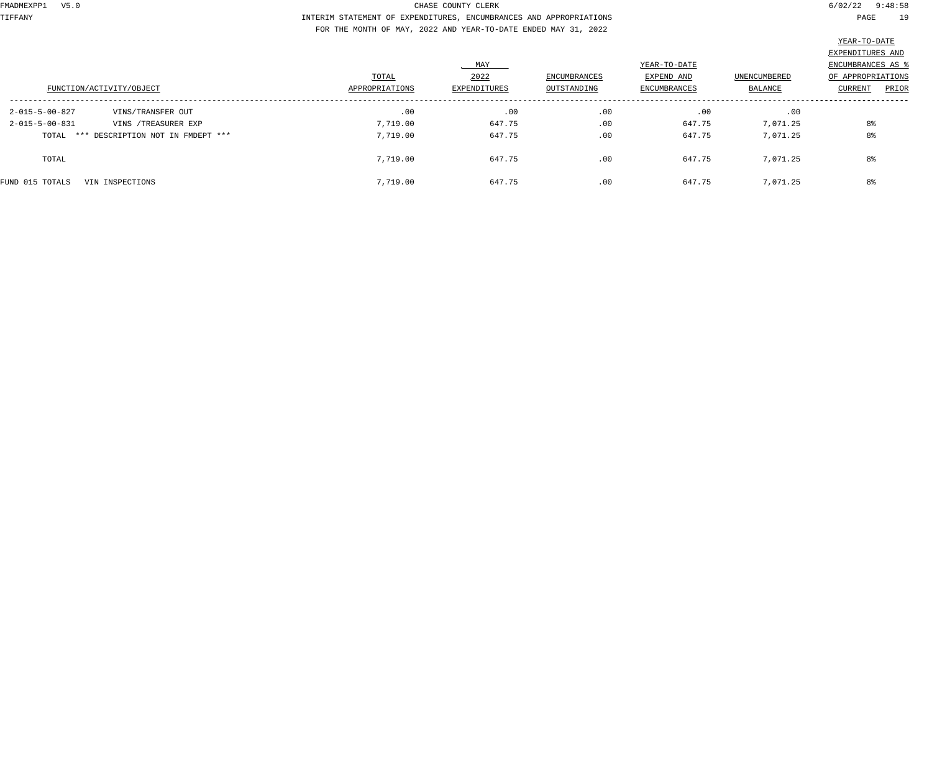TIFFANY INTERIM STATEMENT OF EXPENDITURES, ENCUMBRANCES AND APPROPRIATIONS PAGE 19 FOR THE MONTH OF MAY, 2022 AND YEAR-TO-DATE ENDED MAY 31, 2022

|                                                  |                |              |              |              |              | the contract of the contract of the contract of the contract of the contract of the contract of the contract of |
|--------------------------------------------------|----------------|--------------|--------------|--------------|--------------|-----------------------------------------------------------------------------------------------------------------|
|                                                  |                |              |              |              |              | EXPENDITURES AND                                                                                                |
|                                                  |                | MAY          |              | YEAR-TO-DATE |              | ENCUMBRANCES AS %                                                                                               |
|                                                  | TOTAL          | 2022         | ENCUMBRANCES | EXPEND AND   | UNENCUMBERED | OF APPROPRIATIONS                                                                                               |
| FUNCTION/ACTIVITY/OBJECT                         | APPROPRIATIONS | EXPENDITURES | OUTSTANDING  | ENCUMBRANCES | BALANCE      | PRIOR<br>CURRENT                                                                                                |
|                                                  |                |              |              |              |              |                                                                                                                 |
| $2 - 015 - 5 - 00 - 827$<br>VINS/TRANSFER OUT    | .00            | .00          | .00          | .00          | .00          |                                                                                                                 |
| $2 - 015 - 5 - 00 - 831$<br>VINS / TREASURER EXP | 7,719.00       | 647.75       | .00          | 647.75       | 7,071.25     | 8%                                                                                                              |
| TOTAL *** DESCRIPTION NOT IN FMDEPT ***          | 7,719.00       | 647.75       | .00          | 647.75       | 7,071.25     | 8%                                                                                                              |
| TOTAL                                            | 7,719.00       | 647.75       | .00          | 647.75       | 7,071.25     | 8%                                                                                                              |
| FUND 015 TOTALS<br>VIN INSPECTIONS               | 7,719.00       | 647.75       | .00          | 647.75       | 7,071.25     | 8%                                                                                                              |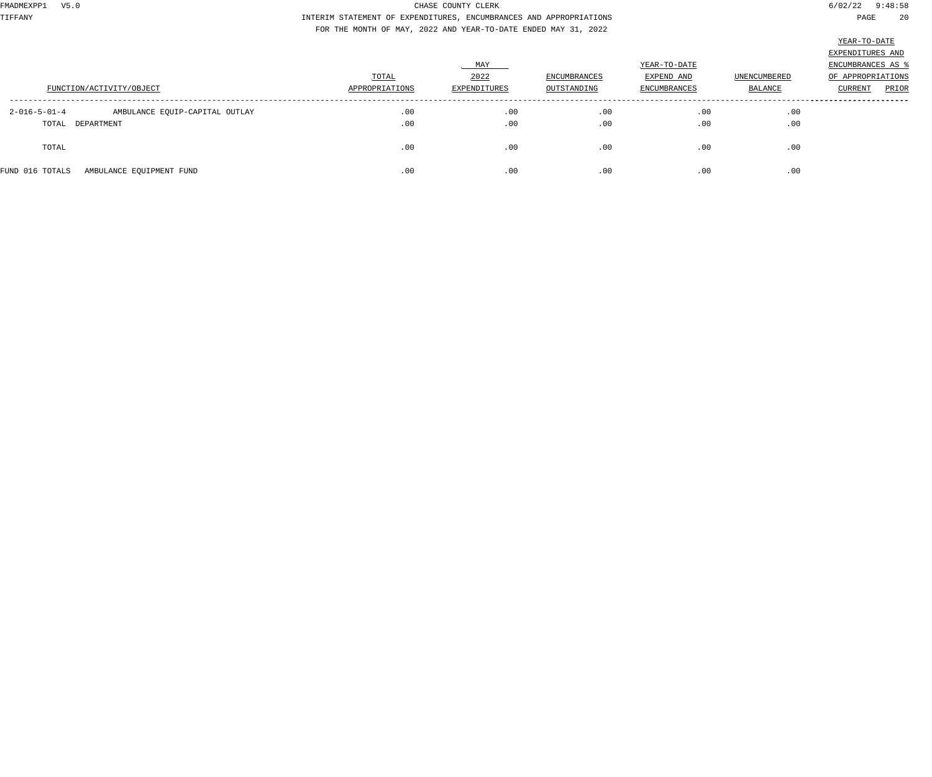TIFFANY INTERIM STATEMENT OF EXPENDITURES, ENCUMBRANCES AND APPROPRIATIONS PAGE 20 FOR THE MONTH OF MAY, 2022 AND YEAR-TO-DATE ENDED MAY 31, 2022

|                                                          |                |              |              |              |              | EXPENDITURES AND  |
|----------------------------------------------------------|----------------|--------------|--------------|--------------|--------------|-------------------|
|                                                          |                | MAY          |              | YEAR-TO-DATE |              | ENCUMBRANCES AS   |
|                                                          | TOTAL          | 2022         | ENCUMBRANCES | EXPEND AND   | UNENCUMBERED | OF APPROPRIATIONS |
| FUNCTION/ACTIVITY/OBJECT                                 | APPROPRIATIONS | EXPENDITURES | OUTSTANDING  | ENCUMBRANCES | BALANCE      | PRIOR<br>CURRENT  |
|                                                          |                |              |              |              |              |                   |
| $2 - 016 - 5 - 01 - 4$<br>AMBULANCE EQUIP-CAPITAL OUTLAY | .00            | .00          | .00          | .00          | .00          |                   |
| TOTAL DEPARTMENT                                         | .00            | .00          | .00          | .00          | .00          |                   |
|                                                          |                |              |              |              |              |                   |
| TOTAL                                                    | .00            | .00          | .00          | .00          | .00          |                   |
|                                                          |                |              |              |              |              |                   |
| FUND 016 TOTALS<br>AMBULANCE EQUIPMENT FUND              | .00            | .00          | .00          | .00          | .00          |                   |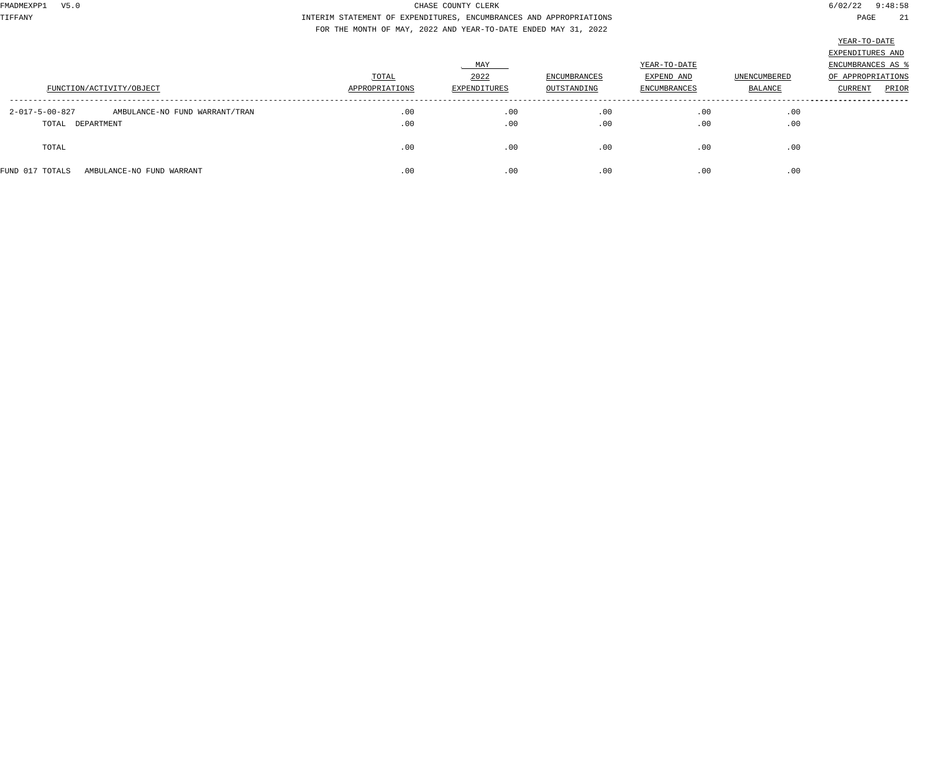TIFFANY INTERIM STATEMENT OF EXPENDITURES, ENCUMBRANCES AND APPROPRIATIONS PAGE 21 FOR THE MONTH OF MAY, 2022 AND YEAR-TO-DATE ENDED MAY 31, 2022

|                                                            |                |              |              |                     |                     | EXPENDITURES AND  |
|------------------------------------------------------------|----------------|--------------|--------------|---------------------|---------------------|-------------------|
|                                                            |                | MAY          |              | YEAR-TO-DATE        |                     | ENCUMBRANCES AS   |
|                                                            | TOTAL          | 2022         | ENCUMBRANCES | EXPEND AND          | <b>UNENCUMBERED</b> | OF APPROPRIATIONS |
| FUNCTION/ACTIVITY/OBJECT                                   | APPROPRIATIONS | EXPENDITURES | OUTSTANDING  | <b>ENCUMBRANCES</b> | <b>BALANCE</b>      | PRIOR<br>CURRENT  |
|                                                            |                |              |              |                     |                     |                   |
| $2 - 017 - 5 - 00 - 827$<br>AMBULANCE-NO FUND WARRANT/TRAN | .00            | .00          | .00          | .00                 | .00                 |                   |
| TOTAL DEPARTMENT                                           | .00            | .00          | .00          | .00                 | .00                 |                   |
|                                                            |                |              |              |                     |                     |                   |
| TOTAL                                                      | .00            | .00          | .00          | .00                 | .00                 |                   |
|                                                            |                |              |              |                     |                     |                   |
| FUND 017 TOTALS<br>AMBULANCE-NO FUND WARRANT               | .00            | .00          | .00          | .00                 | .00                 |                   |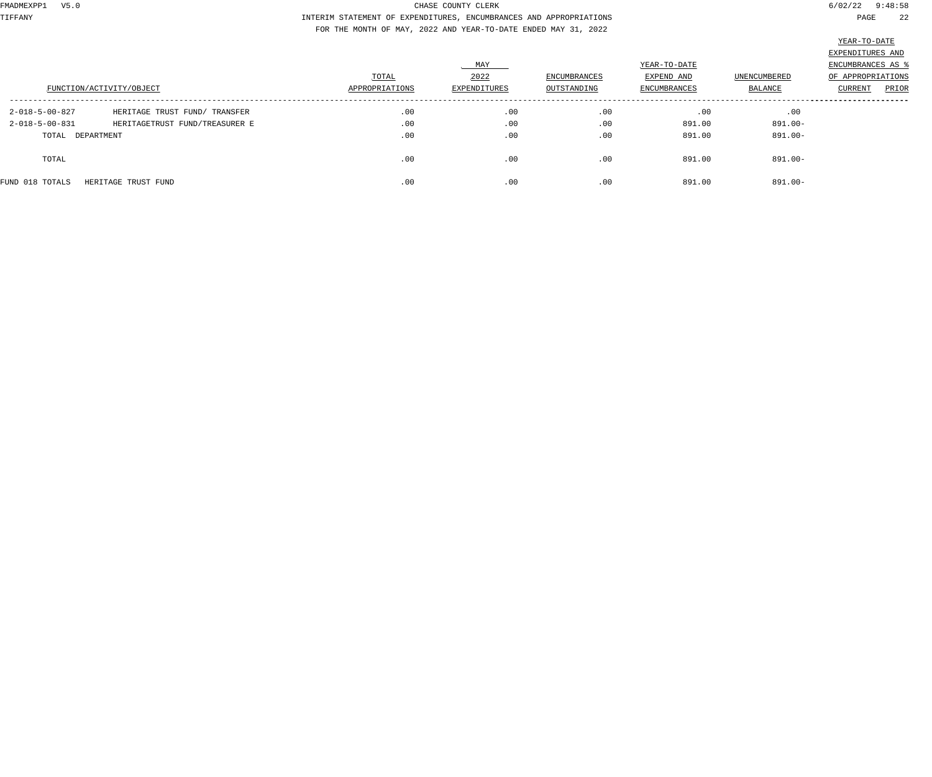TIFFANY INTERIM STATEMENT OF EXPENDITURES, ENCUMBRANCES AND APPROPRIATIONS PAGE 22 FOR THE MONTH OF MAY, 2022 AND YEAR-TO-DATE ENDED MAY 31, 2022

|                          |                                |                |              |              |              |              | $\frac{1}{2}$     |
|--------------------------|--------------------------------|----------------|--------------|--------------|--------------|--------------|-------------------|
|                          |                                |                |              |              |              |              | EXPENDITURES AND  |
|                          |                                |                | MAY          |              | YEAR-TO-DATE |              | ENCUMBRANCES AS % |
|                          |                                | TOTAL          | 2022         | ENCUMBRANCES | EXPEND AND   | UNENCUMBERED | OF APPROPRIATIONS |
|                          | FUNCTION/ACTIVITY/OBJECT       | APPROPRIATIONS | EXPENDITURES | OUTSTANDING  | ENCUMBRANCES | BALANCE      | PRIOR<br>CURRENT  |
| 2-018-5-00-827           | HERITAGE TRUST FUND/ TRANSFER  | .00            | .00          | .00          | .00          | .00          |                   |
| $2 - 018 - 5 - 00 - 831$ | HERITAGETRUST FUND/TREASURER E | .00            | .00          | .00          | 891.00       | 891.00-      |                   |
| TOTAL DEPARTMENT         |                                | .00            | .00          | .00          | 891.00       | 891.00-      |                   |
| TOTAL                    |                                | .00            | .00          | .00          | 891.00       | 891.00-      |                   |
| FUND 018 TOTALS          | HERITAGE TRUST FUND            | .00            | .00          | .00          | 891.00       | 891.00-      |                   |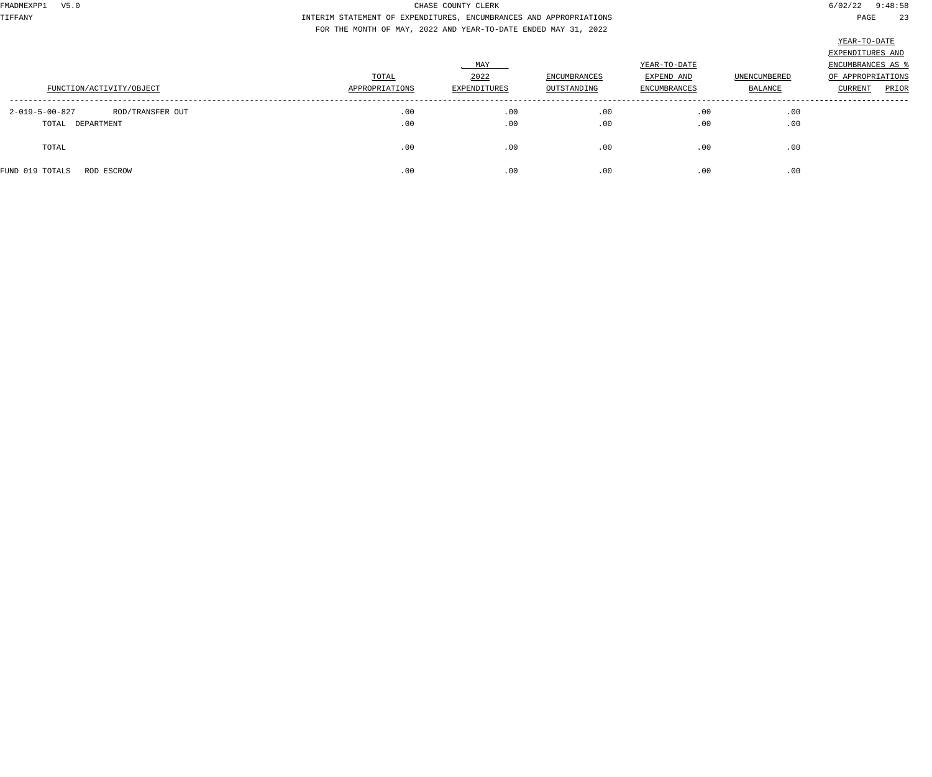TIFFANY INTERIM STATEMENT OF EXPENDITURES, ENCUMBRANCES AND APPROPRIATIONS PAGE 23 FOR THE MONTH OF MAY, 2022 AND YEAR-TO-DATE ENDED MAY 31, 2022

|                                    |                |              |                     |                     |                     | EXPENDITURES AND  |
|------------------------------------|----------------|--------------|---------------------|---------------------|---------------------|-------------------|
|                                    |                | MAY          |                     | YEAR-TO-DATE        |                     | ENCUMBRANCES AS 9 |
|                                    | TOTAL          | 2022         | <b>ENCUMBRANCES</b> | EXPEND AND          | <b>UNENCUMBERED</b> | OF APPROPRIATIONS |
| FUNCTION/ACTIVITY/OBJECT           | APPROPRIATIONS | EXPENDITURES | OUTSTANDING         | <b>ENCUMBRANCES</b> | BALANCE             | PRIOR<br>CURRENT  |
|                                    |                |              |                     |                     |                     |                   |
| 2-019-5-00-827<br>ROD/TRANSFER OUT | .00            | .00          | .00                 | .00                 | .00                 |                   |
| TOTAL DEPARTMENT                   | .00            | .00          | .00                 | .00                 | .00                 |                   |
|                                    |                |              |                     |                     |                     |                   |
| TOTAL                              | .00            | .00          | .00                 | .00                 | .00                 |                   |
|                                    |                |              |                     |                     |                     |                   |
| FUND 019 TOTALS<br>ROD ESCROW      | .00            | .00          | .00                 | .00                 | .00                 |                   |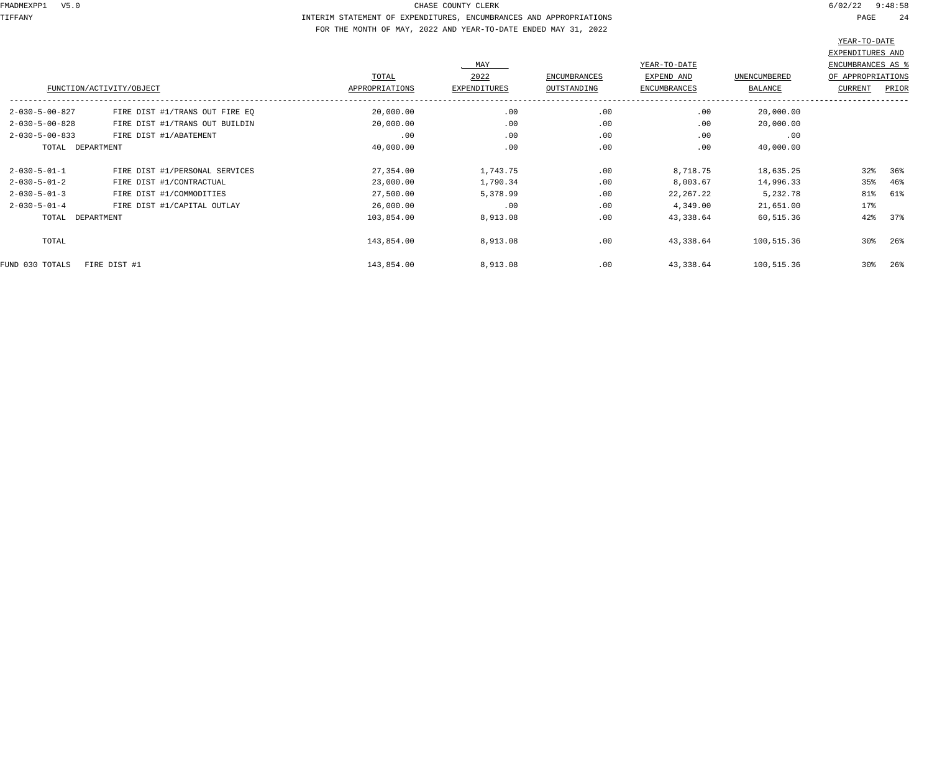TIFFANY INTERIM STATEMENT OF EXPENDITURES, ENCUMBRANCES AND APPROPRIATIONS PAGE 24 FOR THE MONTH OF MAY, 2022 AND YEAR-TO-DATE ENDED MAY 31, 2022

|                          |                                |                |              |              |                     |                | ستندى بدىست       |        |
|--------------------------|--------------------------------|----------------|--------------|--------------|---------------------|----------------|-------------------|--------|
|                          |                                |                |              |              |                     |                | EXPENDITURES AND  |        |
|                          |                                |                | MAY          |              | YEAR-TO-DATE        |                | ENCUMBRANCES AS % |        |
|                          |                                | TOTAL          | 2022         | ENCUMBRANCES | EXPEND AND          | UNENCUMBERED   | OF APPROPRIATIONS |        |
|                          | FUNCTION/ACTIVITY/OBJECT       | APPROPRIATIONS | EXPENDITURES | OUTSTANDING  | <b>ENCUMBRANCES</b> | <b>BALANCE</b> | <b>CURRENT</b>    | PRIOR  |
| $2 - 030 - 5 - 00 - 827$ | FIRE DIST #1/TRANS OUT FIRE EQ | 20,000.00      | .00          | .00          | .00                 | 20,000.00      |                   |        |
| $2 - 030 - 5 - 00 - 828$ | FIRE DIST #1/TRANS OUT BUILDIN | 20,000.00      | .00          | .00          | .00                 | 20,000.00      |                   |        |
| $2 - 030 - 5 - 00 - 833$ | FIRE DIST #1/ABATEMENT         | .00            | .00          | .00          | .00                 | .00            |                   |        |
| TOTAL DEPARTMENT         |                                | 40,000.00      | .00          | .00          | .00                 | 40,000.00      |                   |        |
| $2 - 030 - 5 - 01 - 1$   | FIRE DIST #1/PERSONAL SERVICES | 27,354.00      | 1,743.75     | .00          | 8,718.75            | 18,635.25      | 32%               | 36%    |
| $2 - 030 - 5 - 01 - 2$   | FIRE DIST #1/CONTRACTUAL       | 23,000.00      | 1,790.34     | .00          | 8,003.67            | 14,996.33      | 35%               | 46%    |
| $2 - 030 - 5 - 01 - 3$   | FIRE DIST #1/COMMODITIES       | 27,500.00      | 5,378.99     | .00          | 22,267.22           | 5,232.78       | 81%               | 61%    |
| $2 - 030 - 5 - 01 - 4$   | FIRE DIST #1/CAPITAL OUTLAY    | 26,000.00      | .00          | .00          | 4,349.00            | 21,651.00      | 17%               |        |
| TOTAL DEPARTMENT         |                                | 103,854.00     | 8,913.08     | .00          | 43,338.64           | 60,515.36      | 42%               | 37%    |
| TOTAL                    |                                | 143,854.00     | 8,913.08     | .00          | 43,338.64           | 100,515.36     | 30%               | $26\%$ |
| FUND 030 TOTALS          | FIRE DIST #1                   | 143,854.00     | 8,913.08     | .00          | 43,338.64           | 100,515.36     | $30\%$            | 26%    |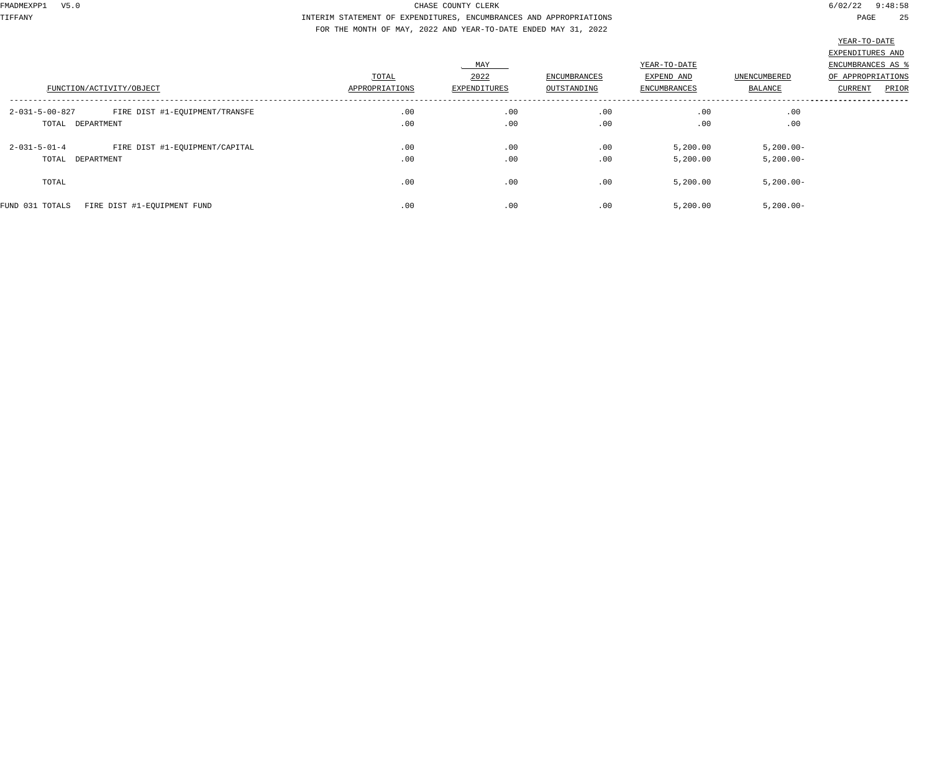TIFFANY INTERIM STATEMENT OF EXPENDITURES, ENCUMBRANCES AND APPROPRIATIONS PAGE 25 FOR THE MONTH OF MAY, 2022 AND YEAR-TO-DATE ENDED MAY 31, 2022

| FUNCTION/ACTIVITY/OBJECT                                                       | TOTAL<br>APPROPRIATIONS | MAY<br>2022<br><b>EXPENDITURES</b> | ENCUMBRANCES<br>OUTSTANDING | YEAR-TO-DATE<br>EXPEND AND<br><b>ENCUMBRANCES</b> | UNENCUMBERED<br><b>BALANCE</b> | the contract of the contract of the contract of the contract of the contract of<br>EXPENDITURES AND<br>ENCUMBRANCES AS %<br>OF APPROPRIATIONS<br>PRIOR<br>CURRENT |
|--------------------------------------------------------------------------------|-------------------------|------------------------------------|-----------------------------|---------------------------------------------------|--------------------------------|-------------------------------------------------------------------------------------------------------------------------------------------------------------------|
| $2 - 031 - 5 - 00 - 827$<br>FIRE DIST #1-EQUIPMENT/TRANSFE<br>TOTAL DEPARTMENT | .00<br>.00              | .00<br>.00                         | .00<br>.00                  | .00<br>.00                                        | .00<br>.00                     |                                                                                                                                                                   |
| FIRE DIST #1-EQUIPMENT/CAPITAL<br>$2 - 031 - 5 - 01 - 4$<br>TOTAL DEPARTMENT   | .00<br>.00              | .00<br>.00                         | .00<br>.00                  | 5,200.00<br>5,200.00                              | $5,200.00 -$<br>$5,200.00 -$   |                                                                                                                                                                   |
| TOTAL                                                                          | .00                     | .00                                | .00                         | 5,200.00                                          | $5,200.00 -$                   |                                                                                                                                                                   |
| FIRE DIST #1-EQUIPMENT FUND<br>FUND 031 TOTALS                                 | .00                     | .00                                | .00                         | 5,200.00                                          | $5,200.00 -$                   |                                                                                                                                                                   |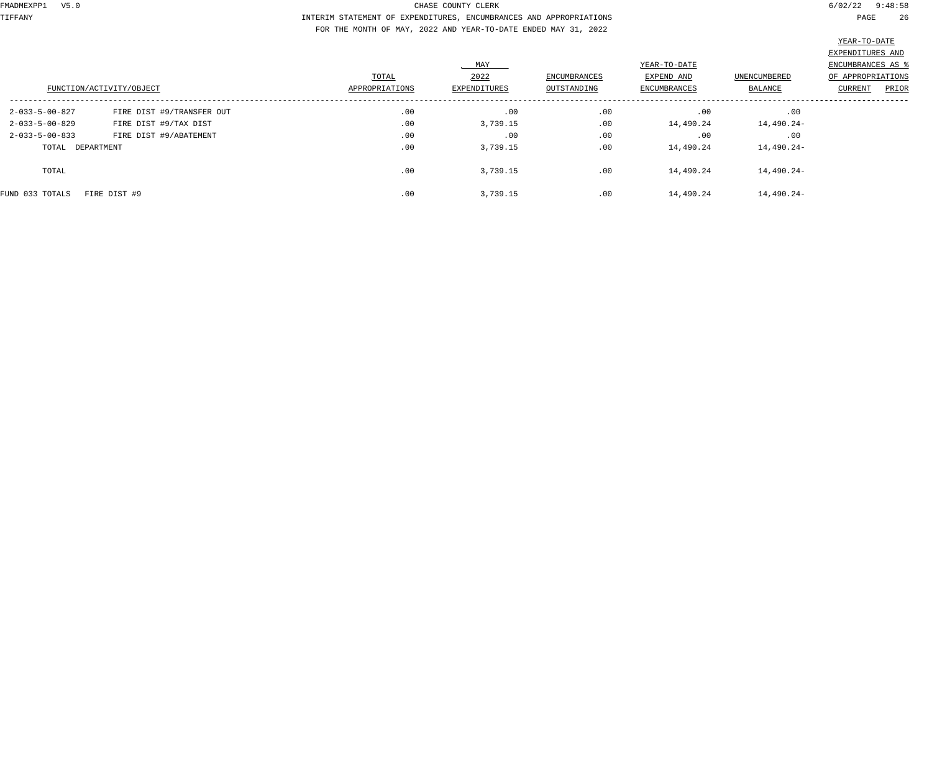TIFFANY INTERIM STATEMENT OF EXPENDITURES, ENCUMBRANCES AND APPROPRIATIONS PAGE 26 FOR THE MONTH OF MAY, 2022 AND YEAR-TO-DATE ENDED MAY 31, 2022

|                          | FUNCTION/ACTIVITY/OBJECT  | TOTAL<br>APPROPRIATIONS | MAY<br>2022<br>EXPENDITURES | ENCUMBRANCES<br>OUTSTANDING | YEAR-TO-DATE<br>EXPEND AND<br>ENCUMBRANCES | UNENCUMBERED<br>BALANCE | EXPENDITURES AND<br><b>ENCUMBRANCES AS %</b><br>OF APPROPRIATIONS<br>PRIOR<br>CURRENT |
|--------------------------|---------------------------|-------------------------|-----------------------------|-----------------------------|--------------------------------------------|-------------------------|---------------------------------------------------------------------------------------|
| 2-033-5-00-827           | FIRE DIST #9/TRANSFER OUT | .00                     | .00                         | .00                         | .00                                        | .00                     |                                                                                       |
| $2 - 033 - 5 - 00 - 829$ | FIRE DIST #9/TAX DIST     | .00                     | 3,739.15                    | .00                         | 14,490.24                                  | 14,490.24-              |                                                                                       |
| $2 - 033 - 5 - 00 - 833$ | FIRE DIST #9/ABATEMENT    | .00                     | .00                         | .00                         | .00                                        | .00                     |                                                                                       |
| TOTAL DEPARTMENT         |                           | .00                     | 3,739.15                    | .00                         | 14,490.24                                  | 14,490.24-              |                                                                                       |
| TOTAL                    |                           | .00                     | 3,739.15                    | .00                         | 14,490.24                                  | 14,490.24-              |                                                                                       |
| FUND 033 TOTALS          | FIRE DIST #9              | .00                     | 3,739.15                    | .00                         | 14,490.24                                  | 14,490.24-              |                                                                                       |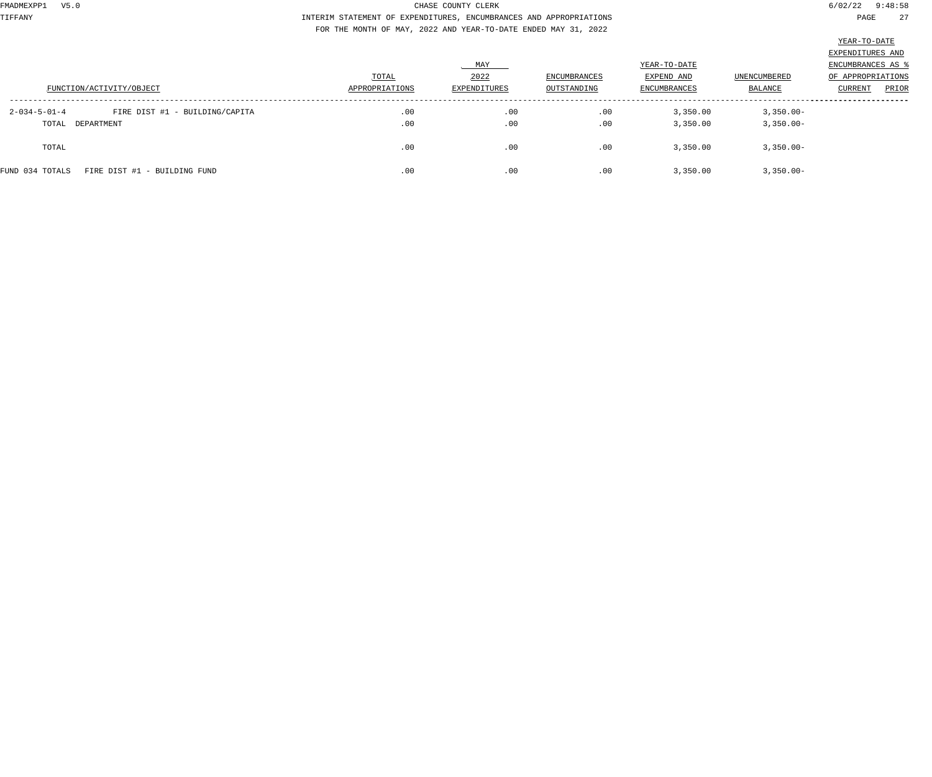TIFFANY INTERIM STATEMENT OF EXPENDITURES, ENCUMBRANCES AND APPROPRIATIONS PAGE 27 FOR THE MONTH OF MAY, 2022 AND YEAR-TO-DATE ENDED MAY 31, 2022

|                                                          |                |              |              |                     |              | EXPENDITURES AND  |       |
|----------------------------------------------------------|----------------|--------------|--------------|---------------------|--------------|-------------------|-------|
|                                                          |                | MAY          |              | YEAR-TO-DATE        |              | ENCUMBRANCES AS % |       |
|                                                          | TOTAL          | 2022         | ENCUMBRANCES | EXPEND AND          | UNENCUMBERED | OF APPROPRIATIONS |       |
| FUNCTION/ACTIVITY/OBJECT                                 | APPROPRIATIONS | EXPENDITURES | OUTSTANDING  | <b>ENCUMBRANCES</b> | BALANCE      | <b>CURRENT</b>    | PRIOR |
| $2 - 034 - 5 - 01 - 4$<br>FIRE DIST #1 - BUILDING/CAPITA | .00            | .00          | .00          | 3,350.00            | $3,350.00 -$ |                   |       |
| TOTAL DEPARTMENT                                         | .00            | .00          | .00          | 3,350.00            | $3,350.00 -$ |                   |       |
| TOTAL                                                    | .00            | .00          | .00          | 3,350.00            | $3,350.00 -$ |                   |       |
| FIRE DIST #1 - BUILDING FUND<br>FUND 034 TOTALS          | .00            | .00          | .00          | 3,350.00            | $3,350.00 -$ |                   |       |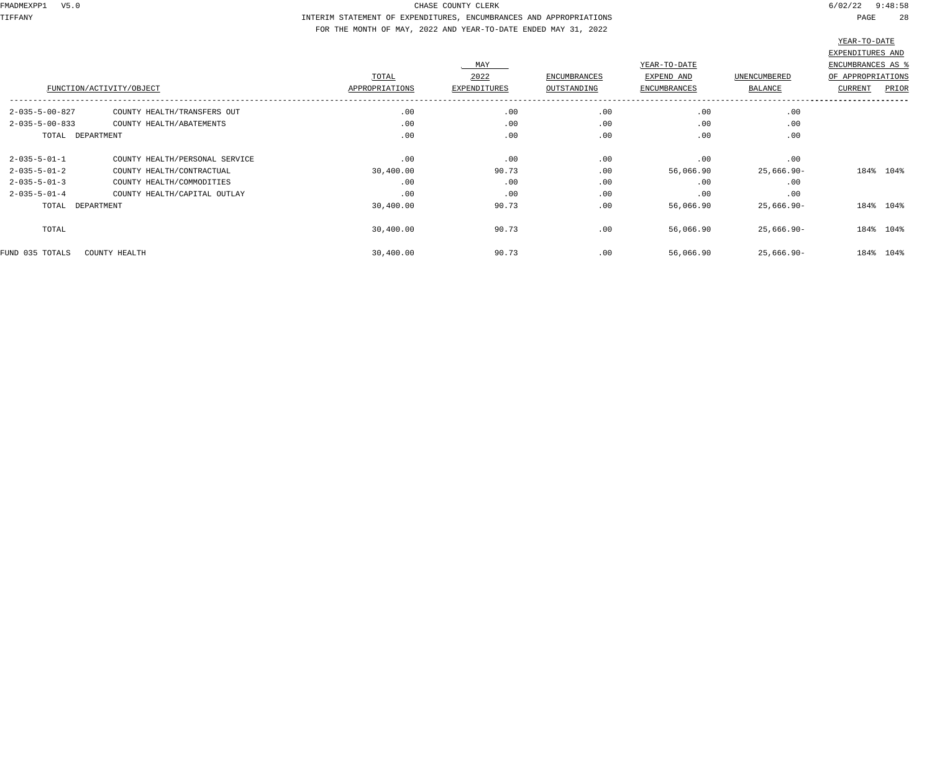TIFFANY INTERIM STATEMENT OF EXPENDITURES, ENCUMBRANCES AND APPROPRIATIONS PAGE 28 FOR THE MONTH OF MAY, 2022 AND YEAR-TO-DATE ENDED MAY 31, 2022

|                          |                                |                |              |              |                     |               | ------ -- ----    |       |
|--------------------------|--------------------------------|----------------|--------------|--------------|---------------------|---------------|-------------------|-------|
|                          |                                |                |              |              |                     |               | EXPENDITURES AND  |       |
|                          |                                |                | MAY          |              | YEAR-TO-DATE        |               | ENCUMBRANCES AS % |       |
|                          |                                | TOTAL          | 2022         | ENCUMBRANCES | EXPEND AND          | UNENCUMBERED  | OF APPROPRIATIONS |       |
| FUNCTION/ACTIVITY/OBJECT |                                | APPROPRIATIONS | EXPENDITURES | OUTSTANDING  | <b>ENCUMBRANCES</b> | BALANCE       | <b>CURRENT</b>    | PRIOR |
| $2 - 035 - 5 - 00 - 827$ | COUNTY HEALTH/TRANSFERS OUT    | .00            | .00          | .00          | .00                 | .00           |                   |       |
| $2 - 035 - 5 - 00 - 833$ | COUNTY HEALTH/ABATEMENTS       | .00            | .00          | .00          | .00                 | .00           |                   |       |
| TOTAL DEPARTMENT         |                                | .00            | .00          | .00          | .00                 | .00           |                   |       |
| $2 - 035 - 5 - 01 - 1$   | COUNTY HEALTH/PERSONAL SERVICE | .00            | .00          | .00          | .00                 | .00           |                   |       |
| $2 - 035 - 5 - 01 - 2$   | COUNTY HEALTH/CONTRACTUAL      | 30,400.00      | 90.73        | .00          | 56,066.90           | $25,666.90 -$ | 184% 104%         |       |
| $2 - 035 - 5 - 01 - 3$   | COUNTY HEALTH/COMMODITIES      | .00            | .00          | .00          | .00                 | .00           |                   |       |
| $2 - 035 - 5 - 01 - 4$   | COUNTY HEALTH/CAPITAL OUTLAY   | .00            | .00          | .00          | .00                 | .00           |                   |       |
| TOTAL DEPARTMENT         |                                | 30,400.00      | 90.73        | .00          | 56,066.90           | $25,666.90 -$ | 184% 104%         |       |
| TOTAL                    |                                | 30,400.00      | 90.73        | .00          | 56,066.90           | $25,666.90 -$ | 184% 104%         |       |
| FUND 035 TOTALS          | COUNTY HEALTH                  | 30,400.00      | 90.73        | .00          | 56,066.90           | $25,666.90 -$ | 184% 104%         |       |
|                          |                                |                |              |              |                     |               |                   |       |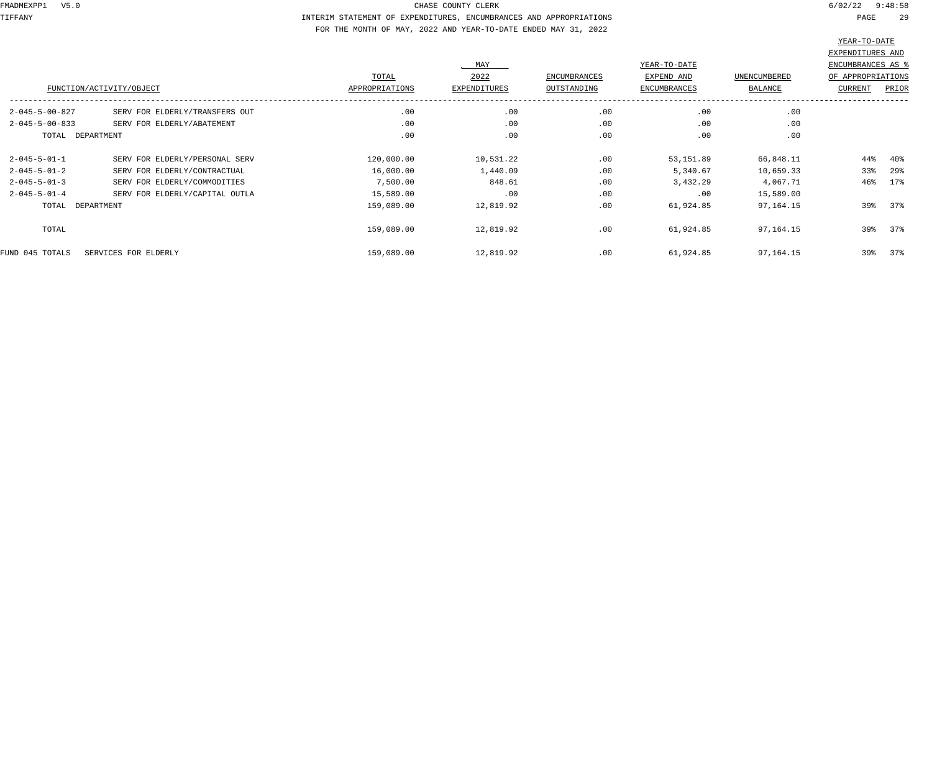TIFFANY INTERIM STATEMENT OF EXPENDITURES, ENCUMBRANCES AND APPROPRIATIONS PAGE 29 FOR THE MONTH OF MAY, 2022 AND YEAR-TO-DATE ENDED MAY 31, 2022

|                          |                                |            |              |              |                     |                     | EXPENDITURES AND  |        |
|--------------------------|--------------------------------|------------|--------------|--------------|---------------------|---------------------|-------------------|--------|
|                          |                                |            | MAY          |              | YEAR-TO-DATE        |                     | ENCUMBRANCES AS % |        |
|                          |                                | TOTAL      | 2022         | ENCUMBRANCES | EXPEND AND          | <b>UNENCUMBERED</b> | OF APPROPRIATIONS |        |
|                          | FUNCTION/ACTIVITY/OBJECT       |            | EXPENDITURES | OUTSTANDING  | <b>ENCUMBRANCES</b> | BALANCE             | <b>CURRENT</b>    | PRIOR  |
| $2 - 045 - 5 - 00 - 827$ | SERV FOR ELDERLY/TRANSFERS OUT | .00        | .00          | .00          | .00                 | .00                 |                   |        |
| $2 - 045 - 5 - 00 - 833$ | SERV FOR ELDERLY/ABATEMENT     | .00        | .00          | .00          | .00                 | .00                 |                   |        |
| TOTAL DEPARTMENT         |                                | .00        | .00          | .00          | .00                 | .00                 |                   |        |
| $2 - 045 - 5 - 01 - 1$   | SERV FOR ELDERLY/PERSONAL SERV | 120,000.00 | 10,531.22    | .00          | 53, 151.89          | 66,848.11           | $44\%$            | $40\%$ |
| $2 - 045 - 5 - 01 - 2$   | SERV FOR ELDERLY/CONTRACTUAL   | 16,000.00  | 1,440.09     | .00          | 5,340.67            | 10,659.33           | 33%               | 29%    |
| $2 - 045 - 5 - 01 - 3$   | SERV FOR ELDERLY/COMMODITIES   | 7,500.00   | 848.61       | .00          | 3,432.29            | 4,067.71            | 46%               | 17%    |
| $2 - 045 - 5 - 01 - 4$   | SERV FOR ELDERLY/CAPITAL OUTLA | 15,589.00  | .00          | .00          | .00                 | 15,589.00           |                   |        |
| TOTAL DEPARTMENT         |                                | 159,089.00 | 12,819.92    | .00          | 61,924.85           | 97,164.15           | 39%               | 37%    |
| TOTAL                    |                                | 159,089.00 | 12,819.92    | .00          | 61,924.85           | 97,164.15           | 39%               | 37%    |
| FUND 045 TOTALS          | SERVICES FOR ELDERLY           | 159,089.00 | 12,819.92    | .00          | 61,924.85           | 97,164.15           | 39%               | 37%    |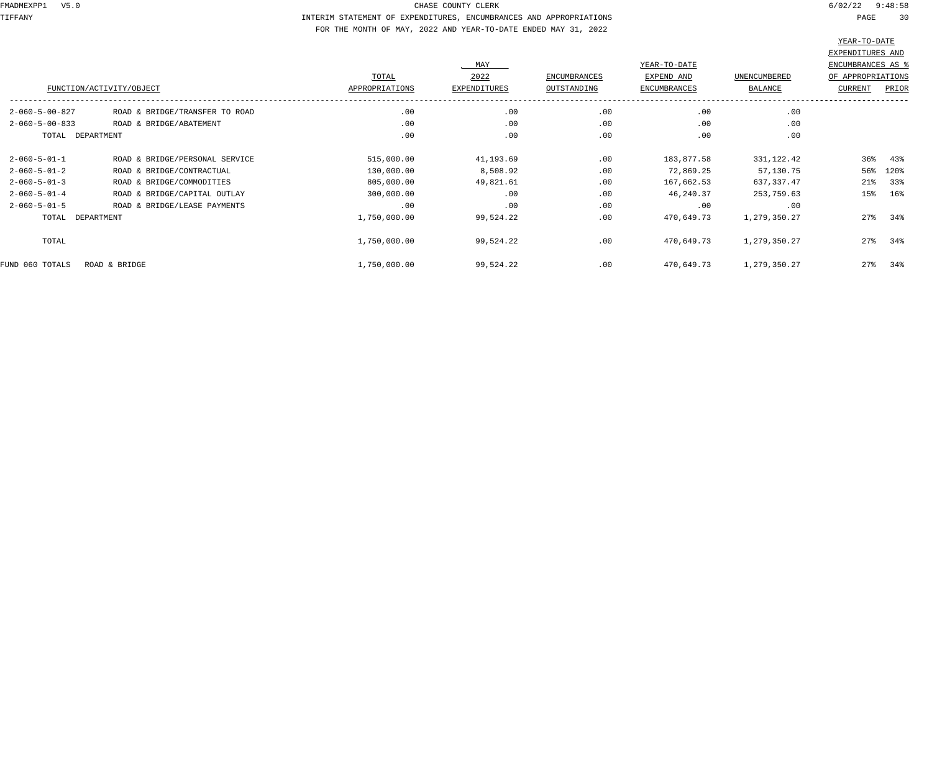TIFFANY INTERIM STATEMENT OF EXPENDITURES, ENCUMBRANCES AND APPROPRIATIONS PAGE 30 FOR THE MONTH OF MAY, 2022 AND YEAR-TO-DATE ENDED MAY 31, 2022

|                          |                                |                |                     |                     |                     |              | ----- -- ----     |       |
|--------------------------|--------------------------------|----------------|---------------------|---------------------|---------------------|--------------|-------------------|-------|
|                          |                                |                |                     |                     |                     |              | EXPENDITURES AND  |       |
|                          |                                |                | MAY                 |                     | YEAR-TO-DATE        |              | ENCUMBRANCES AS % |       |
|                          |                                | TOTAL          | 2022                | <b>ENCUMBRANCES</b> | EXPEND AND          | UNENCUMBERED | OF APPROPRIATIONS |       |
|                          | FUNCTION/ACTIVITY/OBJECT       | APPROPRIATIONS | <b>EXPENDITURES</b> | OUTSTANDING         | <b>ENCUMBRANCES</b> | BALANCE      | <b>CURRENT</b>    | PRIOR |
| $2 - 060 - 5 - 00 - 827$ | ROAD & BRIDGE/TRANSFER TO ROAD | .00            | .00                 | .00                 | .00                 | .00          |                   |       |
| $2 - 060 - 5 - 00 - 833$ | ROAD & BRIDGE/ABATEMENT        | .00            | .00                 | .00                 | .00                 | .00          |                   |       |
| TOTAL DEPARTMENT         |                                | .00            | .00                 | .00                 | .00                 | .00          |                   |       |
| $2 - 060 - 5 - 01 - 1$   | ROAD & BRIDGE/PERSONAL SERVICE | 515,000.00     | 41,193.69           | .00                 | 183,877.58          | 331, 122.42  | $36\%$            | 43%   |
| $2 - 060 - 5 - 01 - 2$   | ROAD & BRIDGE/CONTRACTUAL      | 130,000.00     | 8,508.92            | .00                 | 72,869.25           | 57,130.75    | 56%               | 120%  |
| $2 - 060 - 5 - 01 - 3$   | ROAD & BRIDGE/COMMODITIES      | 805,000.00     | 49,821.61           | .00                 | 167,662.53          | 637,337.47   | $21\%$            | 33%   |
| $2 - 060 - 5 - 01 - 4$   | ROAD & BRIDGE/CAPITAL OUTLAY   | 300,000.00     | .00                 | .00                 | 46,240.37           | 253,759.63   | 15%               | 16%   |
| $2 - 060 - 5 - 01 - 5$   | ROAD & BRIDGE/LEASE PAYMENTS   | .00            | .00                 | .00                 | .00                 | .00          |                   |       |
| TOTAL DEPARTMENT         |                                | 1,750,000.00   | 99,524.22           | .00                 | 470,649.73          | 1,279,350.27 | 27%               | 34%   |
| TOTAL                    |                                | 1,750,000.00   | 99,524.22           | .00                 | 470,649.73          | 1,279,350.27 | 27%               | 34%   |
| FUND 060 TOTALS          | ROAD & BRIDGE                  | 1,750,000.00   | 99,524.22           | .00                 | 470,649.73          | 1,279,350.27 | 27%               | 34%   |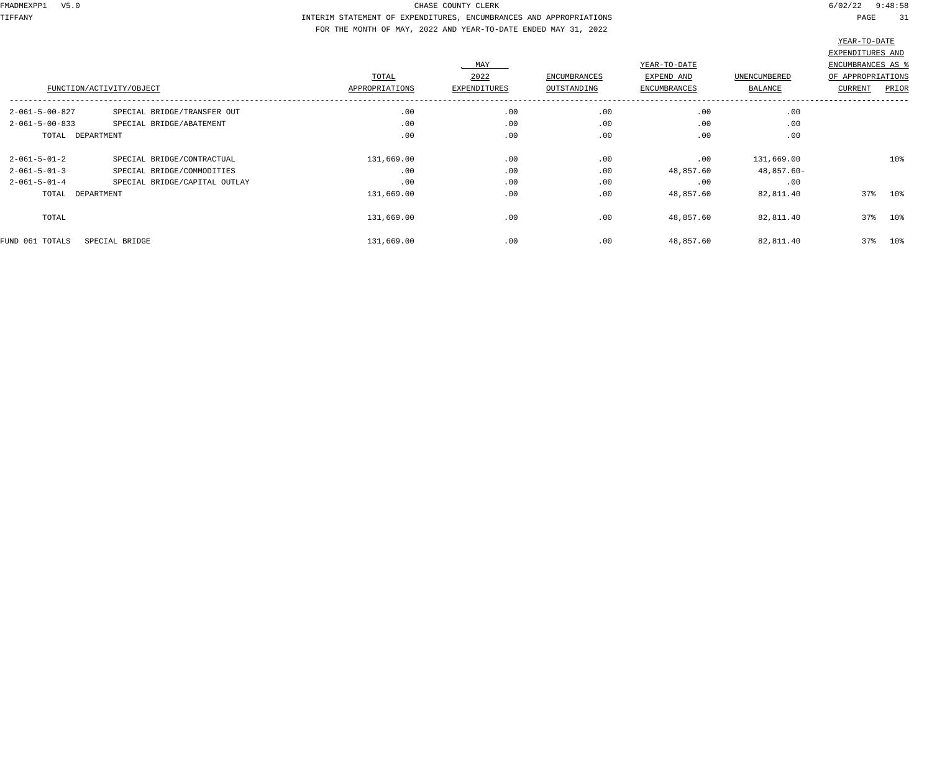TIFFANY INTERIM STATEMENT OF EXPENDITURES, ENCUMBRANCES AND APPROPRIATIONS PAGE 31 FOR THE MONTH OF MAY, 2022 AND YEAR-TO-DATE ENDED MAY 31, 2022

|                          |                               |                |              |                     |                     |              | ستنتف فتستست      |        |
|--------------------------|-------------------------------|----------------|--------------|---------------------|---------------------|--------------|-------------------|--------|
|                          |                               |                |              |                     |                     |              | EXPENDITURES AND  |        |
|                          |                               |                | MAY          |                     | YEAR-TO-DATE        |              | ENCUMBRANCES AS % |        |
|                          |                               | TOTAL          | 2022         | <b>ENCUMBRANCES</b> | EXPEND AND          | UNENCUMBERED | OF APPROPRIATIONS |        |
| FUNCTION/ACTIVITY/OBJECT |                               | APPROPRIATIONS | EXPENDITURES | OUTSTANDING         | <b>ENCUMBRANCES</b> | BALANCE      | <b>CURRENT</b>    | PRIOR  |
| $2 - 061 - 5 - 00 - 827$ | SPECIAL BRIDGE/TRANSFER OUT   | .00            | .00          | .00                 | .00                 | .00          |                   |        |
| $2 - 061 - 5 - 00 - 833$ | SPECIAL BRIDGE/ABATEMENT      | .00            | .00          | .00                 | .00                 | .00          |                   |        |
| TOTAL DEPARTMENT         |                               | .00            | .00          | .00                 | .00                 | .00          |                   |        |
| $2 - 061 - 5 - 01 - 2$   | SPECIAL BRIDGE/CONTRACTUAL    | 131,669.00     | .00          | .00                 | .00                 | 131,669.00   |                   | 10%    |
| $2 - 061 - 5 - 01 - 3$   | SPECIAL BRIDGE/COMMODITIES    | .00            | .00          | .00                 | 48,857.60           | 48,857.60-   |                   |        |
| $2 - 061 - 5 - 01 - 4$   | SPECIAL BRIDGE/CAPITAL OUTLAY | .00            | .00          | .00                 | .00                 | .00          |                   |        |
| TOTAL DEPARTMENT         |                               | 131,669.00     | .00          | .00                 | 48,857.60           | 82,811.40    | 37%               | $10\%$ |
| TOTAL                    |                               | 131,669.00     | .00          | .00                 | 48,857.60           | 82,811.40    | 37%               | 10%    |
| FUND 061 TOTALS          | SPECIAL BRIDGE                | 131,669.00     | .00          | .00                 | 48,857.60           | 82,811.40    | 37%               | $10\%$ |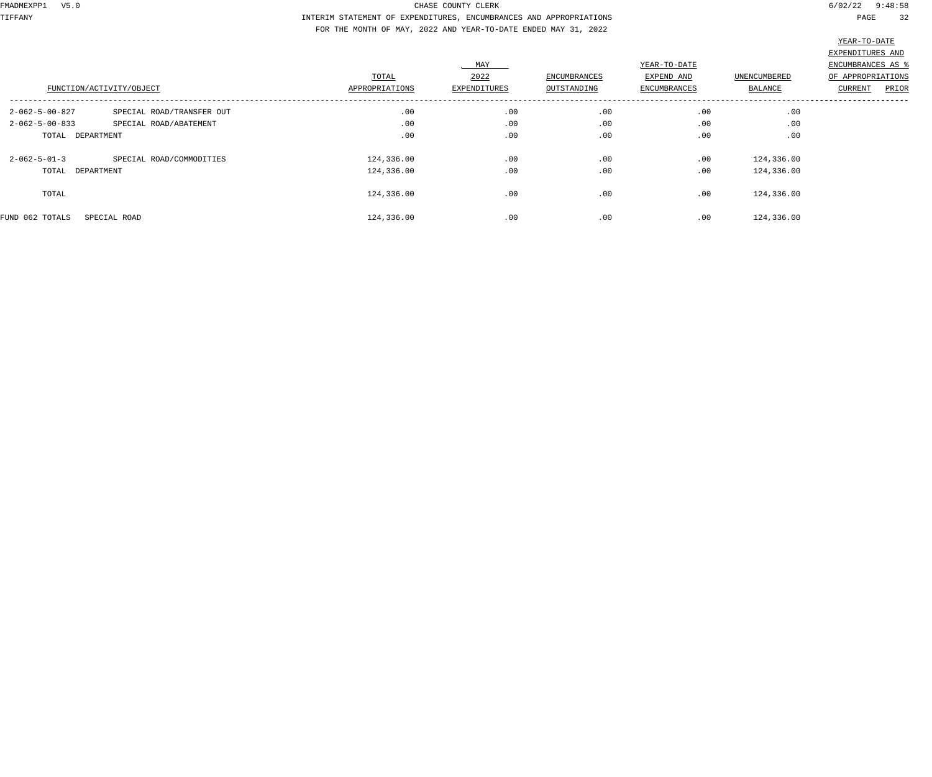TIFFANY INTERIM STATEMENT OF EXPENDITURES, ENCUMBRANCES AND APPROPRIATIONS PAGE 32 FOR THE MONTH OF MAY, 2022 AND YEAR-TO-DATE ENDED MAY 31, 2022

|                          |                           |                |                     |              |                     |                | __________________      |
|--------------------------|---------------------------|----------------|---------------------|--------------|---------------------|----------------|-------------------------|
|                          |                           |                |                     |              |                     |                | EXPENDITURES AND        |
|                          |                           |                | MAY                 |              | YEAR-TO-DATE        |                | ENCUMBRANCES AS %       |
|                          |                           | TOTAL          | 2022                | ENCUMBRANCES | EXPEND AND          | UNENCUMBERED   | OF APPROPRIATIONS       |
|                          | FUNCTION/ACTIVITY/OBJECT  | APPROPRIATIONS | <b>EXPENDITURES</b> | OUTSTANDING  | <b>ENCUMBRANCES</b> | <b>BALANCE</b> | PRIOR<br><b>CURRENT</b> |
| $2 - 062 - 5 - 00 - 827$ | SPECIAL ROAD/TRANSFER OUT | .00            | .00                 | .00          | .00                 | .00            |                         |
| $2 - 062 - 5 - 00 - 833$ | SPECIAL ROAD/ABATEMENT    | .00            | .00                 | .00          | .00                 | .00            |                         |
| TOTAL DEPARTMENT         |                           | .00            | .00                 | .00          | .00                 | .00            |                         |
| $2 - 062 - 5 - 01 - 3$   | SPECIAL ROAD/COMMODITIES  | 124,336.00     | .00                 | .00          | .00                 | 124,336.00     |                         |
| TOTAL DEPARTMENT         |                           | 124,336.00     | .00                 | .00          | .00                 | 124,336.00     |                         |
| TOTAL                    |                           | 124,336.00     | .00                 | .00          | .00                 | 124,336.00     |                         |
| FUND 062 TOTALS          | SPECIAL ROAD              | 124,336.00     | .00                 | .00          | .00                 | 124,336.00     |                         |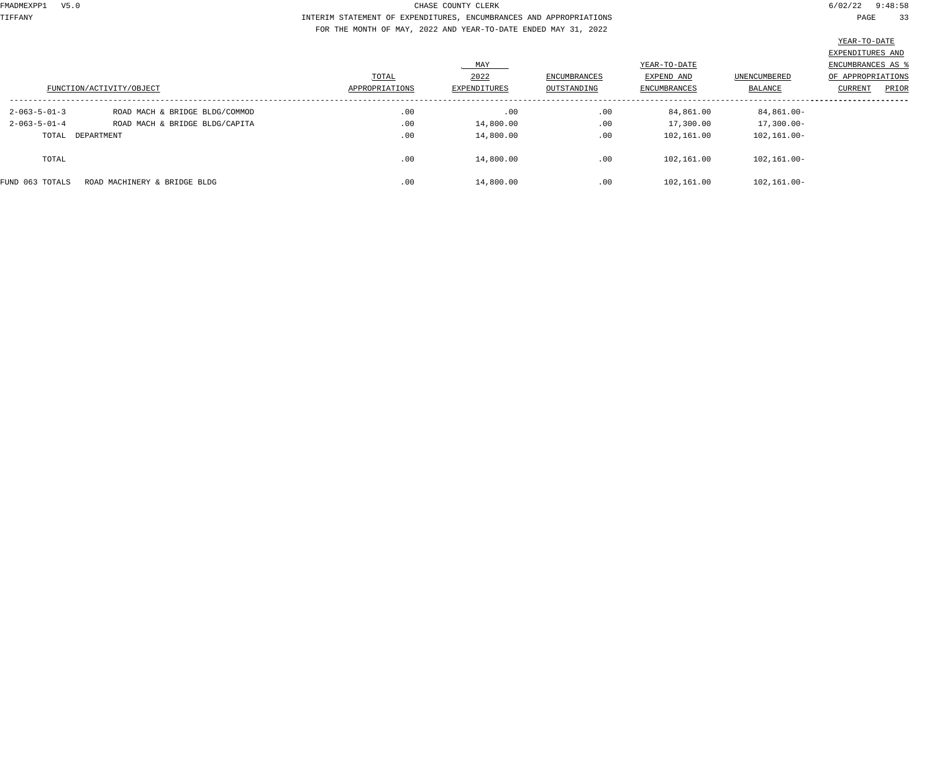TIFFANY INTERIM STATEMENT OF EXPENDITURES, ENCUMBRANCES AND APPROPRIATIONS PAGE 33 FOR THE MONTH OF MAY, 2022 AND YEAR-TO-DATE ENDED MAY 31, 2022

|                                                                                     |                            | EXPENDITURES AND         |
|-------------------------------------------------------------------------------------|----------------------------|--------------------------|
|                                                                                     |                            |                          |
| MAY                                                                                 | YEAR-TO-DATE               | <b>ENCUMBRANCES AS ?</b> |
| 2022<br>TOTAL<br>ENCUMBRANCES                                                       | UNENCUMBERED<br>EXPEND AND | OF APPROPRIATIONS        |
| FUNCTION/ACTIVITY/OBJECT<br>APPROPRIATIONS<br>EXPENDITURES<br>OUTSTANDING           | ENCUMBRANCES<br>BALANCE    | PRIOR<br>CURRENT         |
| .00<br>.00<br>.00<br>$2 - 063 - 5 - 01 - 3$<br>ROAD MACH & BRIDGE BLDG/COMMOD       | 84,861.00                  | 84,861.00-               |
| .00<br>.00<br>14,800.00<br>$2 - 063 - 5 - 01 - 4$<br>ROAD MACH & BRIDGE BLDG/CAPITA | 17,300.00                  | $17,300.00 -$            |
| .00<br>.00<br>14,800.00<br>TOTAL DEPARTMENT                                         | 102,161.00                 | 102,161.00-              |
| .00<br>.00<br>14,800.00<br>TOTAL                                                    | 102,161.00                 | 102,161.00-              |
| .00<br>.00<br>14,800.00<br>FUND 063 TOTALS<br>ROAD MACHINERY & BRIDGE BLDG          | 102,161.00                 | $102, 161.00 -$          |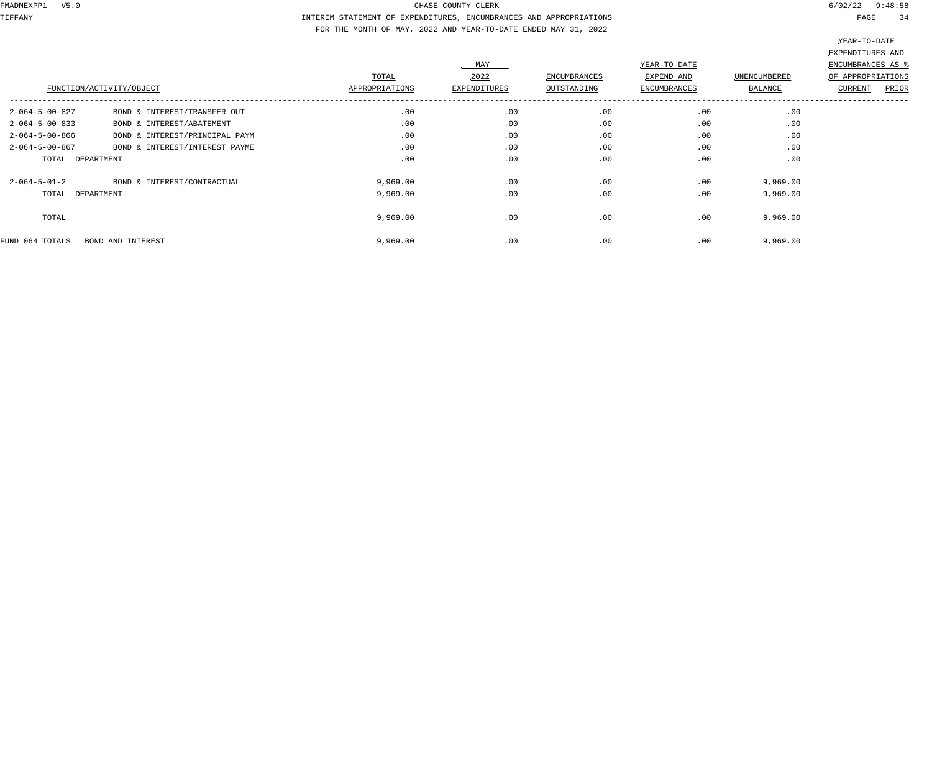TIFFANY INTERIM STATEMENT OF EXPENDITURES, ENCUMBRANCES AND APPROPRIATIONS PAGE 34 FOR THE MONTH OF MAY, 2022 AND YEAR-TO-DATE ENDED MAY 31, 2022

| י∆ת–∩יד– ק |  |
|------------|--|
|            |  |

|                          |                                |                |              |                     |                     |                     | EXPENDITURES AND        |
|--------------------------|--------------------------------|----------------|--------------|---------------------|---------------------|---------------------|-------------------------|
|                          |                                |                | MAY          |                     | YEAR-TO-DATE        |                     | ENCUMBRANCES AS         |
|                          |                                | TOTAL          | 2022         | <b>ENCUMBRANCES</b> | EXPEND AND          | <b>UNENCUMBERED</b> | OF APPROPRIATIONS       |
|                          | FUNCTION/ACTIVITY/OBJECT       | APPROPRIATIONS | EXPENDITURES | OUTSTANDING         | <b>ENCUMBRANCES</b> | BALANCE             | <b>CURRENT</b><br>PRIOR |
| $2 - 064 - 5 - 00 - 827$ | BOND & INTEREST/TRANSFER OUT   | .00            | .00          | .00                 | .00                 | .00                 |                         |
| $2 - 064 - 5 - 00 - 833$ | BOND & INTEREST/ABATEMENT      | .00            | .00          | .00                 | .00                 | .00                 |                         |
| $2 - 064 - 5 - 00 - 866$ | BOND & INTEREST/PRINCIPAL PAYM | .00            | .00          | .00                 | .00                 | .00                 |                         |
| $2 - 064 - 5 - 00 - 867$ | BOND & INTEREST/INTEREST PAYME | .00            | .00          | .00                 | .00                 | .00                 |                         |
| TOTAL DEPARTMENT         |                                | .00            | .00          | .00                 | .00                 | .00                 |                         |
| $2 - 064 - 5 - 01 - 2$   | BOND & INTEREST/CONTRACTUAL    | 9,969.00       | .00          | .00                 | .00                 | 9,969.00            |                         |
| TOTAL DEPARTMENT         |                                | 9,969.00       | .00          | .00                 | .00                 | 9,969.00            |                         |
| TOTAL                    |                                | 9,969.00       | .00          | .00                 | .00                 | 9,969.00            |                         |
| FUND 064 TOTALS          | BOND AND INTEREST              | 9,969.00       | .00          | .00                 | .00                 | 9,969.00            |                         |
|                          |                                |                |              |                     |                     |                     |                         |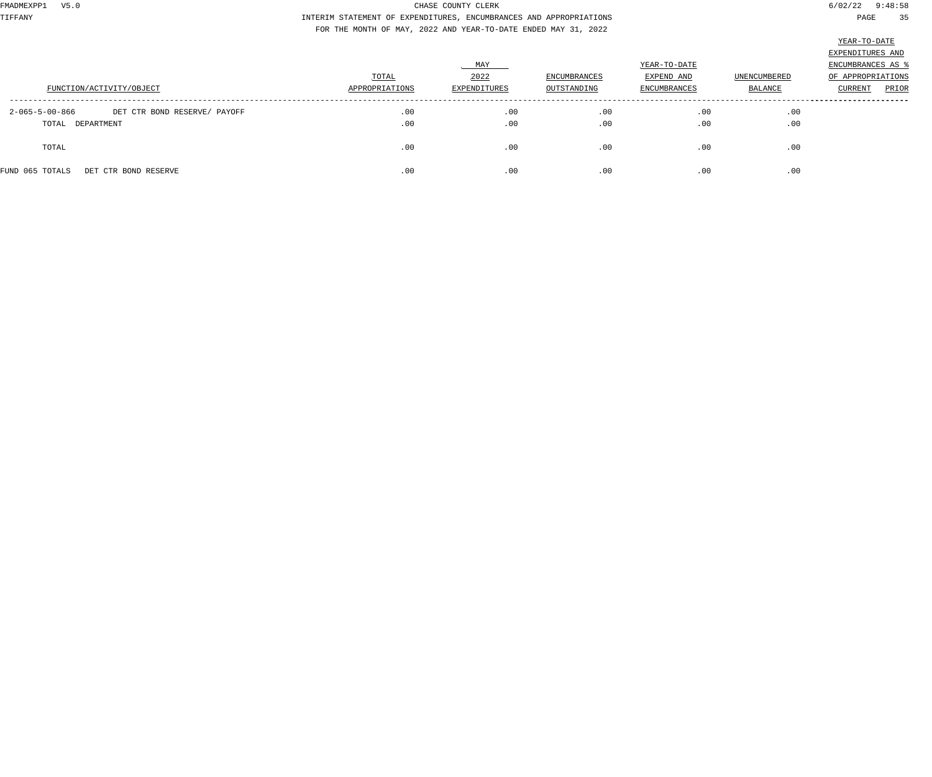TIFFANY INTERIM STATEMENT OF EXPENDITURES, ENCUMBRANCES AND APPROPRIATIONS PAGE 35 FOR THE MONTH OF MAY, 2022 AND YEAR-TO-DATE ENDED MAY 31, 2022

|                                                          |                |              |              |                     |                     | EXPENDITURES AND  |
|----------------------------------------------------------|----------------|--------------|--------------|---------------------|---------------------|-------------------|
|                                                          | MAY            |              |              | YEAR-TO-DATE        |                     |                   |
|                                                          | TOTAL          | 2022         | ENCUMBRANCES | EXPEND AND          | <b>UNENCUMBERED</b> | OF APPROPRIATIONS |
| FUNCTION/ACTIVITY/OBJECT                                 | APPROPRIATIONS | EXPENDITURES | OUTSTANDING  | <b>ENCUMBRANCES</b> | BALANCE             | PRIOR<br>CURRENT  |
| $2 - 065 - 5 - 00 - 866$<br>DET CTR BOND RESERVE/ PAYOFF | .00            | .00          | .00          | .00                 | .00                 |                   |
| TOTAL DEPARTMENT                                         | .00            | .00          | .00          | .00                 | .00                 |                   |
| TOTAL                                                    | .00            | .00          | .00          | .00                 | .00                 |                   |
| FUND 065 TOTALS<br>DET CTR BOND RESERVE                  | .00            | .00          | .00          | .00                 | .00                 |                   |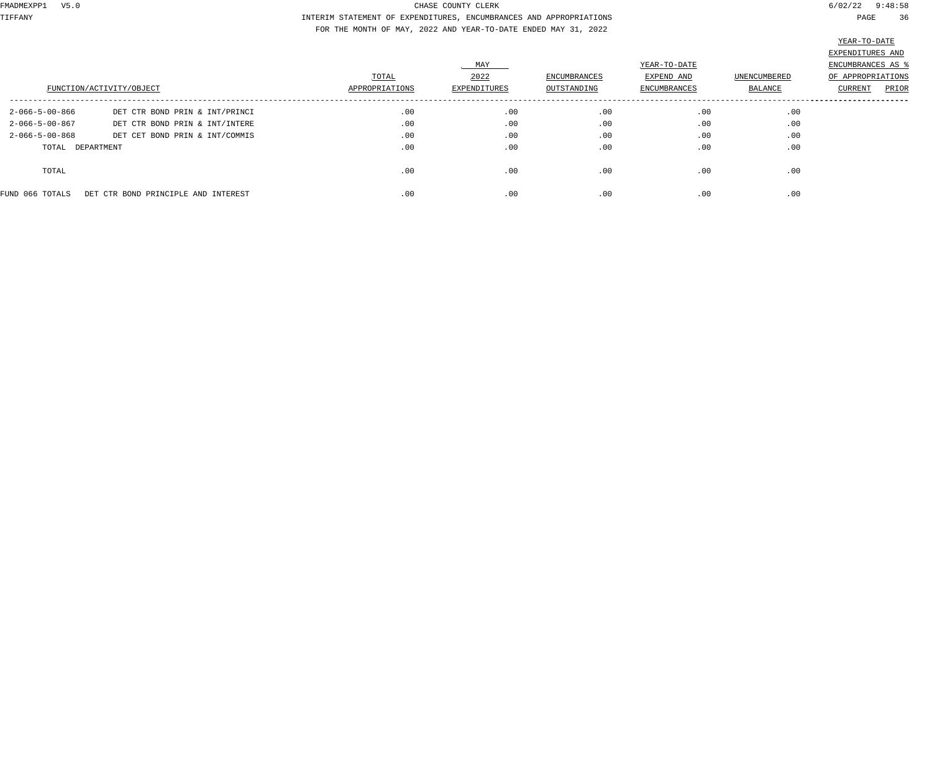TIFFANY INTERIM STATEMENT OF EXPENDITURES, ENCUMBRANCES AND APPROPRIATIONS PAGE 36 FOR THE MONTH OF MAY, 2022 AND YEAR-TO-DATE ENDED MAY 31, 2022

|                          | FUNCTION/ACTIVITY/OBJECT            | TOTAL<br>APPROPRIATIONS | MAY<br>2022<br>EXPENDITURES | ENCUMBRANCES<br>OUTSTANDING | YEAR-TO-DATE<br>EXPEND AND<br>ENCUMBRANCES | UNENCUMBERED<br>BALANCE | EXPENDITURES AND<br>ENCUMBRANCES AS %<br>OF APPROPRIATIONS<br>PRIOR<br>CURRENT |
|--------------------------|-------------------------------------|-------------------------|-----------------------------|-----------------------------|--------------------------------------------|-------------------------|--------------------------------------------------------------------------------|
| $2 - 066 - 5 - 00 - 866$ | DET CTR BOND PRIN & INT/PRINCI      | .00                     | .00                         | .00                         | .00                                        | .00                     |                                                                                |
| $2 - 066 - 5 - 00 - 867$ | DET CTR BOND PRIN & INT/INTERE      | .00                     | .00                         | .00                         | .00                                        | .00                     |                                                                                |
| $2 - 066 - 5 - 00 - 868$ | DET CET BOND PRIN & INT/COMMIS      | .00                     | .00                         | .00                         | .00                                        | .00                     |                                                                                |
| TOTAL DEPARTMENT         |                                     | .00                     | .00                         | .00                         | .00                                        | .00                     |                                                                                |
| TOTAL                    |                                     | .00                     | .00                         | .00                         | .00                                        | .00                     |                                                                                |
| FUND 066 TOTALS          | DET CTR BOND PRINCIPLE AND INTEREST | .00                     | .00                         | .00                         | .00                                        | .00                     |                                                                                |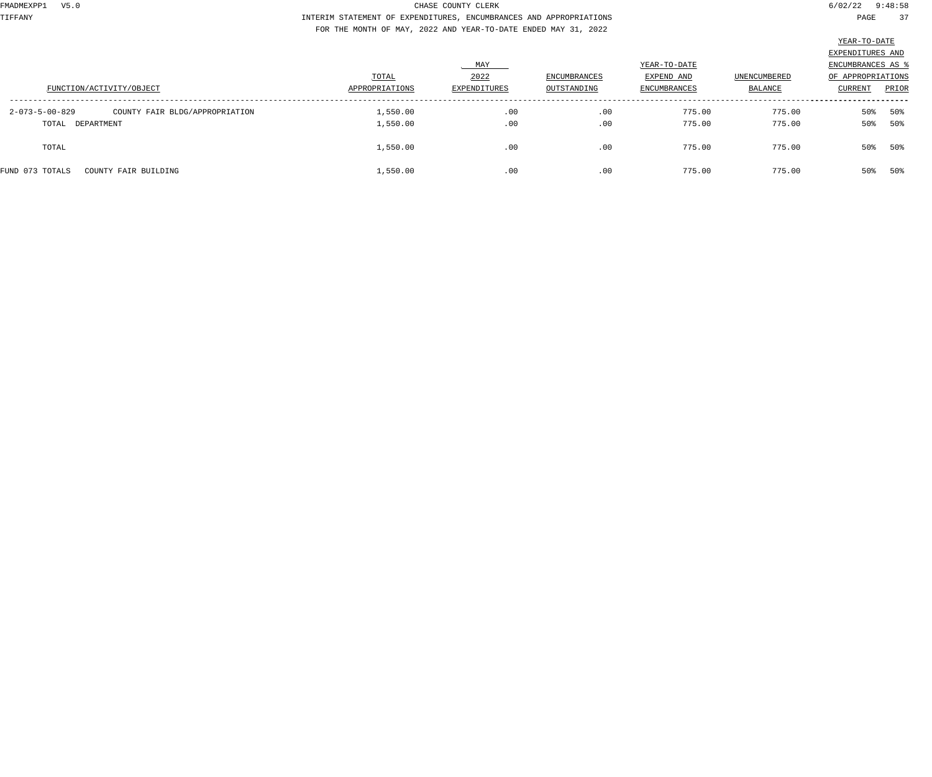TIFFANY INTERIM STATEMENT OF EXPENDITURES, ENCUMBRANCES AND APPROPRIATIONS PAGE 37 FOR THE MONTH OF MAY, 2022 AND YEAR-TO-DATE ENDED MAY 31, 2022

| FUNCTION/ACTIVITY/OBJECT                                             | TOTAL<br>APPROPRIATIONS | MAY<br>2022<br>EXPENDITURES | ENCUMBRANCES<br>OUTSTANDING | YEAR-TO-DATE<br>EXPEND AND<br><b>ENCUMBRANCES</b> | UNENCUMBERED<br>BALANCE | EXPENDITURES AND<br>ENCUMBRANCES AS<br>OF APPROPRIATIONS<br>CURRENT | PRIOR      |
|----------------------------------------------------------------------|-------------------------|-----------------------------|-----------------------------|---------------------------------------------------|-------------------------|---------------------------------------------------------------------|------------|
| 2-073-5-00-829<br>COUNTY FAIR BLDG/APPROPRIATION<br>TOTAL DEPARTMENT | 1,550.00<br>1,550.00    | .00<br>.00                  | .00<br>.00                  | 775.00<br>775.00                                  | 775.00<br>775.00        | 50%<br>50%                                                          | 50%<br>50% |
| TOTAL                                                                | 1,550.00                | .00                         | .00                         | 775.00                                            | 775.00                  | 50%                                                                 | 50%        |
| COUNTY FAIR BUILDING<br>FUND 073 TOTALS                              | 1,550.00                | .00                         | .00                         | 775.00                                            | 775.00                  | 50%                                                                 | 50%        |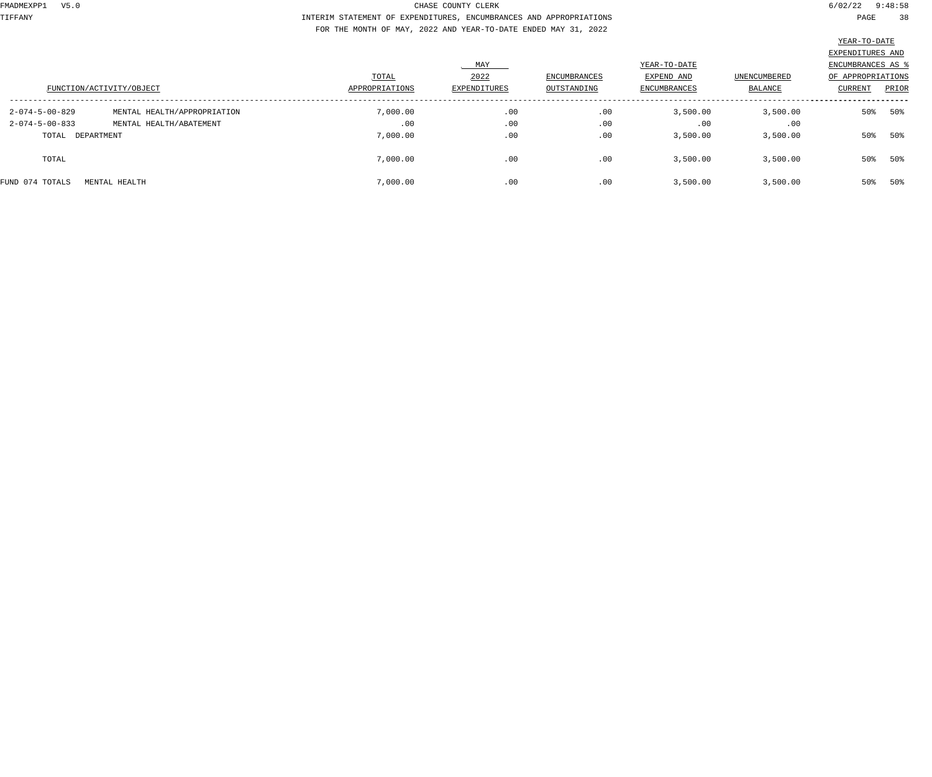TIFFANY INTERIM STATEMENT OF EXPENDITURES, ENCUMBRANCES AND APPROPRIATIONS PAGE 38 FOR THE MONTH OF MAY, 2022 AND YEAR-TO-DATE ENDED MAY 31, 2022

|                          |                             |                |              |                     |              |              | EXPENDITURES AND  |       |
|--------------------------|-----------------------------|----------------|--------------|---------------------|--------------|--------------|-------------------|-------|
|                          |                             |                | MAY          |                     | YEAR-TO-DATE |              | ENCUMBRANCES AS ' |       |
|                          |                             | TOTAL          | 2022         | <b>ENCUMBRANCES</b> | EXPEND AND   | UNENCUMBERED | OF APPROPRIATIONS |       |
|                          | FUNCTION/ACTIVITY/OBJECT    | APPROPRIATIONS | EXPENDITURES | OUTSTANDING         | ENCUMBRANCES | BALANCE      | CURRENT           | PRIOR |
| $2 - 074 - 5 - 00 - 829$ | MENTAL HEALTH/APPROPRIATION | 7,000.00       | .00          | .00                 | 3,500.00     | 3,500.00     | 50%               | 50%   |
| $2 - 074 - 5 - 00 - 833$ | MENTAL HEALTH/ABATEMENT     | .00            | .00          | .00                 | .00          | .00          |                   |       |
| TOTAL DEPARTMENT         |                             | 7,000.00       | .00          | .00                 | 3,500.00     | 3,500.00     | 50%               | 50%   |
| TOTAL                    |                             | 7,000.00       | .00          | .00                 | 3,500.00     | 3,500.00     | 50%               | 50%   |
| FUND 074 TOTALS          | MENTAL HEALTH               | 7,000.00       | .00          | .00                 | 3,500.00     | 3,500.00     | 50%               | 50%   |
|                          |                             |                |              |                     |              |              |                   |       |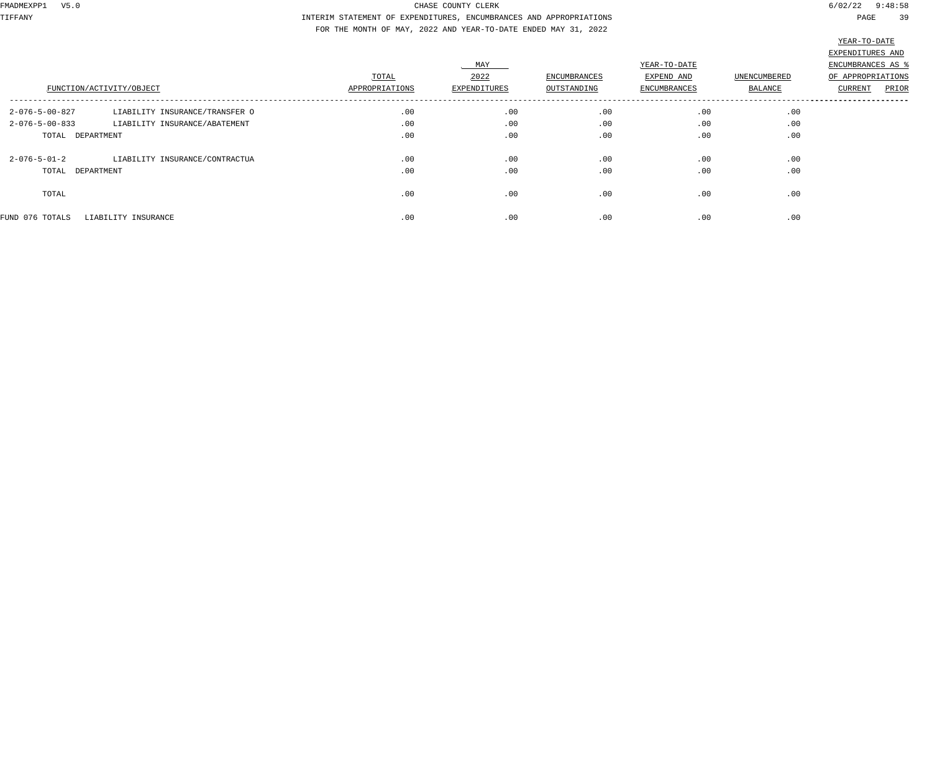TIFFANY INTERIM STATEMENT OF EXPENDITURES, ENCUMBRANCES AND APPROPRIATIONS PAGE 39 FOR THE MONTH OF MAY, 2022 AND YEAR-TO-DATE ENDED MAY 31, 2022

|                          |                                |                         |                      |                             |                            |              | ________                              |
|--------------------------|--------------------------------|-------------------------|----------------------|-----------------------------|----------------------------|--------------|---------------------------------------|
|                          |                                |                         | MAY                  |                             | YEAR-TO-DATE               |              | EXPENDITURES AND<br>ENCUMBRANCES AS % |
|                          |                                | TOTAL<br>APPROPRIATIONS | 2022<br>EXPENDITURES | ENCUMBRANCES<br>OUTSTANDING | EXPEND AND<br>ENCUMBRANCES | UNENCUMBERED | OF APPROPRIATIONS                     |
|                          | FUNCTION/ACTIVITY/OBJECT       |                         |                      |                             |                            | BALANCE      | PRIOR<br>CURRENT                      |
| 2-076-5-00-827           | LIABILITY INSURANCE/TRANSFER O | .00                     | .00                  | .00                         | .00                        | .00          |                                       |
| $2 - 076 - 5 - 00 - 833$ | LIABILITY INSURANCE/ABATEMENT  | .00                     | .00                  | .00                         | .00                        | .00          |                                       |
| TOTAL DEPARTMENT         |                                | .00                     | .00                  | .00                         | .00                        | .00          |                                       |
| $2 - 076 - 5 - 01 - 2$   | LIABILITY INSURANCE/CONTRACTUA | .00                     | .00                  | .00                         | .00                        | .00          |                                       |
| TOTAL DEPARTMENT         |                                | .00                     | .00                  | .00                         | .00                        | .00          |                                       |
| TOTAL                    |                                | .00                     | .00                  | .00                         | .00                        | .00          |                                       |
| FUND 076 TOTALS          | LIABILITY INSURANCE            | .00                     | .00                  | .00                         | .00                        | .00          |                                       |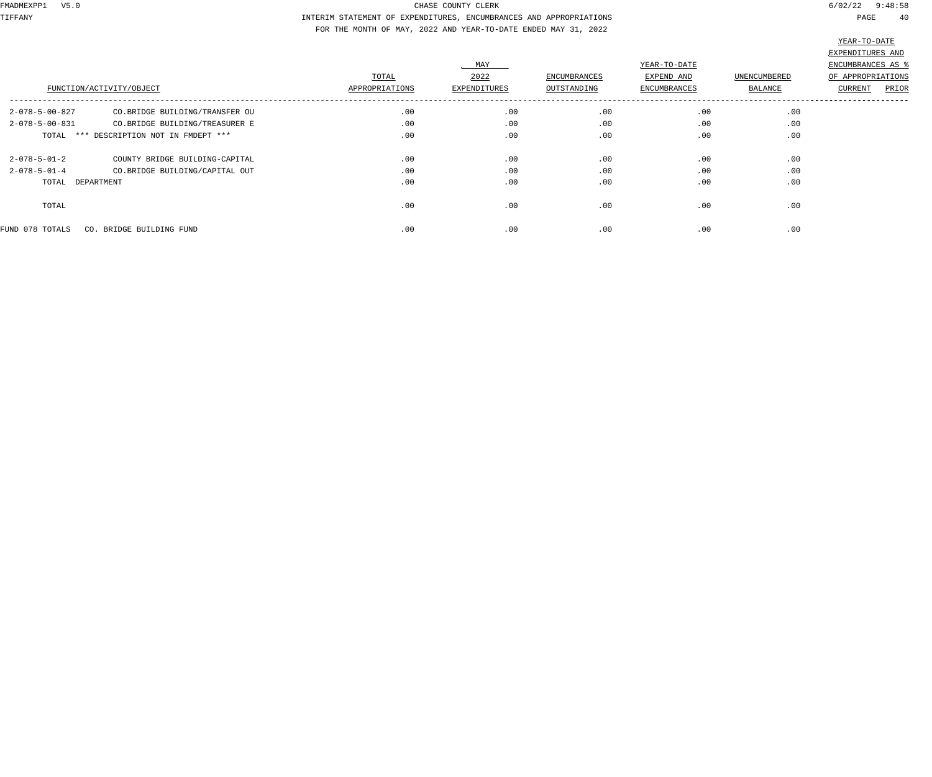TIFFANY INTERIM STATEMENT OF EXPENDITURES, ENCUMBRANCES AND APPROPRIATIONS PAGE 40 FOR THE MONTH OF MAY, 2022 AND YEAR-TO-DATE ENDED MAY 31, 2022

|                          | FUNCTION/ACTIVITY/OBJECT                | TOTAL<br>APPROPRIATIONS | MAY<br>2022<br>EXPENDITURES | <b>ENCUMBRANCES</b><br>OUTSTANDING | YEAR-TO-DATE<br>EXPEND AND<br><b>ENCUMBRANCES</b> | UNENCUMBERED<br>BALANCE | EXPENDITURES AND<br>ENCUMBRANCES AS<br>OF APPROPRIATIONS<br><b>CURRENT</b><br>PRIOR |
|--------------------------|-----------------------------------------|-------------------------|-----------------------------|------------------------------------|---------------------------------------------------|-------------------------|-------------------------------------------------------------------------------------|
| $2 - 078 - 5 - 00 - 827$ | CO.BRIDGE BUILDING/TRANSFER OU          | .00                     | .00                         | .00                                | .00                                               | .00                     |                                                                                     |
| $2 - 078 - 5 - 00 - 831$ | CO.BRIDGE BUILDING/TREASURER E          | .00                     | .00                         | .00                                | .00                                               | .00                     |                                                                                     |
|                          | TOTAL *** DESCRIPTION NOT IN FMDEPT *** | .00                     | .00                         | .00                                | .00                                               | .00                     |                                                                                     |
| $2 - 078 - 5 - 01 - 2$   | COUNTY BRIDGE BUILDING-CAPITAL          | .00                     | .00                         | .00                                | .00                                               | .00                     |                                                                                     |
| $2 - 078 - 5 - 01 - 4$   | CO.BRIDGE BUILDING/CAPITAL OUT          | .00                     | .00                         | .00                                | .00                                               | .00                     |                                                                                     |
| TOTAL DEPARTMENT         |                                         | .00                     | .00                         | .00                                | .00                                               | .00                     |                                                                                     |
| TOTAL                    |                                         | .00                     | .00                         | .00                                | .00                                               | .00                     |                                                                                     |
| FUND 078 TOTALS          | CO. BRIDGE BUILDING FUND                | .00                     | .00                         | .00                                | .00                                               | .00                     |                                                                                     |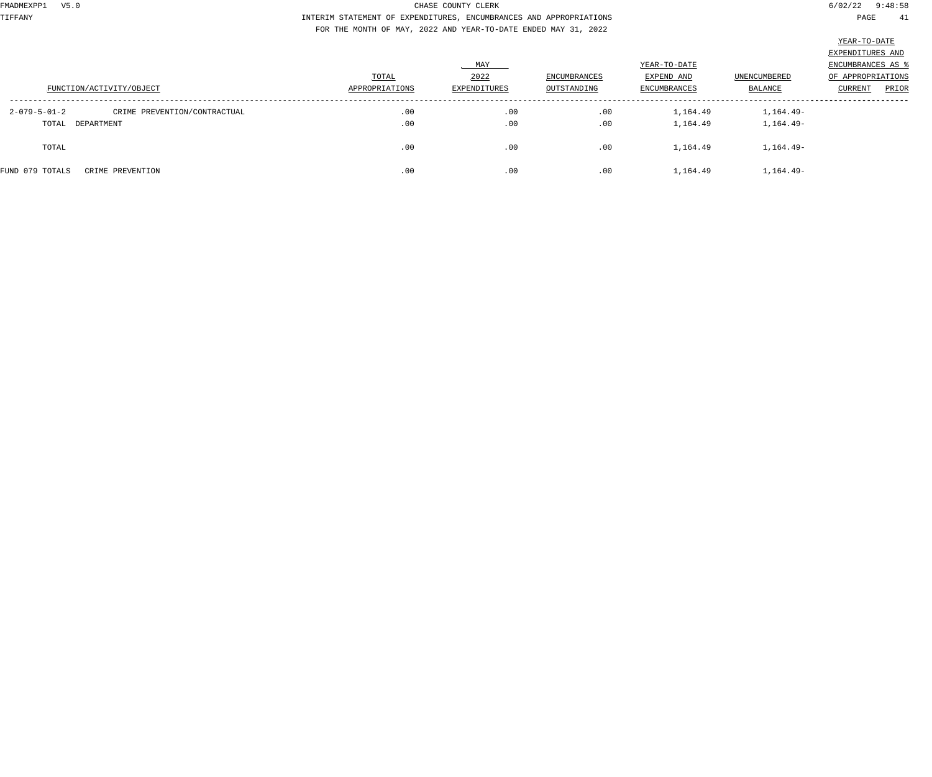TIFFANY INTERIM STATEMENT OF EXPENDITURES, ENCUMBRANCES AND APPROPRIATIONS PAGE 41 FOR THE MONTH OF MAY, 2022 AND YEAR-TO-DATE ENDED MAY 31, 2022

 $-TO-T$ 

|                          |                              |                |              |                     |                     |              | YEAR-TO-DATE       |       |
|--------------------------|------------------------------|----------------|--------------|---------------------|---------------------|--------------|--------------------|-------|
|                          |                              |                |              |                     |                     |              | EXPENDITURES AND   |       |
|                          |                              |                | . MAY        |                     | YEAR-TO-DATE        |              | ENCUMBRANCES AS \$ |       |
|                          |                              | TOTAL          | 2022         | <b>ENCUMBRANCES</b> | EXPEND AND          | UNENCUMBERED | OF APPROPRIATIONS  |       |
| FUNCTION/ACTIVITY/OBJECT |                              | APPROPRIATIONS | EXPENDITURES | OUTSTANDING         | <b>ENCUMBRANCES</b> | BALANCE      | <b>CURRENT</b>     | PRIOR |
| $2 - 079 - 5 - 01 - 2$   | CRIME PREVENTION/CONTRACTUAL | .00            | .00          | .00                 | 1,164.49            | 1,164.49-    |                    |       |
| TOTAL DEPARTMENT         |                              | .00            | .00          | .00                 | 1,164.49            | $1,164.49-$  |                    |       |
| TOTAL                    |                              | .00            | .00          | .00                 | 1,164.49            | $1,164.49-$  |                    |       |
| FUND 079 TOTALS          | CRIME PREVENTION             | .00            | .00          | .00                 | 1,164.49            | $1,164.49-$  |                    |       |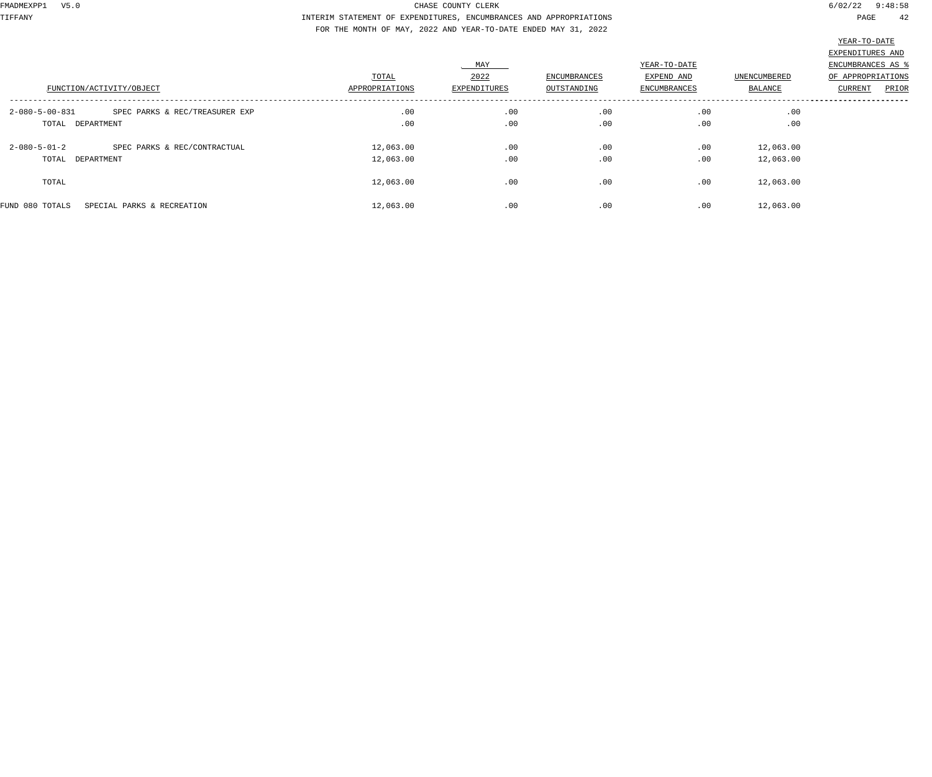TIFFANY INTERIM STATEMENT OF EXPENDITURES, ENCUMBRANCES AND APPROPRIATIONS PAGE 42 FOR THE MONTH OF MAY, 2022 AND YEAR-TO-DATE ENDED MAY 31, 2022

|                                                            |                         |                                    |                             |                                            |                         | __________________                                                             |
|------------------------------------------------------------|-------------------------|------------------------------------|-----------------------------|--------------------------------------------|-------------------------|--------------------------------------------------------------------------------|
| FUNCTION/ACTIVITY/OBJECT                                   | TOTAL<br>APPROPRIATIONS | <b>MAY</b><br>2022<br>EXPENDITURES | ENCUMBRANCES<br>OUTSTANDING | YEAR-TO-DATE<br>EXPEND AND<br>ENCUMBRANCES | UNENCUMBERED<br>BALANCE | EXPENDITURES AND<br>ENCUMBRANCES AS %<br>OF APPROPRIATIONS<br>PRIOR<br>CURRENT |
| $2 - 080 - 5 - 00 - 831$<br>SPEC PARKS & REC/TREASURER EXP | .00                     | .00                                | .00                         | .00                                        | .00                     |                                                                                |
|                                                            |                         |                                    |                             |                                            |                         |                                                                                |
| TOTAL DEPARTMENT                                           | .00                     | .00                                | .00                         | .00                                        | .00                     |                                                                                |
| $2 - 080 - 5 - 01 - 2$<br>SPEC PARKS & REC/CONTRACTUAL     | 12,063.00               | .00                                | .00                         | .00                                        | 12,063.00               |                                                                                |
| TOTAL DEPARTMENT                                           | 12,063.00               | .00                                | .00                         | .00                                        | 12,063.00               |                                                                                |
| TOTAL                                                      | 12,063.00               | .00                                | .00                         | .00                                        | 12,063.00               |                                                                                |
| FUND 080 TOTALS<br>SPECIAL PARKS & RECREATION              | 12,063.00               | .00                                | .00                         | .00                                        | 12,063.00               |                                                                                |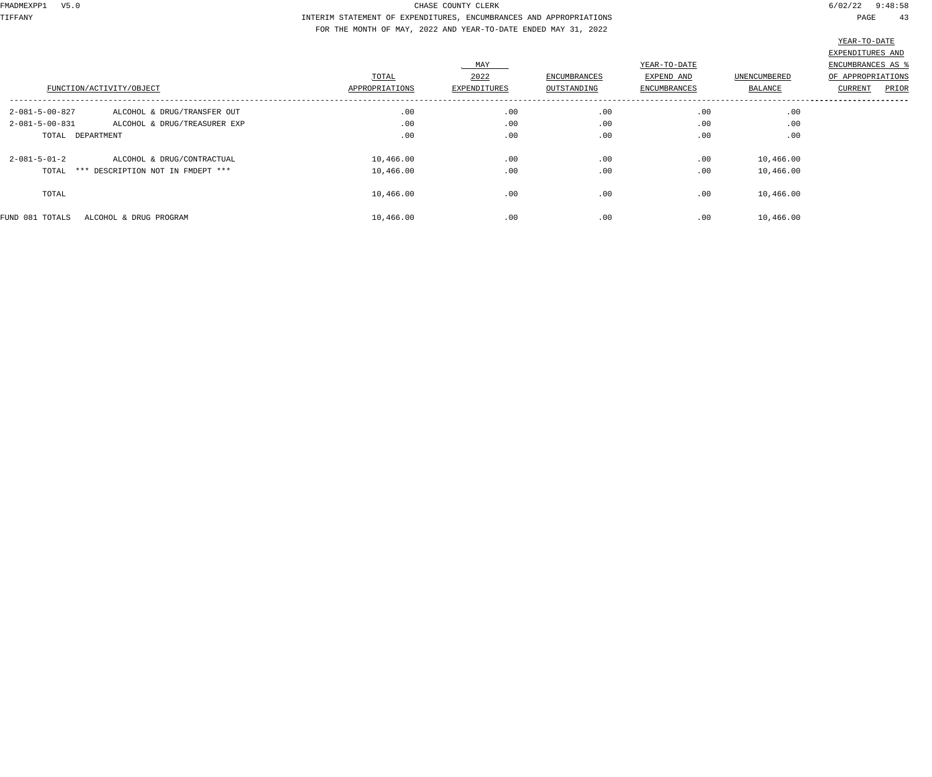TIFFANY INTERIM STATEMENT OF EXPENDITURES, ENCUMBRANCES AND APPROPRIATIONS PAGE 43 FOR THE MONTH OF MAY, 2022 AND YEAR-TO-DATE ENDED MAY 31, 2022

|                          |                                   |                |                     |              |                     |              | THUT TO DUTT            |
|--------------------------|-----------------------------------|----------------|---------------------|--------------|---------------------|--------------|-------------------------|
|                          |                                   |                |                     |              |                     |              | EXPENDITURES AND        |
|                          |                                   |                | MAY                 |              | YEAR-TO-DATE        |              | ENCUMBRANCES AS %       |
|                          |                                   | TOTAL          | 2022                | ENCUMBRANCES | EXPEND AND          | UNENCUMBERED | OF APPROPRIATIONS       |
|                          | FUNCTION/ACTIVITY/OBJECT          | APPROPRIATIONS | <b>EXPENDITURES</b> | OUTSTANDING  | <b>ENCUMBRANCES</b> | BALANCE      | PRIOR<br><b>CURRENT</b> |
| $2 - 081 - 5 - 00 - 827$ | ALCOHOL & DRUG/TRANSFER OUT       | .00            | .00                 | .00          | .00                 | .00          |                         |
| $2 - 081 - 5 - 00 - 831$ | ALCOHOL & DRUG/TREASURER EXP      | .00            | .00                 | .00          | .00                 | .00          |                         |
| TOTAL DEPARTMENT         |                                   | .00            | .00                 | .00          | .00                 | .00          |                         |
| $2 - 081 - 5 - 01 - 2$   | ALCOHOL & DRUG/CONTRACTUAL        | 10,466.00      | .00                 | .00          | .00                 | 10,466.00    |                         |
| TOTAL                    | *** DESCRIPTION NOT IN FMDEPT *** | 10,466.00      | .00                 | .00          | .00                 | 10,466.00    |                         |
| TOTAL                    |                                   | 10,466.00      | .00                 | .00          | .00                 | 10,466.00    |                         |
| FUND 081 TOTALS          | ALCOHOL & DRUG PROGRAM            | 10,466.00      | .00                 | .00          | .00                 | 10,466.00    |                         |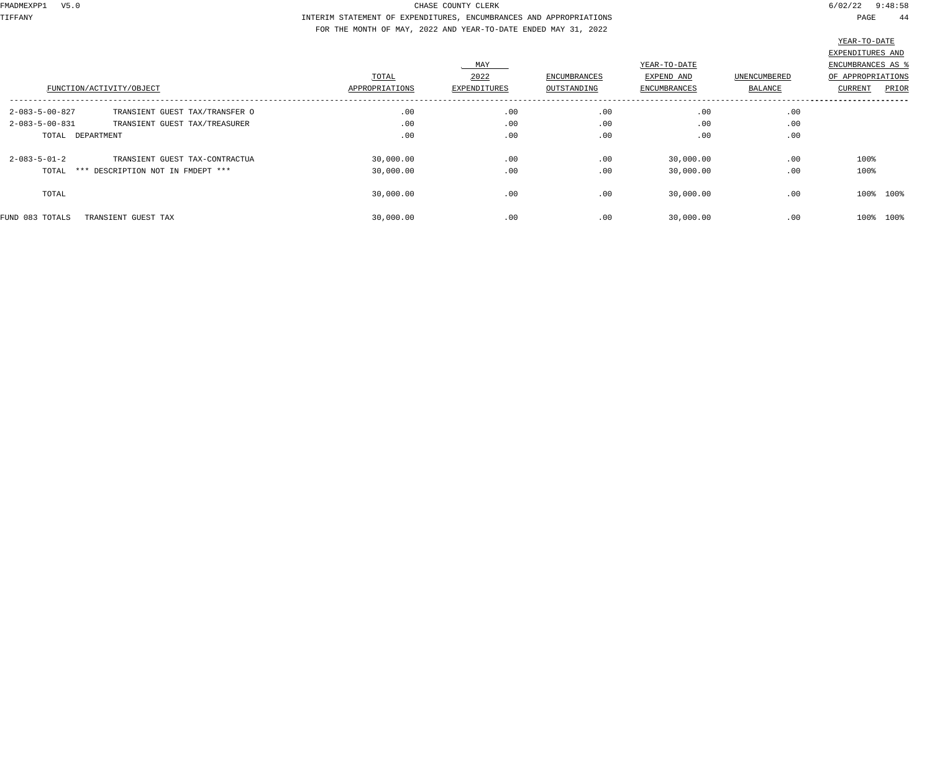TIFFANY INTERIM STATEMENT OF EXPENDITURES, ENCUMBRANCES AND APPROPRIATIONS PAGE 44 FOR THE MONTH OF MAY, 2022 AND YEAR-TO-DATE ENDED MAY 31, 2022

| FUNCTION/ACTIVITY/OBJECT                                  | TOTAL<br>APPROPRIATIONS | MAY<br>2022<br>EXPENDITURES | ENCUMBRANCES<br>OUTSTANDING | YEAR-TO-DATE<br>EXPEND AND<br><b>ENCUMBRANCES</b> | <b>UNENCUMBERED</b><br>BALANCE | EXPENDITURES AND<br>ENCUMBRANCES AS %<br>OF APPROPRIATIONS<br>PRIOR<br>CURRENT |
|-----------------------------------------------------------|-------------------------|-----------------------------|-----------------------------|---------------------------------------------------|--------------------------------|--------------------------------------------------------------------------------|
| 2-083-5-00-827<br>TRANSIENT GUEST TAX/TRANSFER O          | .00                     | .00                         | .00                         | .00                                               | .00                            |                                                                                |
| $2 - 083 - 5 - 00 - 831$<br>TRANSIENT GUEST TAX/TREASURER | .00                     | .00                         | .00                         | .00                                               | .00                            |                                                                                |
| TOTAL DEPARTMENT                                          | .00                     | .00                         | .00                         | .00                                               | .00                            |                                                                                |
| $2 - 083 - 5 - 01 - 2$<br>TRANSIENT GUEST TAX-CONTRACTUA  | 30,000.00               | .00                         | .00                         | 30,000.00                                         | .00                            | 100%                                                                           |
| *** DESCRIPTION NOT IN FMDEPT ***<br>TOTAL                | 30,000.00               | .00                         | .00                         | 30,000.00                                         | .00                            | 100%                                                                           |
| TOTAL                                                     | 30,000.00               | .00                         | .00                         | 30,000.00                                         | .00                            | 100% 100%                                                                      |
| FUND 083 TOTALS<br>TRANSIENT GUEST TAX                    | 30,000.00               | .00                         | .00                         | 30,000.00                                         | .00                            | 100%<br>100%                                                                   |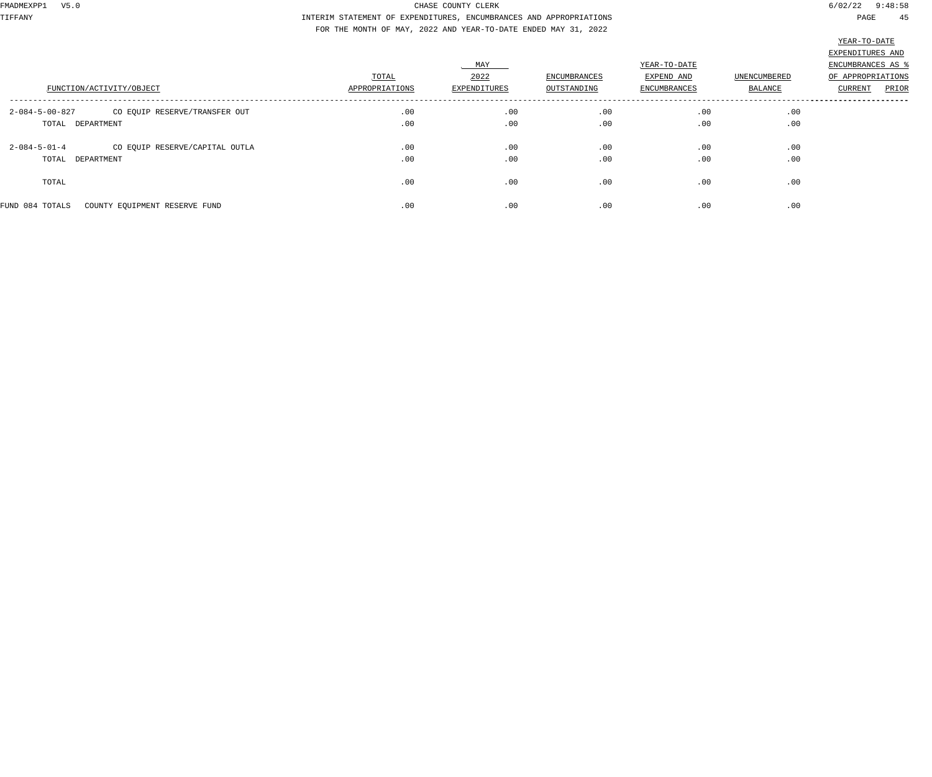TIFFANY INTERIM STATEMENT OF EXPENDITURES, ENCUMBRANCES AND APPROPRIATIONS PAGE 45 FOR THE MONTH OF MAY, 2022 AND YEAR-TO-DATE ENDED MAY 31, 2022

|                                                           |                |              |              |                            |              | 22111                                                      |
|-----------------------------------------------------------|----------------|--------------|--------------|----------------------------|--------------|------------------------------------------------------------|
|                                                           | TOTAL          | MAY<br>2022  | ENCUMBRANCES | YEAR-TO-DATE<br>EXPEND AND | UNENCUMBERED | EXPENDITURES AND<br>ENCUMBRANCES AS %<br>OF APPROPRIATIONS |
| FUNCTION/ACTIVITY/OBJECT                                  | APPROPRIATIONS | EXPENDITURES | OUTSTANDING  | ENCUMBRANCES               | BALANCE      | PRIOR<br>CURRENT                                           |
| $2 - 084 - 5 - 00 - 827$<br>CO EQUIP RESERVE/TRANSFER OUT | .00            | .00          | .00          | .00                        | .00          |                                                            |
| TOTAL DEPARTMENT                                          | .00            | .00          | .00          | .00                        | .00          |                                                            |
| $2 - 084 - 5 - 01 - 4$<br>CO EQUIP RESERVE/CAPITAL OUTLA  | .00            | .00          | .00          | .00                        | .00          |                                                            |
| TOTAL DEPARTMENT                                          | .00            | .00          | .00          | .00                        | .00          |                                                            |
| TOTAL                                                     | .00            | .00          | .00          | .00                        | .00          |                                                            |
| FUND 084 TOTALS<br>COUNTY EQUIPMENT RESERVE FUND          | .00            | .00          | .00          | .00                        | .00          |                                                            |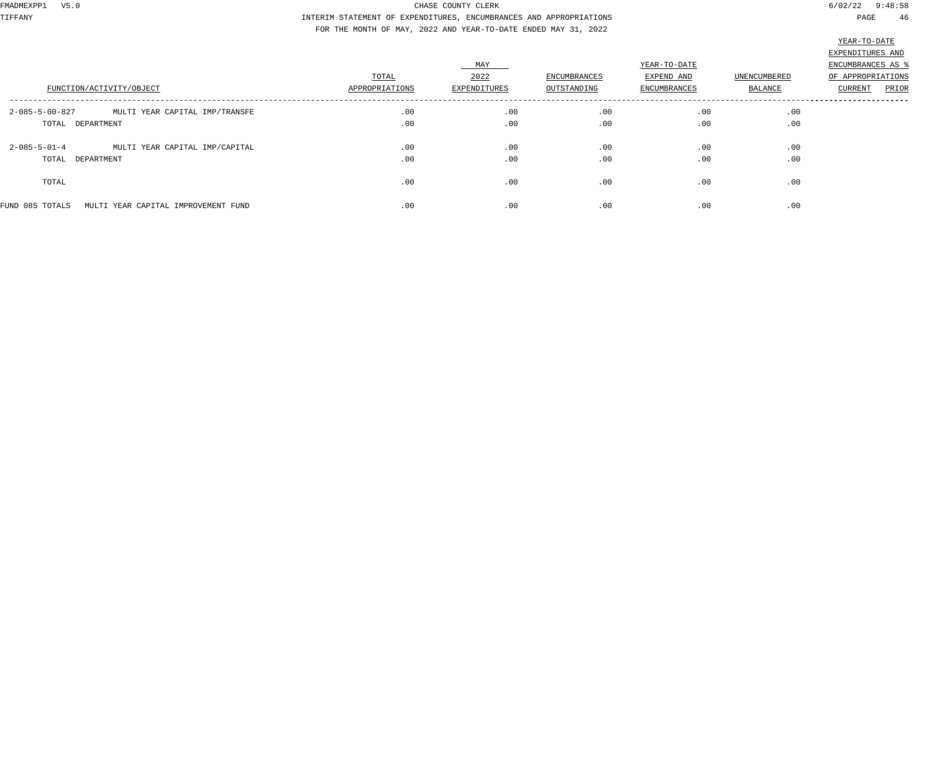TIFFANY INTERIM STATEMENT OF EXPENDITURES, ENCUMBRANCES AND APPROPRIATIONS PAGE 46 FOR THE MONTH OF MAY, 2022 AND YEAR-TO-DATE ENDED MAY 31, 2022

|                                                            |                         |                             |                             |                                                   |                         | and you have                                               |
|------------------------------------------------------------|-------------------------|-----------------------------|-----------------------------|---------------------------------------------------|-------------------------|------------------------------------------------------------|
|                                                            |                         |                             |                             |                                                   |                         | EXPENDITURES AND                                           |
| FUNCTION/ACTIVITY/OBJECT                                   | TOTAL<br>APPROPRIATIONS | MAY<br>2022<br>EXPENDITURES | ENCUMBRANCES<br>OUTSTANDING | YEAR-TO-DATE<br>EXPEND AND<br><b>ENCUMBRANCES</b> | UNENCUMBERED<br>BALANCE | ENCUMBRANCES AS %<br>OF APPROPRIATIONS<br>PRIOR<br>CURRENT |
| $2 - 085 - 5 - 00 - 827$<br>MULTI YEAR CAPITAL IMP/TRANSFE | .00                     | .00                         | .00                         | .00                                               | .00                     |                                                            |
| TOTAL DEPARTMENT                                           | .00                     | .00                         | .00                         | .00                                               | .00                     |                                                            |
| $2 - 085 - 5 - 01 - 4$<br>MULTI YEAR CAPITAL IMP/CAPITAL   | .00                     | .00                         | .00                         | .00                                               | .00                     |                                                            |
| TOTAL DEPARTMENT                                           | .00                     | .00                         | .00                         | .00                                               | .00                     |                                                            |
| TOTAL                                                      | .00                     | .00                         | .00                         | .00                                               | .00                     |                                                            |
| FUND 085 TOTALS<br>MULTI YEAR CAPITAL IMPROVEMENT FUND     | .00                     | .00                         | .00                         | .00                                               | .00                     |                                                            |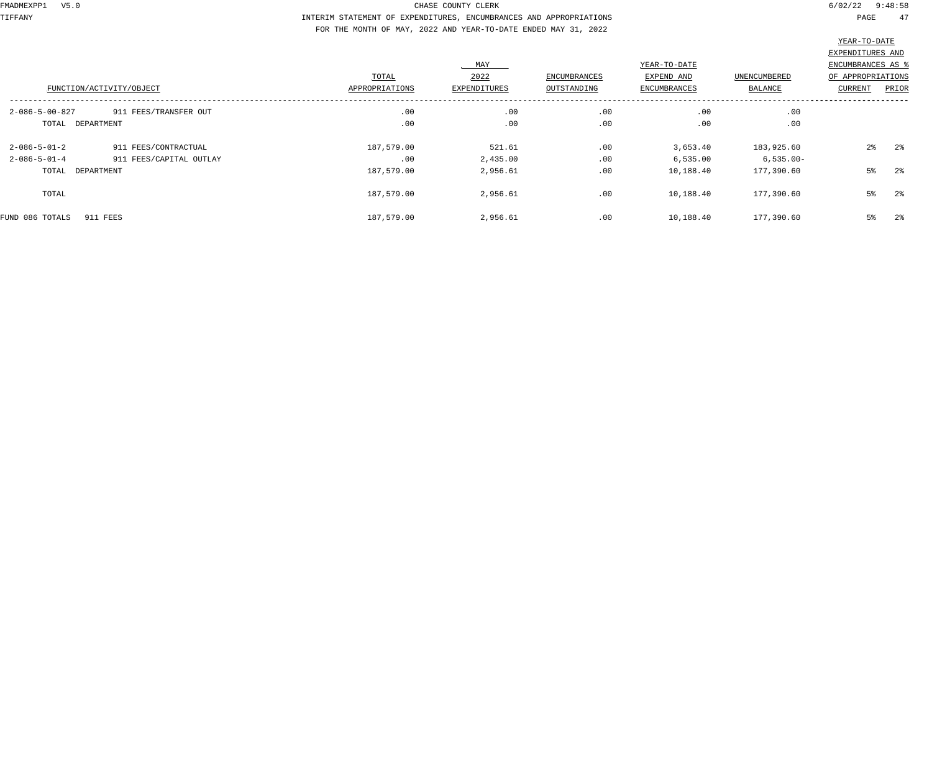TIFFANY INTERIM STATEMENT OF EXPENDITURES, ENCUMBRANCES AND APPROPRIATIONS PAGE 47 FOR THE MONTH OF MAY, 2022 AND YEAR-TO-DATE ENDED MAY 31, 2022

|                          |                         |                |              |                     |                     |                     | EXPENDITURES AND  |                |
|--------------------------|-------------------------|----------------|--------------|---------------------|---------------------|---------------------|-------------------|----------------|
|                          |                         |                | . MAY        |                     | YEAR-TO-DATE        |                     | ENCUMBRANCES AS   |                |
|                          |                         | TOTAL          | 2022         | <b>ENCUMBRANCES</b> | EXPEND AND          | <b>UNENCUMBERED</b> | OF APPROPRIATIONS |                |
| FUNCTION/ACTIVITY/OBJECT |                         | APPROPRIATIONS | EXPENDITURES | OUTSTANDING         | <b>ENCUMBRANCES</b> | BALANCE             | <b>CURRENT</b>    | PRIOR          |
| $2 - 086 - 5 - 00 - 827$ | 911 FEES/TRANSFER OUT   | .00            | .00          | .00                 | .00                 | .00                 |                   |                |
| TOTAL DEPARTMENT         |                         | .00            | .00          | .00                 | .00                 | .00                 |                   |                |
| $2 - 086 - 5 - 01 - 2$   | 911 FEES/CONTRACTUAL    | 187,579.00     | 521.61       | .00                 | 3,653.40            | 183,925.60          | $2\frac{6}{9}$    | 2 <sup>°</sup> |
| $2 - 086 - 5 - 01 - 4$   | 911 FEES/CAPITAL OUTLAY | .00            | 2,435.00     | .00                 | 6,535.00            | $6,535.00-$         |                   |                |
| TOTAL DEPARTMENT         |                         | 187,579.00     | 2,956.61     | .00                 | 10,188.40           | 177,390.60          | $5\%$             | 2 <sup>°</sup> |
| TOTAL                    |                         | 187,579.00     | 2,956.61     | .00                 | 10,188.40           | 177,390.60          | $5\%$             | 2 <sup>°</sup> |
| FUND 086 TOTALS          | 911 FEES                | 187,579.00     | 2,956.61     | .00                 | 10,188.40           | 177,390.60          | 5%                | 2 <sup>°</sup> |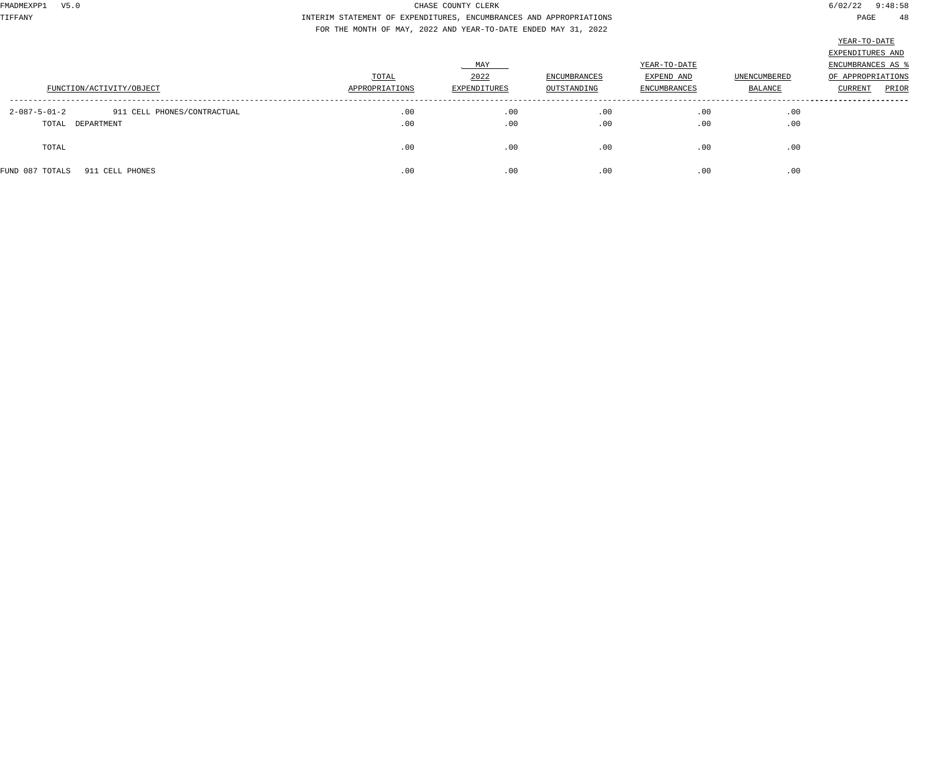TIFFANY INTERIM STATEMENT OF EXPENDITURES, ENCUMBRANCES AND APPROPRIATIONS PAGE 48 FOR THE MONTH OF MAY, 2022 AND YEAR-TO-DATE ENDED MAY 31, 2022

|                                                       |                |              |                     |              |                | TEUT OF NUTT             |
|-------------------------------------------------------|----------------|--------------|---------------------|--------------|----------------|--------------------------|
|                                                       |                |              |                     |              |                | EXPENDITURES AND         |
|                                                       |                | MAY          |                     | YEAR-TO-DATE |                | <b>ENCUMBRANCES AS ?</b> |
|                                                       | TOTAL          | 2022         | <b>ENCUMBRANCES</b> | EXPEND AND   | UNENCUMBERED   | OF APPROPRIATIONS        |
| FUNCTION/ACTIVITY/OBJECT                              | APPROPRIATIONS | EXPENDITURES | OUTSTANDING         | ENCUMBRANCES | <b>BALANCE</b> | PRIOR<br>CURRENT         |
|                                                       |                |              |                     |              |                |                          |
| $2 - 087 - 5 - 01 - 2$<br>911 CELL PHONES/CONTRACTUAL | .00            | .00          | .00                 | .00          | .00            |                          |
| TOTAL DEPARTMENT                                      | .00            | .00          | .00                 | .00          | .00            |                          |
|                                                       |                |              |                     |              |                |                          |
| TOTAL                                                 | .00            | .00          | .00                 | .00          | .00            |                          |
|                                                       |                |              |                     |              |                |                          |
| FUND 087 TOTALS<br>911 CELL PHONES                    | .00            | .00          | .00                 | .00          | .00            |                          |
|                                                       |                |              |                     |              |                |                          |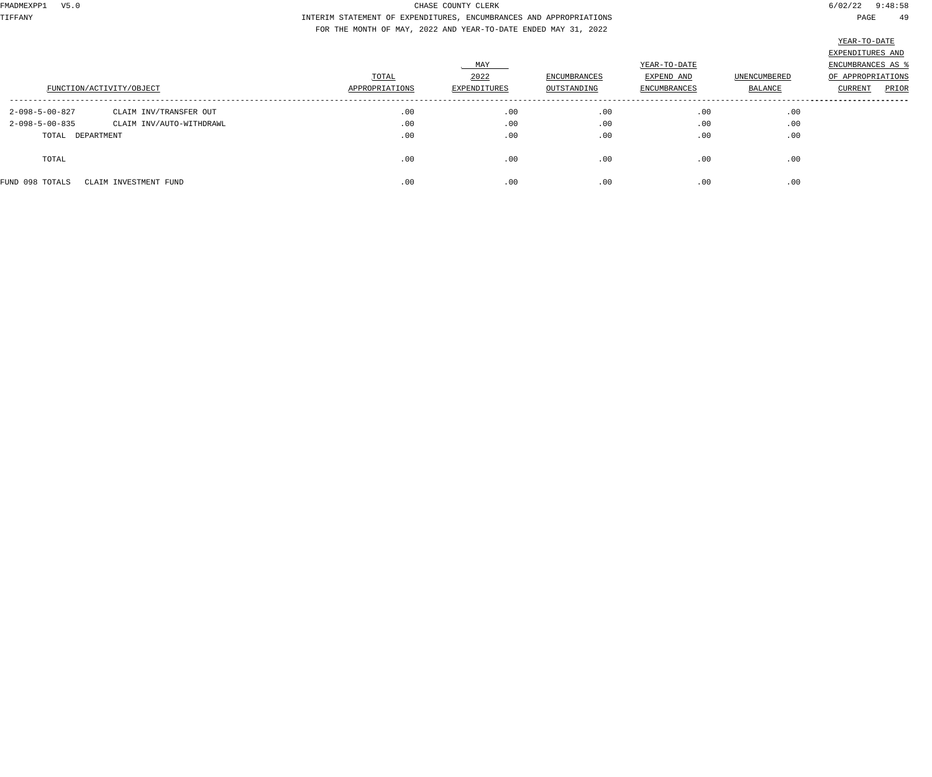TIFFANY INTERIM STATEMENT OF EXPENDITURES, ENCUMBRANCES AND APPROPRIATIONS PAGE 49 FOR THE MONTH OF MAY, 2022 AND YEAR-TO-DATE ENDED MAY 31, 2022

|                          |                          |                |              |              |                     |              | <u>Amne 10 Dittu</u> |
|--------------------------|--------------------------|----------------|--------------|--------------|---------------------|--------------|----------------------|
|                          |                          |                |              |              |                     |              | EXPENDITURES AND     |
|                          |                          |                | MAY          |              | YEAR-TO-DATE        |              | ENCUMBRANCES AS %    |
|                          |                          | TOTAL          | 2022         | ENCUMBRANCES | EXPEND AND          | UNENCUMBERED | OF APPROPRIATIONS    |
|                          | FUNCTION/ACTIVITY/OBJECT | APPROPRIATIONS | EXPENDITURES | OUTSTANDING  | <b>ENCUMBRANCES</b> | BALANCE      | PRIOR<br>CURRENT     |
| 2-098-5-00-827           | CLAIM INV/TRANSFER OUT   | .00            | .00          | .00          | .00                 | .00          |                      |
| $2 - 098 - 5 - 00 - 835$ | CLAIM INV/AUTO-WITHDRAWL | .00            | .00          | .00          | .00                 | .00          |                      |
| TOTAL DEPARTMENT         |                          | .00            | .00          | .00          | .00                 | .00          |                      |
| TOTAL                    |                          | .00            | .00          | .00          | .00                 | .00          |                      |
| FUND 098 TOTALS          | CLAIM INVESTMENT FUND    | .00            | .00          | .00          | .00                 | .00          |                      |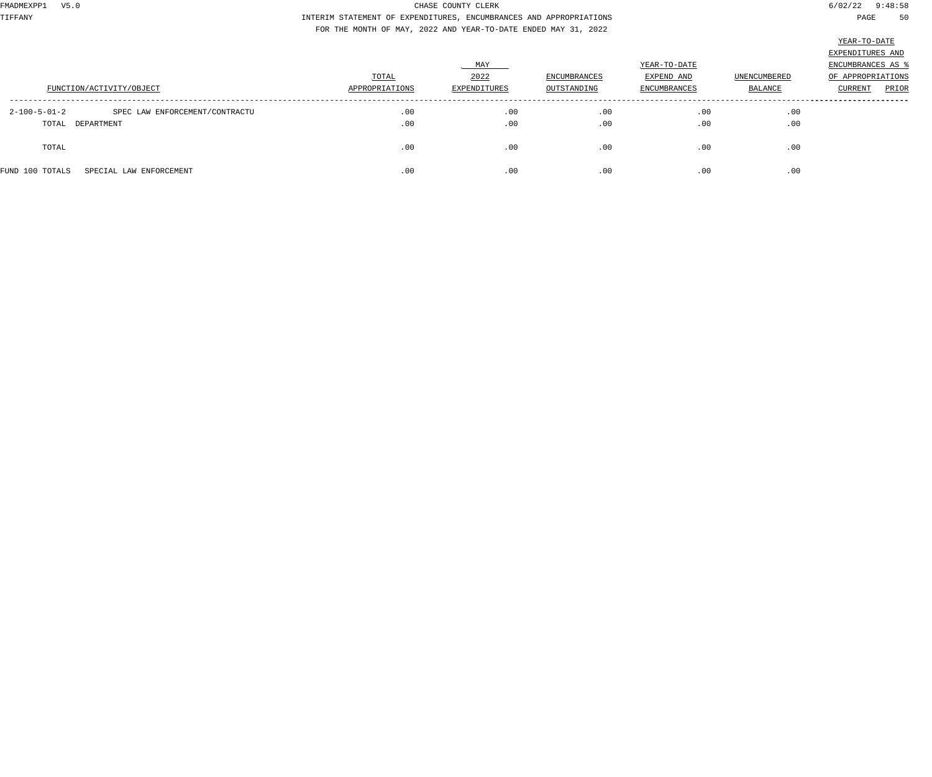TIFFANY INTERIM STATEMENT OF EXPENDITURES, ENCUMBRANCES AND APPROPRIATIONS PAGE 50 FOR THE MONTH OF MAY, 2022 AND YEAR-TO-DATE ENDED MAY 31, 2022

|                                                          |                |                     |                     |                     |                     | EXPENDITURES AND         |
|----------------------------------------------------------|----------------|---------------------|---------------------|---------------------|---------------------|--------------------------|
|                                                          |                | MAY                 |                     | YEAR-TO-DATE        |                     | <b>ENCUMBRANCES AS %</b> |
|                                                          | TOTAL          | 2022                | <b>ENCUMBRANCES</b> | EXPEND AND          | <b>UNENCUMBERED</b> | OF APPROPRIATIONS        |
| FUNCTION/ACTIVITY/OBJECT                                 | APPROPRIATIONS | <b>EXPENDITURES</b> | OUTSTANDING         | <b>ENCUMBRANCES</b> | BALANCE             | <b>CURRENT</b><br>PRIOR  |
|                                                          |                |                     |                     |                     |                     |                          |
| SPEC LAW ENFORCEMENT/CONTRACTU<br>$2 - 100 - 5 - 01 - 2$ | .00            | .00                 | .00                 | .00                 | .00                 |                          |
| TOTAL DEPARTMENT                                         | .00            | .00                 | .00                 | .00                 | .00                 |                          |
|                                                          |                |                     |                     |                     |                     |                          |
| TOTAL                                                    | .00            | .00                 | .00                 | .00                 | .00                 |                          |
|                                                          |                |                     |                     |                     |                     |                          |
| FUND 100 TOTALS<br>SPECIAL LAW ENFORCEMENT               | .00            | .00                 | .00                 | .00                 | .00                 |                          |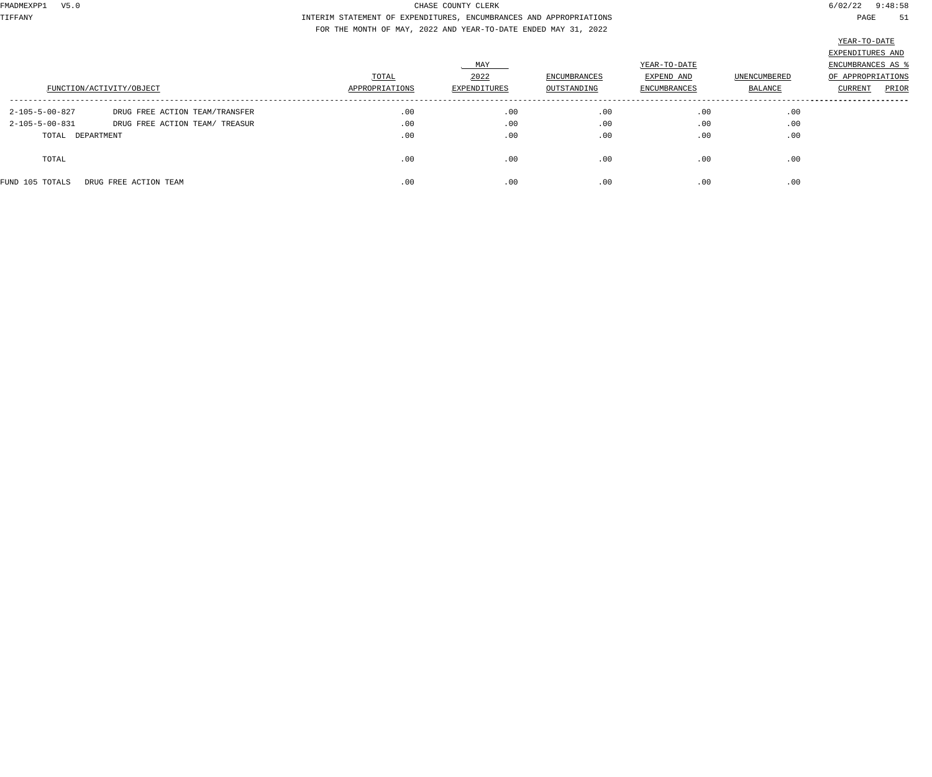TIFFANY INTERIM STATEMENT OF EXPENDITURES, ENCUMBRANCES AND APPROPRIATIONS PAGE 51 FOR THE MONTH OF MAY, 2022 AND YEAR-TO-DATE ENDED MAY 31, 2022

|                  |                                |                |              |              |              |              | TELT IO DUID      |
|------------------|--------------------------------|----------------|--------------|--------------|--------------|--------------|-------------------|
|                  |                                |                |              |              |              |              | EXPENDITURES AND  |
|                  |                                |                | MAY          |              | YEAR-TO-DATE |              | ENCUMBRANCES AS % |
|                  |                                | TOTAL          | 2022         | ENCUMBRANCES | EXPEND AND   | UNENCUMBERED | OF APPROPRIATIONS |
|                  | FUNCTION/ACTIVITY/OBJECT       | APPROPRIATIONS | EXPENDITURES | OUTSTANDING  | ENCUMBRANCES | BALANCE      | PRIOR<br>CURRENT  |
| 2-105-5-00-827   | DRUG FREE ACTION TEAM/TRANSFER | .00            | .00          | .00          | .00          | .00          |                   |
| 2-105-5-00-831   | DRUG FREE ACTION TEAM/ TREASUR | .00            | .00          | .00          | .00          | .00          |                   |
| TOTAL DEPARTMENT |                                | .00            | .00          | .00          | .00          | .00          |                   |
| TOTAL            |                                | .00            | .00          | .00          | .00          | .00          |                   |
| FUND 105 TOTALS  | DRUG FREE ACTION TEAM          | .00            | .00          | .00          | .00          | .00          |                   |
|                  |                                |                |              |              |              |              |                   |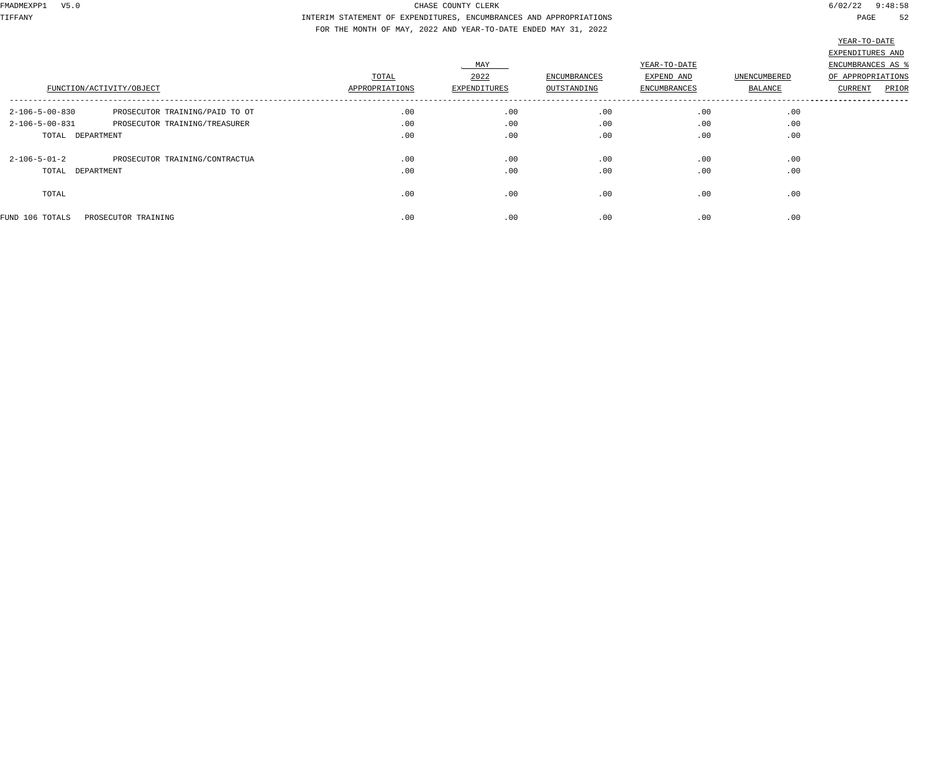TIFFANY INTERIM STATEMENT OF EXPENDITURES, ENCUMBRANCES AND APPROPRIATIONS PAGE 52 FOR THE MONTH OF MAY, 2022 AND YEAR-TO-DATE ENDED MAY 31, 2022

|                          |                                |                |              |              |                     |                | THUT TO DUTT      |       |
|--------------------------|--------------------------------|----------------|--------------|--------------|---------------------|----------------|-------------------|-------|
|                          |                                |                |              |              |                     |                | EXPENDITURES AND  |       |
|                          |                                |                | MAY          |              | YEAR-TO-DATE        |                | ENCUMBRANCES AS % |       |
|                          |                                | TOTAL          | 2022         | ENCUMBRANCES | EXPEND AND          | UNENCUMBERED   | OF APPROPRIATIONS |       |
|                          | FUNCTION/ACTIVITY/OBJECT       | APPROPRIATIONS | EXPENDITURES | OUTSTANDING  | <b>ENCUMBRANCES</b> | <b>BALANCE</b> | <b>CURRENT</b>    | PRIOR |
| $2 - 106 - 5 - 00 - 830$ | PROSECUTOR TRAINING/PAID TO OT | .00            | .00          | .00          | .00                 | .00            |                   |       |
| 2-106-5-00-831           | PROSECUTOR TRAINING/TREASURER  | .00            | .00          | .00          | .00                 | .00            |                   |       |
| TOTAL DEPARTMENT         |                                | .00            | .00          | .00          | .00                 | .00            |                   |       |
| $2 - 106 - 5 - 01 - 2$   | PROSECUTOR TRAINING/CONTRACTUA | .00            | .00          | .00          | .00                 | .00            |                   |       |
| TOTAL DEPARTMENT         |                                | .00            | .00          | .00          | .00                 | .00            |                   |       |
| TOTAL                    |                                | .00            | .00          | .00          | .00                 | .00            |                   |       |
| FUND 106 TOTALS          | PROSECUTOR TRAINING            | .00            | .00          | .00          | .00                 | .00            |                   |       |
|                          |                                |                |              |              |                     |                |                   |       |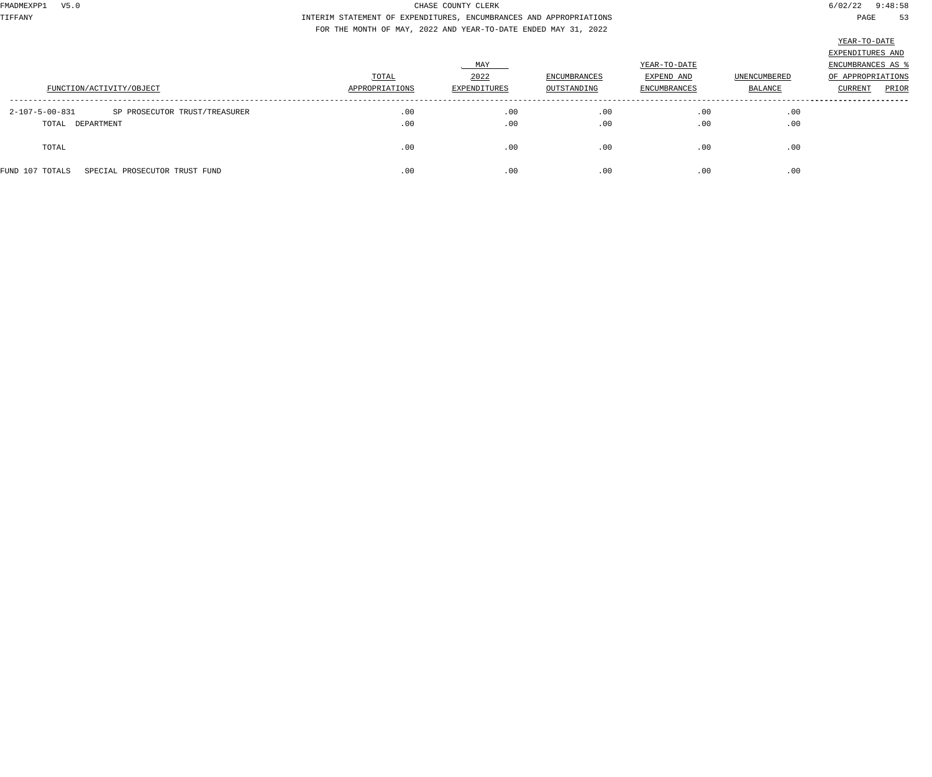TIFFANY INTERIM STATEMENT OF EXPENDITURES, ENCUMBRANCES AND APPROPRIATIONS PAGE 53 FOR THE MONTH OF MAY, 2022 AND YEAR-TO-DATE ENDED MAY 31, 2022

|                                                  |                |              |                     |                     |              | EXPENDITURES AND        |
|--------------------------------------------------|----------------|--------------|---------------------|---------------------|--------------|-------------------------|
|                                                  |                | . MAY        |                     | YEAR-TO-DATE        |              | ENCUMBRANCES AS 9       |
|                                                  | TOTAL          | 2022         | <b>ENCUMBRANCES</b> | EXPEND AND          | UNENCUMBERED | OF APPROPRIATIONS       |
| FUNCTION/ACTIVITY/OBJECT                         | APPROPRIATIONS | EXPENDITURES | OUTSTANDING         | <b>ENCUMBRANCES</b> | BALANCE      | PRIOR<br><b>CURRENT</b> |
| 2-107-5-00-831<br>SP PROSECUTOR TRUST/TREASURER  | .00            | .00          | .00                 | .00                 | .00          |                         |
| TOTAL DEPARTMENT                                 | .00            | .00          | .00                 | .00                 | .00          |                         |
| TOTAL                                            | .00            | .00          | .00                 | .00                 | .00          |                         |
| SPECIAL PROSECUTOR TRUST FUND<br>FUND 107 TOTALS | .00            | .00          | .00                 | .00                 | .00          |                         |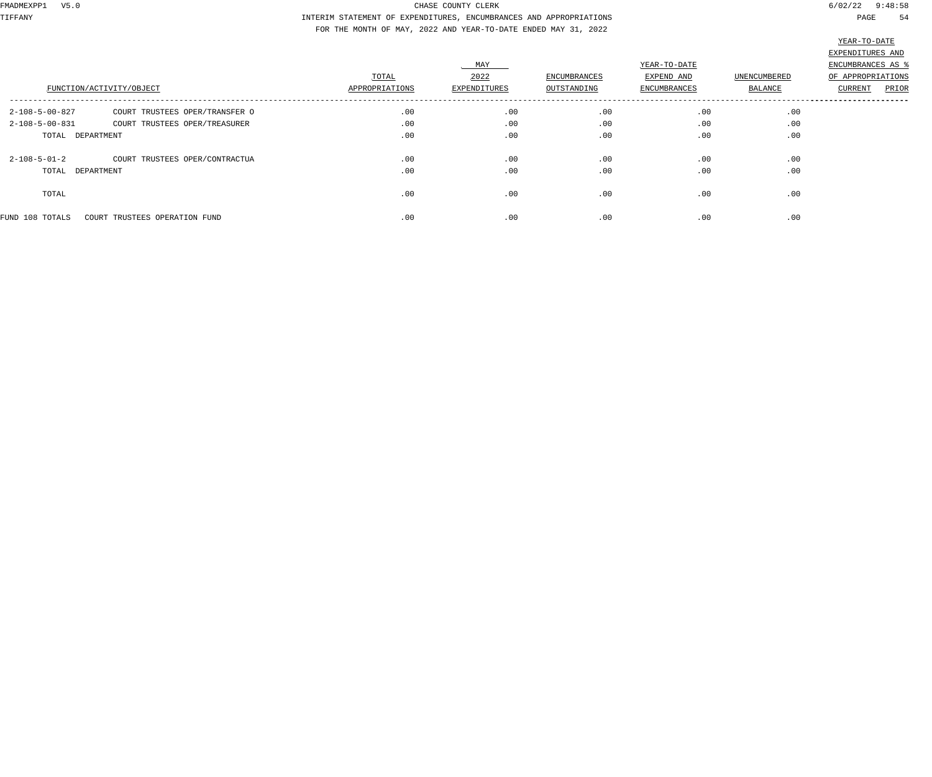TIFFANY INTERIM STATEMENT OF EXPENDITURES, ENCUMBRANCES AND APPROPRIATIONS PAGE 54 FOR THE MONTH OF MAY, 2022 AND YEAR-TO-DATE ENDED MAY 31, 2022

|                          | FUNCTION/ACTIVITY/OBJECT       | TOTAL<br>APPROPRIATIONS | MAY<br>2022<br>EXPENDITURES | <b>ENCUMBRANCES</b><br>OUTSTANDING | YEAR-TO-DATE<br>EXPEND AND<br><b>ENCUMBRANCES</b> | UNENCUMBERED<br><b>BALANCE</b> | EXPENDITURES AND<br>ENCUMBRANCES AS<br>OF APPROPRIATIONS<br>PRIOR<br>CURRENT |
|--------------------------|--------------------------------|-------------------------|-----------------------------|------------------------------------|---------------------------------------------------|--------------------------------|------------------------------------------------------------------------------|
| 2-108-5-00-827           | COURT TRUSTEES OPER/TRANSFER O | .00                     | .00                         | .00                                | .00                                               | .00                            |                                                                              |
| $2 - 108 - 5 - 00 - 831$ | COURT TRUSTEES OPER/TREASURER  | .00                     | .00                         | .00                                | .00                                               | .00                            |                                                                              |
| TOTAL DEPARTMENT         |                                | .00                     | .00                         | .00                                | .00                                               | .00                            |                                                                              |
| $2 - 108 - 5 - 01 - 2$   | COURT TRUSTEES OPER/CONTRACTUA | .00                     | .00                         | .00                                | .00                                               | .00                            |                                                                              |
| TOTAL DEPARTMENT         |                                | .00                     | .00                         | .00                                | .00                                               | .00                            |                                                                              |
| TOTAL                    |                                | .00                     | .00                         | .00                                | .00                                               | .00                            |                                                                              |
| FUND 108 TOTALS          | COURT TRUSTEES OPERATION FUND  | .00                     | .00                         | .00                                | .00                                               | .00                            |                                                                              |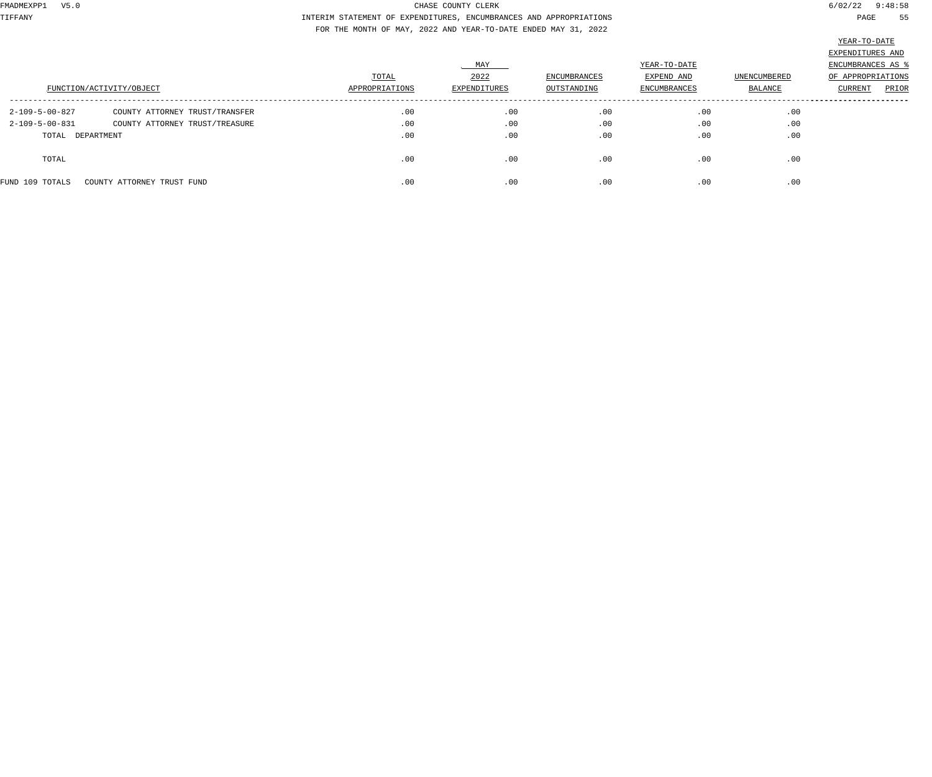TIFFANY INTERIM STATEMENT OF EXPENDITURES, ENCUMBRANCES AND APPROPRIATIONS PAGE 55 FOR THE MONTH OF MAY, 2022 AND YEAR-TO-DATE ENDED MAY 31, 2022

|                  |                                |                |              |              |              |              | $\frac{1}{2}$     |
|------------------|--------------------------------|----------------|--------------|--------------|--------------|--------------|-------------------|
|                  |                                |                |              |              |              |              | EXPENDITURES AND  |
|                  |                                |                | MAY          |              | YEAR-TO-DATE |              | ENCUMBRANCES AS % |
|                  |                                | TOTAL          | 2022         | ENCUMBRANCES | EXPEND AND   | UNENCUMBERED | OF APPROPRIATIONS |
|                  | FUNCTION/ACTIVITY/OBJECT       | APPROPRIATIONS | EXPENDITURES | OUTSTANDING  | ENCUMBRANCES | BALANCE      | PRIOR<br>CURRENT  |
| 2-109-5-00-827   | COUNTY ATTORNEY TRUST/TRANSFER | .00            | .00          | .00          | .00          | .00          |                   |
| 2-109-5-00-831   | COUNTY ATTORNEY TRUST/TREASURE | .00            | .00          | .00          | .00          | .00          |                   |
| TOTAL DEPARTMENT |                                | .00            | .00          | .00          | .00          | .00          |                   |
| TOTAL            |                                | .00            | .00          | .00          | .00          | .00          |                   |
| FUND 109 TOTALS  | COUNTY ATTORNEY TRUST FUND     | .00            | .00          | .00          | .00          | .00          |                   |
|                  |                                |                |              |              |              |              |                   |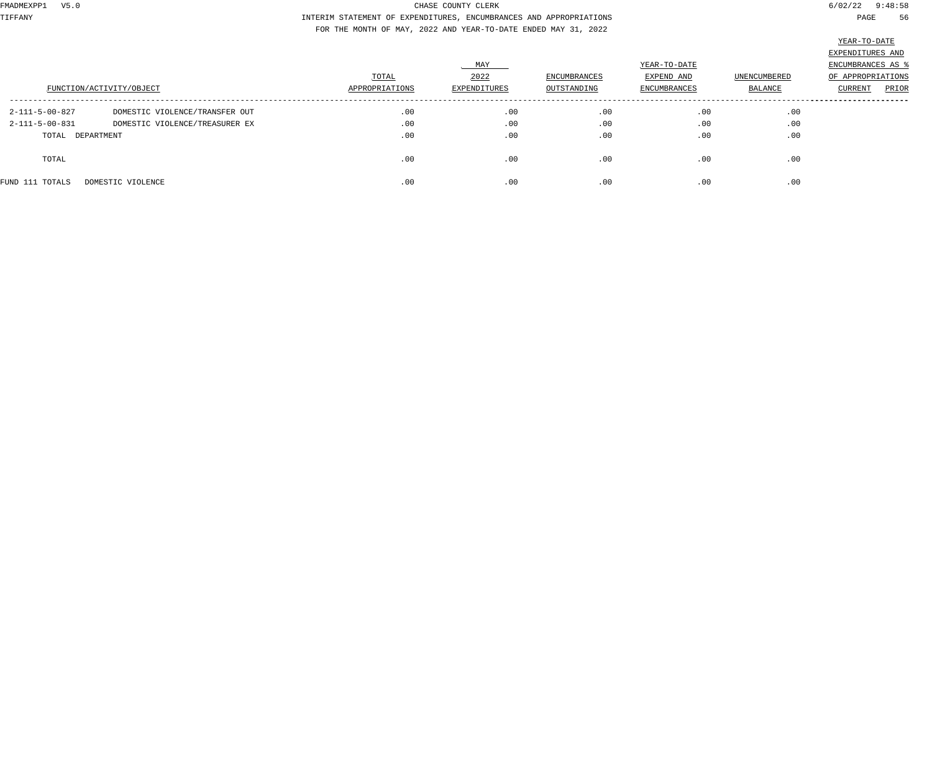TIFFANY INTERIM STATEMENT OF EXPENDITURES, ENCUMBRANCES AND APPROPRIATIONS PAGE 56 FOR THE MONTH OF MAY, 2022 AND YEAR-TO-DATE ENDED MAY 31, 2022

|                  |                                |                |              |              |              |                     | EXPENDITURES AND  |
|------------------|--------------------------------|----------------|--------------|--------------|--------------|---------------------|-------------------|
|                  |                                |                | MAY          |              | YEAR-TO-DATE |                     | ENCUMBRANCES AS % |
|                  |                                | TOTAL          | 2022         | ENCUMBRANCES | EXPEND AND   | <b>UNENCUMBERED</b> | OF APPROPRIATIONS |
|                  | FUNCTION/ACTIVITY/OBJECT       | APPROPRIATIONS | EXPENDITURES | OUTSTANDING  | ENCUMBRANCES | BALANCE             | PRIOR<br>CURRENT  |
| 2-111-5-00-827   | DOMESTIC VIOLENCE/TRANSFER OUT | .00            | .00          | .00          | .00          | .00                 |                   |
| 2-111-5-00-831   | DOMESTIC VIOLENCE/TREASURER EX | .00            | .00          | .00          | .00          | .00                 |                   |
| TOTAL DEPARTMENT |                                | .00            | .00          | .00          | .00          | .00                 |                   |
| TOTAL            |                                | .00            | .00          | .00          | .00          | .00                 |                   |
| FUND 111 TOTALS  | DOMESTIC VIOLENCE              | .00            | .00          | .00          | .00          | .00                 |                   |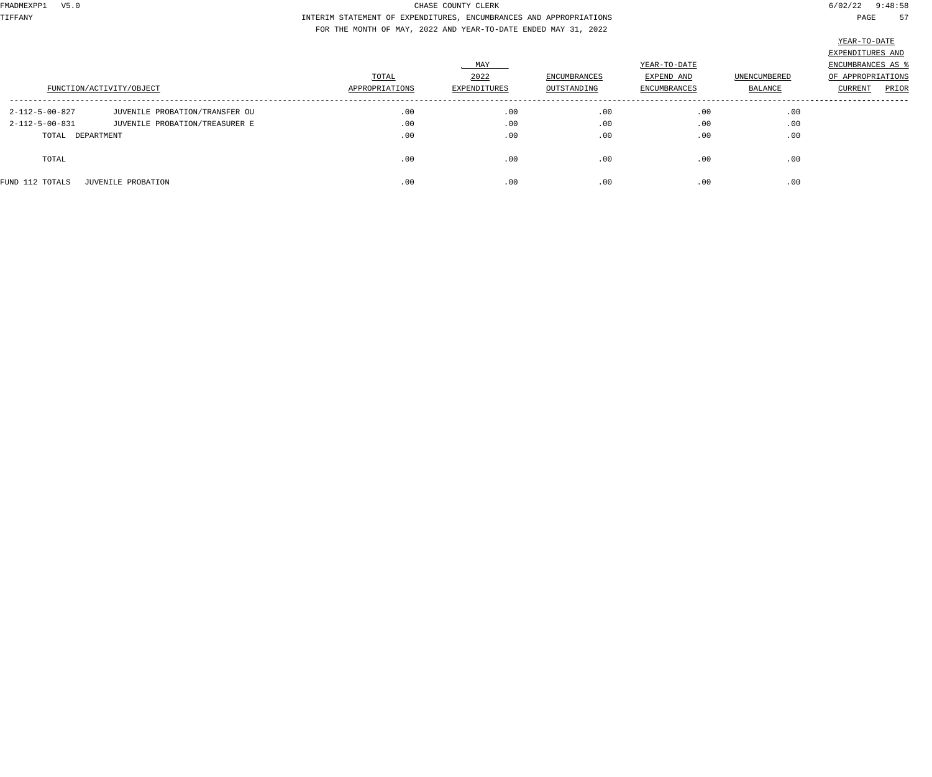TIFFANY INTERIM STATEMENT OF EXPENDITURES, ENCUMBRANCES AND APPROPRIATIONS PAGE 57 FOR THE MONTH OF MAY, 2022 AND YEAR-TO-DATE ENDED MAY 31, 2022

|                  |                                |                |              |              |              |              | the contract of the contract of the contract of the contract of the contract of |
|------------------|--------------------------------|----------------|--------------|--------------|--------------|--------------|---------------------------------------------------------------------------------|
|                  |                                |                |              |              |              |              | EXPENDITURES AND                                                                |
|                  |                                |                | MAY          |              | YEAR-TO-DATE |              | ENCUMBRANCES AS %                                                               |
|                  |                                | TOTAL          | 2022         | ENCUMBRANCES | EXPEND AND   | UNENCUMBERED | OF APPROPRIATIONS                                                               |
|                  | FUNCTION/ACTIVITY/OBJECT       | APPROPRIATIONS | EXPENDITURES | OUTSTANDING  | ENCUMBRANCES | BALANCE      | PRIOR<br>CURRENT                                                                |
|                  |                                |                |              |              |              |              |                                                                                 |
| 2-112-5-00-827   | JUVENILE PROBATION/TRANSFER OU | .00            | .00          | .00          | .00          | .00          |                                                                                 |
| 2-112-5-00-831   | JUVENILE PROBATION/TREASURER E | .00            | .00          | .00          | .00          | .00          |                                                                                 |
| TOTAL DEPARTMENT |                                | .00            | .00          | .00          | .00          | .00          |                                                                                 |
| TOTAL            |                                | .00            | .00          | .00          | .00          | .00          |                                                                                 |
| FUND 112 TOTALS  | JUVENILE PROBATION             | .00            | .00          | .00          | .00          | .00          |                                                                                 |
|                  |                                |                |              |              |              |              |                                                                                 |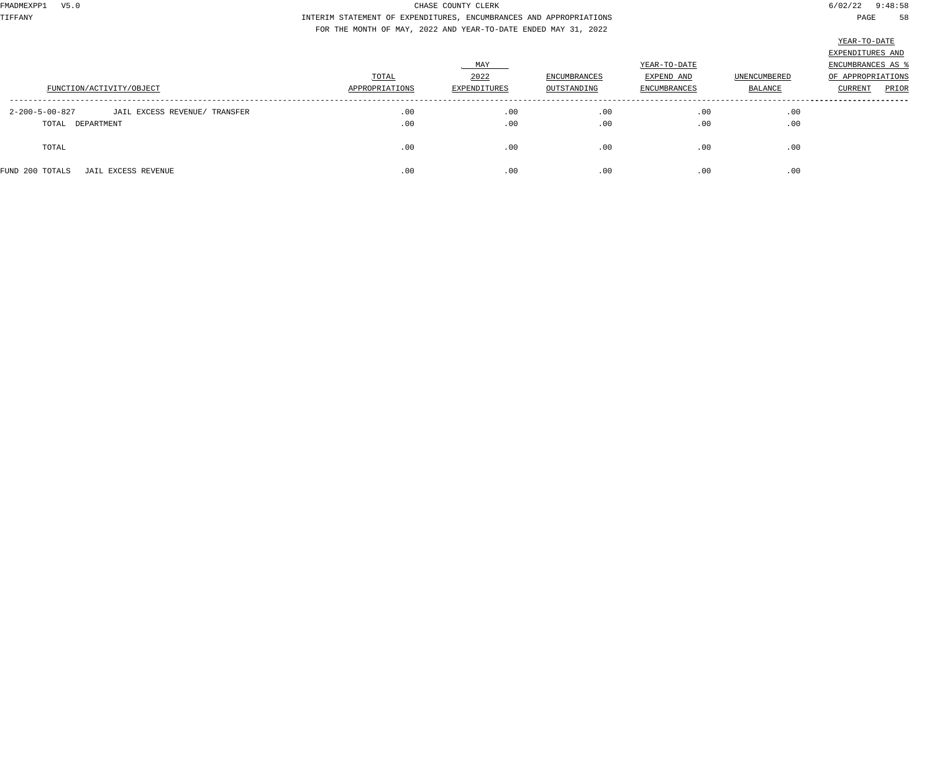TIFFANY INTERIM STATEMENT OF EXPENDITURES, ENCUMBRANCES AND APPROPRIATIONS PAGE 58 FOR THE MONTH OF MAY, 2022 AND YEAR-TO-DATE ENDED MAY 31, 2022

|                                                           |                |              |              |                     |                     | EXPENDITURES AND   |
|-----------------------------------------------------------|----------------|--------------|--------------|---------------------|---------------------|--------------------|
|                                                           |                | MAY          |              | YEAR-TO-DATE        |                     | ENCUMBRANCES AS \$ |
|                                                           | TOTAL          | 2022         | ENCUMBRANCES | EXPEND AND          | <b>UNENCUMBERED</b> | OF APPROPRIATIONS  |
| FUNCTION/ACTIVITY/OBJECT                                  | APPROPRIATIONS | EXPENDITURES | OUTSTANDING  | <b>ENCUMBRANCES</b> | BALANCE             | PRIOR<br>CURRENT   |
| $2 - 200 - 5 - 00 - 827$<br>JAIL EXCESS REVENUE/ TRANSFER | .00            | .00          | .00          | .00                 | .00                 |                    |
| TOTAL DEPARTMENT                                          | .00            | .00          | .00          | .00                 | .00                 |                    |
| TOTAL                                                     | .00            | .00          | .00          | .00                 | .00                 |                    |
| FUND 200 TOTALS<br>JAIL EXCESS REVENUE                    | .00            | .00          | .00          | .00                 | .00                 |                    |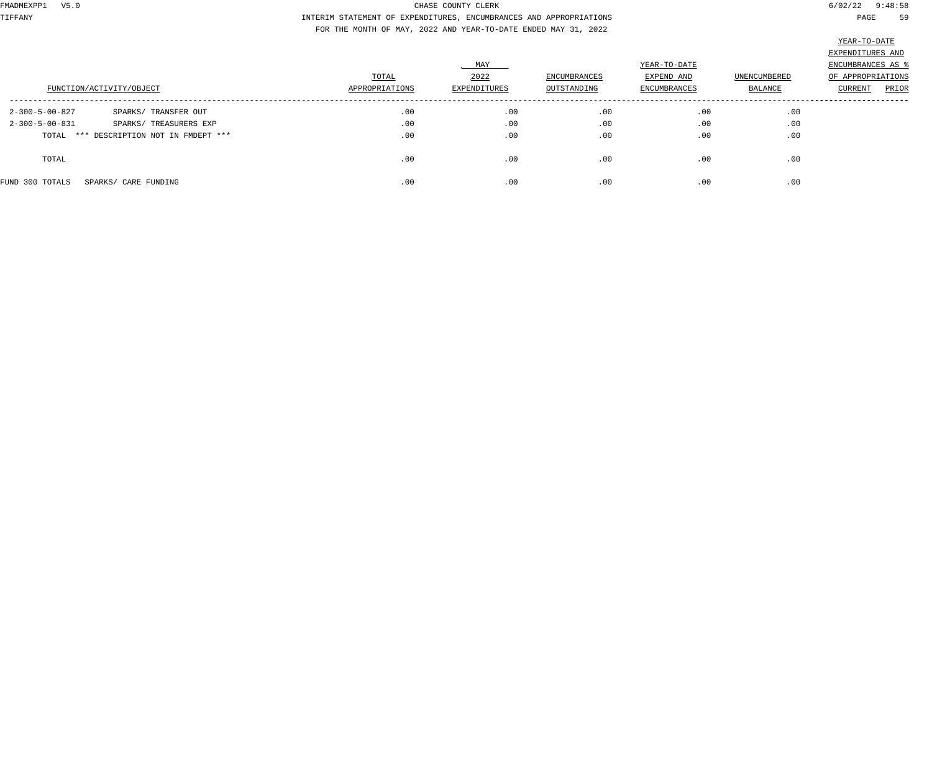TIFFANY INTERIM STATEMENT OF EXPENDITURES, ENCUMBRANCES AND APPROPRIATIONS PAGE 59 FOR THE MONTH OF MAY, 2022 AND YEAR-TO-DATE ENDED MAY 31, 2022

|                                                    | TOTAL          | MAY<br>2022  | ENCUMBRANCES | YEAR-TO-DATE<br>EXPEND AND | UNENCUMBERED | EXPENDITURES AND<br>ENCUMBRANCES AS<br>OF APPROPRIATIONS |
|----------------------------------------------------|----------------|--------------|--------------|----------------------------|--------------|----------------------------------------------------------|
| FUNCTION/ACTIVITY/OBJECT                           | APPROPRIATIONS | EXPENDITURES | OUTSTANDING  | ENCUMBRANCES               | BALANCE      | PRIOR<br>CURRENT                                         |
| SPARKS/ TRANSFER OUT<br>2-300-5-00-827             | .00            | .00          | .00          | .00                        | .00          |                                                          |
| $2 - 300 - 5 - 00 - 831$<br>SPARKS/ TREASURERS EXP | .00            | .00          | .00          | .00                        | .00          |                                                          |
| TOTAL *** DESCRIPTION NOT IN FMDEPT ***            | .00            | .00          | .00          | .00                        | .00          |                                                          |
| TOTAL                                              | .00            | .00          | .00          | .00                        | .00          |                                                          |
| FUND 300 TOTALS<br>SPARKS/ CARE FUNDING            | .00            | .00          | .00          | .00                        | .00          |                                                          |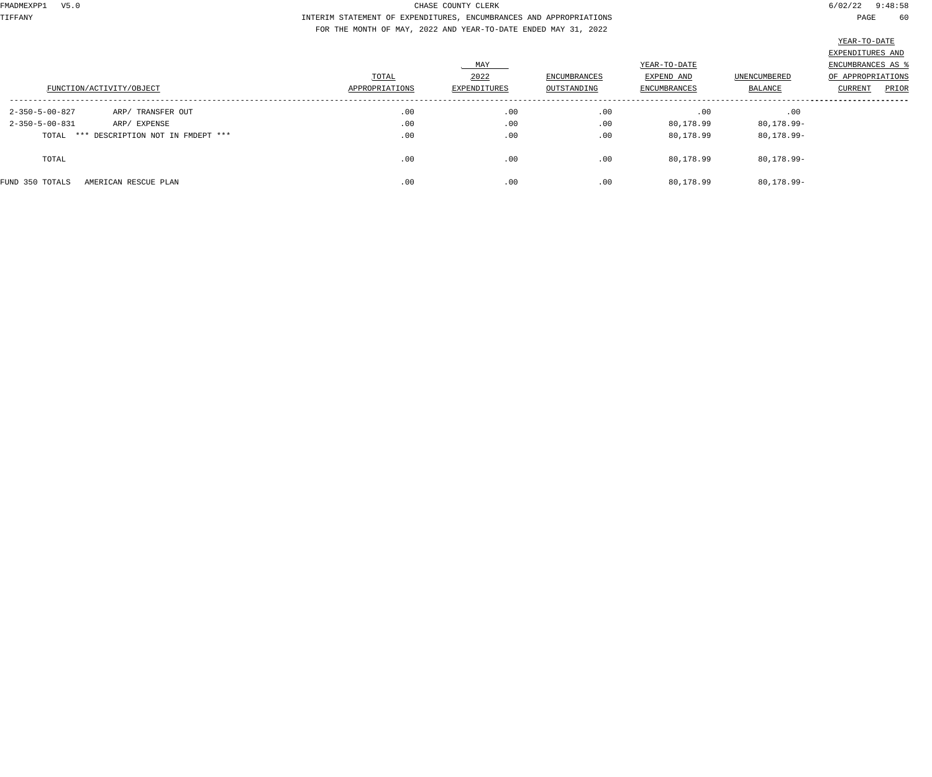TIFFANY INTERIM STATEMENT OF EXPENDITURES, ENCUMBRANCES AND APPROPRIATIONS PAGE 60 FOR THE MONTH OF MAY, 2022 AND YEAR-TO-DATE ENDED MAY 31, 2022

|                                          |                | MAY          |              | YEAR-TO-DATE        |                | EXPENDITURES AND<br>ENCUMBRANCES AS |
|------------------------------------------|----------------|--------------|--------------|---------------------|----------------|-------------------------------------|
|                                          | TOTAL          | 2022         | ENCUMBRANCES | EXPEND AND          | UNENCUMBERED   | OF APPROPRIATIONS                   |
| FUNCTION/ACTIVITY/OBJECT                 | APPROPRIATIONS | EXPENDITURES | OUTSTANDING  | <b>ENCUMBRANCES</b> | BALANCE        | PRIOR<br>CURRENT                    |
| ARP/ TRANSFER OUT<br>2-350-5-00-827      | .00            | .00          | .00          | .00                 | .00            |                                     |
| $2 - 350 - 5 - 00 - 831$<br>ARP/ EXPENSE | .00            | .00          | .00          | 80,178.99           | $80, 178.99 -$ |                                     |
| TOTAL *** DESCRIPTION NOT IN FMDEPT ***  | .00            | .00          | .00          | 80,178.99           | 80,178.99-     |                                     |
| TOTAL                                    | .00            | .00          | .00          | 80,178.99           | 80,178.99-     |                                     |
| FUND 350 TOTALS<br>AMERICAN RESCUE PLAN  | .00            | .00          | .00          | 80,178.99           | $80, 178.99 -$ |                                     |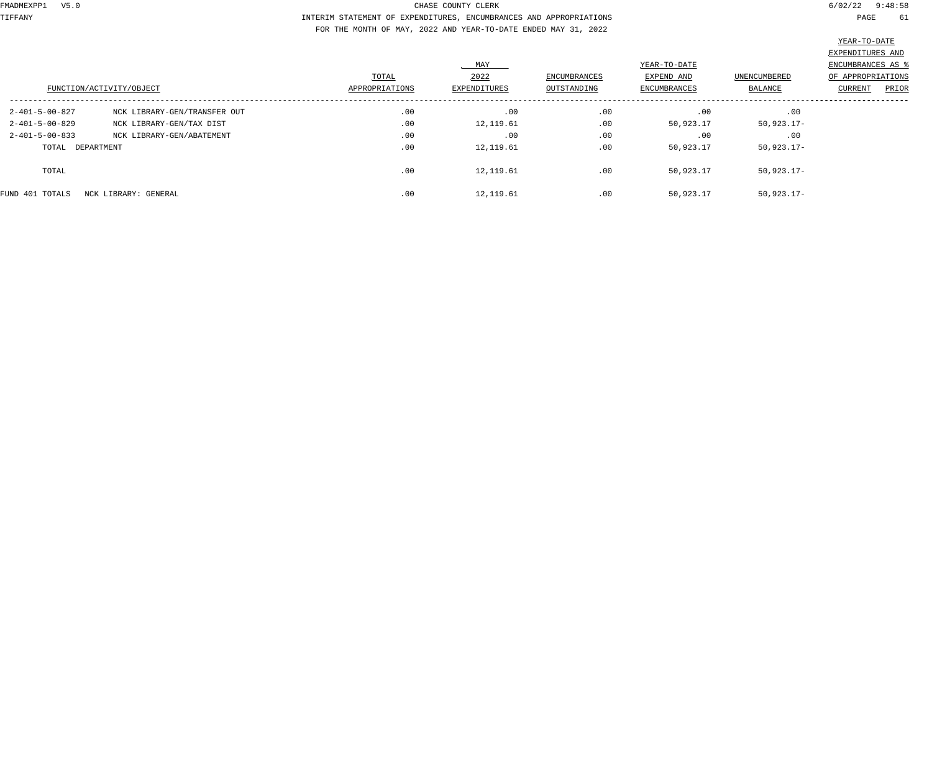TIFFANY INTERIM STATEMENT OF EXPENDITURES, ENCUMBRANCES AND APPROPRIATIONS PAGE 61 FOR THE MONTH OF MAY, 2022 AND YEAR-TO-DATE ENDED MAY 31, 2022

|                          | FUNCTION/ACTIVITY/OBJECT     | TOTAL<br>APPROPRIATIONS | MAY<br>2022<br>EXPENDITURES | ENCUMBRANCES<br>OUTSTANDING | YEAR-TO-DATE<br>EXPEND AND<br>ENCUMBRANCES | UNENCUMBERED<br>BALANCE | EXPENDITURES AND<br>ENCUMBRANCES AS<br>OF APPROPRIATIONS<br>PRIOR<br><b>CURRENT</b> |
|--------------------------|------------------------------|-------------------------|-----------------------------|-----------------------------|--------------------------------------------|-------------------------|-------------------------------------------------------------------------------------|
| 2-401-5-00-827           | NCK LIBRARY-GEN/TRANSFER OUT | .00                     | .00                         | .00                         | .00                                        | .00                     |                                                                                     |
| 2-401-5-00-829           | NCK LIBRARY-GEN/TAX DIST     | .00                     | 12,119.61                   | .00                         | 50,923.17                                  | $50,923.17-$            |                                                                                     |
| $2 - 401 - 5 - 00 - 833$ | NCK LIBRARY-GEN/ABATEMENT    | .00                     | .00                         | .00                         | .00                                        | .00                     |                                                                                     |
| TOTAL DEPARTMENT         |                              | .00                     | 12,119.61                   | .00                         | 50,923.17                                  | $50,923.17-$            |                                                                                     |
| TOTAL                    |                              | .00                     | 12,119.61                   | .00                         | 50,923.17                                  | $50,923.17-$            |                                                                                     |
| FUND 401 TOTALS          | NCK LIBRARY: GENERAL         | .00                     | 12,119.61                   | .00                         | 50,923.17                                  | $50,923.17-$            |                                                                                     |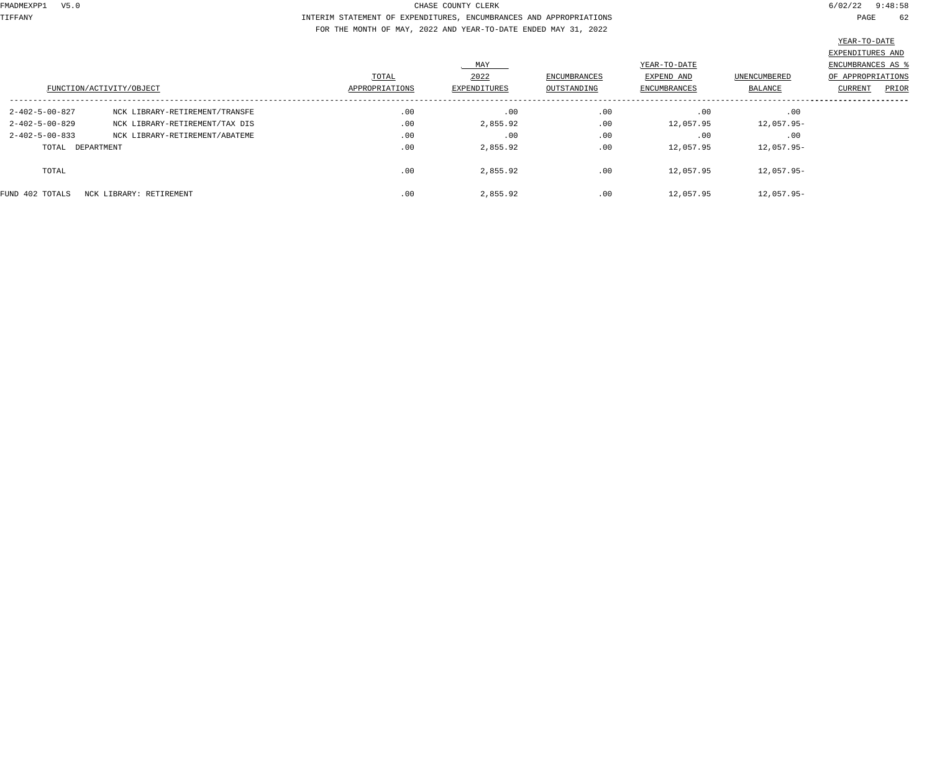TIFFANY INTERIM STATEMENT OF EXPENDITURES, ENCUMBRANCES AND APPROPRIATIONS PAGE 62 FOR THE MONTH OF MAY, 2022 AND YEAR-TO-DATE ENDED MAY 31, 2022

|                          | FUNCTION/ACTIVITY/OBJECT       | TOTAL<br>APPROPRIATIONS | MAY<br>2022<br>EXPENDITURES | ENCUMBRANCES<br>OUTSTANDING | YEAR-TO-DATE<br>EXPEND AND<br>ENCUMBRANCES | UNENCUMBERED<br>BALANCE | EXPENDITURES AND<br>ENCUMBRANCES AS %<br>OF APPROPRIATIONS<br>PRIOR<br>CURRENT |
|--------------------------|--------------------------------|-------------------------|-----------------------------|-----------------------------|--------------------------------------------|-------------------------|--------------------------------------------------------------------------------|
| 2-402-5-00-827           | NCK LIBRARY-RETIREMENT/TRANSFE | .00                     | .00                         | .00                         | .00                                        | .00                     |                                                                                |
| $2 - 402 - 5 - 00 - 829$ | NCK LIBRARY-RETIREMENT/TAX DIS | .00                     | 2,855.92                    | .00                         | 12,057.95                                  | 12,057.95-              |                                                                                |
| $2 - 402 - 5 - 00 - 833$ | NCK LIBRARY-RETIREMENT/ABATEME | .00                     | .00                         | .00                         | .00                                        | .00                     |                                                                                |
| TOTAL DEPARTMENT         |                                | .00                     | 2,855.92                    | .00                         | 12,057.95                                  | 12,057.95-              |                                                                                |
| TOTAL                    |                                | .00                     | 2,855.92                    | .00                         | 12,057.95                                  | 12,057.95-              |                                                                                |
| FUND 402 TOTALS          | NCK LIBRARY: RETIREMENT        | .00                     | 2,855.92                    | .00                         | 12,057.95                                  | 12,057.95-              |                                                                                |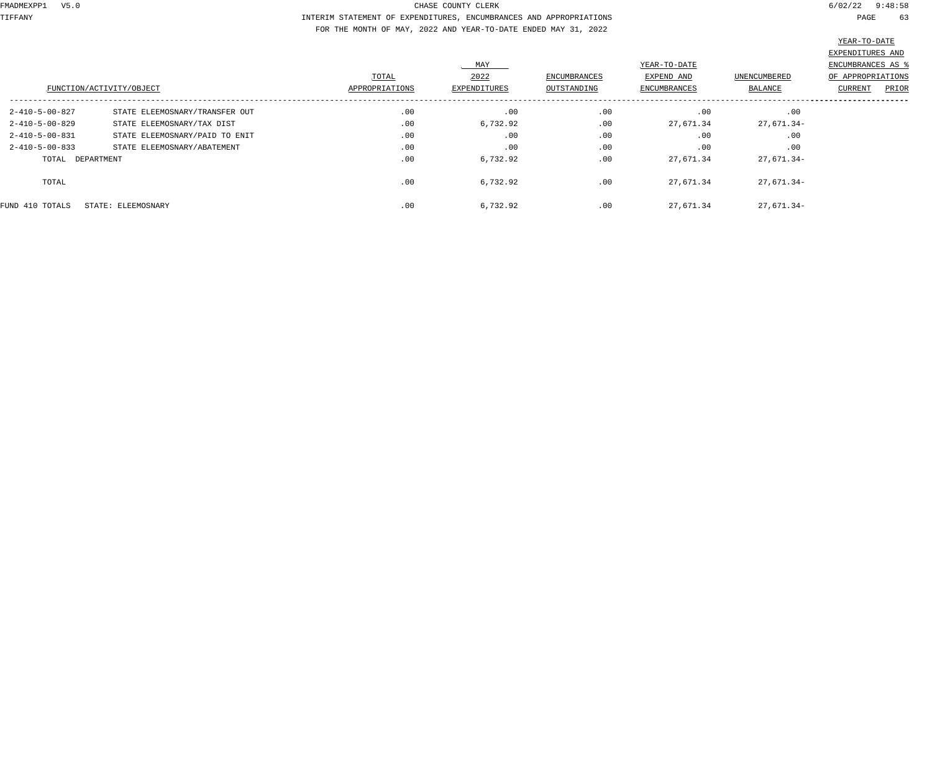TIFFANY INTERIM STATEMENT OF EXPENDITURES, ENCUMBRANCES AND APPROPRIATIONS PAGE 63 FOR THE MONTH OF MAY, 2022 AND YEAR-TO-DATE ENDED MAY 31, 2022

|                          | FUNCTION/ACTIVITY/OBJECT       | TOTAL<br>APPROPRIATIONS | MAY<br>2022<br>EXPENDITURES | ENCUMBRANCES<br>OUTSTANDING | YEAR-TO-DATE<br>EXPEND AND<br><b>ENCUMBRANCES</b> | UNENCUMBERED<br>BALANCE | EXPENDITURES AND<br>ENCUMBRANCES AS %<br>OF APPROPRIATIONS<br>PRIOR<br>CURRENT |
|--------------------------|--------------------------------|-------------------------|-----------------------------|-----------------------------|---------------------------------------------------|-------------------------|--------------------------------------------------------------------------------|
| 2-410-5-00-827           | STATE ELEEMOSNARY/TRANSFER OUT | .00                     | .00                         | .00                         | .00                                               | .00                     |                                                                                |
| $2 - 410 - 5 - 00 - 829$ | STATE ELEEMOSNARY/TAX DIST     | .00                     | 6,732.92                    | .00                         | 27,671.34                                         | 27,671.34-              |                                                                                |
| $2 - 410 - 5 - 00 - 831$ | STATE ELEEMOSNARY/PAID TO ENIT | .00                     | .00                         | .00                         | .00                                               | .00                     |                                                                                |
| $2 - 410 - 5 - 00 - 833$ | STATE ELEEMOSNARY/ABATEMENT    | .00                     | .00                         | .00                         | .00                                               | .00                     |                                                                                |
| TOTAL DEPARTMENT         |                                | .00                     | 6,732.92                    | .00                         | 27,671.34                                         | 27,671.34-              |                                                                                |
| TOTAL                    |                                | .00                     | 6,732.92                    | .00                         | 27,671.34                                         | 27,671.34-              |                                                                                |
| FUND 410 TOTALS          | STATE: ELEEMOSNARY             | .00                     | 6,732.92                    | .00                         | 27,671.34                                         | 27,671.34-              |                                                                                |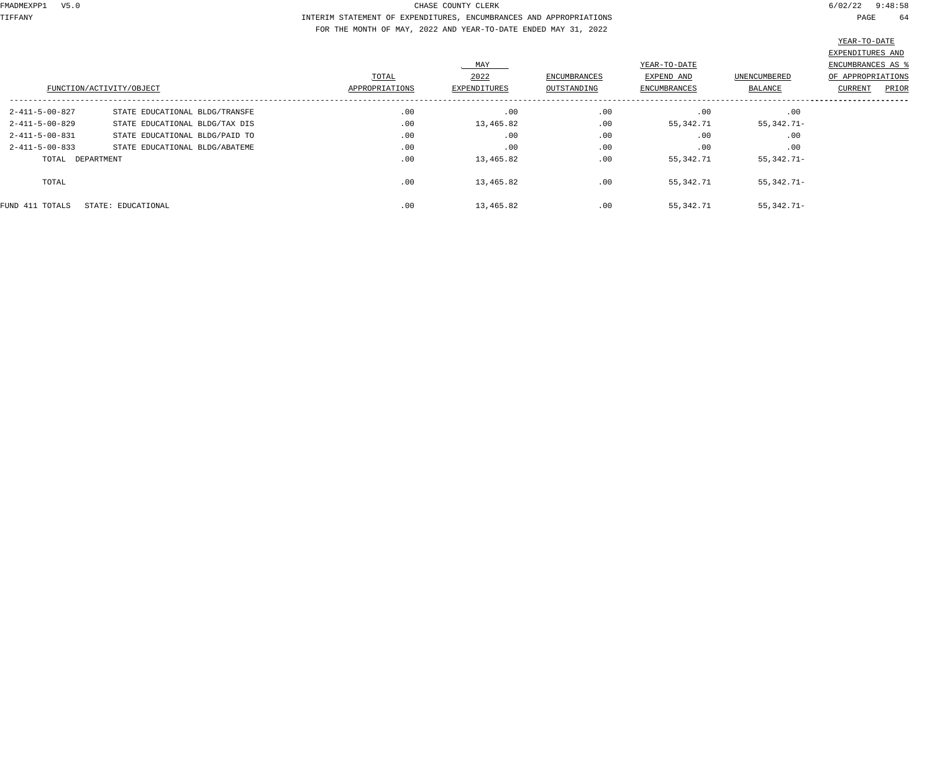TIFFANY INTERIM STATEMENT OF EXPENDITURES, ENCUMBRANCES AND APPROPRIATIONS PAGE 64 FOR THE MONTH OF MAY, 2022 AND YEAR-TO-DATE ENDED MAY 31, 2022

|                          | FUNCTION/ACTIVITY/OBJECT       | TOTAL<br>APPROPRIATIONS | MAY<br>2022<br>EXPENDITURES | <b>ENCUMBRANCES</b><br>OUTSTANDING | YEAR-TO-DATE<br>EXPEND AND<br>ENCUMBRANCES | <b>UNENCUMBERED</b><br>BALANCE | EXPENDITURES AND<br>ENCUMBRANCES AS %<br>OF APPROPRIATIONS<br>PRIOR<br>CURRENT |
|--------------------------|--------------------------------|-------------------------|-----------------------------|------------------------------------|--------------------------------------------|--------------------------------|--------------------------------------------------------------------------------|
| 2-411-5-00-827           | STATE EDUCATIONAL BLDG/TRANSFE | .00                     | .00                         | .00                                | .00                                        | .00                            |                                                                                |
| $2 - 411 - 5 - 00 - 829$ | STATE EDUCATIONAL BLDG/TAX DIS | .00                     | 13,465.82                   | .00                                | 55,342.71                                  | 55,342.71-                     |                                                                                |
| $2 - 411 - 5 - 00 - 831$ | STATE EDUCATIONAL BLDG/PAID TO | .00                     | .00                         | .00                                | .00                                        | .00                            |                                                                                |
| $2 - 411 - 5 - 00 - 833$ | STATE EDUCATIONAL BLDG/ABATEME | .00                     | .00                         | .00                                | .00                                        | .00                            |                                                                                |
| TOTAL DEPARTMENT         |                                | .00                     | 13,465.82                   | .00                                | 55,342.71                                  | 55,342.71-                     |                                                                                |
| TOTAL                    |                                | .00                     | 13,465.82                   | .00                                | 55,342.71                                  | 55,342.71-                     |                                                                                |
| FUND 411 TOTALS          | STATE: EDUCATIONAL             | .00                     | 13,465.82                   | .00                                | 55,342.71                                  | $55,342.71-$                   |                                                                                |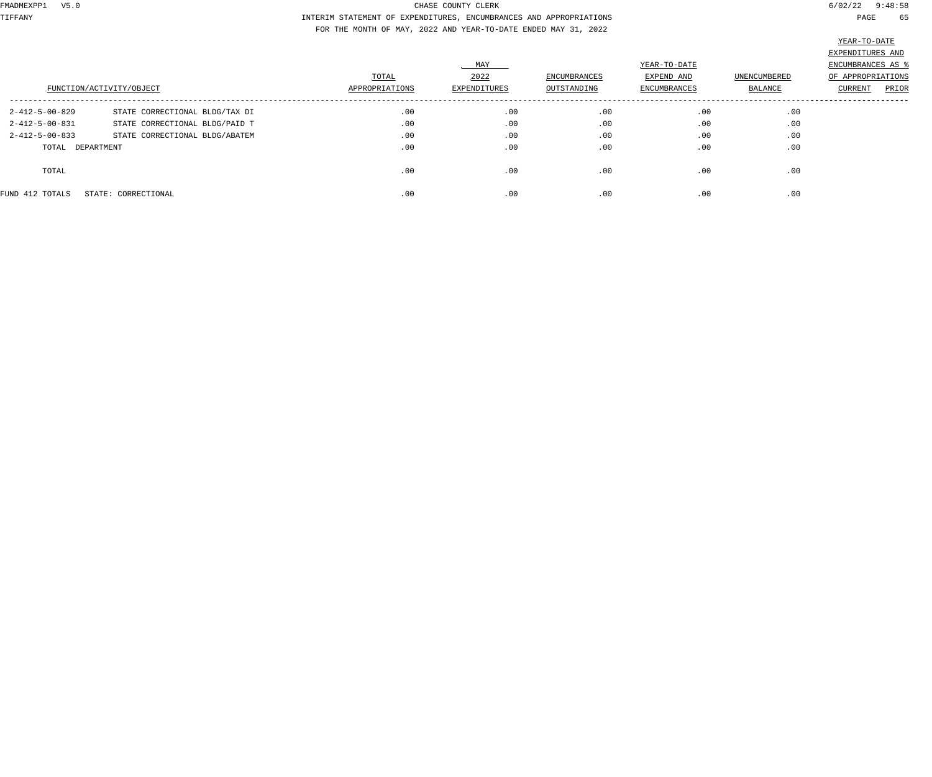TIFFANY INTERIM STATEMENT OF EXPENDITURES, ENCUMBRANCES AND APPROPRIATIONS PAGE 65 FOR THE MONTH OF MAY, 2022 AND YEAR-TO-DATE ENDED MAY 31, 2022

|                          | FUNCTION/ACTIVITY/OBJECT       | TOTAL<br>APPROPRIATIONS | MAY<br>2022<br>EXPENDITURES | ENCUMBRANCES<br>OUTSTANDING | YEAR-TO-DATE<br>EXPEND AND<br>ENCUMBRANCES | UNENCUMBERED<br>BALANCE | EXPENDITURES AND<br>ENCUMBRANCES AS %<br>OF APPROPRIATIONS<br>PRIOR<br><b>CURRENT</b> |
|--------------------------|--------------------------------|-------------------------|-----------------------------|-----------------------------|--------------------------------------------|-------------------------|---------------------------------------------------------------------------------------|
| $2 - 412 - 5 - 00 - 829$ | STATE CORRECTIONAL BLDG/TAX DI | .00                     | .00                         | .00                         | .00                                        | .00                     |                                                                                       |
| $2 - 412 - 5 - 00 - 831$ | STATE CORRECTIONAL BLDG/PAID T | .00                     | .00                         | .00                         | .00                                        | .00                     |                                                                                       |
| $2 - 412 - 5 - 00 - 833$ | STATE CORRECTIONAL BLDG/ABATEM | .00                     | .00                         | .00                         | .00                                        | .00                     |                                                                                       |
| TOTAL DEPARTMENT         |                                | .00                     | .00                         | .00                         | .00                                        | .00                     |                                                                                       |
| TOTAL                    |                                | .00                     | .00                         | .00                         | .00                                        | .00                     |                                                                                       |
| FUND 412 TOTALS          | STATE: CORRECTIONAL            | .00                     | .00                         | .00                         | .00                                        | .00                     |                                                                                       |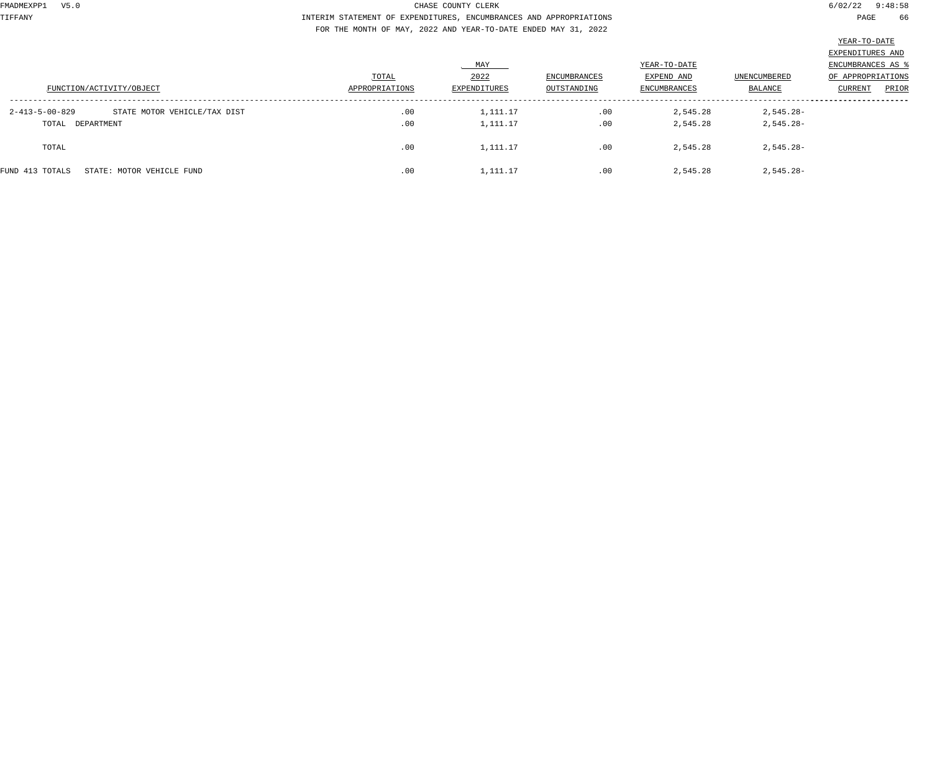TIFFANY INTERIM STATEMENT OF EXPENDITURES, ENCUMBRANCES AND APPROPRIATIONS PAGE 66 FOR THE MONTH OF MAY, 2022 AND YEAR-TO-DATE ENDED MAY 31, 2022

| FAR-TO-DAT |
|------------|
|------------|

|                                                |                |              |              |              |                | EXPENDITURES AND        |
|------------------------------------------------|----------------|--------------|--------------|--------------|----------------|-------------------------|
|                                                |                | MAY          |              | YEAR-TO-DATE |                | ENCUMBRANCES AS         |
|                                                | TOTAL          | 2022         | ENCUMBRANCES | EXPEND AND   | UNENCUMBERED   | OF APPROPRIATIONS       |
| FUNCTION/ACTIVITY/OBJECT                       | APPROPRIATIONS | EXPENDITURES | OUTSTANDING  | ENCUMBRANCES | <b>BALANCE</b> | PRIOR<br><b>CURRENT</b> |
|                                                |                |              |              |              |                |                         |
| STATE MOTOR VEHICLE/TAX DIST<br>2-413-5-00-829 | .00            | 1,111.17     | .00          | 2,545.28     | 2,545.28-      |                         |
| TOTAL DEPARTMENT                               | .00            | 1,111.17     | .00          | 2,545.28     | $2,545.28-$    |                         |
|                                                |                |              |              |              |                |                         |
| TOTAL                                          | .00            | 1,111.17     | .00          | 2,545.28     | $2,545.28-$    |                         |
|                                                |                |              |              |              |                |                         |
| FUND 413 TOTALS<br>STATE: MOTOR VEHICLE FUND   | .00            | 1,111.17     | .00          | 2,545.28     | $2,545.28-$    |                         |
|                                                |                |              |              |              |                |                         |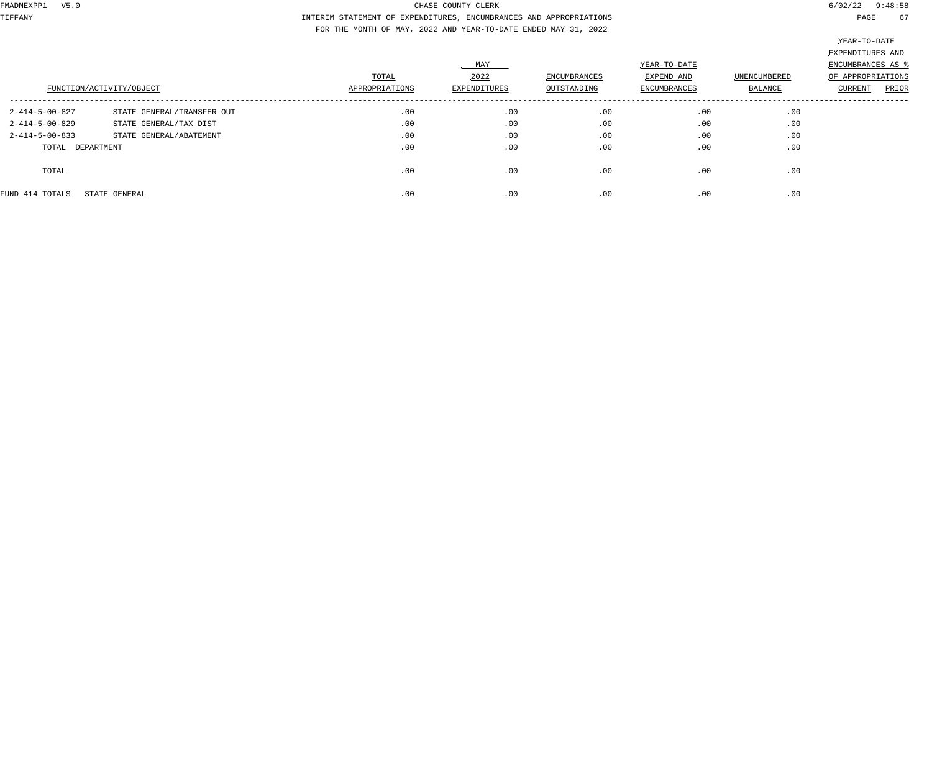TIFFANY INTERIM STATEMENT OF EXPENDITURES, ENCUMBRANCES AND APPROPRIATIONS PAGE 67 FOR THE MONTH OF MAY, 2022 AND YEAR-TO-DATE ENDED MAY 31, 2022

|                          | FUNCTION/ACTIVITY/OBJECT   | TOTAL<br>APPROPRIATIONS | MAY<br>2022<br>EXPENDITURES | ENCUMBRANCES<br>OUTSTANDING | YEAR-TO-DATE<br>EXPEND AND<br>ENCUMBRANCES | UNENCUMBERED<br>BALANCE | EXPENDITURES AND<br>ENCUMBRANCES AS<br>OF APPROPRIATIONS<br>PRIOR<br>CURRENT |
|--------------------------|----------------------------|-------------------------|-----------------------------|-----------------------------|--------------------------------------------|-------------------------|------------------------------------------------------------------------------|
|                          |                            |                         |                             |                             |                                            |                         |                                                                              |
| $2 - 414 - 5 - 00 - 827$ | STATE GENERAL/TRANSFER OUT | .00                     | .00                         | .00                         | .00                                        | .00                     |                                                                              |
| $2 - 414 - 5 - 00 - 829$ | STATE GENERAL/TAX DIST     | .00                     | .00                         | .00                         | .00                                        | .00                     |                                                                              |
| $2 - 414 - 5 - 00 - 833$ | STATE GENERAL/ABATEMENT    | .00                     | .00                         | .00                         | .00                                        | .00                     |                                                                              |
| TOTAL DEPARTMENT         |                            | .00                     | .00                         | .00                         | .00                                        | .00                     |                                                                              |
| TOTAL                    |                            | .00                     | .00                         | .00                         | .00                                        | .00                     |                                                                              |
| FUND 414 TOTALS          | STATE GENERAL              | .00                     | .00                         | .00                         | .00                                        | .00                     |                                                                              |
|                          |                            |                         |                             |                             |                                            |                         |                                                                              |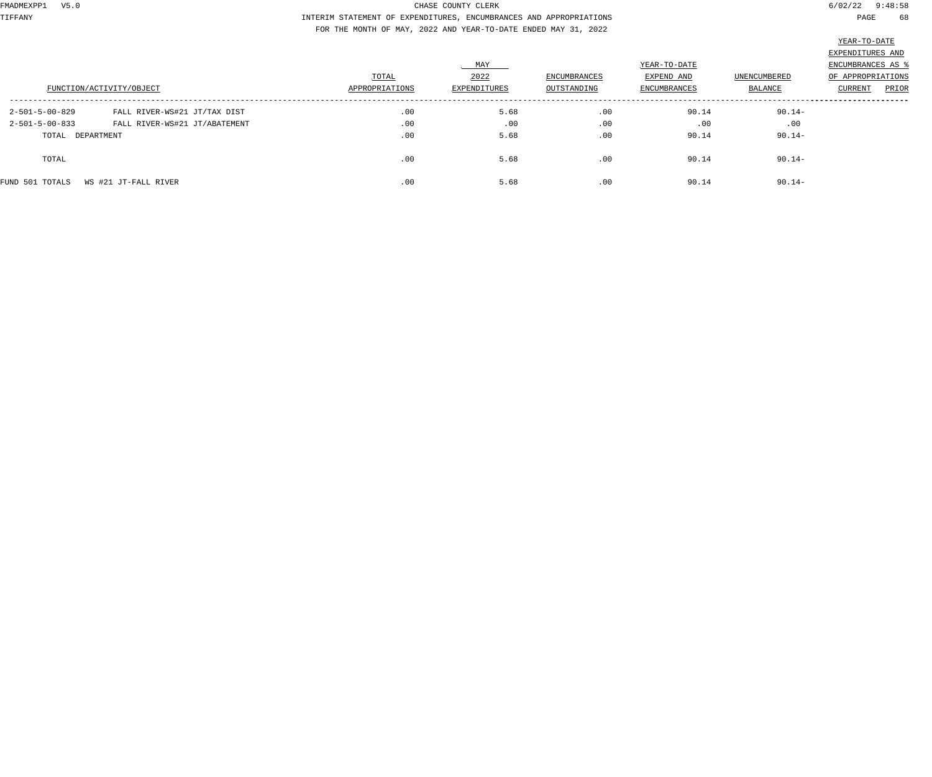TIFFANY INTERIM STATEMENT OF EXPENDITURES, ENCUMBRANCES AND APPROPRIATIONS PAGE 68 FOR THE MONTH OF MAY, 2022 AND YEAR-TO-DATE ENDED MAY 31, 2022

| FUNCTION/ACTIVITY/OBJECT                                                                                                                  | TOTAL<br>APPROPRIATIONS | MAY<br>2022<br>EXPENDITURES | ENCUMBRANCES<br>OUTSTANDING | YEAR-TO-DATE<br>EXPEND AND<br>ENCUMBRANCES | UNENCUMBERED<br>BALANCE       | EXPENDITURES AND<br>ENCUMBRANCES AS<br>OF APPROPRIATIONS<br>PRIOR<br>CURRENT |
|-------------------------------------------------------------------------------------------------------------------------------------------|-------------------------|-----------------------------|-----------------------------|--------------------------------------------|-------------------------------|------------------------------------------------------------------------------|
| $2 - 501 - 5 - 00 - 829$<br>FALL RIVER-WS#21 JT/TAX DIST<br>$2 - 501 - 5 - 00 - 833$<br>FALL RIVER-WS#21 JT/ABATEMENT<br>TOTAL DEPARTMENT | .00<br>.00<br>.00       | 5.68<br>.00<br>5.68         | .00<br>.00<br>.00           | 90.14<br>.00<br>90.14                      | $90.14 -$<br>.00<br>$90.14 -$ |                                                                              |
| TOTAL                                                                                                                                     | .00                     | 5.68                        | .00                         | 90.14                                      | $90.14 -$                     |                                                                              |
| WS #21 JT-FALL RIVER<br>FUND 501 TOTALS                                                                                                   | .00                     | 5.68                        | .00                         | 90.14                                      | $90.14 -$                     |                                                                              |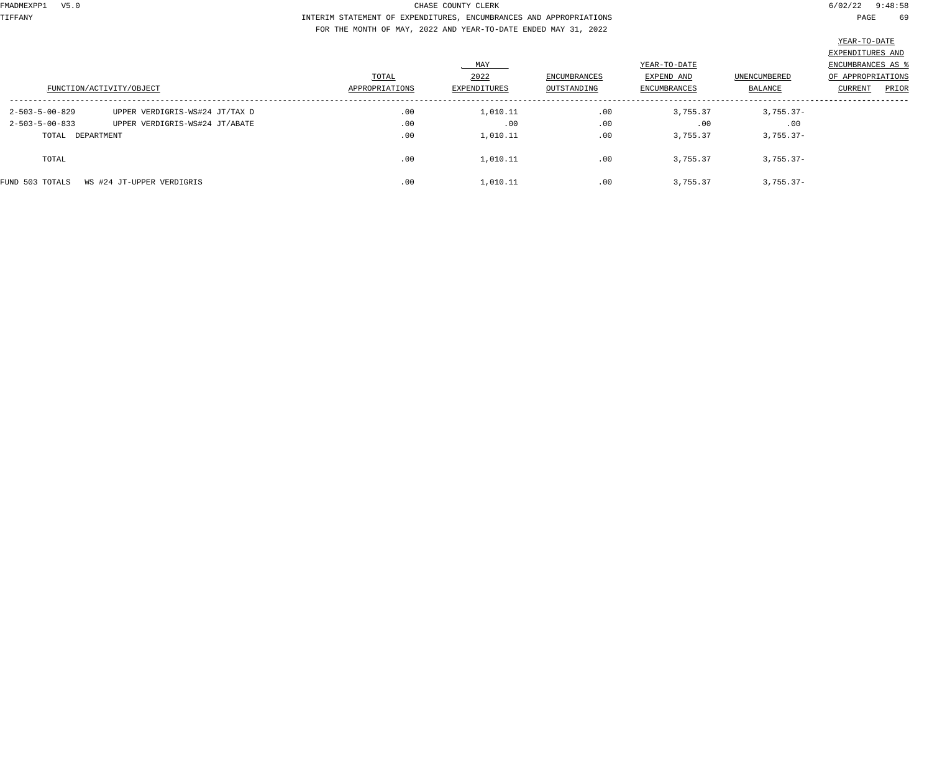TIFFANY INTERIM STATEMENT OF EXPENDITURES, ENCUMBRANCES AND APPROPRIATIONS PAGE 69 FOR THE MONTH OF MAY, 2022 AND YEAR-TO-DATE ENDED MAY 31, 2022

|                                              | FUNCTION/ACTIVITY/OBJECT       | TOTAL<br>APPROPRIATIONS | MAX<br>2022<br>EXPENDITURES | <b>ENCUMBRANCES</b><br>OUTSTANDING | YEAR-TO-DATE<br>EXPEND AND<br>ENCUMBRANCES | UNENCUMBERED<br>BALANCE | EXPENDITURES AND<br>ENCUMBRANCES AS<br>OF APPROPRIATIONS<br>PRIOR<br>CURRENT |
|----------------------------------------------|--------------------------------|-------------------------|-----------------------------|------------------------------------|--------------------------------------------|-------------------------|------------------------------------------------------------------------------|
| $2 - 503 - 5 - 00 - 829$                     | UPPER VERDIGRIS-WS#24 JT/TAX D | .00                     | 1,010.11                    | .00                                | 3,755.37                                   | $3,755.37-$             |                                                                              |
| $2 - 503 - 5 - 00 - 833$<br>TOTAL DEPARTMENT | UPPER VERDIGRIS-WS#24 JT/ABATE | .00<br>.00              | .00<br>1,010.11             | .00<br>.00                         | .00<br>3,755.37                            | .00<br>$3,755.37-$      |                                                                              |
| TOTAL                                        |                                | .00                     | 1,010.11                    | .00                                | 3,755.37                                   | $3,755.37-$             |                                                                              |
| FUND 503 TOTALS                              | WS #24 JT-UPPER VERDIGRIS      | .00                     | 1,010.11                    | .00                                | 3,755.37                                   | $3,755.37-$             |                                                                              |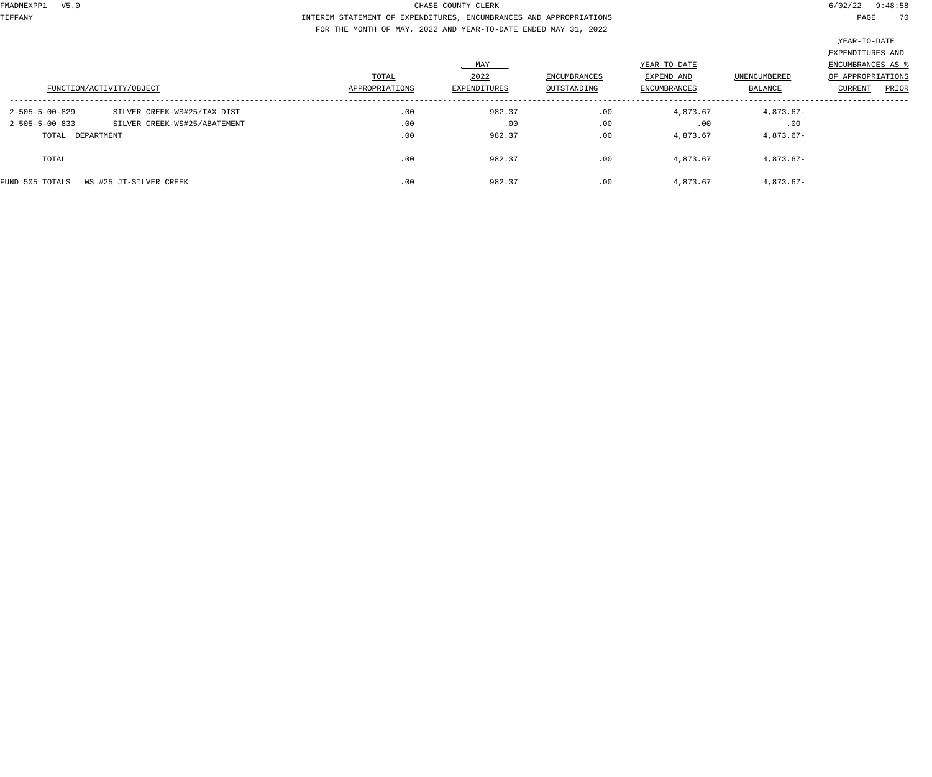TIFFANY INTERIM STATEMENT OF EXPENDITURES, ENCUMBRANCES AND APPROPRIATIONS PAGE 70 FOR THE MONTH OF MAY, 2022 AND YEAR-TO-DATE ENDED MAY 31, 2022

|                                           |                              |                |              |              |                     |              | EXPENDITURES AND  |
|-------------------------------------------|------------------------------|----------------|--------------|--------------|---------------------|--------------|-------------------|
|                                           |                              |                | MAY          |              | YEAR-TO-DATE        |              | ENCUMBRANCES AS   |
|                                           |                              | TOTAL          | 2022         | ENCUMBRANCES | EXPEND AND          | UNENCUMBERED | OF APPROPRIATIONS |
| FUNCTION/ACTIVITY/OBJECT                  |                              | APPROPRIATIONS | EXPENDITURES | OUTSTANDING  | <b>ENCUMBRANCES</b> | BALANCE      | PRIOR<br>CURRENT  |
| $2 - 505 - 5 - 00 - 829$                  | SILVER CREEK-WS#25/TAX DIST  | .00            | 982.37       | .00          | 4,873.67            | 4,873.67-    |                   |
| $2 - 505 - 5 - 00 - 833$                  | SILVER CREEK-WS#25/ABATEMENT | .00            | .00          | .00          | .00                 | .00          |                   |
| TOTAL DEPARTMENT                          |                              | .00            | 982.37       | .00          | 4,873.67            | 4,873.67-    |                   |
| TOTAL                                     |                              | .00            | 982.37       | .00          | 4,873.67            | 4,873.67-    |                   |
| FUND 505 TOTALS<br>WS #25 JT-SILVER CREEK |                              | .00            | 982.37       | .00          | 4,873.67            | 4,873.67-    |                   |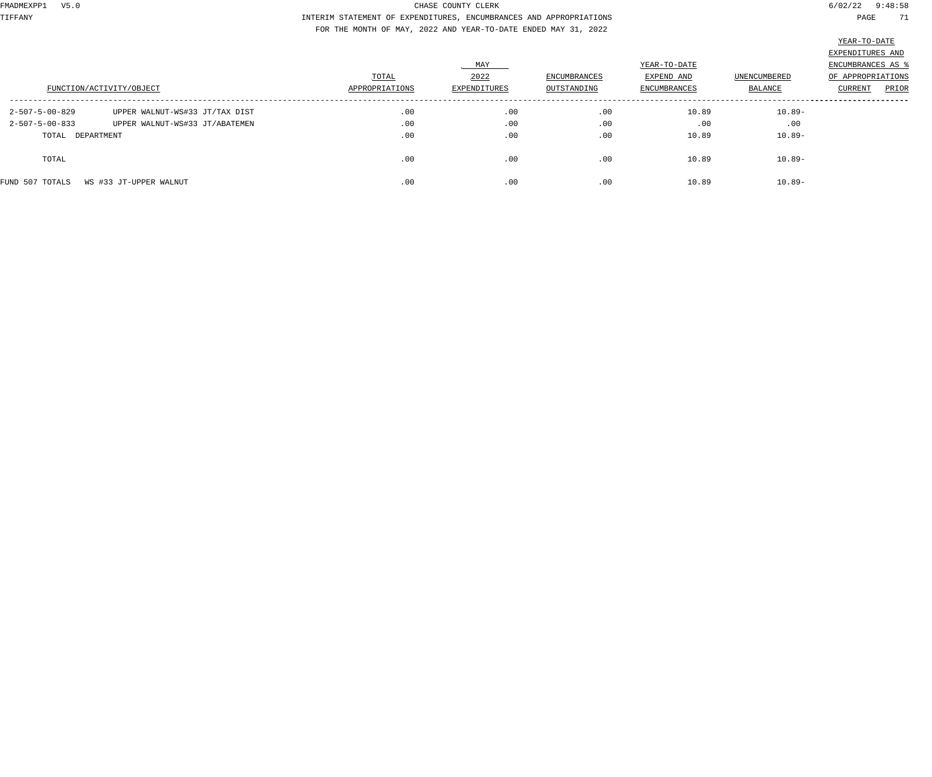TIFFANY INTERIM STATEMENT OF EXPENDITURES, ENCUMBRANCES AND APPROPRIATIONS PAGE 71 FOR THE MONTH OF MAY, 2022 AND YEAR-TO-DATE ENDED MAY 31, 2022

|                          |                                |                |              |                     |              |              | سنطاب بالمسنى     |
|--------------------------|--------------------------------|----------------|--------------|---------------------|--------------|--------------|-------------------|
|                          |                                |                |              |                     |              |              | EXPENDITURES AND  |
|                          |                                |                | MAY          |                     | YEAR-TO-DATE |              | ENCUMBRANCES AS % |
|                          |                                | TOTAL          | 2022         | <b>ENCUMBRANCES</b> | EXPEND AND   | UNENCUMBERED | OF APPROPRIATIONS |
| FUNCTION/ACTIVITY/OBJECT |                                | APPROPRIATIONS | EXPENDITURES | OUTSTANDING         | ENCUMBRANCES | BALANCE      | PRIOR<br>CURRENT  |
| 2-507-5-00-829           | UPPER WALNUT-WS#33 JT/TAX DIST | .00            | .00          | .00                 | 10.89        | 10.89-       |                   |
| 2-507-5-00-833           | UPPER WALNUT-WS#33 JT/ABATEMEN | .00            | .00          | .00                 | .00          | .00          |                   |
| TOTAL DEPARTMENT         |                                | .00            | .00          | .00                 | 10.89        | 10.89-       |                   |
| TOTAL                    |                                | .00            | .00          | .00                 | 10.89        | 10.89-       |                   |
| FUND 507 TOTALS          | WS #33 JT-UPPER WALNUT         | .00            | .00          | .00                 | 10.89        | 10.89-       |                   |
|                          |                                |                |              |                     |              |              |                   |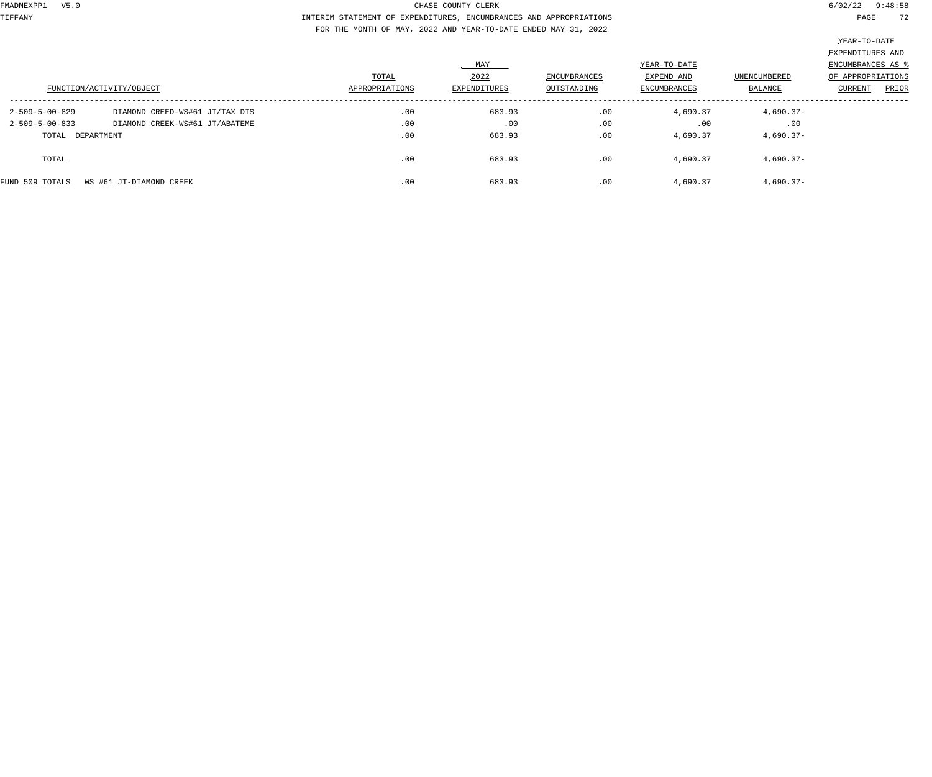TIFFANY INTERIM STATEMENT OF EXPENDITURES, ENCUMBRANCES AND APPROPRIATIONS PAGE 72 FOR THE MONTH OF MAY, 2022 AND YEAR-TO-DATE ENDED MAY 31, 2022

|                                            |                                |                |              |              |              |                     | ________                |  |
|--------------------------------------------|--------------------------------|----------------|--------------|--------------|--------------|---------------------|-------------------------|--|
|                                            |                                |                |              |              |              |                     | EXPENDITURES AND        |  |
|                                            |                                |                | MAY          |              | YEAR-TO-DATE |                     | ENCUMBRANCES AS %       |  |
|                                            |                                | TOTAL          | 2022         | ENCUMBRANCES | EXPEND AND   | <b>UNENCUMBERED</b> | OF APPROPRIATIONS       |  |
| FUNCTION/ACTIVITY/OBJECT                   |                                | APPROPRIATIONS | EXPENDITURES | OUTSTANDING  | ENCUMBRANCES | BALANCE             | PRIOR<br><b>CURRENT</b> |  |
| $2 - 509 - 5 - 00 - 829$                   | DIAMOND CREED-WS#61 JT/TAX DIS | .00            | 683.93       | .00          | 4,690.37     | $4,690.37-$         |                         |  |
| $2 - 509 - 5 - 00 - 833$                   | DIAMOND CREEK-WS#61 JT/ABATEME | .00            | .00          | .00          | .00          | .00                 |                         |  |
| TOTAL DEPARTMENT                           |                                | .00            | 683.93       | .00          | 4,690.37     | $4,690.37-$         |                         |  |
| TOTAL                                      |                                | .00            | 683.93       | .00          | 4,690.37     | $4,690.37-$         |                         |  |
| FUND 509 TOTALS<br>WS #61 JT-DIAMOND CREEK |                                | .00            | 683.93       | .00          | 4,690.37     | $4,690.37-$         |                         |  |
|                                            |                                |                |              |              |              |                     |                         |  |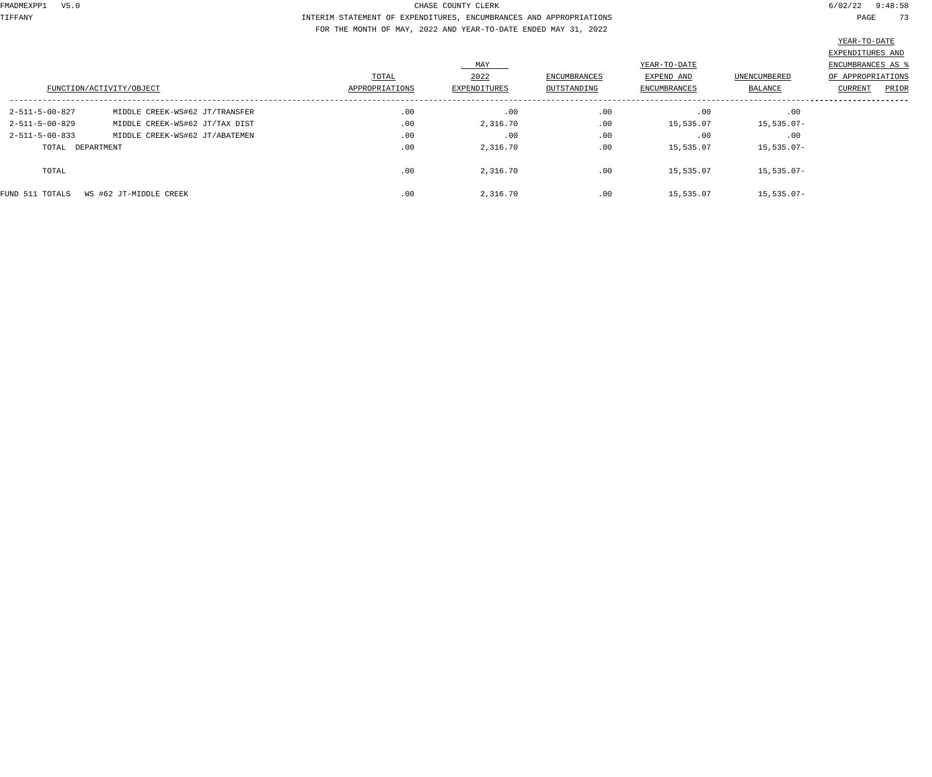TIFFANY INTERIM STATEMENT OF EXPENDITURES, ENCUMBRANCES AND APPROPRIATIONS PAGE 73 FOR THE MONTH OF MAY, 2022 AND YEAR-TO-DATE ENDED MAY 31, 2022

| TEUTIC TO DUTTE             |  |       |
|-----------------------------|--|-------|
|                             |  |       |
| י היה חזיחי די חזיהים די הי |  | דד אי |

|                  |                                |                |              |                     |              |                | EXPENDITURES AND  |
|------------------|--------------------------------|----------------|--------------|---------------------|--------------|----------------|-------------------|
|                  |                                |                | MAY          |                     | YEAR-TO-DATE |                | ENCUMBRANCES AS   |
|                  |                                | TOTAL          | 2022         | <b>ENCUMBRANCES</b> | EXPEND AND   | UNENCUMBERED   | OF APPROPRIATIONS |
|                  | FUNCTION/ACTIVITY/OBJECT       | APPROPRIATIONS | EXPENDITURES | OUTSTANDING         | ENCUMBRANCES | <b>BALANCE</b> | PRIOR<br>CURRENT  |
| 2-511-5-00-827   | MIDDLE CREEK-WS#62 JT/TRANSFER | .00            | .00          | .00                 | .00          | .00            |                   |
| 2-511-5-00-829   | MIDDLE CREEK-WS#62 JT/TAX DIST | .00            | 2,316.70     | .00                 | 15,535.07    | $15,535.07-$   |                   |
| 2-511-5-00-833   | MIDDLE CREEK-WS#62 JT/ABATEMEN | .00            | .00          | .00                 | .00          | .00            |                   |
| TOTAL DEPARTMENT |                                | .00            | 2,316.70     | .00                 | 15,535.07    | $15,535.07-$   |                   |
| TOTAL            |                                | .00            | 2,316.70     | .00                 | 15,535.07    | $15,535.07-$   |                   |
| FUND 511 TOTALS  | WS #62 JT-MIDDLE CREEK         | .00            | 2,316.70     | .00                 | 15,535.07    | $15,535.07-$   |                   |
|                  |                                |                |              |                     |              |                |                   |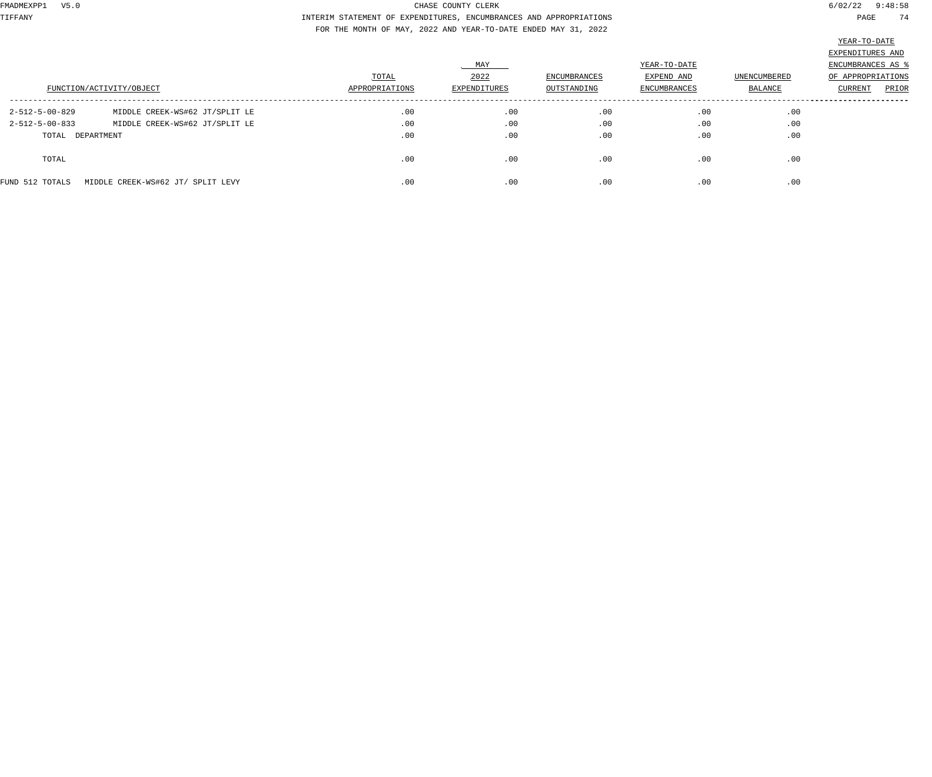TIFFANY INTERIM STATEMENT OF EXPENDITURES, ENCUMBRANCES AND APPROPRIATIONS PAGE 74 FOR THE MONTH OF MAY, 2022 AND YEAR-TO-DATE ENDED MAY 31, 2022

|                          |                                   | TOTAL          | MAY<br>2022  | <b>ENCUMBRANCES</b> | YEAR-TO-DATE<br>EXPEND AND | UNENCUMBERED | EXPENDITURES AND<br>ENCUMBRANCES AS '<br>OF APPROPRIATIONS |
|--------------------------|-----------------------------------|----------------|--------------|---------------------|----------------------------|--------------|------------------------------------------------------------|
|                          | FUNCTION/ACTIVITY/OBJECT          | APPROPRIATIONS | EXPENDITURES | OUTSTANDING         | ENCUMBRANCES               | BALANCE      | PRIOR<br>CURRENT                                           |
| $2 - 512 - 5 - 00 - 829$ | MIDDLE CREEK-WS#62 JT/SPLIT LE    | .00            | .00          | .00                 | .00                        | .00          |                                                            |
| $2 - 512 - 5 - 00 - 833$ | MIDDLE CREEK-WS#62 JT/SPLIT LE    | .00            | .00          | .00                 | .00                        | .00          |                                                            |
| TOTAL DEPARTMENT         |                                   | .00            | .00          | .00                 | .00                        | .00          |                                                            |
| TOTAL                    |                                   | .00            | .00          | .00                 | .00                        | .00          |                                                            |
| FUND 512 TOTALS          | MIDDLE CREEK-WS#62 JT/ SPLIT LEVY | .00            | .00          | .00                 | .00                        | .00          |                                                            |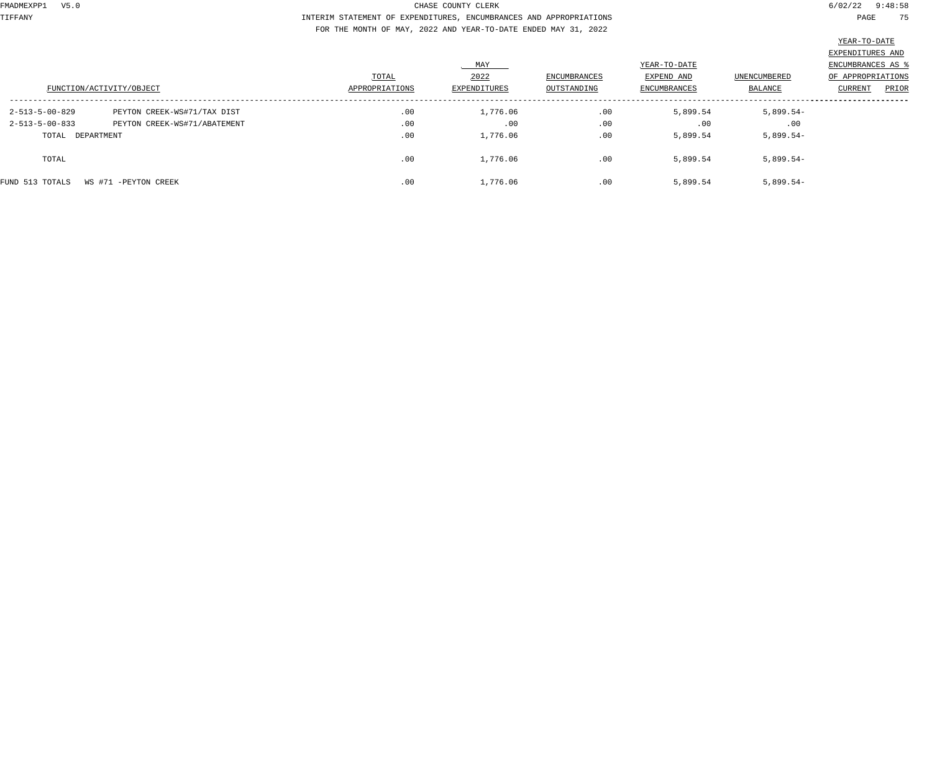TIFFANY INTERIM STATEMENT OF EXPENDITURES, ENCUMBRANCES AND APPROPRIATIONS PAGE 75 FOR THE MONTH OF MAY, 2022 AND YEAR-TO-DATE ENDED MAY 31, 2022

|                  |                              |                |              |                     |              |                     | $\frac{200 \text{ m/s}}{200 \text{ m/s}}$ |
|------------------|------------------------------|----------------|--------------|---------------------|--------------|---------------------|-------------------------------------------|
|                  |                              |                |              |                     |              |                     | EXPENDITURES AND                          |
|                  |                              |                | MAY          |                     | YEAR-TO-DATE |                     | ENCUMBRANCES AS %                         |
|                  |                              | TOTAL          | 2022         | <b>ENCUMBRANCES</b> | EXPEND AND   | <b>UNENCUMBERED</b> | OF APPROPRIATIONS                         |
|                  | FUNCTION/ACTIVITY/OBJECT     | APPROPRIATIONS | EXPENDITURES | OUTSTANDING         | ENCUMBRANCES | BALANCE             | PRIOR<br><b>CURRENT</b>                   |
| 2-513-5-00-829   | PEYTON CREEK-WS#71/TAX DIST  | .00            | 1,776.06     | .00                 | 5,899.54     | $5,899.54-$         |                                           |
| 2-513-5-00-833   | PEYTON CREEK-WS#71/ABATEMENT | .00            | .00          | .00                 | .00          | .00                 |                                           |
| TOTAL DEPARTMENT |                              | .00            | 1,776.06     | .00                 | 5,899.54     | $5,899.54-$         |                                           |
| TOTAL            |                              | .00            | 1,776.06     | .00                 | 5,899.54     | $5,899.54-$         |                                           |
| FUND 513 TOTALS  | WS #71 -PEYTON CREEK         | .00            | 1,776.06     | .00                 | 5,899.54     | $5,899.54-$         |                                           |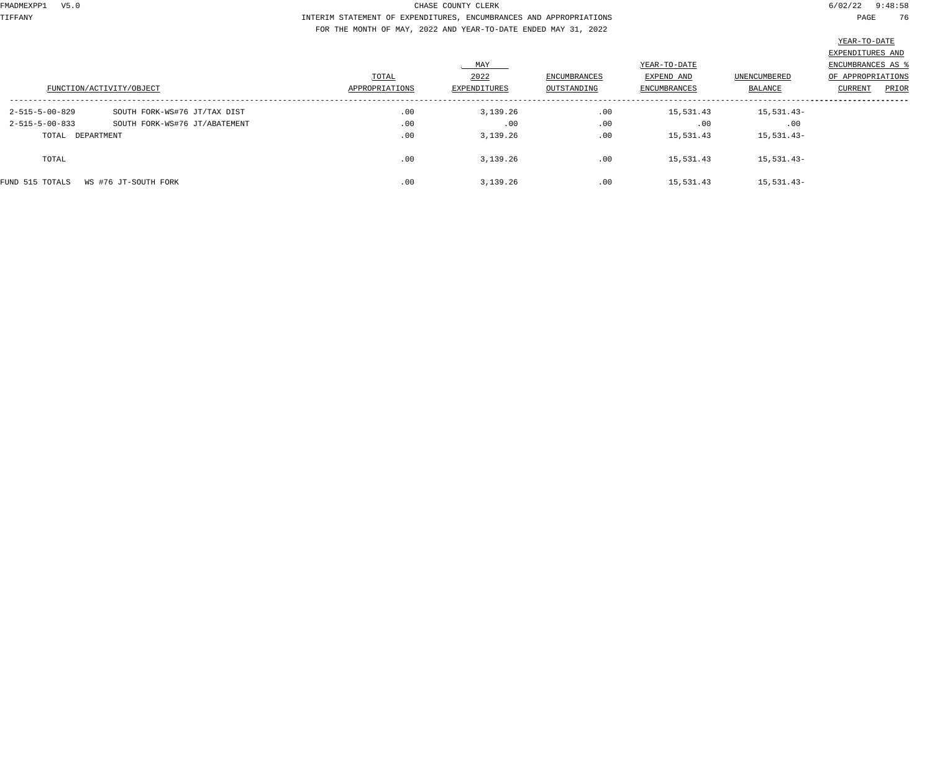TIFFANY INTERIM STATEMENT OF EXPENDITURES, ENCUMBRANCES AND APPROPRIATIONS PAGE 76 FOR THE MONTH OF MAY, 2022 AND YEAR-TO-DATE ENDED MAY 31, 2022

|                  |                               |                |              |                     |              |                     | $\frac{200 \text{ m/s}}{200 \text{ m/s}}$ |
|------------------|-------------------------------|----------------|--------------|---------------------|--------------|---------------------|-------------------------------------------|
|                  |                               |                |              |                     |              |                     | EXPENDITURES AND                          |
|                  |                               |                | MAY          |                     | YEAR-TO-DATE |                     | ENCUMBRANCES AS %                         |
|                  |                               | TOTAL          | 2022         | <b>ENCUMBRANCES</b> | EXPEND AND   | <b>UNENCUMBERED</b> | OF APPROPRIATIONS                         |
|                  | FUNCTION/ACTIVITY/OBJECT      | APPROPRIATIONS | EXPENDITURES | OUTSTANDING         | ENCUMBRANCES | BALANCE             | PRIOR<br>CURRENT                          |
| 2-515-5-00-829   | SOUTH FORK-WS#76 JT/TAX DIST  | .00            | 3,139.26     | .00                 | 15,531.43    | 15,531.43-          |                                           |
| 2-515-5-00-833   | SOUTH FORK-WS#76 JT/ABATEMENT | .00            | .00          | .00                 | .00          | .00                 |                                           |
| TOTAL DEPARTMENT |                               | .00            | 3,139.26     | .00                 | 15,531.43    | 15,531.43-          |                                           |
| TOTAL            |                               | .00            | 3,139.26     | .00                 | 15,531.43    | 15,531.43-          |                                           |
| FUND 515 TOTALS  | WS #76 JT-SOUTH FORK          | .00            | 3,139.26     | .00                 | 15,531.43    | 15,531.43-          |                                           |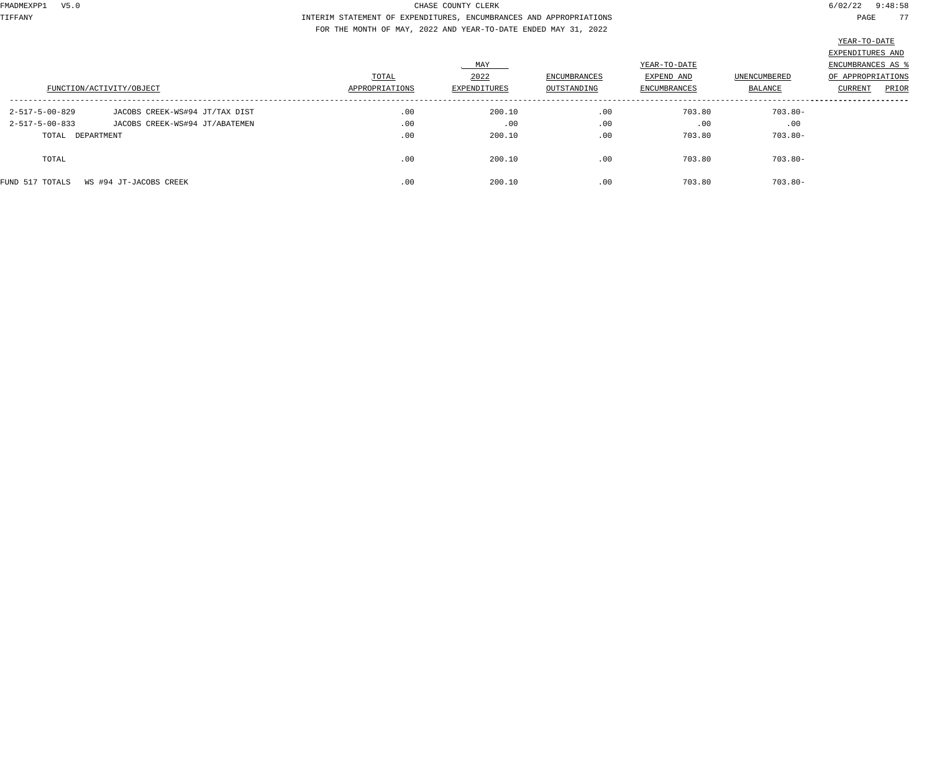TIFFANY INTERIM STATEMENT OF EXPENDITURES, ENCUMBRANCES AND APPROPRIATIONS PAGE 77 FOR THE MONTH OF MAY, 2022 AND YEAR-TO-DATE ENDED MAY 31, 2022

|                          |                                | TOTAL          | MAY<br>2022  | ENCUMBRANCES | YEAR-TO-DATE<br>EXPEND AND | UNENCUMBERED | EXPENDITURES AND<br><b>ENCUMBRANCES AS 8</b><br>OF APPROPRIATIONS |  |
|--------------------------|--------------------------------|----------------|--------------|--------------|----------------------------|--------------|-------------------------------------------------------------------|--|
|                          | FUNCTION/ACTIVITY/OBJECT       | APPROPRIATIONS | EXPENDITURES | OUTSTANDING  | ENCUMBRANCES               | BALANCE      | PRIOR<br>CURRENT                                                  |  |
| 2-517-5-00-829           | JACOBS CREEK-WS#94 JT/TAX DIST | .00            | 200.10       | .00          | 703.80                     | $703.80 -$   |                                                                   |  |
| $2 - 517 - 5 - 00 - 833$ | JACOBS CREEK-WS#94 JT/ABATEMEN | .00            | .00          | .00          | .00                        | .00          |                                                                   |  |
| TOTAL DEPARTMENT         |                                | .00            | 200.10       | .00          | 703.80                     | $703.80 -$   |                                                                   |  |
| TOTAL                    |                                | .00            | 200.10       | .00          | 703.80                     | $703.80 -$   |                                                                   |  |
| FUND 517 TOTALS          | WS #94 JT-JACOBS CREEK         | .00            | 200.10       | .00          | 703.80                     | $703.80 -$   |                                                                   |  |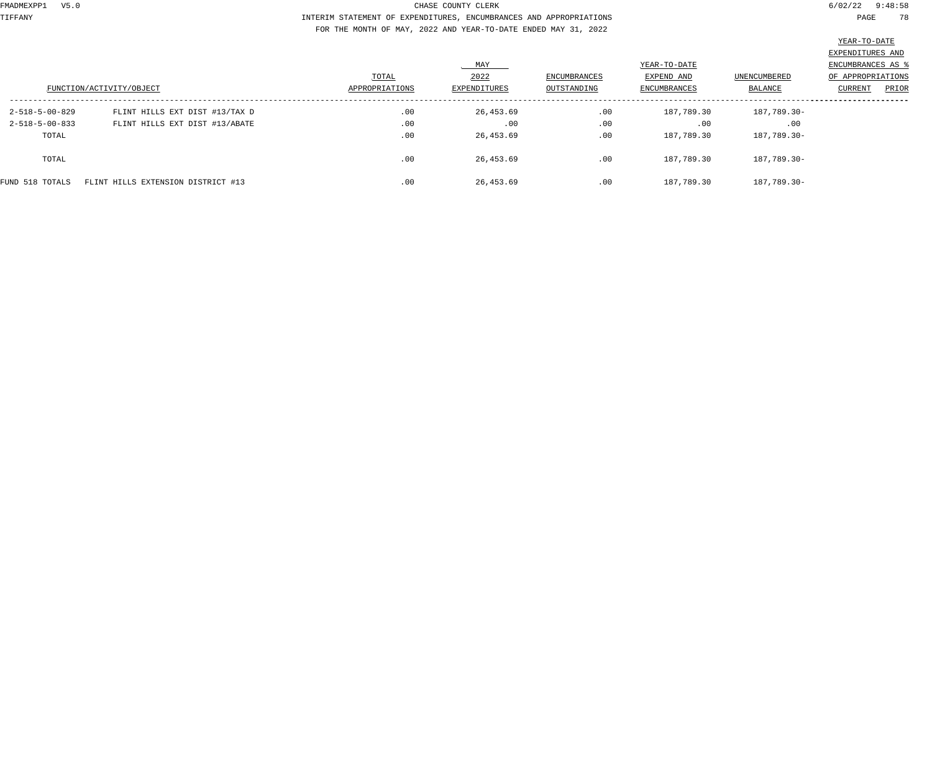TIFFANY INTERIM STATEMENT OF EXPENDITURES, ENCUMBRANCES AND APPROPRIATIONS PAGE 78 FOR THE MONTH OF MAY, 2022 AND YEAR-TO-DATE ENDED MAY 31, 2022

|                          |                                    |                |              |              |              |              | <u> Louis Communication de la communication de la communication de la communication de la communication de la com</u> |
|--------------------------|------------------------------------|----------------|--------------|--------------|--------------|--------------|-----------------------------------------------------------------------------------------------------------------------|
|                          |                                    |                |              |              |              |              | EXPENDITURES AND                                                                                                      |
|                          |                                    |                | MAY          |              | YEAR-TO-DATE |              | ENCUMBRANCES AS                                                                                                       |
|                          |                                    | TOTAL          | 2022         | ENCUMBRANCES | EXPEND AND   | UNENCUMBERED | OF APPROPRIATIONS                                                                                                     |
|                          | FUNCTION/ACTIVITY/OBJECT           | APPROPRIATIONS | EXPENDITURES | OUTSTANDING  | ENCUMBRANCES | BALANCE      | CURRENT<br>PRIOR                                                                                                      |
| $2 - 518 - 5 - 00 - 829$ | FLINT HILLS EXT DIST #13/TAX D     | .00            | 26,453.69    | .00          | 187,789.30   | 187,789.30-  |                                                                                                                       |
| $2 - 518 - 5 - 00 - 833$ | FLINT HILLS EXT DIST #13/ABATE     | .00            | .00          | .00          | .00          | .00          |                                                                                                                       |
| TOTAL                    |                                    | .00            | 26,453.69    | .00          | 187,789.30   | 187,789.30-  |                                                                                                                       |
| TOTAL                    |                                    | .00            | 26,453.69    | .00          | 187,789.30   | 187,789.30-  |                                                                                                                       |
| FUND 518 TOTALS          | FLINT HILLS EXTENSION DISTRICT #13 | .00            | 26,453.69    | .00          | 187,789.30   | 187,789.30-  |                                                                                                                       |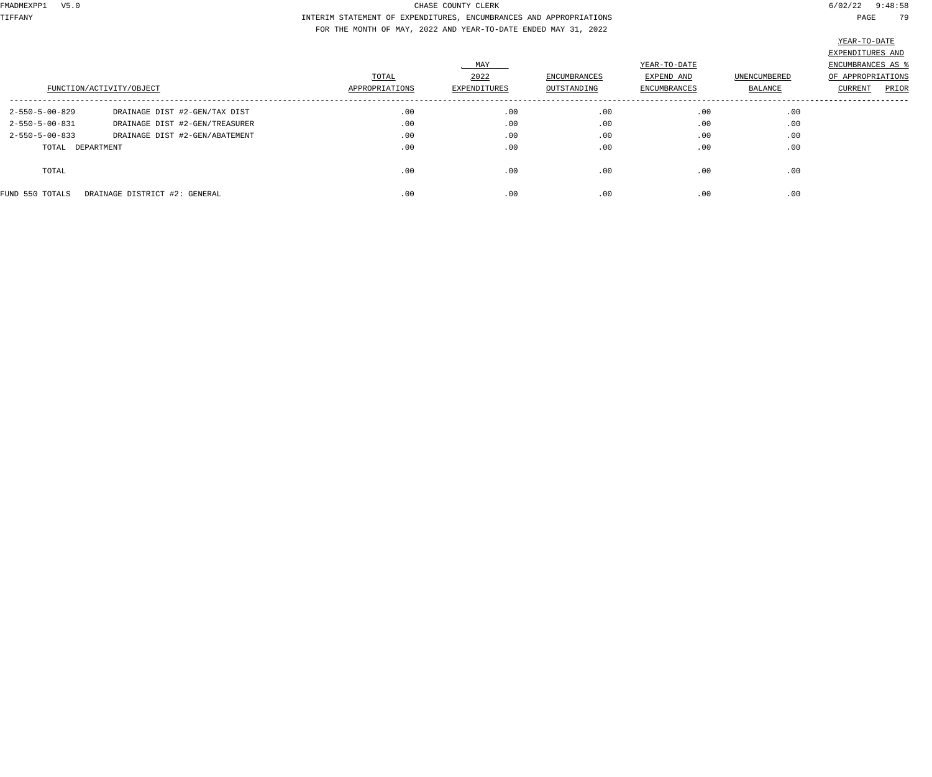TIFFANY INTERIM STATEMENT OF EXPENDITURES, ENCUMBRANCES AND APPROPRIATIONS PAGE 79 FOR THE MONTH OF MAY, 2022 AND YEAR-TO-DATE ENDED MAY 31, 2022

|                          | FUNCTION/ACTIVITY/OBJECT       | TOTAL<br>APPROPRIATIONS | MAY<br>2022<br>EXPENDITURES | ENCUMBRANCES<br>OUTSTANDING | YEAR-TO-DATE<br>EXPEND AND<br>ENCUMBRANCES | UNENCUMBERED<br>BALANCE | EXPENDITURES AND<br>ENCUMBRANCES AS %<br>OF APPROPRIATIONS<br>PRIOR<br><b>CURRENT</b> |
|--------------------------|--------------------------------|-------------------------|-----------------------------|-----------------------------|--------------------------------------------|-------------------------|---------------------------------------------------------------------------------------|
| 2-550-5-00-829           | DRAINAGE DIST #2-GEN/TAX DIST  | .00                     | .00                         | .00                         | .00                                        | .00                     |                                                                                       |
| $2 - 550 - 5 - 00 - 831$ | DRAINAGE DIST #2-GEN/TREASURER | .00                     | .00                         | .00                         | .00                                        | .00                     |                                                                                       |
| $2 - 550 - 5 - 00 - 833$ | DRAINAGE DIST #2-GEN/ABATEMENT | .00                     | .00                         | .00                         | .00                                        | .00                     |                                                                                       |
| TOTAL                    | DEPARTMENT                     | .00                     | .00                         | .00                         | .00                                        | .00                     |                                                                                       |
| TOTAL                    |                                | .00                     | .00                         | .00                         | .00                                        | .00                     |                                                                                       |
| FUND 550 TOTALS          | DRAINAGE DISTRICT #2: GENERAL  | .00                     | .00                         | .00                         | .00                                        | .00                     |                                                                                       |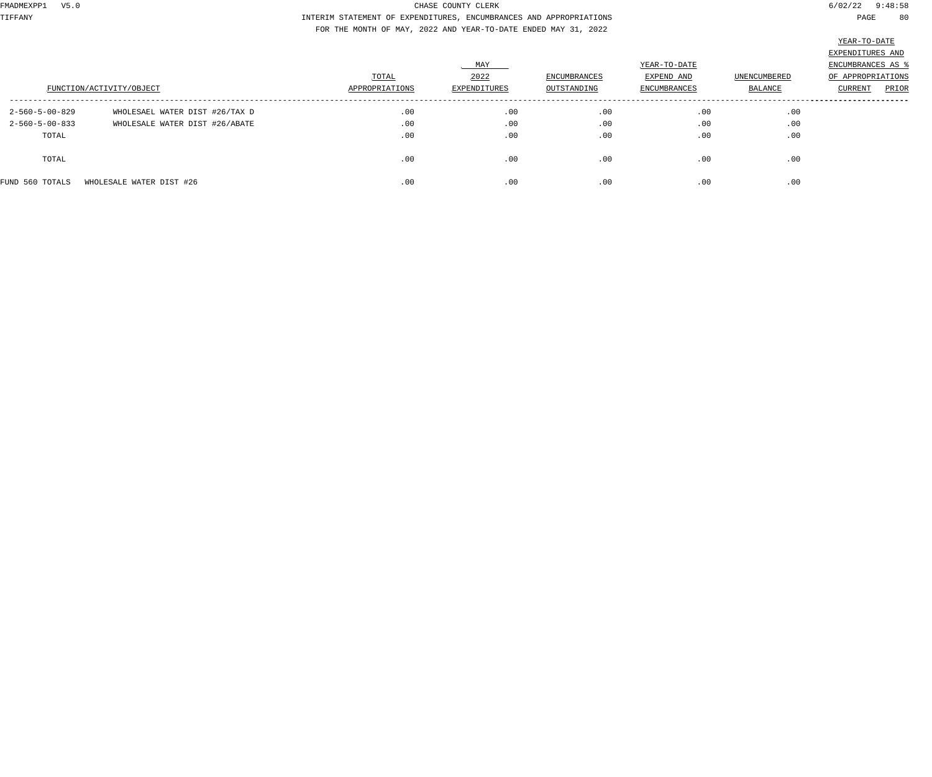TIFFANY INTERIM STATEMENT OF EXPENDITURES, ENCUMBRANCES AND APPROPRIATIONS PAGE 80 FOR THE MONTH OF MAY, 2022 AND YEAR-TO-DATE ENDED MAY 31, 2022

|                          | FUNCTION/ACTIVITY/OBJECT       | TOTAL<br>APPROPRIATIONS | MAY<br>2022<br>EXPENDITURES | ENCUMBRANCES<br>OUTSTANDING | YEAR-TO-DATE<br>EXPEND AND<br>ENCUMBRANCES | UNENCUMBERED<br><b>BALANCE</b> | EXPENDITURES AND<br>ENCUMBRANCES AS<br>OF APPROPRIATIONS<br>CURRENT<br>PRIOR |
|--------------------------|--------------------------------|-------------------------|-----------------------------|-----------------------------|--------------------------------------------|--------------------------------|------------------------------------------------------------------------------|
|                          |                                |                         |                             |                             |                                            |                                |                                                                              |
| $2 - 560 - 5 - 00 - 829$ | WHOLESAEL WATER DIST #26/TAX D | .00                     | .00                         | .00                         | .00                                        | .00                            |                                                                              |
| $2 - 560 - 5 - 00 - 833$ | WHOLESALE WATER DIST #26/ABATE | .00                     | .00                         | .00                         | .00                                        | .00                            |                                                                              |
| TOTAL                    |                                | .00                     | .00                         | .00                         | .00                                        | .00                            |                                                                              |
| TOTAL                    |                                | .00                     | .00                         | .00                         | .00                                        | .00                            |                                                                              |
| FUND 560 TOTALS          | WHOLESALE WATER DIST #26       | .00                     | .00                         | .00                         | .00                                        | .00                            |                                                                              |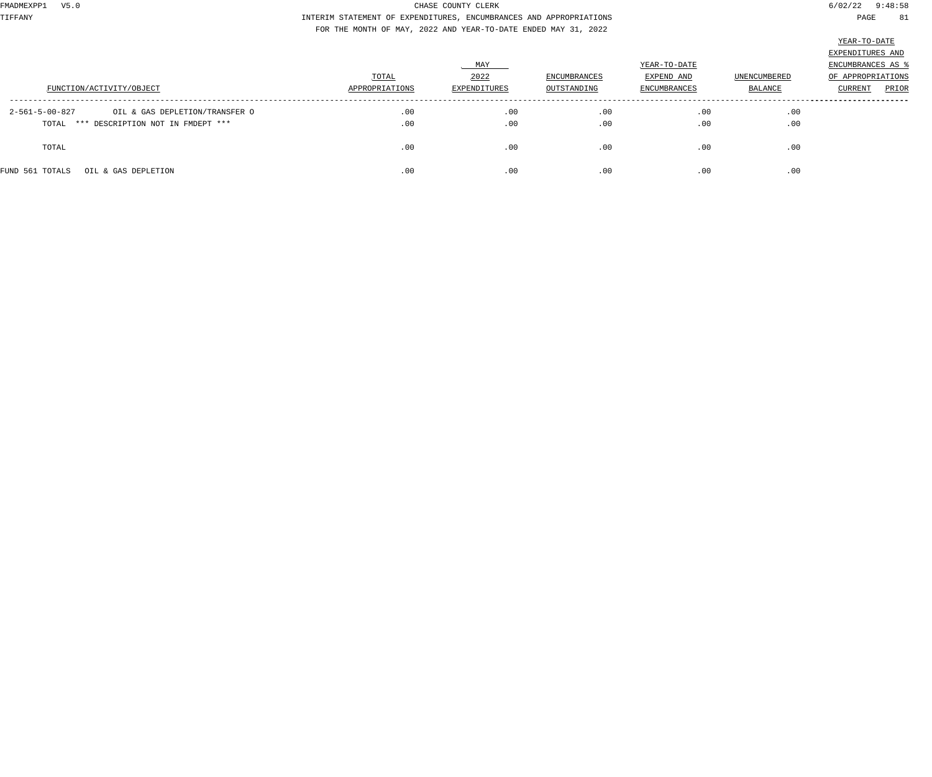TIFFANY INTERIM STATEMENT OF EXPENDITURES, ENCUMBRANCES AND APPROPRIATIONS PAGE 81 FOR THE MONTH OF MAY, 2022 AND YEAR-TO-DATE ENDED MAY 31, 2022

|                                                  |                |              |                     |                     |                | EXPENDITURES AND  |
|--------------------------------------------------|----------------|--------------|---------------------|---------------------|----------------|-------------------|
|                                                  |                | MAY          |                     | YEAR-TO-DATE        |                | ENCUMBRANCES AS   |
|                                                  | TOTAL          | 2022         | <b>ENCUMBRANCES</b> | EXPEND AND          | UNENCUMBERED   | OF APPROPRIATIONS |
| FUNCTION/ACTIVITY/OBJECT                         | APPROPRIATIONS | EXPENDITURES | OUTSTANDING         | <b>ENCUMBRANCES</b> | <b>BALANCE</b> | PRIOR<br>CURRENT  |
|                                                  |                |              |                     |                     |                |                   |
| 2-561-5-00-827<br>OIL & GAS DEPLETION/TRANSFER O | .00            | .00          | .00                 | .00                 | .00            |                   |
| TOTAL *** DESCRIPTION NOT IN FMDEPT ***          | .00            | .00          | .00                 | .00                 | .00            |                   |
|                                                  |                |              |                     |                     |                |                   |
| TOTAL                                            | .00            | .00          | .00                 | .00                 | .00            |                   |
|                                                  |                |              |                     |                     |                |                   |
| FUND 561 TOTALS<br>OIL & GAS DEPLETION           | .00            | .00          | .00                 | .00                 | .00            |                   |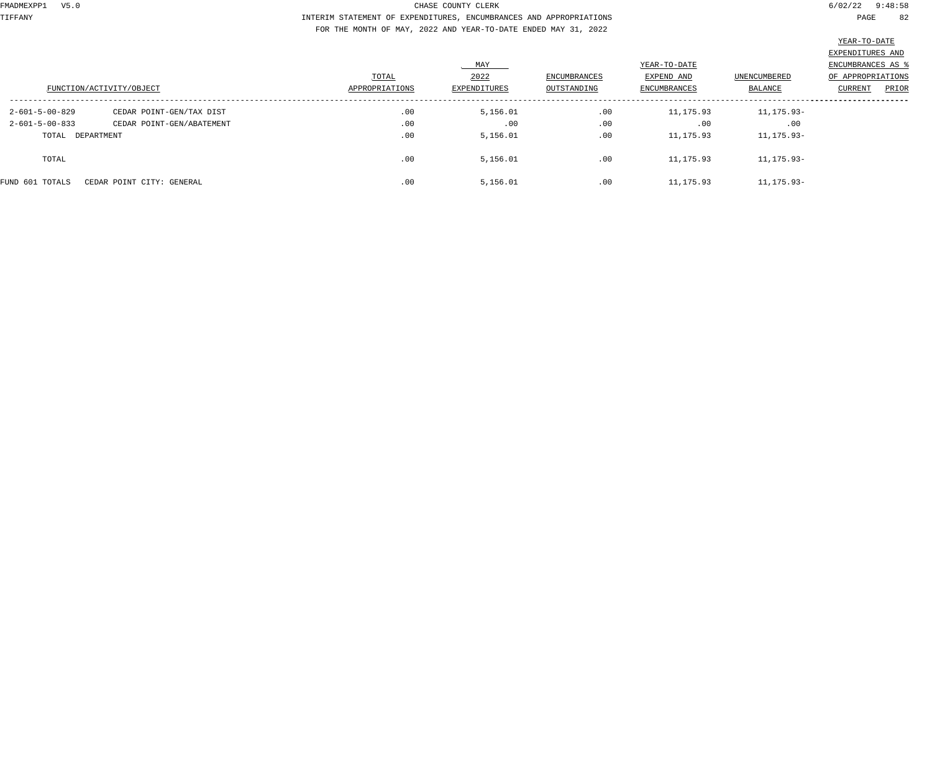TIFFANY INTERIM STATEMENT OF EXPENDITURES, ENCUMBRANCES AND APPROPRIATIONS PAGE 82 FOR THE MONTH OF MAY, 2022 AND YEAR-TO-DATE ENDED MAY 31, 2022

|                          |                           |                |              |                     |              |                     | EXPENDITURES AND  |
|--------------------------|---------------------------|----------------|--------------|---------------------|--------------|---------------------|-------------------|
|                          |                           |                | MAY          |                     | YEAR-TO-DATE |                     | ENCUMBRANCES AS   |
|                          |                           | TOTAL          | 2022         | <b>ENCUMBRANCES</b> | EXPEND AND   | <b>UNENCUMBERED</b> | OF APPROPRIATIONS |
|                          | FUNCTION/ACTIVITY/OBJECT  | APPROPRIATIONS | EXPENDITURES | OUTSTANDING         | ENCUMBRANCES | BALANCE             | PRIOR<br>CURRENT  |
| 2-601-5-00-829           | CEDAR POINT-GEN/TAX DIST  | .00            | 5,156.01     | .00                 | 11,175.93    | 11,175.93-          |                   |
| $2 - 601 - 5 - 00 - 833$ | CEDAR POINT-GEN/ABATEMENT | .00            | .00          | .00                 | .00          | .00                 |                   |
| TOTAL DEPARTMENT         |                           | .00            | 5,156.01     | .00                 | 11,175.93    | 11,175.93-          |                   |
| TOTAL                    |                           | .00            | 5,156.01     | .00                 | 11,175.93    | 11, 175.93-         |                   |
| FUND 601 TOTALS          | CEDAR POINT CITY: GENERAL | .00            | 5,156.01     | .00                 | 11,175.93    | 11, 175.93-         |                   |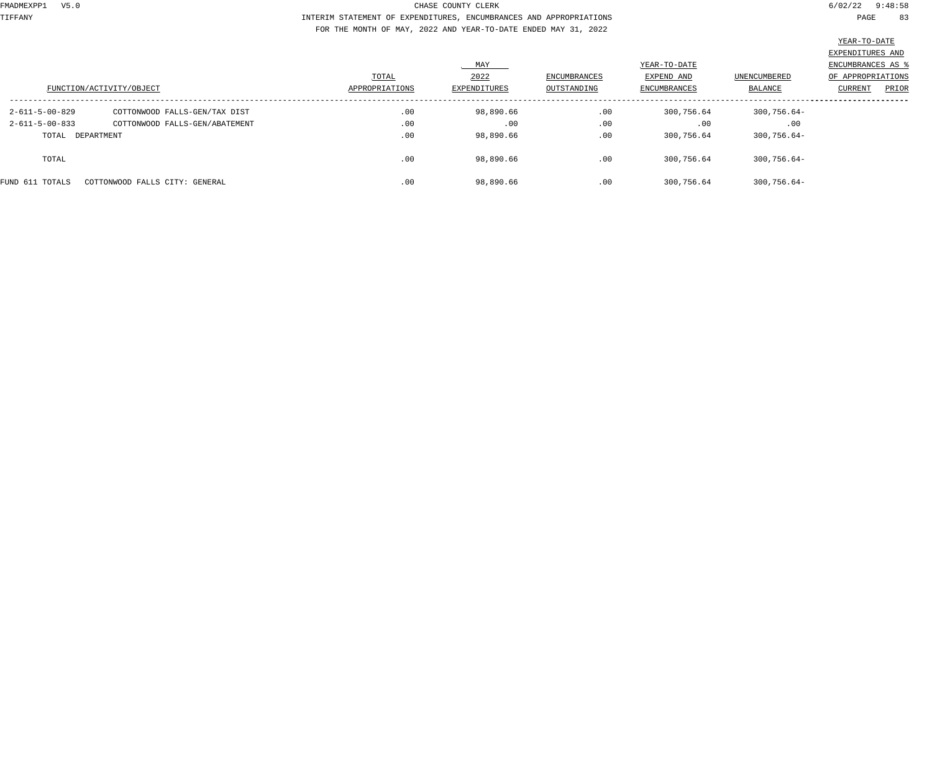TIFFANY INTERIM STATEMENT OF EXPENDITURES, ENCUMBRANCES AND APPROPRIATIONS PAGE 83 FOR THE MONTH OF MAY, 2022 AND YEAR-TO-DATE ENDED MAY 31, 2022

|                          |                                |                |                     |                     |                            |                     | EXPENDITURES AND                       |
|--------------------------|--------------------------------|----------------|---------------------|---------------------|----------------------------|---------------------|----------------------------------------|
|                          |                                | TOTAL          | MAY<br>2022         | <b>ENCUMBRANCES</b> | YEAR-TO-DATE<br>EXPEND AND | <b>UNENCUMBERED</b> | ENCUMBRANCES AS 9<br>OF APPROPRIATIONS |
|                          | FUNCTION/ACTIVITY/OBJECT       | APPROPRIATIONS | <b>EXPENDITURES</b> | OUTSTANDING         | <b>ENCUMBRANCES</b>        | BALANCE             | PRIOR<br>CURRENT                       |
| 2-611-5-00-829           | COTTONWOOD FALLS-GEN/TAX DIST  | .00            | 98,890.66           | .00                 | 300,756.64                 | $300,756.64-$       |                                        |
| $2 - 611 - 5 - 00 - 833$ | COTTONWOOD FALLS-GEN/ABATEMENT | .00            | .00                 | .00                 | .00                        | .00                 |                                        |
| TOTAL DEPARTMENT         |                                | .00            | 98,890.66           | .00                 | 300,756.64                 | $300, 756.64 -$     |                                        |
| TOTAL                    |                                | .00            | 98,890.66           | .00                 | 300,756.64                 | $300,756.64-$       |                                        |
| FUND 611 TOTALS          | COTTONWOOD FALLS CITY: GENERAL | .00            | 98,890.66           | .00                 | 300,756.64                 | $300, 756.64 -$     |                                        |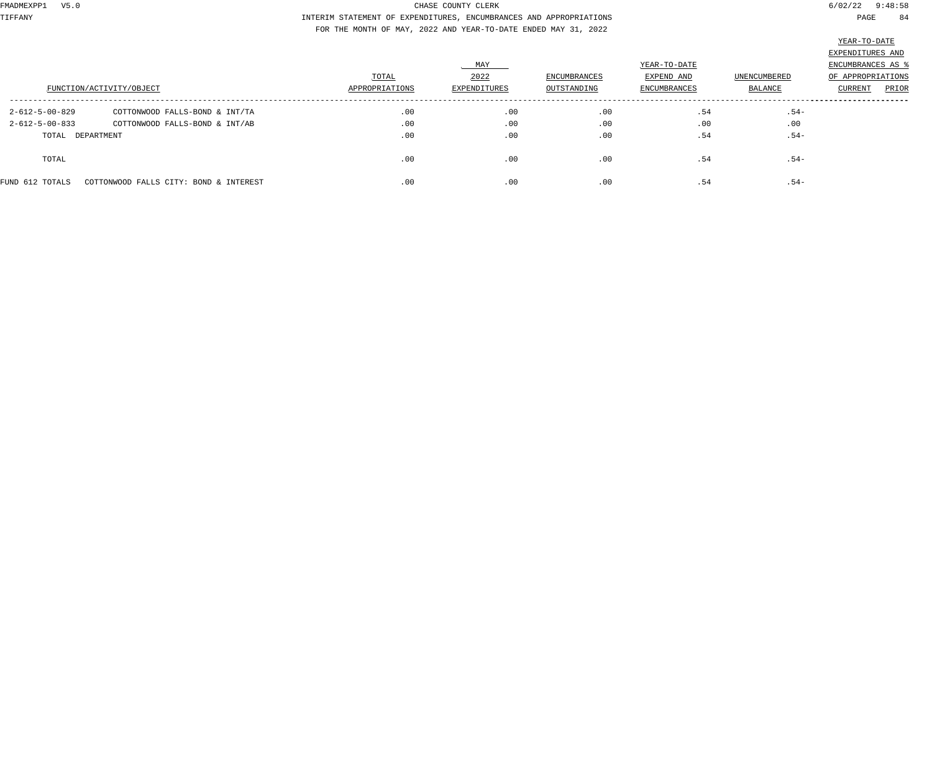TIFFANY INTERIM STATEMENT OF EXPENDITURES, ENCUMBRANCES AND APPROPRIATIONS PAGE 84 FOR THE MONTH OF MAY, 2022 AND YEAR-TO-DATE ENDED MAY 31, 2022

|                          |                                        |                |              |              |                     |              | EXPENDITURES AND  |
|--------------------------|----------------------------------------|----------------|--------------|--------------|---------------------|--------------|-------------------|
|                          |                                        |                | MAY          |              | YEAR-TO-DATE        |              | ENCUMBRANCES AS   |
|                          |                                        | TOTAL          | 2022         | ENCUMBRANCES | EXPEND AND          | UNENCUMBERED | OF APPROPRIATIONS |
|                          | FUNCTION/ACTIVITY/OBJECT               | APPROPRIATIONS | EXPENDITURES | OUTSTANDING  | <b>ENCUMBRANCES</b> | BALANCE      | PRIOR<br>CURRENT  |
| $2 - 612 - 5 - 00 - 829$ | COTTONWOOD FALLS-BOND & INT/TA         | .00            | .00          | .00          | .54                 | $.54-$       |                   |
| $2 - 612 - 5 - 00 - 833$ | COTTONWOOD FALLS-BOND & INT/AB         | .00            | .00          | .00          | .00                 | .00          |                   |
| TOTAL DEPARTMENT         |                                        | .00            | .00          | .00          | .54                 | $.54-$       |                   |
| TOTAL                    |                                        | .00            | .00          | .00          | .54                 | $.54-$       |                   |
| FUND 612 TOTALS          | COTTONWOOD FALLS CITY: BOND & INTEREST | .00            | .00          | .00          | .54                 | $.54-$       |                   |
|                          |                                        |                |              |              |                     |              |                   |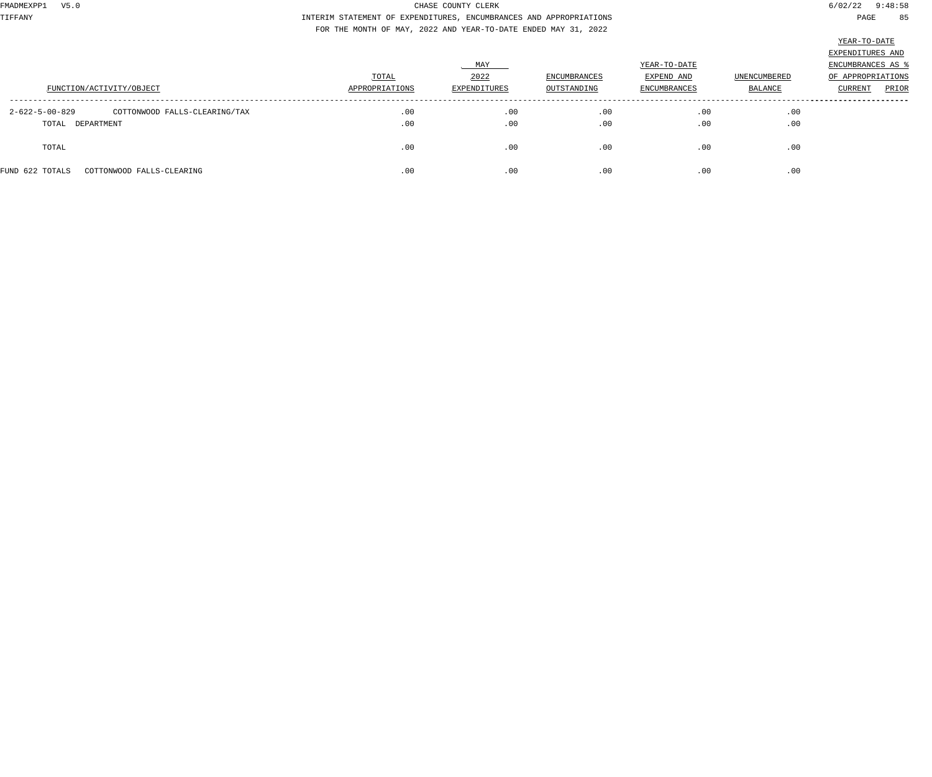TIFFANY INTERIM STATEMENT OF EXPENDITURES, ENCUMBRANCES AND APPROPRIATIONS PAGE 85 FOR THE MONTH OF MAY, 2022 AND YEAR-TO-DATE ENDED MAY 31, 2022

|                                                           | TOTAL          | MAY<br>2022  | <b>ENCUMBRANCES</b> | YEAR-TO-DATE<br>EXPEND AND | <b>UNENCUMBERED</b> | EXPENDITURES AND<br>ENCUMBRANCES AS<br>OF APPROPRIATIONS |
|-----------------------------------------------------------|----------------|--------------|---------------------|----------------------------|---------------------|----------------------------------------------------------|
| FUNCTION/ACTIVITY/OBJECT                                  | APPROPRIATIONS | EXPENDITURES | OUTSTANDING         | <b>ENCUMBRANCES</b>        | BALANCE             | <b>CURRENT</b><br>PRIOR                                  |
| $2 - 622 - 5 - 00 - 829$<br>COTTONWOOD FALLS-CLEARING/TAX | .00            | .00          | .00                 | .00                        | .00                 |                                                          |
| TOTAL DEPARTMENT                                          | .00            | .00          | .00                 | .00                        | .00                 |                                                          |
| TOTAL                                                     | .00            | .00          | .00                 | .00                        | .00                 |                                                          |
| FUND 622 TOTALS<br>COTTONWOOD FALLS-CLEARING              | .00            | .00          | .00                 | .00                        | .00                 |                                                          |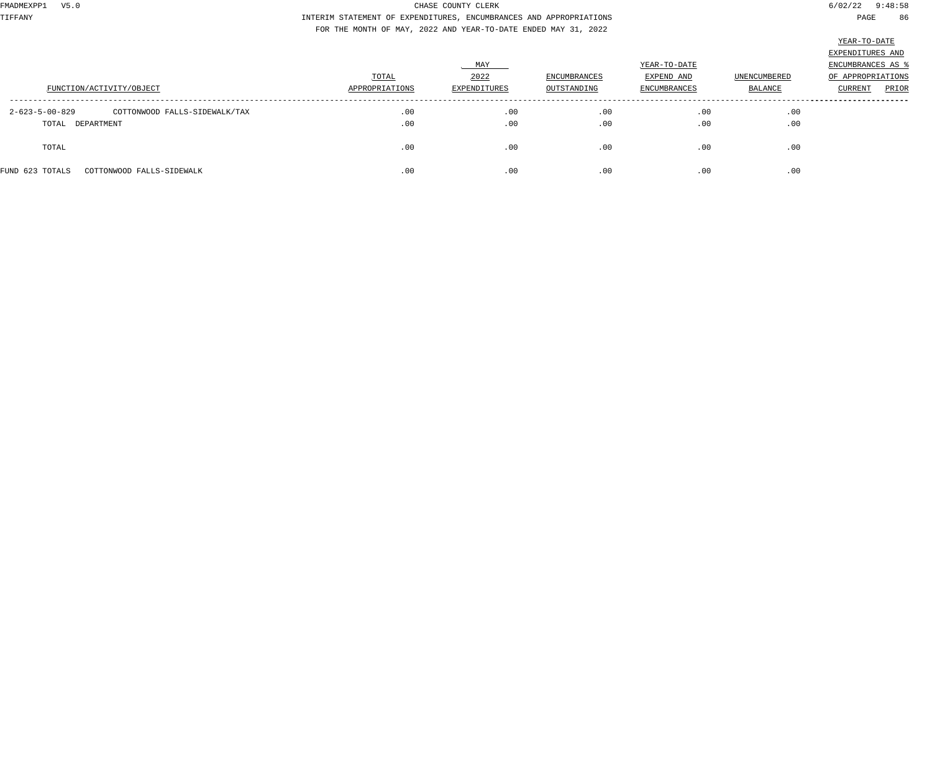TIFFANY INTERIM STATEMENT OF EXPENDITURES, ENCUMBRANCES AND APPROPRIATIONS PAGE 86 FOR THE MONTH OF MAY, 2022 AND YEAR-TO-DATE ENDED MAY 31, 2022

|                                                           | TOTAL          | MAY<br>2022  | <b>ENCUMBRANCES</b> | YEAR-TO-DATE<br>EXPEND AND | <b>UNENCUMBERED</b> | EXPENDITURES AND<br>ENCUMBRANCES AS<br>OF APPROPRIATIONS |
|-----------------------------------------------------------|----------------|--------------|---------------------|----------------------------|---------------------|----------------------------------------------------------|
| FUNCTION/ACTIVITY/OBJECT                                  | APPROPRIATIONS | EXPENDITURES | OUTSTANDING         | <b>ENCUMBRANCES</b>        | BALANCE             | <b>CURRENT</b><br>PRIOR                                  |
| $2 - 623 - 5 - 00 - 829$<br>COTTONWOOD FALLS-SIDEWALK/TAX | .00            | .00          | .00                 | .00                        | .00                 |                                                          |
| TOTAL DEPARTMENT                                          | .00            | .00          | .00                 | .00                        | .00                 |                                                          |
| TOTAL                                                     | .00            | .00          | .00                 | .00                        | .00                 |                                                          |
| FUND 623 TOTALS<br>COTTONWOOD FALLS-SIDEWALK              | .00            | .00          | .00                 | .00                        | .00                 |                                                          |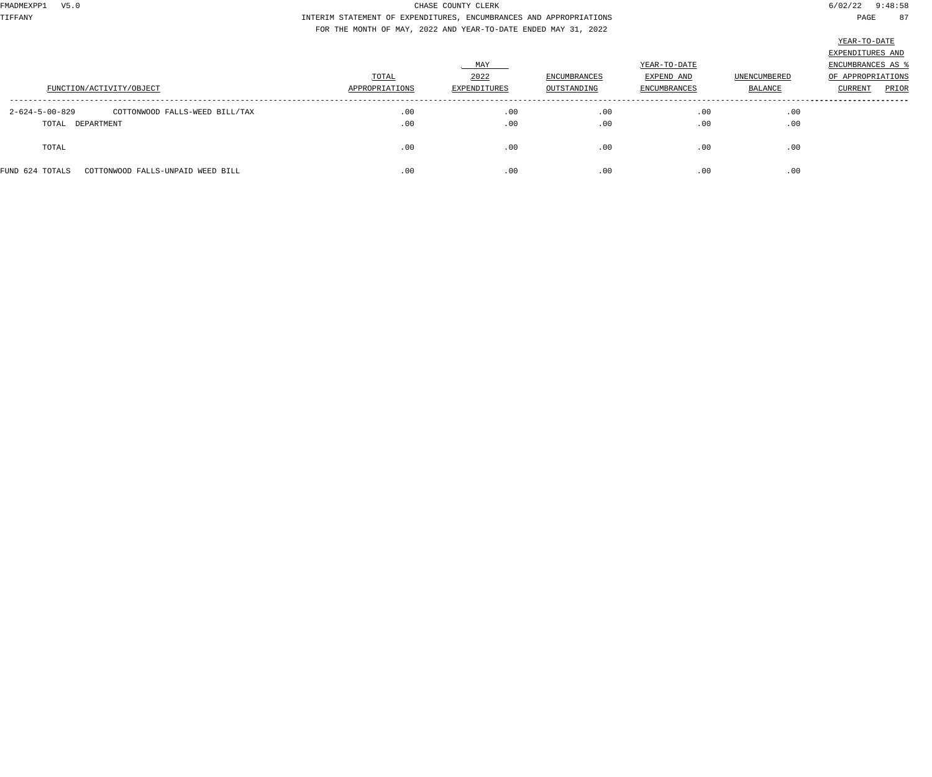TIFFANY INTERIM STATEMENT OF EXPENDITURES, ENCUMBRANCES AND APPROPRIATIONS PAGE 87 FOR THE MONTH OF MAY, 2022 AND YEAR-TO-DATE ENDED MAY 31, 2022

| v<br>''' `<br>. .<br>Т<br>٠ |
|-----------------------------|
|-----------------------------|

| FUNCTION/ACTIVITY/OBJECT                                                       | TOTAL<br>APPROPRIATIONS | MAY<br>2022<br>EXPENDITURES | <b>ENCUMBRANCES</b><br>OUTSTANDING | YEAR-TO-DATE<br>EXPEND AND<br><b>ENCUMBRANCES</b> | <b>UNENCUMBERED</b><br>BALANCE | EXPENDITURES AND<br>ENCUMBRANCES AS<br>OF APPROPRIATIONS<br>PRIOR<br><b>CURRENT</b> |
|--------------------------------------------------------------------------------|-------------------------|-----------------------------|------------------------------------|---------------------------------------------------|--------------------------------|-------------------------------------------------------------------------------------|
| $2 - 624 - 5 - 00 - 829$<br>COTTONWOOD FALLS-WEED BILL/TAX<br>TOTAL DEPARTMENT | .00<br>.00              | .00<br>.00                  | .00<br>.00                         | .00<br>.00                                        | .00<br>.00                     |                                                                                     |
| TOTAL                                                                          | .00                     | .00                         | .00                                | .00                                               | .00                            |                                                                                     |
| FUND 624 TOTALS<br>COTTONWOOD FALLS-UNPAID WEED BILL                           | .00                     | .00                         | .00                                | .00                                               | .00                            |                                                                                     |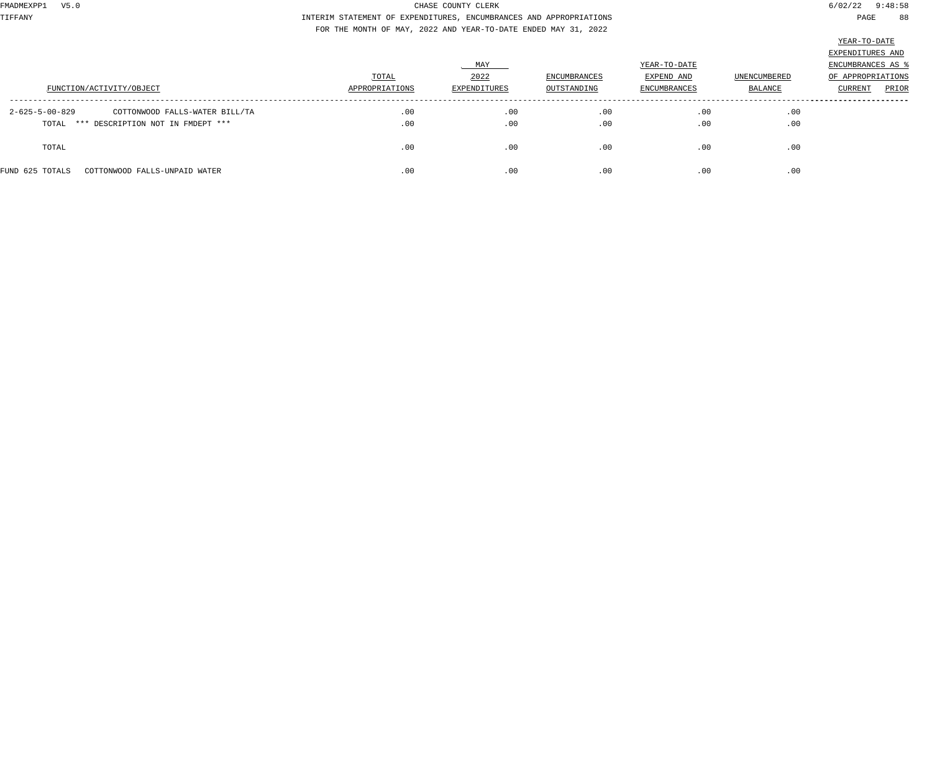TIFFANY INTERIM STATEMENT OF EXPENDITURES, ENCUMBRANCES AND APPROPRIATIONS PAGE 88 FOR THE MONTH OF MAY, 2022 AND YEAR-TO-DATE ENDED MAY 31, 2022

|                                                                              | TOTAL<br>APPROPRIATIONS | MAY<br>2022         | <b>ENCUMBRANCES</b> | YEAR-TO-DATE<br>EXPEND AND | <b>UNENCUMBERED</b> | EXPENDITURES AND<br>ENCUMBRANCES AS<br>OF APPROPRIATIONS |
|------------------------------------------------------------------------------|-------------------------|---------------------|---------------------|----------------------------|---------------------|----------------------------------------------------------|
| FUNCTION/ACTIVITY/OBJECT<br>2-625-5-00-829<br>COTTONWOOD FALLS-WATER BILL/TA | .00                     | EXPENDITURES<br>.00 | OUTSTANDING<br>.00  | ENCUMBRANCES<br>.00        | BALANCE<br>.00      | PRIOR<br>CURRENT                                         |
| TOTAL *** DESCRIPTION NOT IN FMDEPT ***                                      | .00                     | .00                 | .00                 | .00                        | .00                 |                                                          |
| TOTAL                                                                        | .00                     | .00                 | .00                 | .00                        | .00                 |                                                          |
| FUND 625 TOTALS<br>COTTONWOOD FALLS-UNPAID WATER                             | .00                     | .00                 | .00                 | .00                        | .00                 |                                                          |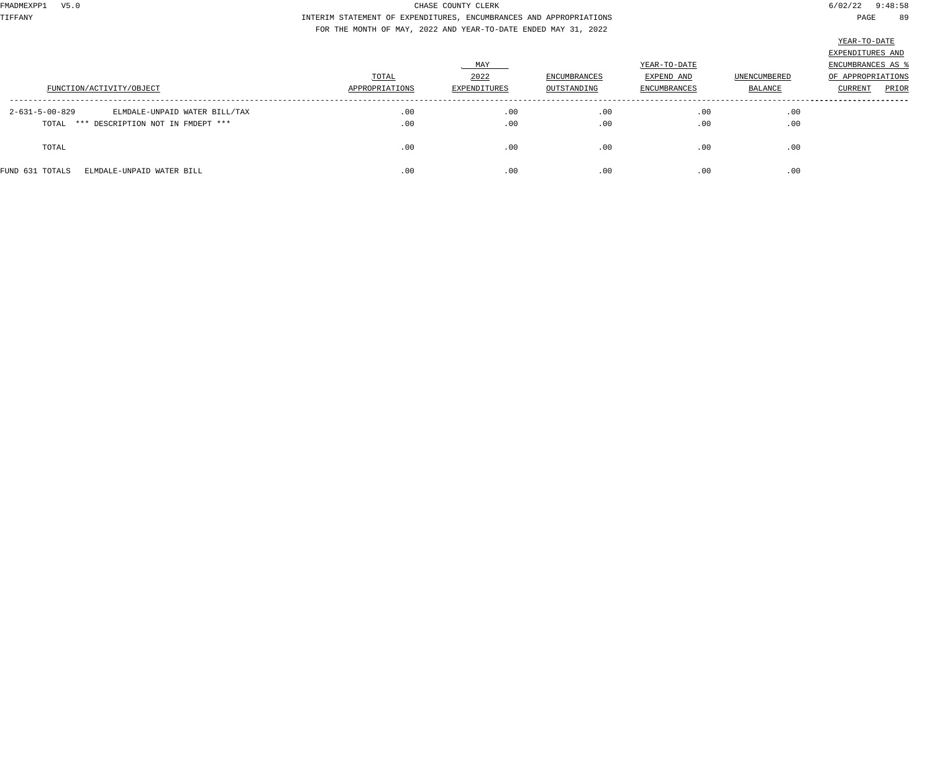TIFFANY INTERIM STATEMENT OF EXPENDITURES, ENCUMBRANCES AND APPROPRIATIONS PAGE 89 FOR THE MONTH OF MAY, 2022 AND YEAR-TO-DATE ENDED MAY 31, 2022

|                                                 |                |              |              |              |              | EXPENDITURES AND  |
|-------------------------------------------------|----------------|--------------|--------------|--------------|--------------|-------------------|
|                                                 |                | MAY          |              | YEAR-TO-DATE |              | ENCUMBRANCES AS   |
|                                                 | TOTAL          | 2022         | ENCUMBRANCES | EXPEND AND   | UNENCUMBERED | OF APPROPRIATIONS |
| FUNCTION/ACTIVITY/OBJECT                        | APPROPRIATIONS | EXPENDITURES | OUTSTANDING  | ENCUMBRANCES | BALANCE      | PRIOR<br>CURRENT  |
| 2-631-5-00-829<br>ELMDALE-UNPAID WATER BILL/TAX | .00            | .00          | .00          | .00          | .00          |                   |
| TOTAL *** DESCRIPTION NOT IN FMDEPT ***         | .00            | .00          | .00          | .00          | .00          |                   |
| TOTAL                                           | .00            | .00          | .00          | .00          | .00          |                   |
| FUND 631 TOTALS<br>ELMDALE-UNPAID WATER BILL    | .00            | .00          | .00          | .00          | .00          |                   |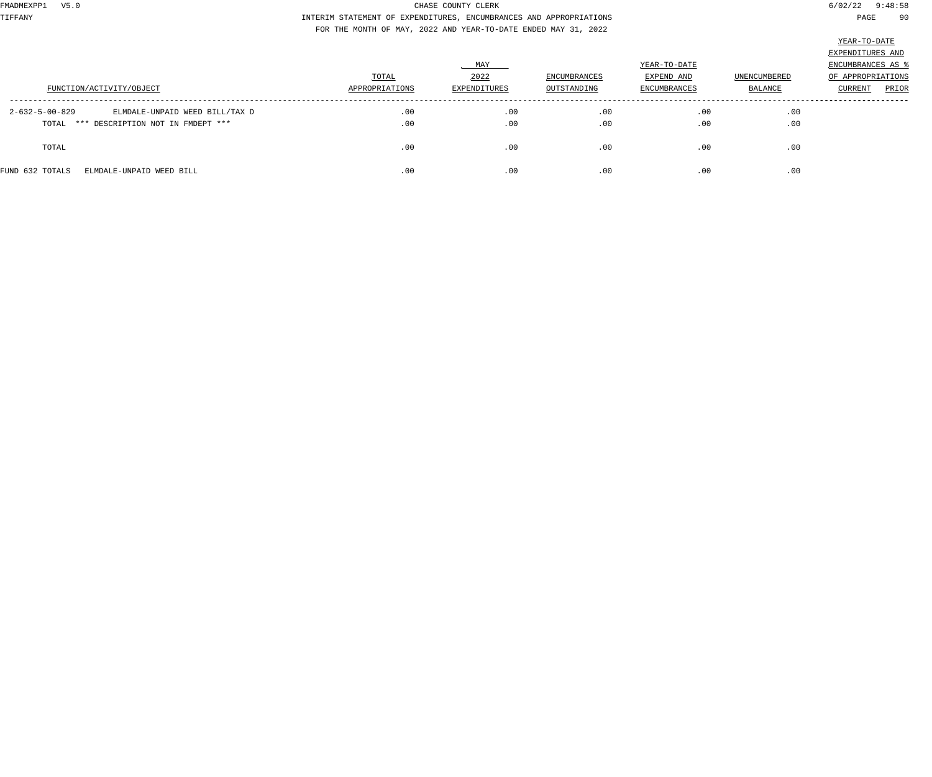TIFFANY INTERIM STATEMENT OF EXPENDITURES, ENCUMBRANCES AND APPROPRIATIONS PAGE 90 FOR THE MONTH OF MAY, 2022 AND YEAR-TO-DATE ENDED MAY 31, 2022

|                                                            |                |              |                     |              |                     | EXPENDITURES AND  |
|------------------------------------------------------------|----------------|--------------|---------------------|--------------|---------------------|-------------------|
|                                                            |                | . MAY        |                     | YEAR-TO-DATE |                     | ENCUMBRANCES AS   |
|                                                            | TOTAL          | 2022         | <b>ENCUMBRANCES</b> | EXPEND AND   | <b>UNENCUMBERED</b> | OF APPROPRIATIONS |
| FUNCTION/ACTIVITY/OBJECT                                   | APPROPRIATIONS | EXPENDITURES | OUTSTANDING         | ENCUMBRANCES | BALANCE             | PRIOR<br>CURRENT  |
| $2 - 632 - 5 - 00 - 829$<br>ELMDALE-UNPAID WEED BILL/TAX D | .00            | .00          | .00                 | .00          | .00                 |                   |
| TOTAL *** DESCRIPTION NOT IN FMDEPT ***                    | .00            | .00          | .00                 | .00          | .00                 |                   |
| TOTAL                                                      | .00            | .00          | .00                 | .00          | .00                 |                   |
| FUND 632 TOTALS<br>ELMDALE-UNPAID WEED BILL                | .00            | .00          | .00                 | .00          | .00                 |                   |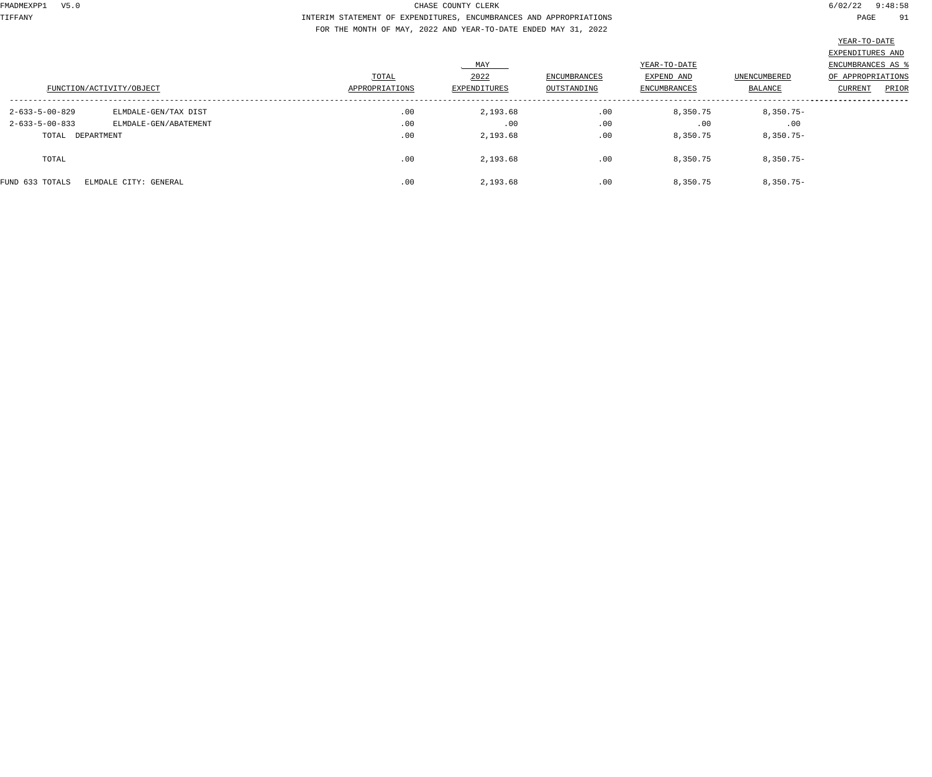TIFFANY INTERIM STATEMENT OF EXPENDITURES, ENCUMBRANCES AND APPROPRIATIONS PAGE 91 FOR THE MONTH OF MAY, 2022 AND YEAR-TO-DATE ENDED MAY 31, 2022

|                                          |                       |                |              |                     |              |                     | EXPENDITURES AND  |
|------------------------------------------|-----------------------|----------------|--------------|---------------------|--------------|---------------------|-------------------|
|                                          |                       |                | MAY          |                     | YEAR-TO-DATE |                     | ENCUMBRANCES AS   |
|                                          |                       | TOTAL          | 2022         | <b>ENCUMBRANCES</b> | EXPEND AND   | <b>UNENCUMBERED</b> | OF APPROPRIATIONS |
| FUNCTION/ACTIVITY/OBJECT                 |                       | APPROPRIATIONS | EXPENDITURES | OUTSTANDING         | ENCUMBRANCES | <b>BALANCE</b>      | PRIOR<br>CURRENT  |
| $2 - 633 - 5 - 00 - 829$                 | ELMDALE-GEN/TAX DIST  | .00            | 2,193.68     | .00                 | 8,350.75     | $8,350.75 -$        |                   |
| $2 - 633 - 5 - 00 - 833$                 | ELMDALE-GEN/ABATEMENT | .00            | .00          | .00                 | .00          | .00                 |                   |
| TOTAL DEPARTMENT                         |                       | .00            | 2,193.68     | .00                 | 8,350.75     | $8,350.75-$         |                   |
| TOTAL                                    |                       | .00            | 2,193.68     | .00                 | 8,350.75     | $8,350.75 -$        |                   |
| FUND 633 TOTALS<br>ELMDALE CITY: GENERAL |                       | .00            | 2,193.68     | .00                 | 8,350.75     | $8,350.75-$         |                   |
|                                          |                       |                |              |                     |              |                     |                   |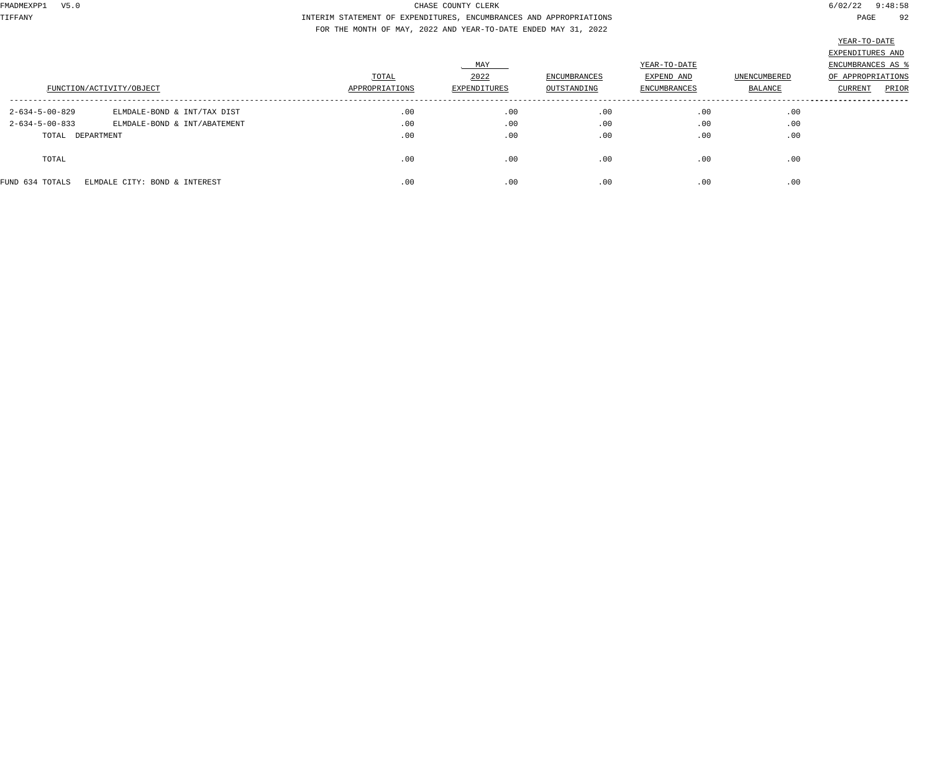TIFFANY INTERIM STATEMENT OF EXPENDITURES, ENCUMBRANCES AND APPROPRIATIONS PAGE 92 FOR THE MONTH OF MAY, 2022 AND YEAR-TO-DATE ENDED MAY 31, 2022

|                          |                               |                |              |              |              |              | $\frac{1}{2}$     |       |
|--------------------------|-------------------------------|----------------|--------------|--------------|--------------|--------------|-------------------|-------|
|                          |                               |                |              |              |              |              | EXPENDITURES AND  |       |
|                          |                               |                | MAY          |              | YEAR-TO-DATE |              | ENCUMBRANCES AS % |       |
|                          |                               | TOTAL          | 2022         | ENCUMBRANCES | EXPEND AND   | UNENCUMBERED | OF APPROPRIATIONS |       |
|                          | FUNCTION/ACTIVITY/OBJECT      | APPROPRIATIONS | EXPENDITURES | OUTSTANDING  | ENCUMBRANCES | BALANCE      | CURRENT           | PRIOR |
| $2 - 634 - 5 - 00 - 829$ | ELMDALE-BOND & INT/TAX DIST   | .00            | .00          | .00          | .00          | .00          |                   |       |
| $2 - 634 - 5 - 00 - 833$ | ELMDALE-BOND & INT/ABATEMENT  | .00            | .00          | .00          | .00          | .00          |                   |       |
| TOTAL DEPARTMENT         |                               | .00            | .00          | .00          | .00          | .00          |                   |       |
| TOTAL                    |                               | .00            | .00          | .00          | .00          | .00          |                   |       |
| FUND 634 TOTALS          | ELMDALE CITY: BOND & INTEREST | .00            | .00          | .00          | .00          | .00          |                   |       |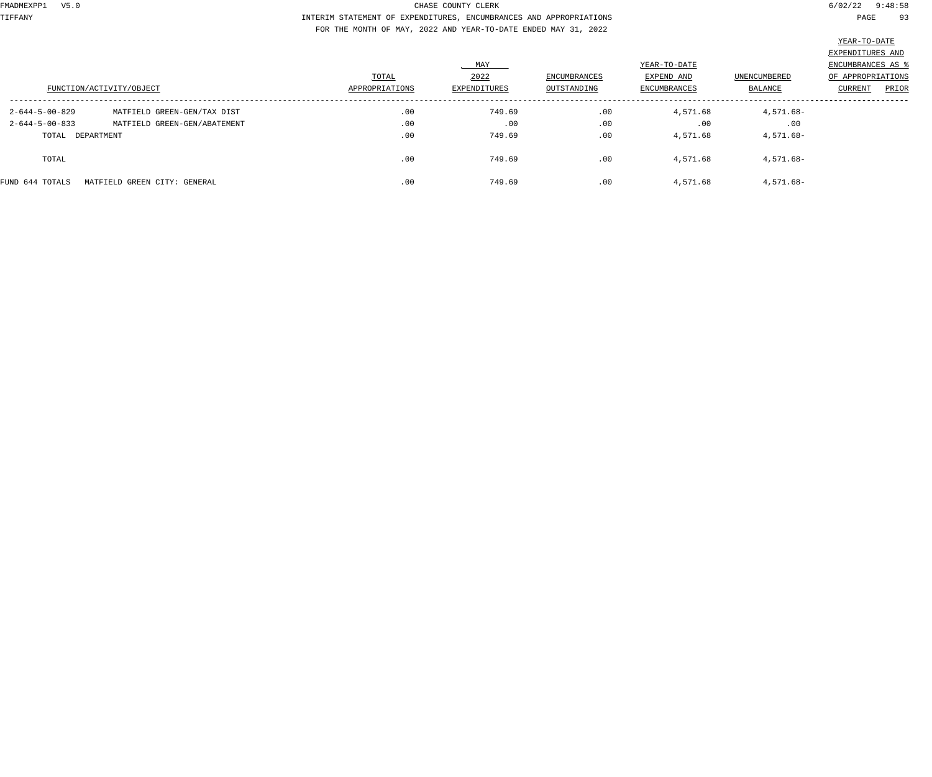TIFFANY INTERIM STATEMENT OF EXPENDITURES, ENCUMBRANCES AND APPROPRIATIONS PAGE 93 FOR THE MONTH OF MAY, 2022 AND YEAR-TO-DATE ENDED MAY 31, 2022

|                          |                              | TOTAL          | MAY<br>2022  | ENCUMBRANCES | YEAR-TO-DATE<br>EXPEND AND | UNENCUMBERED | EXPENDITURES AND<br>ENCUMBRANCES AS \$<br>OF APPROPRIATIONS |
|--------------------------|------------------------------|----------------|--------------|--------------|----------------------------|--------------|-------------------------------------------------------------|
| FUNCTION/ACTIVITY/OBJECT |                              | APPROPRIATIONS | EXPENDITURES | OUTSTANDING  | <b>ENCUMBRANCES</b>        | BALANCE      | CURRENT<br>PRIOR                                            |
| $2 - 644 - 5 - 00 - 829$ | MATFIELD GREEN-GEN/TAX DIST  | .00            | 749.69       | .00          | 4,571.68                   | 4,571.68-    |                                                             |
| $2 - 644 - 5 - 00 - 833$ | MATFIELD GREEN-GEN/ABATEMENT | .00            | .00          | .00          | .00                        | .00          |                                                             |
| TOTAL DEPARTMENT         |                              | .00            | 749.69       | .00          | 4,571.68                   | $4,571.68-$  |                                                             |
| TOTAL                    |                              | .00            | 749.69       | .00          | 4,571.68                   | 4,571.68-    |                                                             |
| FUND 644 TOTALS          | MATFIELD GREEN CITY: GENERAL | .00            | 749.69       | .00          | 4,571.68                   | 4,571.68-    |                                                             |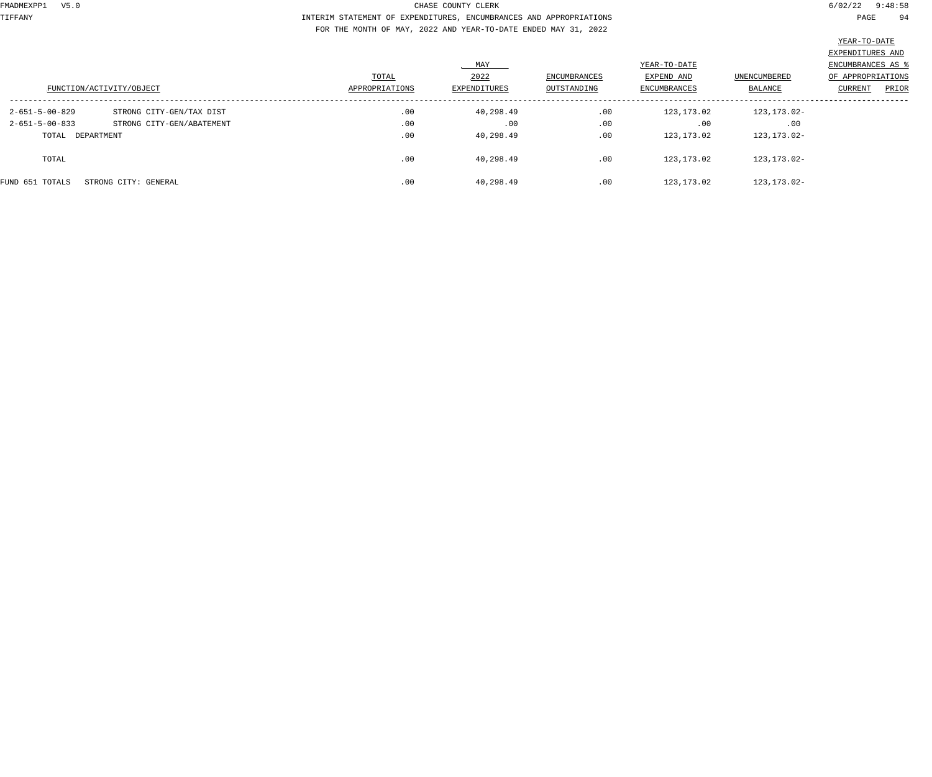TIFFANY INTERIM STATEMENT OF EXPENDITURES, ENCUMBRANCES AND APPROPRIATIONS PAGE 94 FOR THE MONTH OF MAY, 2022 AND YEAR-TO-DATE ENDED MAY 31, 2022

|                          |                           |                |              |                     |              |              | EXPENDITURES AND  |
|--------------------------|---------------------------|----------------|--------------|---------------------|--------------|--------------|-------------------|
|                          |                           |                | MAY          |                     | YEAR-TO-DATE |              | ENCUMBRANCES AS   |
|                          |                           | TOTAL          | 2022         | <b>ENCUMBRANCES</b> | EXPEND AND   | UNENCUMBERED | OF APPROPRIATIONS |
| FUNCTION/ACTIVITY/OBJECT |                           | APPROPRIATIONS | EXPENDITURES | OUTSTANDING         | ENCUMBRANCES | BALANCE      | PRIOR<br>CURRENT  |
| $2 - 651 - 5 - 00 - 829$ | STRONG CITY-GEN/TAX DIST  | .00            | 40,298.49    | .00                 | 123,173.02   | 123,173.02-  |                   |
| $2 - 651 - 5 - 00 - 833$ | STRONG CITY-GEN/ABATEMENT | .00            | .00          | .00                 | .00          | .00          |                   |
| TOTAL DEPARTMENT         |                           | .00            | 40,298.49    | .00                 | 123,173.02   | 123,173.02-  |                   |
| TOTAL                    |                           | .00            | 40,298.49    | .00                 | 123,173.02   | 123,173.02-  |                   |
| FUND 651 TOTALS          | STRONG CITY: GENERAL      | .00            | 40,298.49    | .00                 | 123,173.02   | 123,173.02-  |                   |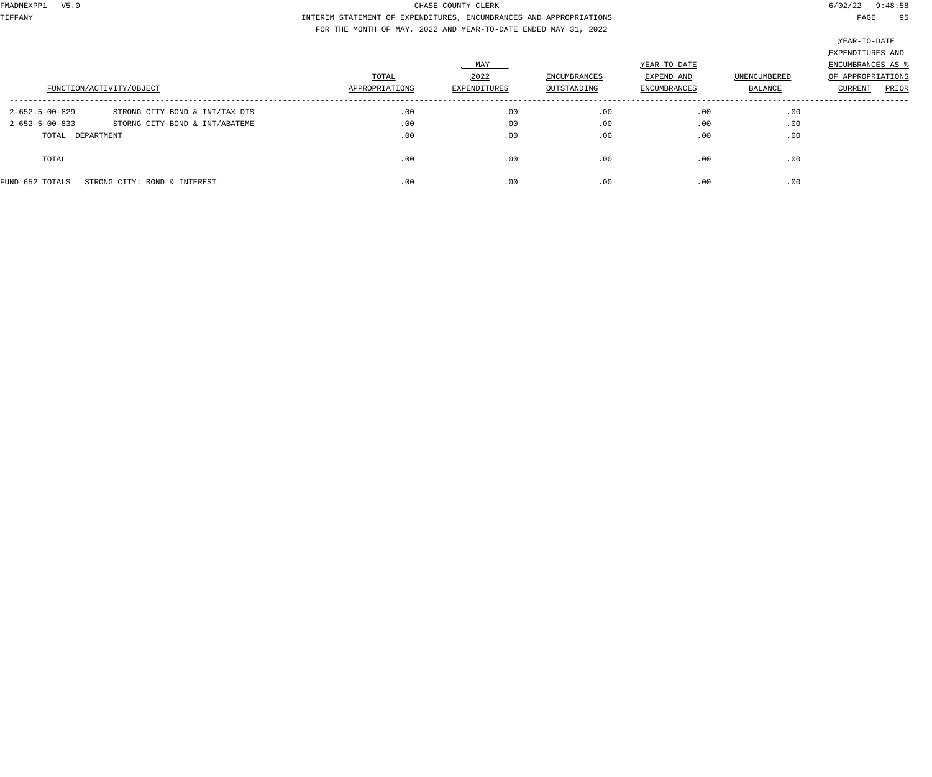TIFFANY INTERIM STATEMENT OF EXPENDITURES, ENCUMBRANCES AND APPROPRIATIONS PAGE 95 FOR THE MONTH OF MAY, 2022 AND YEAR-TO-DATE ENDED MAY 31, 2022

| FUNCTION/ACTIVITY/OBJECT |                                | TOTAL<br>APPROPRIATIONS | MAY<br>2022<br>EXPENDITURES | ENCUMBRANCES<br>OUTSTANDING | YEAR-TO-DATE<br>EXPEND AND<br><b>ENCUMBRANCES</b> | UNENCUMBERED<br><b>BALANCE</b> | EXPENDITURES AND<br>ENCUMBRANCES AS<br>OF APPROPRIATIONS<br>PRIOR<br>CURRENT |
|--------------------------|--------------------------------|-------------------------|-----------------------------|-----------------------------|---------------------------------------------------|--------------------------------|------------------------------------------------------------------------------|
| $2 - 652 - 5 - 00 - 829$ | STRONG CITY-BOND & INT/TAX DIS | .00                     | .00                         | .00                         | .00                                               | .00                            |                                                                              |
| $2 - 652 - 5 - 00 - 833$ | STORNG CITY-BOND & INT/ABATEME | .00                     | .00                         | .00                         | .00                                               | .00                            |                                                                              |
| TOTAL DEPARTMENT         |                                | .00                     | .00                         | .00                         | .00                                               | .00                            |                                                                              |
| TOTAL                    |                                | .00                     | .00                         | .00                         | .00                                               | .00                            |                                                                              |
| FUND 652 TOTALS          | STRONG CITY: BOND & INTEREST   | .00                     | .00                         | .00                         | .00                                               | .00                            |                                                                              |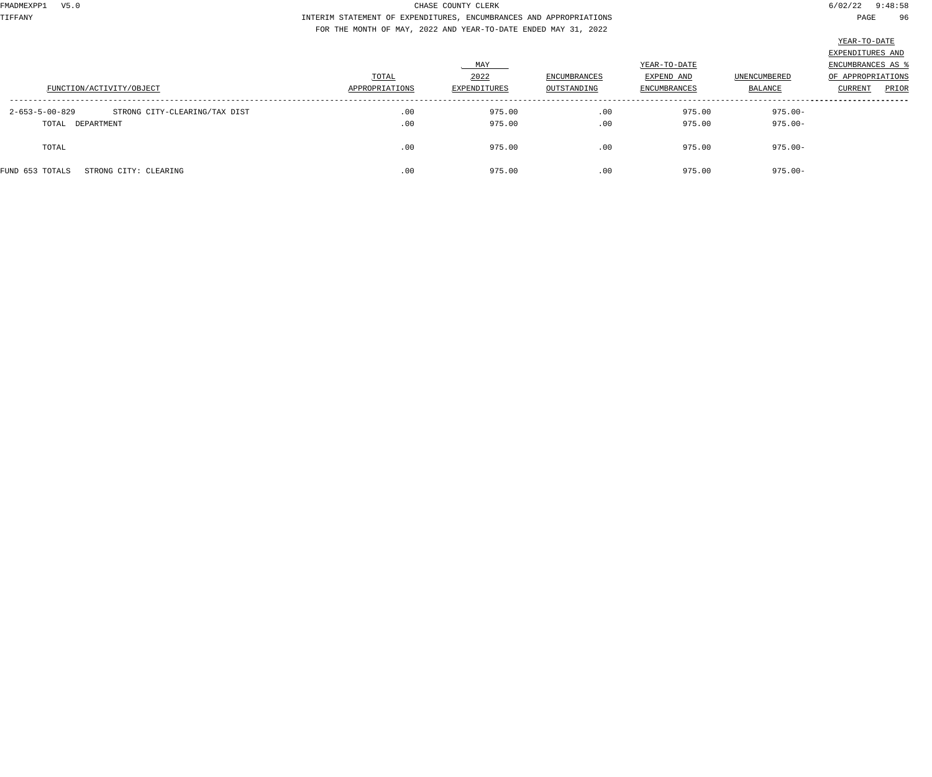TIFFANY INTERIM STATEMENT OF EXPENDITURES, ENCUMBRANCES AND APPROPRIATIONS PAGE 96 FOR THE MONTH OF MAY, 2022 AND YEAR-TO-DATE ENDED MAY 31, 2022

|                                                           |                |              |                     |                            |                     | EXPENDITURES AND                     |
|-----------------------------------------------------------|----------------|--------------|---------------------|----------------------------|---------------------|--------------------------------------|
|                                                           | TOTAL          | MAY<br>2022  | <b>ENCUMBRANCES</b> | YEAR-TO-DATE<br>EXPEND AND | <b>UNENCUMBERED</b> | ENCUMBRANCES AS<br>OF APPROPRIATIONS |
| FUNCTION/ACTIVITY/OBJECT                                  | APPROPRIATIONS | EXPENDITURES | OUTSTANDING         | <b>ENCUMBRANCES</b>        | BALANCE             | PRIOR<br><b>CURRENT</b>              |
| STRONG CITY-CLEARING/TAX DIST<br>$2 - 653 - 5 - 00 - 829$ | .00            | 975.00       | .00                 | 975.00                     | $975.00 -$          |                                      |
| TOTAL DEPARTMENT                                          | .00            | 975.00       | .00                 | 975.00                     | 975.00-             |                                      |
| TOTAL                                                     | .00            | 975.00       | .00                 | 975.00                     | 975.00-             |                                      |
| FUND 653 TOTALS<br>STRONG CITY: CLEARING                  | .00            | 975.00       | .00                 | 975.00                     | 975.00-             |                                      |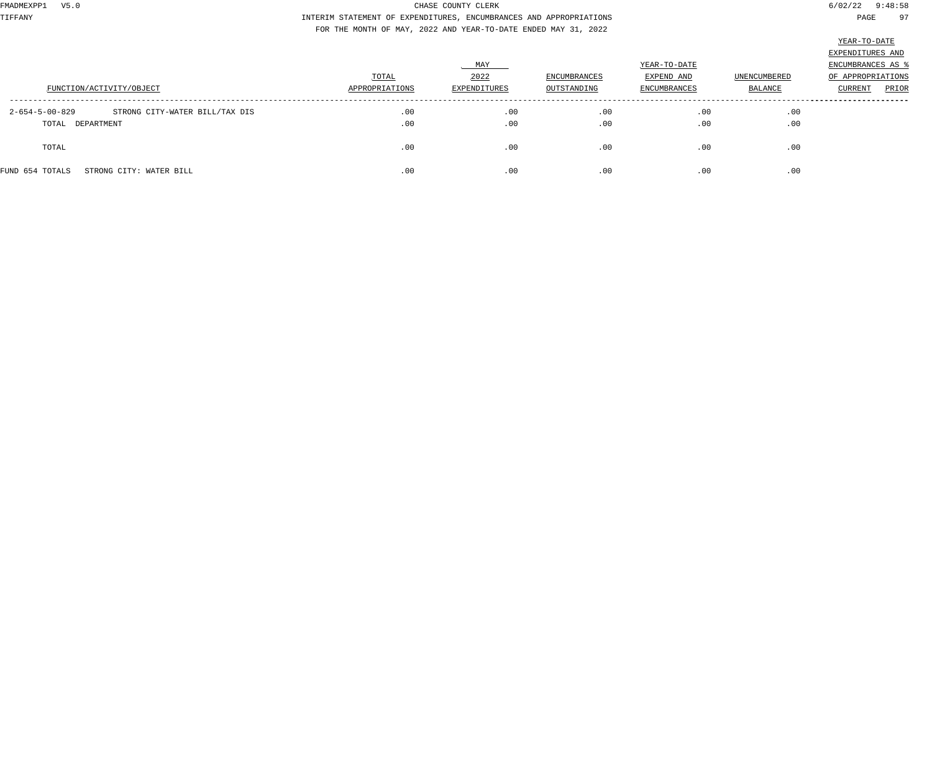TIFFANY INTERIM STATEMENT OF EXPENDITURES, ENCUMBRANCES AND APPROPRIATIONS PAGE 97 FOR THE MONTH OF MAY, 2022 AND YEAR-TO-DATE ENDED MAY 31, 2022

| FUNCTION/ACTIVITY/OBJECT                                             | TOTAL<br>APPROPRIATIONS | MAY<br>2022<br>EXPENDITURES | ENCUMBRANCES<br>OUTSTANDING | YEAR-TO-DATE<br>EXPEND AND<br><b>ENCUMBRANCES</b> | <b>UNENCUMBERED</b><br>BALANCE | EXPENDITURES AND<br>ENCUMBRANCES AS<br>OF APPROPRIATIONS<br>CURRENT<br>PRIOR |
|----------------------------------------------------------------------|-------------------------|-----------------------------|-----------------------------|---------------------------------------------------|--------------------------------|------------------------------------------------------------------------------|
| 2-654-5-00-829<br>STRONG CITY-WATER BILL/TAX DIS<br>TOTAL DEPARTMENT | .00<br>.00              | .00<br>.00                  | .00<br>.00                  | .00<br>.00                                        | .00<br>.00                     |                                                                              |
| TOTAL                                                                | .00                     | .00                         | .00                         | .00                                               | .00                            |                                                                              |
| FUND 654 TOTALS<br>STRONG CITY: WATER BILL                           | .00                     | .00                         | .00                         | .00                                               | .00                            |                                                                              |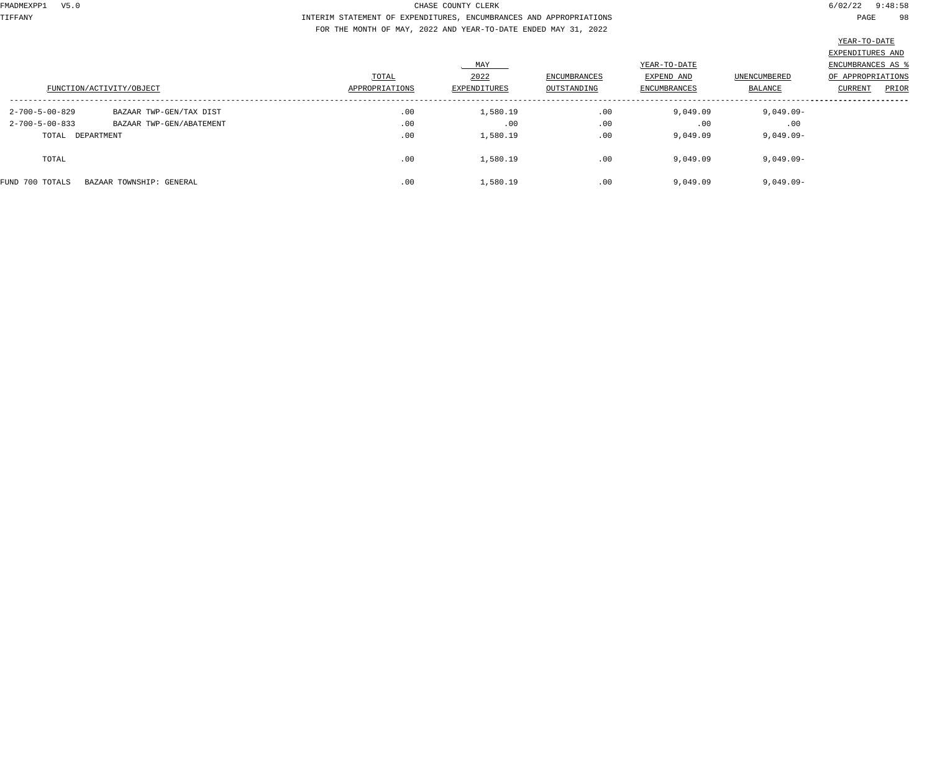TIFFANY INTERIM STATEMENT OF EXPENDITURES, ENCUMBRANCES AND APPROPRIATIONS PAGE 98 FOR THE MONTH OF MAY, 2022 AND YEAR-TO-DATE ENDED MAY 31, 2022

|                          |                          |                |              |                     |                     |              | EXPENDITURES AND         |
|--------------------------|--------------------------|----------------|--------------|---------------------|---------------------|--------------|--------------------------|
|                          |                          |                | MAY          |                     | YEAR-TO-DATE        |              | <b>ENCUMBRANCES AS 8</b> |
| FUNCTION/ACTIVITY/OBJECT |                          | TOTAL          | 2022         | <b>ENCUMBRANCES</b> | EXPEND AND          | UNENCUMBERED | OF APPROPRIATIONS        |
|                          |                          | APPROPRIATIONS | EXPENDITURES | OUTSTANDING         | <b>ENCUMBRANCES</b> | BALANCE      | CURRENT<br>PRIOR         |
| $2 - 700 - 5 - 00 - 829$ | BAZAAR TWP-GEN/TAX DIST  | .00            | 1,580.19     | .00                 | 9,049.09            | $9,049.09 -$ |                          |
| $2 - 700 - 5 - 00 - 833$ | BAZAAR TWP-GEN/ABATEMENT | .00            | .00          | .00                 | .00                 | .00          |                          |
| TOTAL DEPARTMENT         |                          | .00            | 1,580.19     | .00                 | 9,049.09            | 9,049.09-    |                          |
| TOTAL                    |                          | .00            | 1,580.19     | .00                 | 9,049.09            | $9,049.09-$  |                          |
| FUND 700 TOTALS          | BAZAAR TOWNSHIP: GENERAL | .00            | 1,580.19     | .00                 | 9,049.09            | $9,049.09 -$ |                          |
|                          |                          |                |              |                     |                     |              |                          |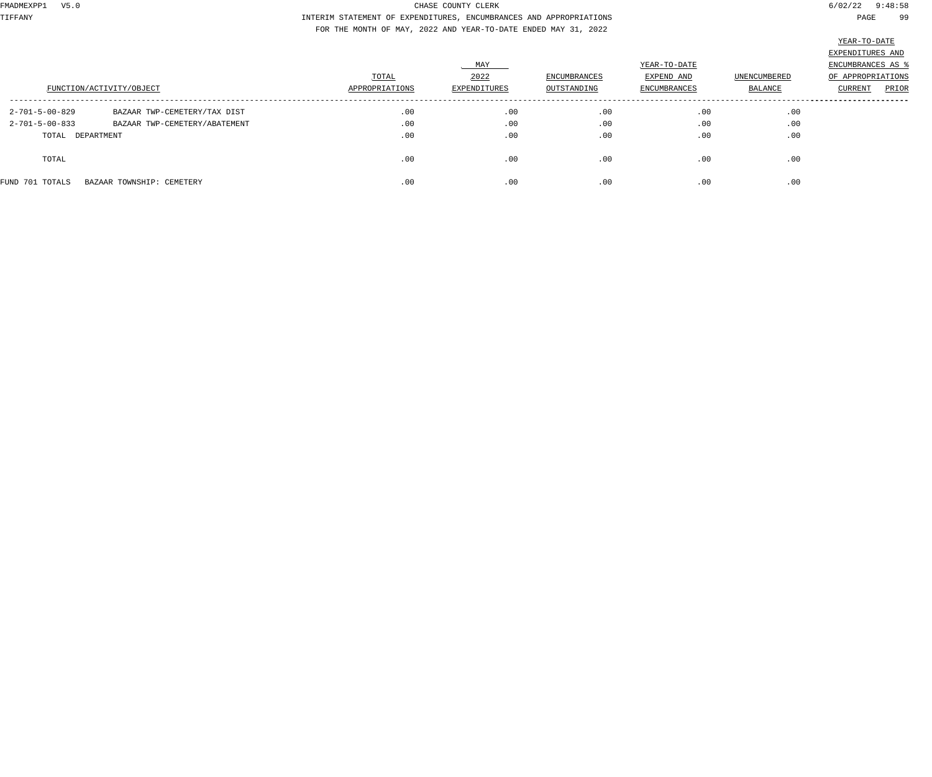TIFFANY INTERIM STATEMENT OF EXPENDITURES, ENCUMBRANCES AND APPROPRIATIONS PAGE 99 FOR THE MONTH OF MAY, 2022 AND YEAR-TO-DATE ENDED MAY 31, 2022

|                          |                               | TOTAL          | MAY<br>2022  | ENCUMBRANCES | YEAR-TO-DATE<br>EXPEND AND | UNENCUMBERED | EXPENDITURES AND<br>ENCUMBRANCES AS '<br>OF APPROPRIATIONS |
|--------------------------|-------------------------------|----------------|--------------|--------------|----------------------------|--------------|------------------------------------------------------------|
| FUNCTION/ACTIVITY/OBJECT |                               | APPROPRIATIONS | EXPENDITURES | OUTSTANDING  | ENCUMBRANCES               | BALANCE      | PRIOR<br>CURRENT                                           |
| 2-701-5-00-829           | BAZAAR TWP-CEMETERY/TAX DIST  | .00            | .00          | .00          | .00                        | .00          |                                                            |
| $2 - 701 - 5 - 00 - 833$ | BAZAAR TWP-CEMETERY/ABATEMENT | .00            | .00          | .00          | .00                        | .00          |                                                            |
| TOTAL DEPARTMENT         |                               | .00            | .00          | .00          | .00                        | .00          |                                                            |
| TOTAL                    |                               | .00            | .00          | .00          | .00                        | .00          |                                                            |
| FUND 701 TOTALS          | BAZAAR TOWNSHIP: CEMETERY     | .00            | .00          | .00          | .00                        | .00          |                                                            |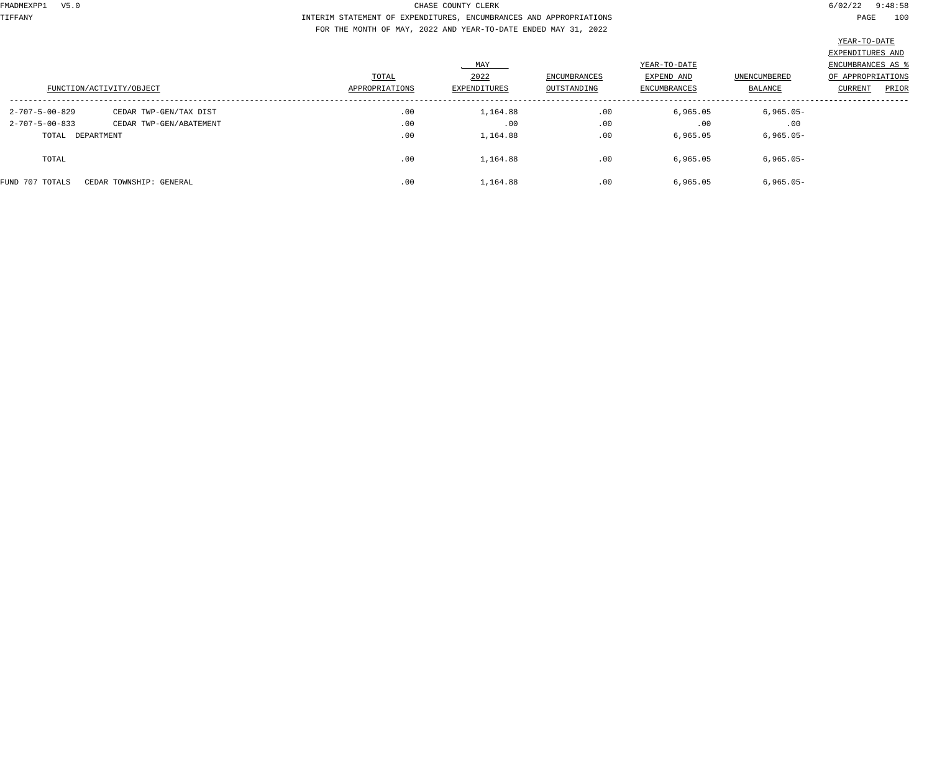TIFFANY INTERIM STATEMENT OF EXPENDITURES, ENCUMBRANCES AND APPROPRIATIONS PAGE 100 FOR THE MONTH OF MAY, 2022 AND YEAR-TO-DATE ENDED MAY 31, 2022

|                          |                         |                |              |                     |              |              | the control of the control of the control of the control of the control of the control of the control of the control of the control of the control of the control of the control of the control of the control of the control |
|--------------------------|-------------------------|----------------|--------------|---------------------|--------------|--------------|-------------------------------------------------------------------------------------------------------------------------------------------------------------------------------------------------------------------------------|
|                          |                         |                |              |                     |              |              | EXPENDITURES AND                                                                                                                                                                                                              |
|                          |                         |                | MAY          |                     | YEAR-TO-DATE |              | <b>ENCUMBRANCES AS %</b>                                                                                                                                                                                                      |
| FUNCTION/ACTIVITY/OBJECT |                         | TOTAL          | 2022         | <b>ENCUMBRANCES</b> | EXPEND AND   | UNENCUMBERED | OF APPROPRIATIONS                                                                                                                                                                                                             |
|                          |                         | APPROPRIATIONS | EXPENDITURES | OUTSTANDING         | ENCUMBRANCES | BALANCE      | CURRENT<br>PRIOR                                                                                                                                                                                                              |
| $2 - 707 - 5 - 00 - 829$ | CEDAR TWP-GEN/TAX DIST  | .00            | 1,164.88     | .00                 | 6,965.05     | $6,965.05 -$ |                                                                                                                                                                                                                               |
| $2 - 707 - 5 - 00 - 833$ | CEDAR TWP-GEN/ABATEMENT | .00            | .00          | .00                 | .00          | .00          |                                                                                                                                                                                                                               |
| TOTAL DEPARTMENT         |                         | .00            | 1,164.88     | .00                 | 6,965.05     | $6,965.05 -$ |                                                                                                                                                                                                                               |
| TOTAL                    |                         | .00            | 1,164.88     | .00                 | 6,965.05     | $6,965.05 -$ |                                                                                                                                                                                                                               |
| FUND 707 TOTALS          | CEDAR TOWNSHIP: GENERAL | .00            | 1,164.88     | .00                 | 6,965.05     | $6,965.05 -$ |                                                                                                                                                                                                                               |
|                          |                         |                |              |                     |              |              |                                                                                                                                                                                                                               |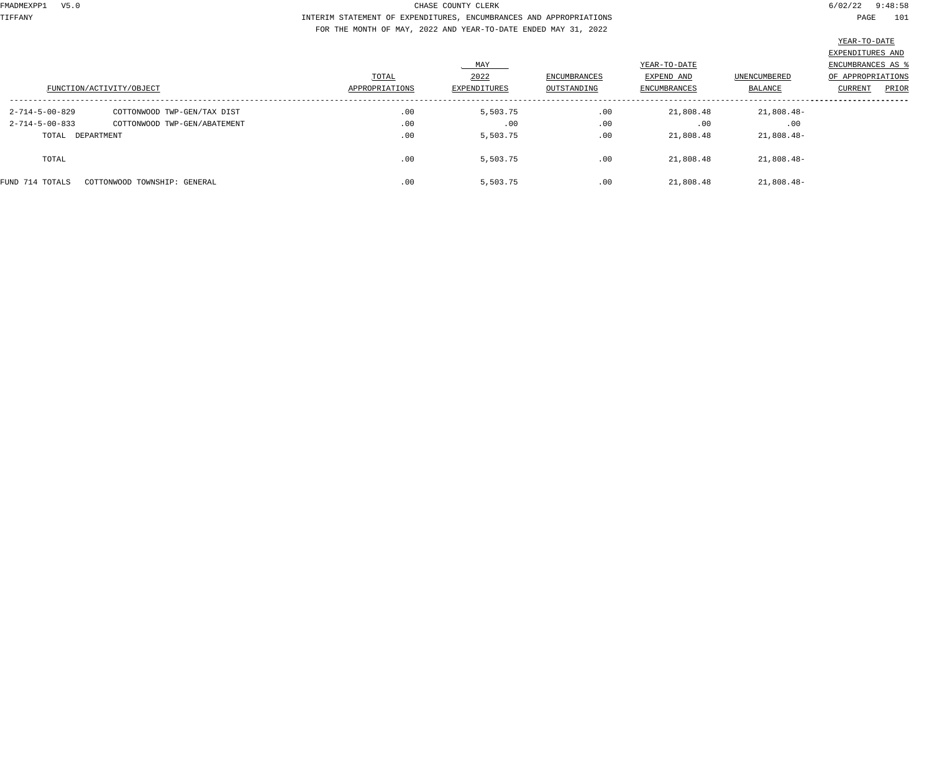TIFFANY INTERIM STATEMENT OF EXPENDITURES, ENCUMBRANCES AND APPROPRIATIONS PAGE 101 FOR THE MONTH OF MAY, 2022 AND YEAR-TO-DATE ENDED MAY 31, 2022

| FUNCTION/ACTIVITY/OBJECT |                              | TOTAL<br>APPROPRIATIONS | MAY<br>2022<br>EXPENDITURES | <b>ENCUMBRANCES</b><br>OUTSTANDING | YEAR-TO-DATE<br>EXPEND AND<br>ENCUMBRANCES | UNENCUMBERED<br>BALANCE | EXPENDITURES AND<br>ENCUMBRANCES AS '<br>OF APPROPRIATIONS<br>PRIOR<br><b>CURRENT</b> |
|--------------------------|------------------------------|-------------------------|-----------------------------|------------------------------------|--------------------------------------------|-------------------------|---------------------------------------------------------------------------------------|
|                          |                              |                         |                             |                                    |                                            |                         |                                                                                       |
| $2 - 714 - 5 - 00 - 829$ | COTTONWOOD TWP-GEN/TAX DIST  | .00                     | 5,503.75                    | .00                                | 21,808.48                                  | 21,808.48-              |                                                                                       |
| $2 - 714 - 5 - 00 - 833$ | COTTONWOOD TWP-GEN/ABATEMENT | .00                     | .00                         | .00                                | .00                                        | .00                     |                                                                                       |
| TOTAL DEPARTMENT         |                              | .00                     | 5,503.75                    | .00                                | 21,808.48                                  | 21,808.48-              |                                                                                       |
| TOTAL                    |                              | .00                     | 5,503.75                    | .00                                | 21,808.48                                  | 21,808.48-              |                                                                                       |
| FUND 714 TOTALS          | COTTONWOOD TOWNSHIP: GENERAL | .00                     | 5,503.75                    | .00                                | 21,808.48                                  | 21,808.48-              |                                                                                       |
|                          |                              |                         |                             |                                    |                                            |                         |                                                                                       |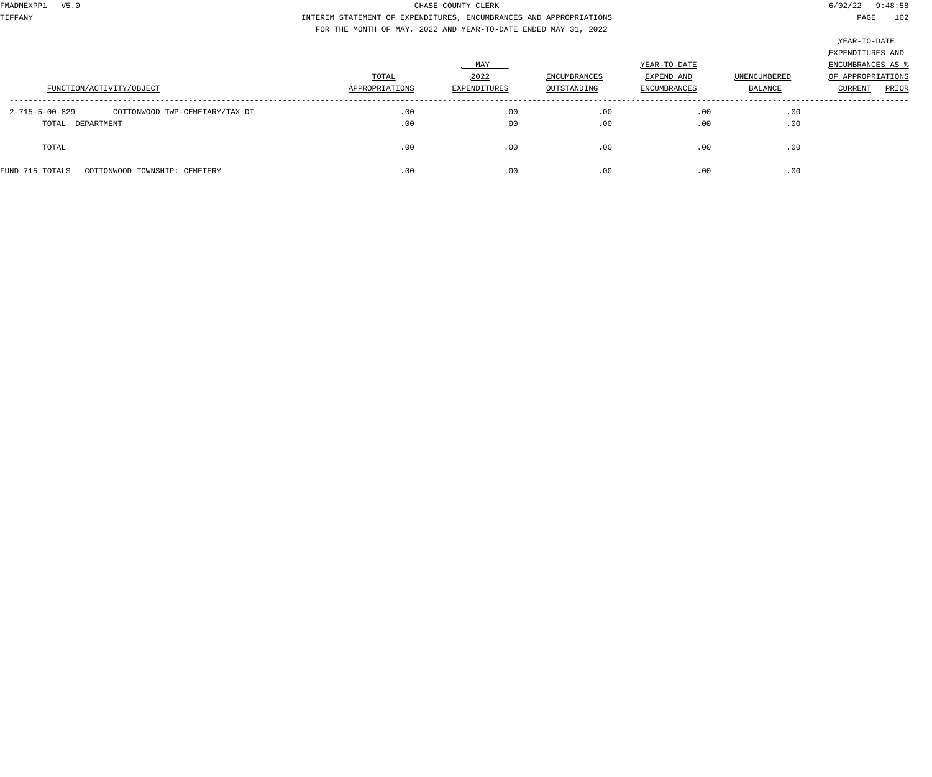TIFFANY INTERIM STATEMENT OF EXPENDITURES, ENCUMBRANCES AND APPROPRIATIONS PAGE 102 FOR THE MONTH OF MAY, 2022 AND YEAR-TO-DATE ENDED MAY 31, 2022

| Л<br>٠<br>٠<br>. . |
|--------------------|
|--------------------|

|                                                  |                |              |                     |                     |              | EXPENDITURES AND        |
|--------------------------------------------------|----------------|--------------|---------------------|---------------------|--------------|-------------------------|
|                                                  |                | MAY          |                     | YEAR-TO-DATE        |              | ENCUMBRANCES AS 9       |
|                                                  | TOTAL          | 2022         | <b>ENCUMBRANCES</b> | EXPEND AND          | UNENCUMBERED | OF APPROPRIATIONS       |
| FUNCTION/ACTIVITY/OBJECT                         | APPROPRIATIONS | EXPENDITURES | OUTSTANDING         | <b>ENCUMBRANCES</b> | BALANCE      | <b>CURRENT</b><br>PRIOR |
|                                                  |                |              |                     |                     |              |                         |
| 2-715-5-00-829<br>COTTONWOOD TWP-CEMETARY/TAX DI | .00            | .00          | .00                 | .00                 | .00          |                         |
| TOTAL DEPARTMENT                                 | .00            | .00          | .00                 | .00                 | .00          |                         |
|                                                  |                |              |                     |                     |              |                         |
| TOTAL                                            | .00            | .00          | .00                 | .00                 | .00          |                         |
|                                                  |                |              |                     |                     |              |                         |
| FUND 715 TOTALS<br>COTTONWOOD TOWNSHIP: CEMETERY | .00            | .00          | .00                 | .00                 | .00          |                         |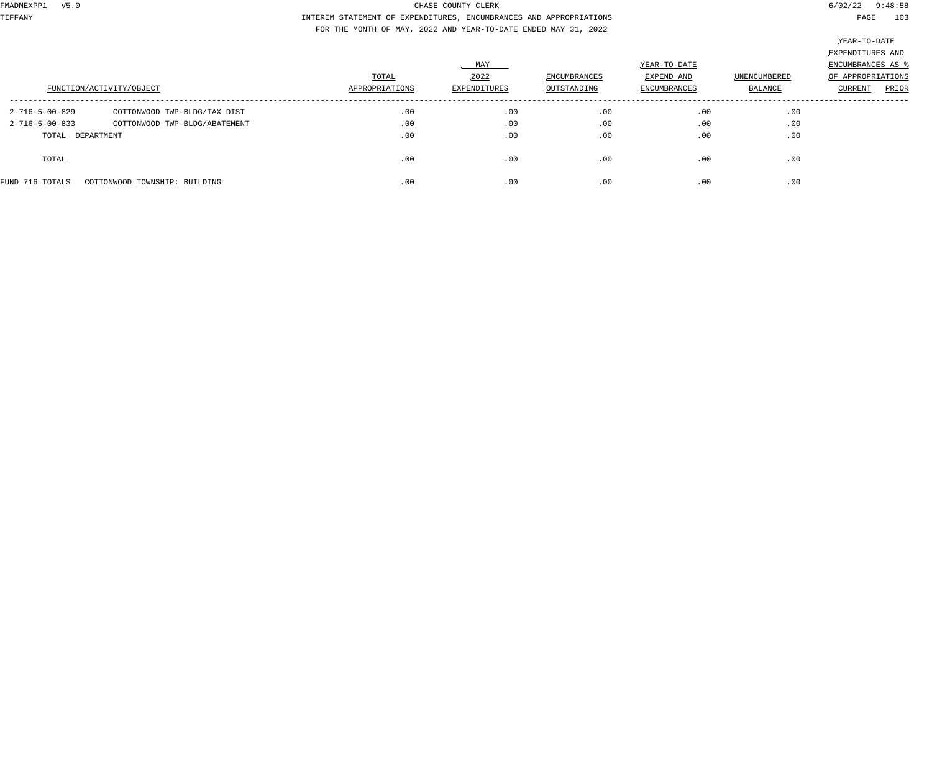TIFFANY INTERIM STATEMENT OF EXPENDITURES, ENCUMBRANCES AND APPROPRIATIONS PAGE 103 FOR THE MONTH OF MAY, 2022 AND YEAR-TO-DATE ENDED MAY 31, 2022

| FUNCTION/ACTIVITY/OBJECT |                               | TOTAL<br>APPROPRIATIONS | MAY<br>2022<br>EXPENDITURES | <b>ENCUMBRANCES</b><br>OUTSTANDING | YEAR-TO-DATE<br>EXPEND AND<br><b>ENCUMBRANCES</b> | <b>UNENCUMBERED</b><br>BALANCE | EXPENDITURES AND<br>ENCUMBRANCES AS \$<br>OF APPROPRIATIONS<br>CURRENT<br>PRIOR |
|--------------------------|-------------------------------|-------------------------|-----------------------------|------------------------------------|---------------------------------------------------|--------------------------------|---------------------------------------------------------------------------------|
| 2-716-5-00-829           | COTTONWOOD TWP-BLDG/TAX DIST  | .00                     | .00                         | .00                                | .00                                               | .00                            |                                                                                 |
| $2 - 716 - 5 - 00 - 833$ | COTTONWOOD TWP-BLDG/ABATEMENT | .00                     | .00                         | .00                                | .00                                               | .00                            |                                                                                 |
| TOTAL DEPARTMENT         |                               | .00                     | .00                         | .00                                | .00                                               | .00                            |                                                                                 |
| TOTAL                    |                               | .00                     | .00                         | .00                                | .00                                               | .00                            |                                                                                 |
| FUND 716 TOTALS          | COTTONWOOD TOWNSHIP: BUILDING | .00                     | .00                         | .00                                | .00                                               | .00                            |                                                                                 |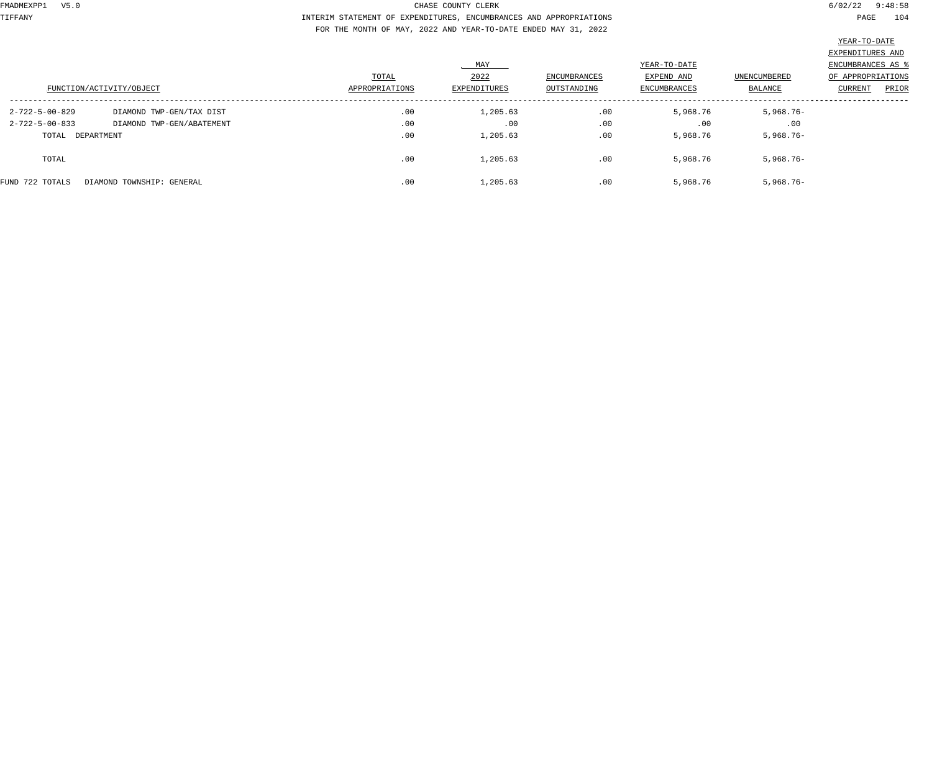TIFFANY INTERIM STATEMENT OF EXPENDITURES, ENCUMBRANCES AND APPROPRIATIONS PAGE 104 FOR THE MONTH OF MAY, 2022 AND YEAR-TO-DATE ENDED MAY 31, 2022

|                          |                           |                         | MAY                  |                                    | YEAR-TO-DATE                      |                                | EXPENDITURES AND<br>ENCUMBRANCES AS 9        |
|--------------------------|---------------------------|-------------------------|----------------------|------------------------------------|-----------------------------------|--------------------------------|----------------------------------------------|
| FUNCTION/ACTIVITY/OBJECT |                           | TOTAL<br>APPROPRIATIONS | 2022<br>EXPENDITURES | <b>ENCUMBRANCES</b><br>OUTSTANDING | EXPEND AND<br><b>ENCUMBRANCES</b> | <b>UNENCUMBERED</b><br>BALANCE | OF APPROPRIATIONS<br><b>CURRENT</b><br>PRIOR |
| 2-722-5-00-829           | DIAMOND TWP-GEN/TAX DIST  | .00                     | 1,205.63             | .00                                | 5,968.76                          | $5,968.76 -$                   |                                              |
| $2 - 722 - 5 - 00 - 833$ | DIAMOND TWP-GEN/ABATEMENT | .00                     | .00                  | .00                                | .00                               | .00                            |                                              |
| TOTAL DEPARTMENT         |                           | .00                     | 1,205.63             | .00                                | 5,968.76                          | $5,968.76 -$                   |                                              |
| TOTAL                    |                           | .00                     | 1,205.63             | .00                                | 5,968.76                          | $5,968.76 -$                   |                                              |
| FUND 722 TOTALS          | DIAMOND TOWNSHIP: GENERAL | .00                     | 1,205.63             | .00                                | 5,968.76                          | $5,968.76 -$                   |                                              |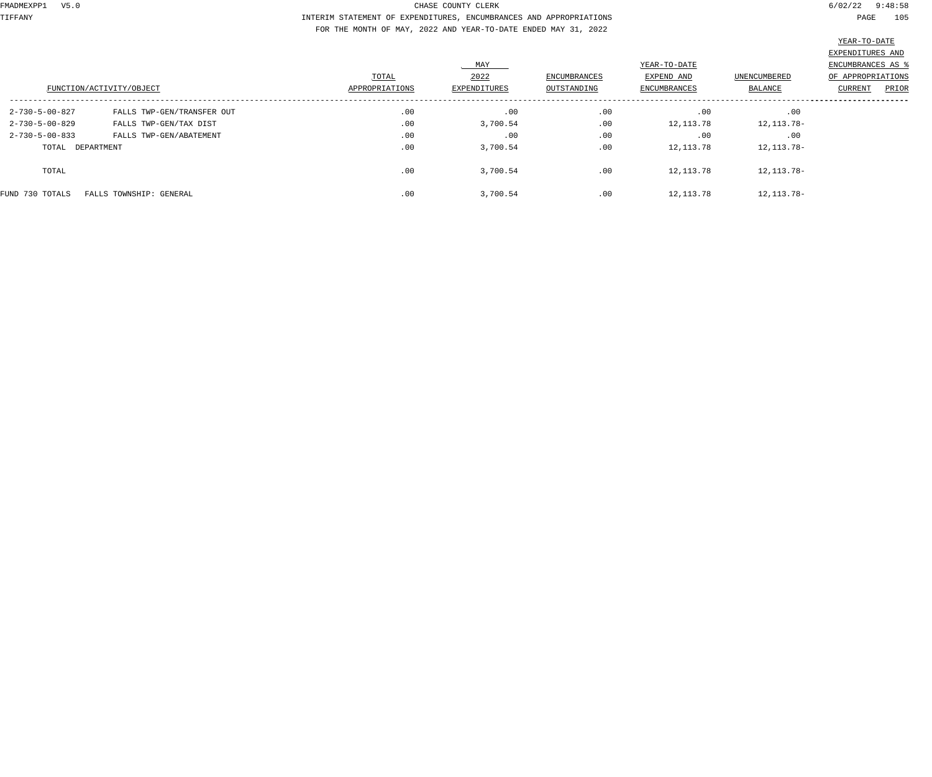TIFFANY INTERIM STATEMENT OF EXPENDITURES, ENCUMBRANCES AND APPROPRIATIONS PAGE 105 FOR THE MONTH OF MAY, 2022 AND YEAR-TO-DATE ENDED MAY 31, 2022

|                          |                            |                |                     |                     |                     |                     | EXPENDITURES AND  |       |
|--------------------------|----------------------------|----------------|---------------------|---------------------|---------------------|---------------------|-------------------|-------|
|                          |                            |                | MAY<br>YEAR-TO-DATE |                     |                     | ENCUMBRANCES AS     |                   |       |
|                          |                            | TOTAL          | 2022                | <b>ENCUMBRANCES</b> | EXPEND AND          | <b>UNENCUMBERED</b> | OF APPROPRIATIONS |       |
| FUNCTION/ACTIVITY/OBJECT |                            | APPROPRIATIONS | <b>EXPENDITURES</b> | OUTSTANDING         | <b>ENCUMBRANCES</b> | BALANCE             | CURRENT           | PRIOR |
|                          |                            |                |                     |                     |                     |                     |                   |       |
| $2 - 730 - 5 - 00 - 827$ | FALLS TWP-GEN/TRANSFER OUT | .00            | .00                 | .00                 | .00                 | .00                 |                   |       |
| $2 - 730 - 5 - 00 - 829$ | FALLS TWP-GEN/TAX DIST     | .00            | 3,700.54            | .00                 | 12,113.78           | 12, 113.78-         |                   |       |
| $2 - 730 - 5 - 00 - 833$ | FALLS TWP-GEN/ABATEMENT    | .00            | .00                 | .00                 | .00                 | .00                 |                   |       |
| TOTAL DEPARTMENT         |                            | .00            | 3,700.54            | .00                 | 12,113.78           | 12, 113.78-         |                   |       |
| TOTAL                    |                            | .00            | 3,700.54            | .00                 | 12,113.78           | 12, 113.78-         |                   |       |
| FUND 730 TOTALS          | FALLS TOWNSHIP: GENERAL    | .00            | 3,700.54            | .00                 | 12,113.78           | 12, 113.78-         |                   |       |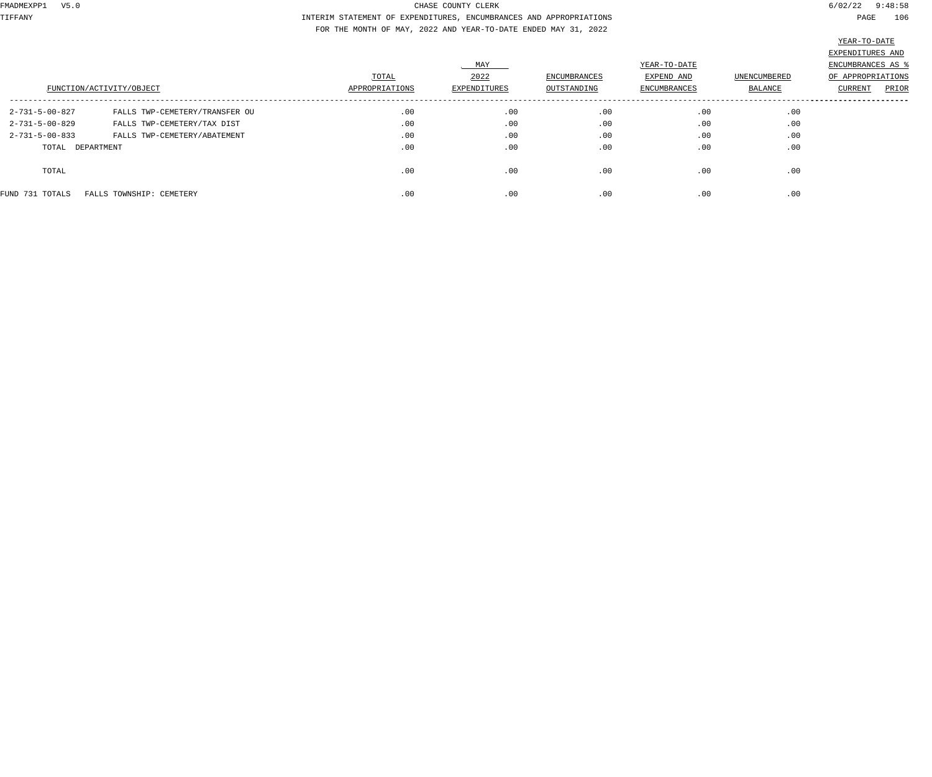TIFFANY INTERIM STATEMENT OF EXPENDITURES, ENCUMBRANCES AND APPROPRIATIONS PAGE 106 FOR THE MONTH OF MAY, 2022 AND YEAR-TO-DATE ENDED MAY 31, 2022

|                          |                                |                |              |                     |              |                     | EXPENDITURES AND  |
|--------------------------|--------------------------------|----------------|--------------|---------------------|--------------|---------------------|-------------------|
|                          |                                |                | MAY          |                     | YEAR-TO-DATE |                     | ENCUMBRANCES AS   |
|                          |                                | TOTAL          | 2022         | <b>ENCUMBRANCES</b> | EXPEND AND   | <b>UNENCUMBERED</b> | OF APPROPRIATIONS |
| FUNCTION/ACTIVITY/OBJECT |                                | APPROPRIATIONS | EXPENDITURES | OUTSTANDING         | ENCUMBRANCES | BALANCE             | PRIOR<br>CURRENT  |
| 2-731-5-00-827           | FALLS TWP-CEMETERY/TRANSFER OU | .00            | .00          | .00                 | .00          | .00                 |                   |
| 2-731-5-00-829           | FALLS TWP-CEMETERY/TAX DIST    | .00            | .00          | .00                 | .00          | .00                 |                   |
| $2 - 731 - 5 - 00 - 833$ | FALLS TWP-CEMETERY/ABATEMENT   | .00            | .00          | .00                 | .00          | .00                 |                   |
| TOTAL DEPARTMENT         |                                | .00            | .00          | .00                 | .00          | .00                 |                   |
| TOTAL                    |                                | .00            | .00          | .00                 | .00          | .00                 |                   |
| FUND 731 TOTALS          | FALLS TOWNSHIP: CEMETERY       | .00            | .00          | .00                 | .00          | .00                 |                   |
|                          |                                |                |              |                     |              |                     |                   |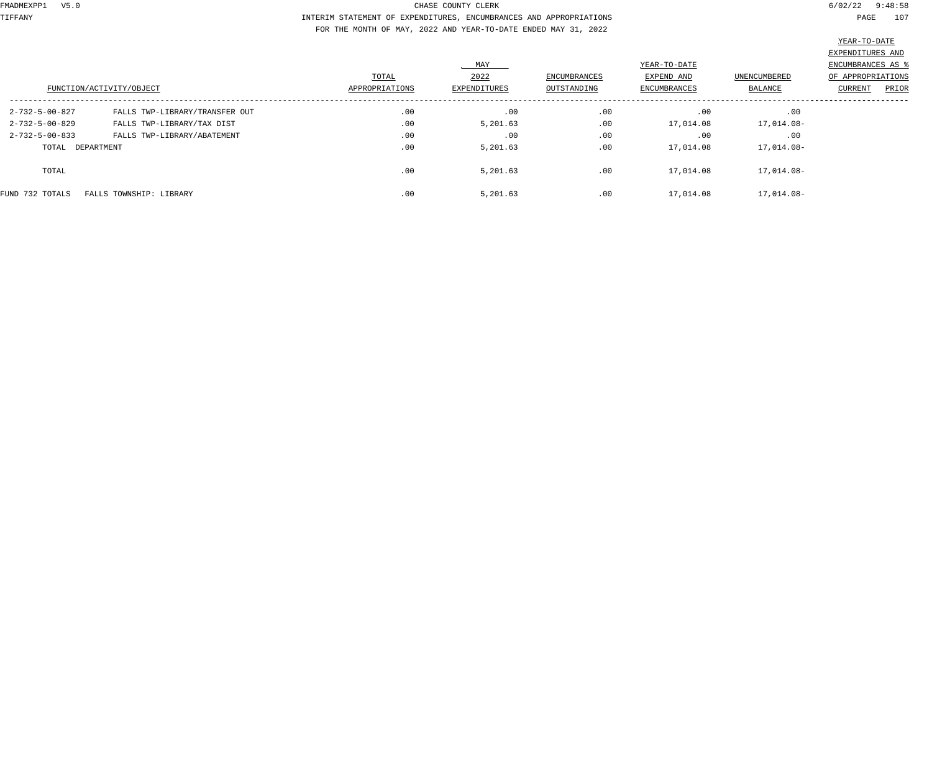TIFFANY INTERIM STATEMENT OF EXPENDITURES, ENCUMBRANCES AND APPROPRIATIONS PAGE 107 FOR THE MONTH OF MAY, 2022 AND YEAR-TO-DATE ENDED MAY 31, 2022

|                          |                                |                |              |                     |              |                     | EXPENDITURES AND   |       |
|--------------------------|--------------------------------|----------------|--------------|---------------------|--------------|---------------------|--------------------|-------|
|                          |                                |                | MAY          |                     | YEAR-TO-DATE |                     | ENCUMBRANCES AS \$ |       |
|                          |                                | TOTAL          | 2022         | <b>ENCUMBRANCES</b> | EXPEND AND   | <b>UNENCUMBERED</b> | OF APPROPRIATIONS  |       |
| FUNCTION/ACTIVITY/OBJECT |                                | APPROPRIATIONS | EXPENDITURES | OUTSTANDING         | ENCUMBRANCES | BALANCE             | CURRENT            | PRIOR |
| $2 - 732 - 5 - 00 - 827$ | FALLS TWP-LIBRARY/TRANSFER OUT | .00            | .00          | .00                 | .00          | .00                 |                    |       |
| 2-732-5-00-829           | FALLS TWP-LIBRARY/TAX DIST     | .00            | 5,201.63     | .00                 | 17,014.08    | 17,014.08-          |                    |       |
| $2 - 732 - 5 - 00 - 833$ | FALLS TWP-LIBRARY/ABATEMENT    | .00            | .00          | .00                 | .00          | .00                 |                    |       |
| TOTAL DEPARTMENT         |                                | .00            | 5,201.63     | .00                 | 17,014.08    | 17,014.08-          |                    |       |
| TOTAL                    |                                | .00            | 5,201.63     | .00                 | 17,014.08    | 17,014.08-          |                    |       |
| FUND 732 TOTALS          | FALLS TOWNSHIP: LIBRARY        | .00            | 5,201.63     | .00                 | 17,014.08    | 17,014.08-          |                    |       |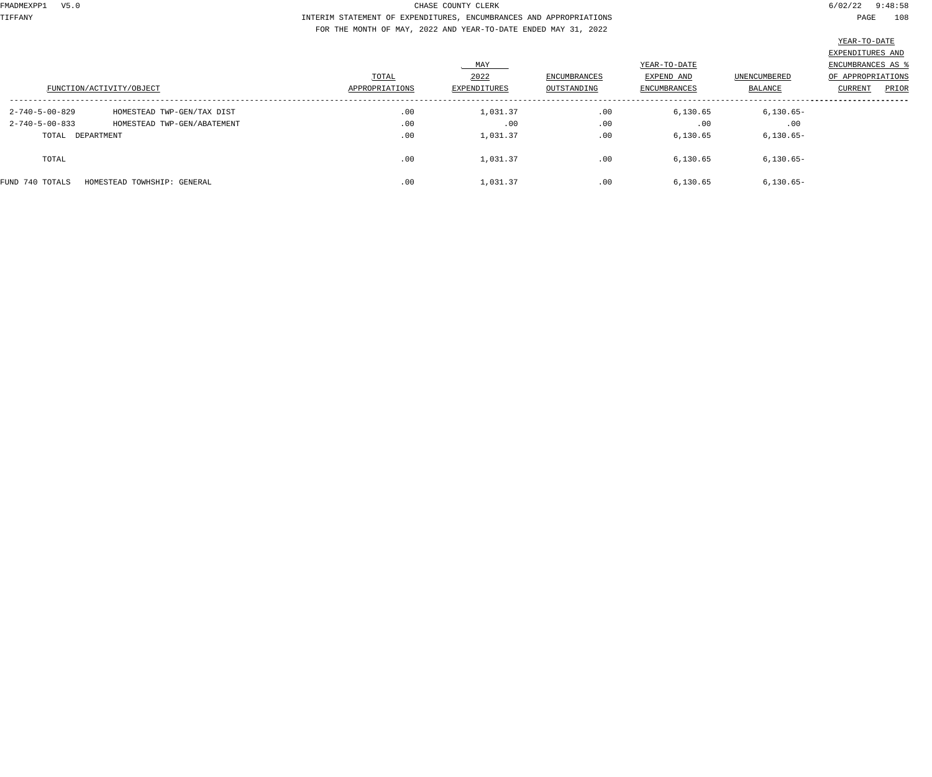TIFFANY INTERIM STATEMENT OF EXPENDITURES, ENCUMBRANCES AND APPROPRIATIONS PAGE 108 FOR THE MONTH OF MAY, 2022 AND YEAR-TO-DATE ENDED MAY 31, 2022

| FUNCTION/ACTIVITY/OBJECT |                             | TOTAL<br>APPROPRIATIONS | MAY<br>2022<br>EXPENDITURES | <b>ENCUMBRANCES</b><br>OUTSTANDING | YEAR-TO-DATE<br>EXPEND AND<br>ENCUMBRANCES | UNENCUMBERED<br>BALANCE | EXPENDITURES AND<br>ENCUMBRANCES AS<br>OF APPROPRIATIONS<br>PRIOR<br>CURRENT |
|--------------------------|-----------------------------|-------------------------|-----------------------------|------------------------------------|--------------------------------------------|-------------------------|------------------------------------------------------------------------------|
| 2-740-5-00-829           | HOMESTEAD TWP-GEN/TAX DIST  | .00                     | 1,031.37                    | .00                                | 6,130.65                                   | $6,130.65-$             |                                                                              |
| $2 - 740 - 5 - 00 - 833$ | HOMESTEAD TWP-GEN/ABATEMENT | .00                     | .00                         | .00                                | .00                                        | .00                     |                                                                              |
| TOTAL DEPARTMENT         |                             | .00                     | 1,031.37                    | .00                                | 6,130.65                                   | $6,130.65-$             |                                                                              |
| TOTAL                    |                             | .00                     | 1,031.37                    | .00                                | 6,130.65                                   | $6,130.65-$             |                                                                              |
| FUND 740 TOTALS          | HOMESTEAD TOWHSHIP: GENERAL | .00                     | 1,031.37                    | .00                                | 6,130.65                                   | $6, 130.65 -$           |                                                                              |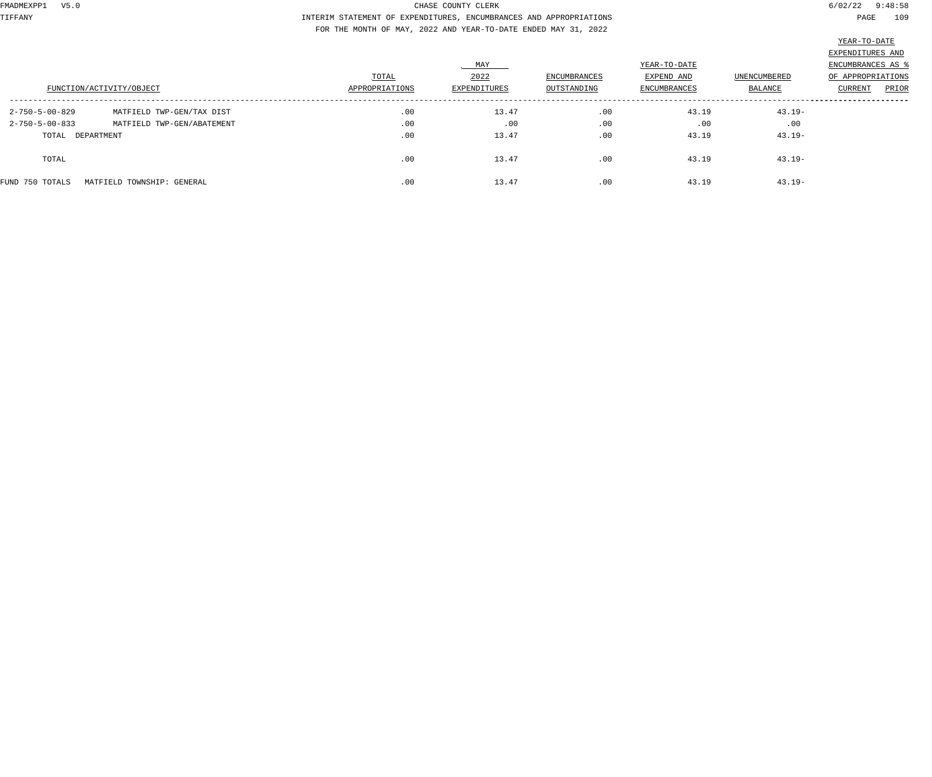TIFFANY INTERIM STATEMENT OF EXPENDITURES, ENCUMBRANCES AND APPROPRIATIONS PAGE 109 FOR THE MONTH OF MAY, 2022 AND YEAR-TO-DATE ENDED MAY 31, 2022

|                          |                            |                         | MAY                  |                                    | YEAR-TO-DATE                      |                                | EXPENDITURES AND<br>ENCUMBRANCES AS \$       |
|--------------------------|----------------------------|-------------------------|----------------------|------------------------------------|-----------------------------------|--------------------------------|----------------------------------------------|
| FUNCTION/ACTIVITY/OBJECT |                            | TOTAL<br>APPROPRIATIONS | 2022<br>EXPENDITURES | <b>ENCUMBRANCES</b><br>OUTSTANDING | EXPEND AND<br><b>ENCUMBRANCES</b> | <b>UNENCUMBERED</b><br>BALANCE | OF APPROPRIATIONS<br><b>CURRENT</b><br>PRIOR |
| $2 - 750 - 5 - 00 - 829$ | MATFIELD TWP-GEN/TAX DIST  | .00                     | 13.47                | .00                                | 43.19                             | $43.19 -$                      |                                              |
| $2 - 750 - 5 - 00 - 833$ | MATFIELD TWP-GEN/ABATEMENT | .00                     | .00                  | .00                                | .00                               | .00                            |                                              |
| TOTAL DEPARTMENT         |                            | .00                     | 13.47                | .00                                | 43.19                             | $43.19 -$                      |                                              |
| TOTAL                    |                            | .00                     | 13.47                | .00                                | 43.19                             | $43.19 -$                      |                                              |
| FUND 750 TOTALS          | MATFIELD TOWNSHIP: GENERAL | .00                     | 13.47                | .00                                | 43.19                             | $43.19 -$                      |                                              |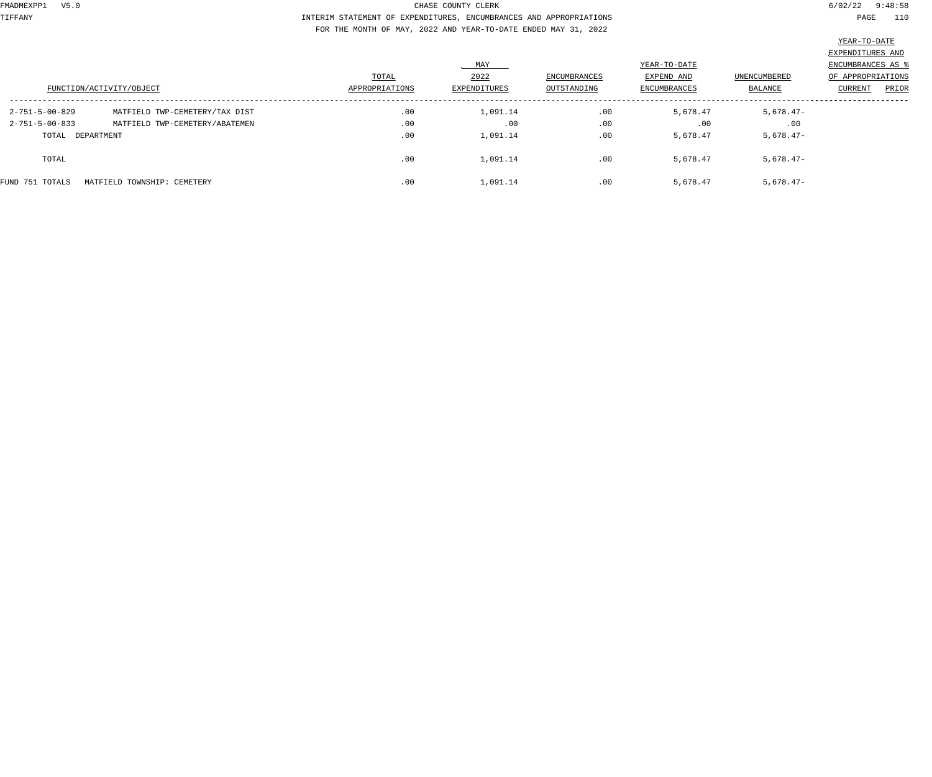TIFFANY INTERIM STATEMENT OF EXPENDITURES, ENCUMBRANCES AND APPROPRIATIONS PAGE 110 FOR THE MONTH OF MAY, 2022 AND YEAR-TO-DATE ENDED MAY 31, 2022

|                          | FUNCTION/ACTIVITY/OBJECT       | TOTAL<br>APPROPRIATIONS | MAY<br>2022<br>EXPENDITURES | <b>ENCUMBRANCES</b><br>OUTSTANDING | YEAR-TO-DATE<br>EXPEND AND<br>ENCUMBRANCES | UNENCUMBERED<br>BALANCE | EXPENDITURES AND<br>ENCUMBRANCES AS<br>OF APPROPRIATIONS<br>PRIOR<br>CURRENT |
|--------------------------|--------------------------------|-------------------------|-----------------------------|------------------------------------|--------------------------------------------|-------------------------|------------------------------------------------------------------------------|
| 2-751-5-00-829           | MATFIELD TWP-CEMETERY/TAX DIST | .00                     | 1,091.14                    | .00                                | 5,678.47                                   | $5,678.47-$             |                                                                              |
| $2 - 751 - 5 - 00 - 833$ | MATFIELD TWP-CEMETERY/ABATEMEN | .00                     | .00                         | .00                                | .00                                        | .00                     |                                                                              |
| TOTAL DEPARTMENT         |                                | .00                     | 1,091.14                    | .00                                | 5,678.47                                   | $5,678.47-$             |                                                                              |
| TOTAL                    |                                | .00                     | 1,091.14                    | .00                                | 5,678.47                                   | $5,678.47-$             |                                                                              |
| FUND 751 TOTALS          | MATFIELD TOWNSHIP: CEMETERY    | .00                     | 1,091.14                    | .00                                | 5,678.47                                   | $5,678.47-$             |                                                                              |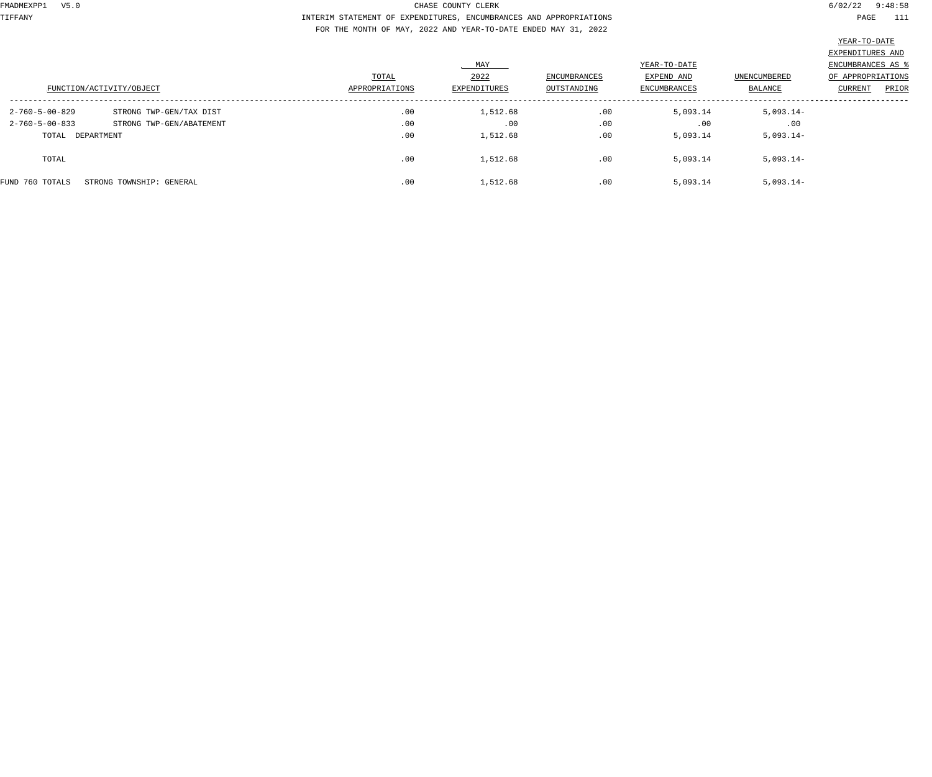TIFFANY INTERIM STATEMENT OF EXPENDITURES, ENCUMBRANCES AND APPROPRIATIONS PAGE 111 FOR THE MONTH OF MAY, 2022 AND YEAR-TO-DATE ENDED MAY 31, 2022

|                          | FUNCTION/ACTIVITY/OBJECT | TOTAL<br>APPROPRIATIONS | MAY<br>2022<br>EXPENDITURES | <b>ENCUMBRANCES</b><br>OUTSTANDING | YEAR-TO-DATE<br>EXPEND AND<br>ENCUMBRANCES | UNENCUMBERED<br>BALANCE | EXPENDITURES AND<br>ENCUMBRANCES AS<br>OF APPROPRIATIONS<br>PRIOR<br>CURRENT |
|--------------------------|--------------------------|-------------------------|-----------------------------|------------------------------------|--------------------------------------------|-------------------------|------------------------------------------------------------------------------|
| 2-760-5-00-829           | STRONG TWP-GEN/TAX DIST  | .00                     | 1,512.68                    | .00                                | 5,093.14                                   | $5,093.14-$             |                                                                              |
| $2 - 760 - 5 - 00 - 833$ | STRONG TWP-GEN/ABATEMENT | .00                     | .00                         | .00                                | .00                                        | .00                     |                                                                              |
| TOTAL DEPARTMENT         |                          | .00                     | 1,512.68                    | .00                                | 5,093.14                                   | $5,093.14-$             |                                                                              |
| TOTAL                    |                          | .00                     | 1,512.68                    | .00                                | 5,093.14                                   | $5,093.14-$             |                                                                              |
| FUND 760 TOTALS          | STRONG TOWNSHIP: GENERAL | .00                     | 1,512.68                    | .00                                | 5,093.14                                   | $5,093.14-$             |                                                                              |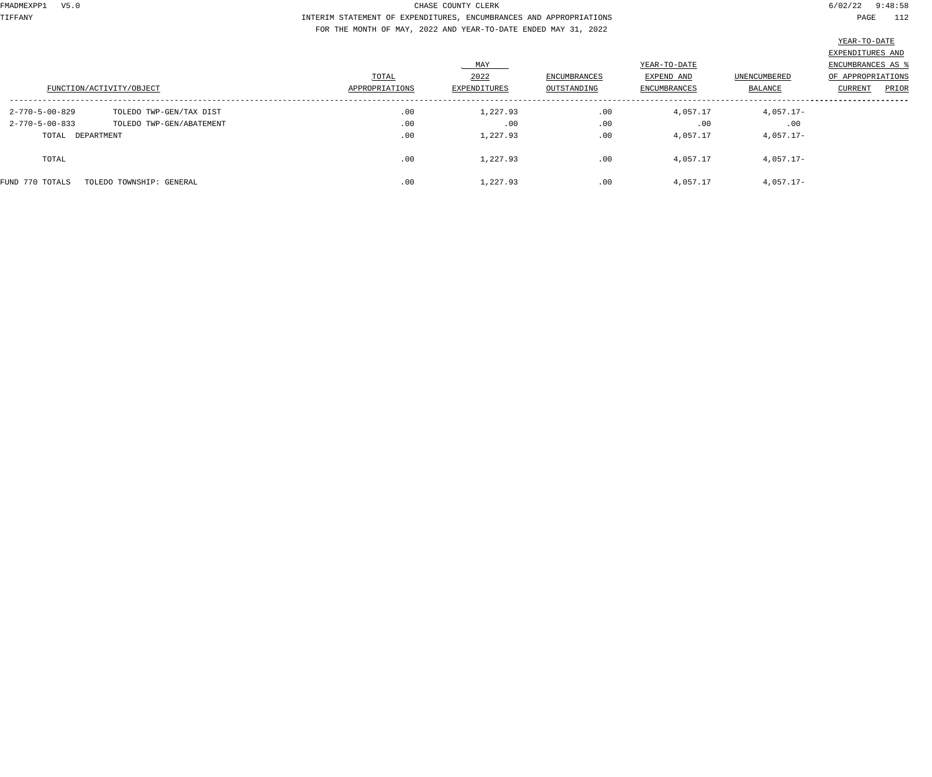TIFFANY INTERIM STATEMENT OF EXPENDITURES, ENCUMBRANCES AND APPROPRIATIONS PAGE 112 FOR THE MONTH OF MAY, 2022 AND YEAR-TO-DATE ENDED MAY 31, 2022

| FUNCTION/ACTIVITY/OBJECT                                                 |                                                     | TOTAL<br>APPROPRIATIONS | MAY<br>2022<br>EXPENDITURES | ENCUMBRANCES<br>OUTSTANDING | YEAR-TO-DATE<br>EXPEND AND<br>ENCUMBRANCES | UNENCUMBERED<br>BALANCE       | EXPENDITURES AND<br>ENCUMBRANCES AS<br>OF APPROPRIATIONS<br>PRIOR<br>CURRENT |
|--------------------------------------------------------------------------|-----------------------------------------------------|-------------------------|-----------------------------|-----------------------------|--------------------------------------------|-------------------------------|------------------------------------------------------------------------------|
| $2 - 770 - 5 - 00 - 829$<br>$2 - 770 - 5 - 00 - 833$<br>TOTAL DEPARTMENT | TOLEDO TWP-GEN/TAX DIST<br>TOLEDO TWP-GEN/ABATEMENT | .00<br>.00<br>.00       | 1,227.93<br>.00<br>1,227.93 | .00<br>.00<br>.00           | 4,057.17<br>.00<br>4,057.17                | 4,057.17-<br>.00<br>4,057.17- |                                                                              |
| TOTAL                                                                    |                                                     | .00                     | 1,227.93                    | .00                         | 4,057.17                                   | 4,057.17-                     |                                                                              |
| FUND 770 TOTALS                                                          | TOLEDO TOWNSHIP: GENERAL                            | .00                     | 1,227.93                    | .00                         | 4,057.17                                   | 4,057.17-                     |                                                                              |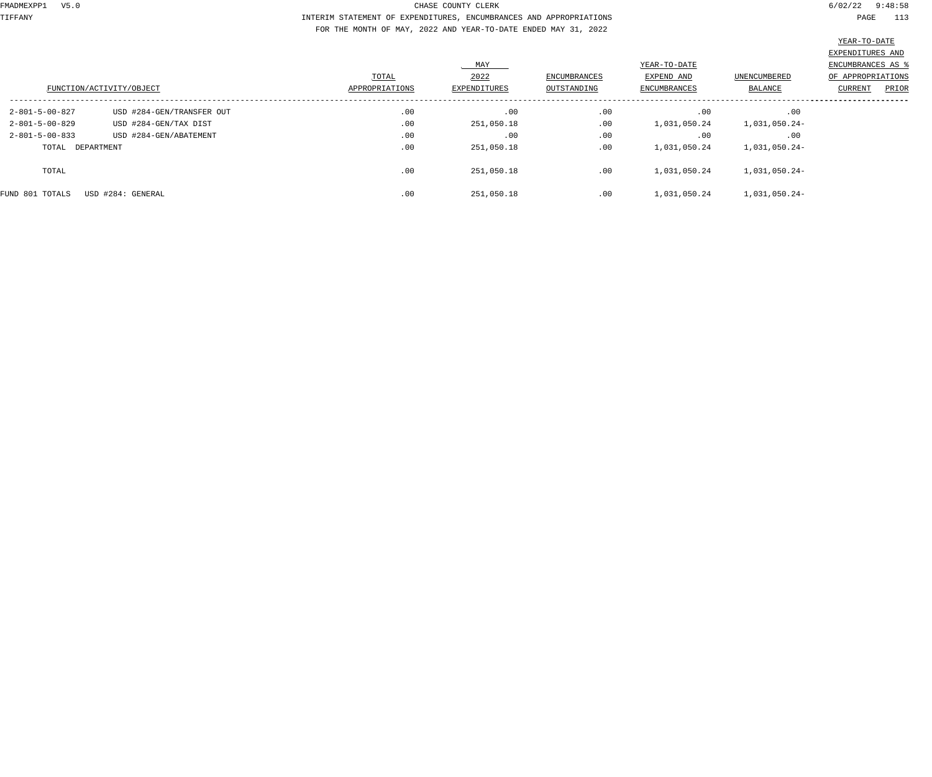## TIFFANY INTERIM STATEMENT OF EXPENDITURES, ENCUMBRANCES AND APPROPRIATIONS PAGE 113 FOR THE MONTH OF MAY, 2022 AND YEAR-TO-DATE ENDED MAY 31, 2022

| ' – 'T'( ) – |
|--------------|
|--------------|

|                          |                           |                |              |              |              |               | EXPENDITURES AND         |  |
|--------------------------|---------------------------|----------------|--------------|--------------|--------------|---------------|--------------------------|--|
|                          |                           |                | MAY          |              | YEAR-TO-DATE |               | <b>ENCUMBRANCES AS %</b> |  |
|                          |                           | TOTAL          | 2022         | ENCUMBRANCES | EXPEND AND   | UNENCUMBERED  | OF APPROPRIATIONS        |  |
| FUNCTION/ACTIVITY/OBJECT |                           | APPROPRIATIONS | EXPENDITURES | OUTSTANDING  | ENCUMBRANCES | BALANCE       | CURRENT<br>PRIOR         |  |
| $2 - 801 - 5 - 00 - 827$ | USD #284-GEN/TRANSFER OUT | .00            | .00          | .00          | .00          | .00           |                          |  |
| $2 - 801 - 5 - 00 - 829$ | USD #284-GEN/TAX DIST     | .00            | 251,050.18   | .00          | 1,031,050.24 | 1,031,050.24- |                          |  |
| $2 - 801 - 5 - 00 - 833$ | USD #284-GEN/ABATEMENT    | .00            | .00          | .00          | .00          | .00           |                          |  |
| TOTAL DEPARTMENT         |                           | .00            | 251,050.18   | .00          | 1,031,050.24 | 1,031,050.24- |                          |  |
| TOTAL                    |                           | .00            | 251,050.18   | .00          | 1,031,050.24 | 1,031,050.24- |                          |  |
| FUND 801 TOTALS          | USD #284: GENERAL         | .00            | 251,050.18   | .00          | 1,031,050.24 | 1,031,050.24- |                          |  |
|                          |                           |                |              |              |              |               |                          |  |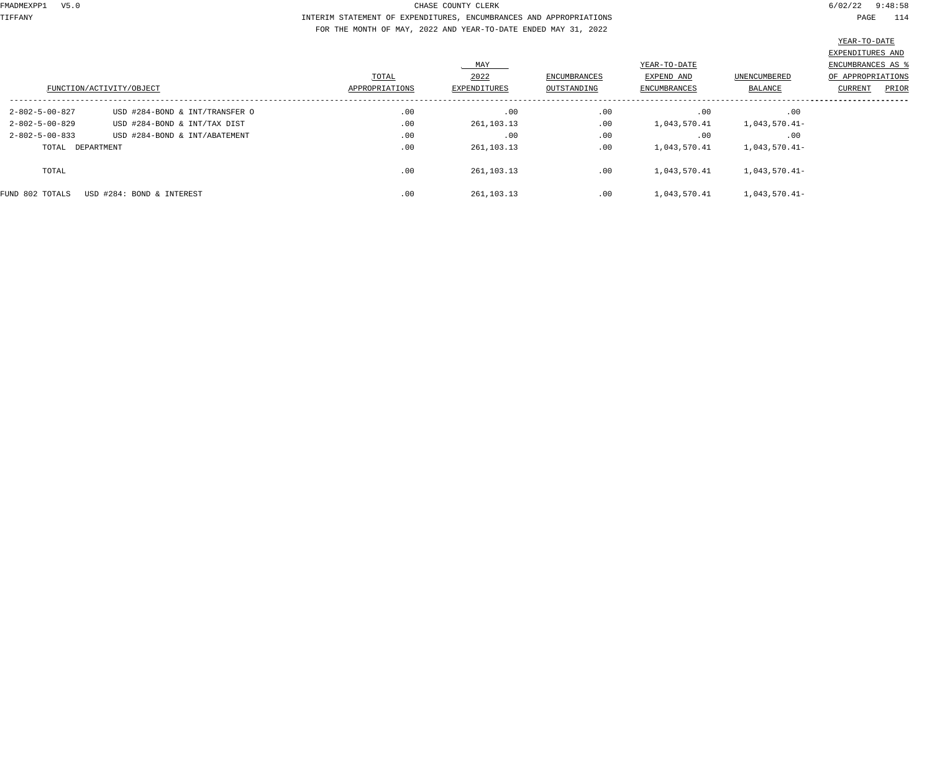TIFFANY INTERIM STATEMENT OF EXPENDITURES, ENCUMBRANCES AND APPROPRIATIONS PAGE 114 FOR THE MONTH OF MAY, 2022 AND YEAR-TO-DATE ENDED MAY 31, 2022

|                          |                                |                |                     |                     |                     |                     | EXPENDITURES AND  |
|--------------------------|--------------------------------|----------------|---------------------|---------------------|---------------------|---------------------|-------------------|
|                          |                                |                | MAY                 |                     | YEAR-TO-DATE        |                     | ENCUMBRANCES AS & |
|                          |                                | TOTAL          | 2022                | <b>ENCUMBRANCES</b> | EXPEND AND          | <b>UNENCUMBERED</b> | OF APPROPRIATIONS |
| FUNCTION/ACTIVITY/OBJECT |                                | APPROPRIATIONS | <b>EXPENDITURES</b> | OUTSTANDING         | <b>ENCUMBRANCES</b> | BALANCE             | PRIOR<br>CURRENT  |
| 2-802-5-00-827           | USD #284-BOND & INT/TRANSFER O | .00            | .00                 | .00                 | .00                 | .00                 |                   |
| $2 - 802 - 5 - 00 - 829$ | USD #284-BOND & INT/TAX DIST   | .00            | 261,103.13          | .00                 | 1,043,570.41        | 1,043,570.41-       |                   |
| $2 - 802 - 5 - 00 - 833$ | USD #284-BOND & INT/ABATEMENT  | .00            | .00                 | .00                 | .00                 | .00                 |                   |
| TOTAL DEPARTMENT         |                                | .00            | 261, 103. 13        | .00                 | 1,043,570.41        | 1,043,570.41-       |                   |
| TOTAL                    |                                | .00            | 261, 103. 13        | .00                 | 1,043,570.41        | 1,043,570.41-       |                   |
| FUND 802 TOTALS          | USD #284: BOND & INTEREST      | .00            | 261, 103. 13        | .00                 | 1,043,570.41        | 1,043,570.41-       |                   |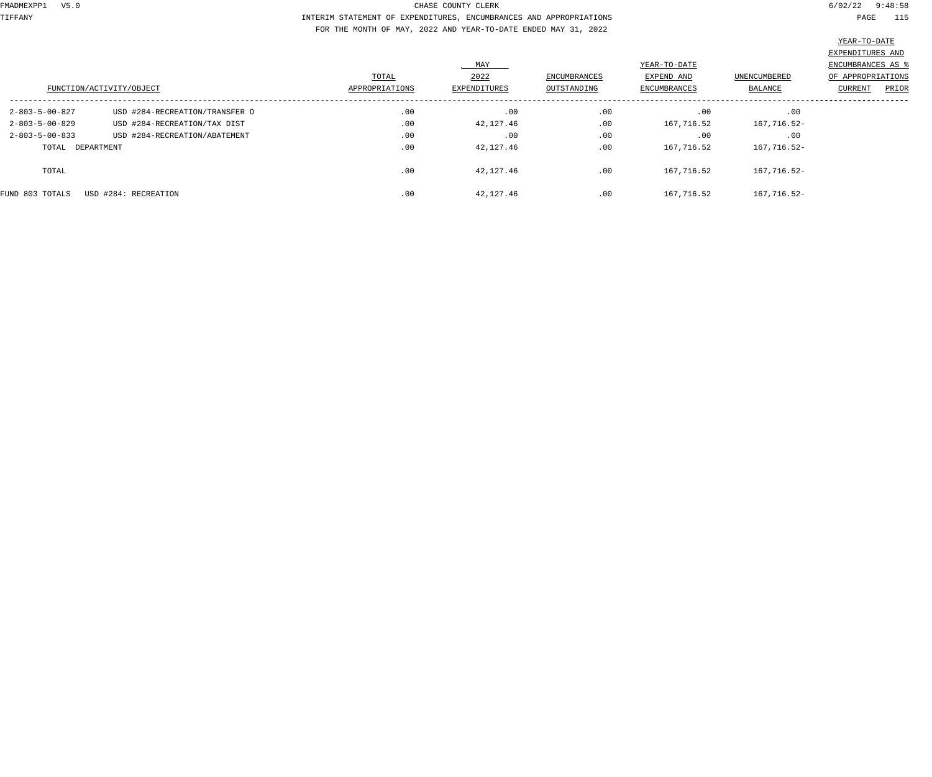TIFFANY INTERIM STATEMENT OF EXPENDITURES, ENCUMBRANCES AND APPROPRIATIONS PAGE 115 FOR THE MONTH OF MAY, 2022 AND YEAR-TO-DATE ENDED MAY 31, 2022

|                          |                                |                |                     |                     |              |              | EXPENDITURES AND  |
|--------------------------|--------------------------------|----------------|---------------------|---------------------|--------------|--------------|-------------------|
|                          |                                |                | MAY                 |                     | YEAR-TO-DATE |              | ENCUMBRANCES AS   |
|                          |                                | TOTAL          | 2022                | <b>ENCUMBRANCES</b> | EXPEND AND   | UNENCUMBERED | OF APPROPRIATIONS |
| FUNCTION/ACTIVITY/OBJECT |                                | APPROPRIATIONS | <b>EXPENDITURES</b> | OUTSTANDING         | ENCUMBRANCES | BALANCE      | PRIOR<br>CURRENT  |
| $2 - 803 - 5 - 00 - 827$ | USD #284-RECREATION/TRANSFER O | .00            | .00                 | .00                 | .00          | .00          |                   |
| $2 - 803 - 5 - 00 - 829$ | USD #284-RECREATION/TAX DIST   | .00            | 42,127.46           | .00                 | 167,716.52   | 167,716.52-  |                   |
| $2 - 803 - 5 - 00 - 833$ | USD #284-RECREATION/ABATEMENT  | .00            | .00                 | .00                 | .00          | .00          |                   |
| TOTAL DEPARTMENT         |                                | .00            | 42,127.46           | .00                 | 167,716.52   | 167,716.52-  |                   |
| TOTAL                    |                                | .00            | 42,127.46           | .00                 | 167,716.52   | 167,716.52-  |                   |
| FUND 803 TOTALS          | USD #284: RECREATION           | .00            | 42,127.46           | .00                 | 167,716.52   | 167,716.52-  |                   |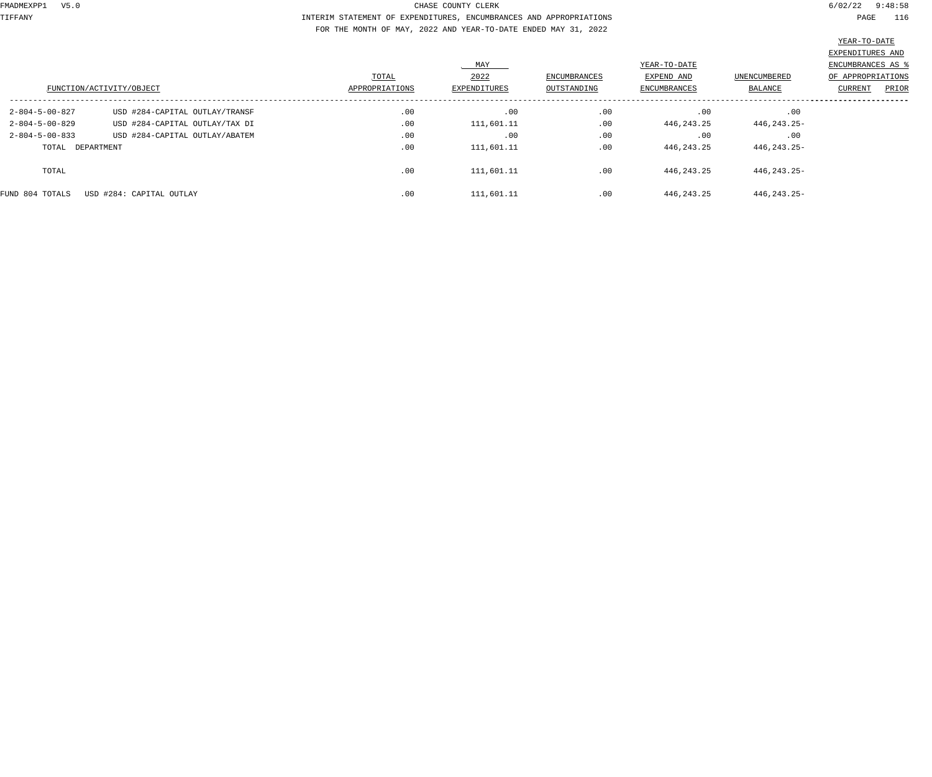TIFFANY INTERIM STATEMENT OF EXPENDITURES, ENCUMBRANCES AND APPROPRIATIONS PAGE 116 FOR THE MONTH OF MAY, 2022 AND YEAR-TO-DATE ENDED MAY 31, 2022

|                          |                                |                |                     |                     |                     |               | EXPENDITURES AND  |
|--------------------------|--------------------------------|----------------|---------------------|---------------------|---------------------|---------------|-------------------|
|                          |                                |                | MAY                 |                     | YEAR-TO-DATE        |               | ENCUMBRANCES AS ' |
|                          |                                | TOTAL          | 2022                | <b>ENCUMBRANCES</b> | EXPEND AND          | UNENCUMBERED  | OF APPROPRIATIONS |
| FUNCTION/ACTIVITY/OBJECT |                                | APPROPRIATIONS | <b>EXPENDITURES</b> | OUTSTANDING         | <b>ENCUMBRANCES</b> | BALANCE       | PRIOR<br>CURRENT  |
|                          |                                |                |                     |                     |                     |               |                   |
| $2 - 804 - 5 - 00 - 827$ | USD #284-CAPITAL OUTLAY/TRANSF | .00            | .00                 | .00                 | .00                 | .00           |                   |
| $2 - 804 - 5 - 00 - 829$ | USD #284-CAPITAL OUTLAY/TAX DI | .00            | 111,601.11          | .00                 | 446, 243. 25        | 446, 243. 25- |                   |
| $2 - 804 - 5 - 00 - 833$ | USD #284-CAPITAL OUTLAY/ABATEM | .00            | .00                 | .00                 | .00                 | .00           |                   |
| TOTAL DEPARTMENT         |                                | .00            | 111,601.11          | .00                 | 446, 243. 25        | 446,243.25-   |                   |
|                          |                                |                |                     |                     |                     |               |                   |
| TOTAL                    |                                | .00            | 111,601.11          | .00                 | 446, 243. 25        | 446, 243. 25- |                   |
|                          |                                |                |                     |                     |                     |               |                   |
| FUND 804 TOTALS          | USD #284: CAPITAL OUTLAY       | .00            | 111,601.11          | .00                 | 446, 243. 25        | 446, 243. 25- |                   |
|                          |                                |                |                     |                     |                     |               |                   |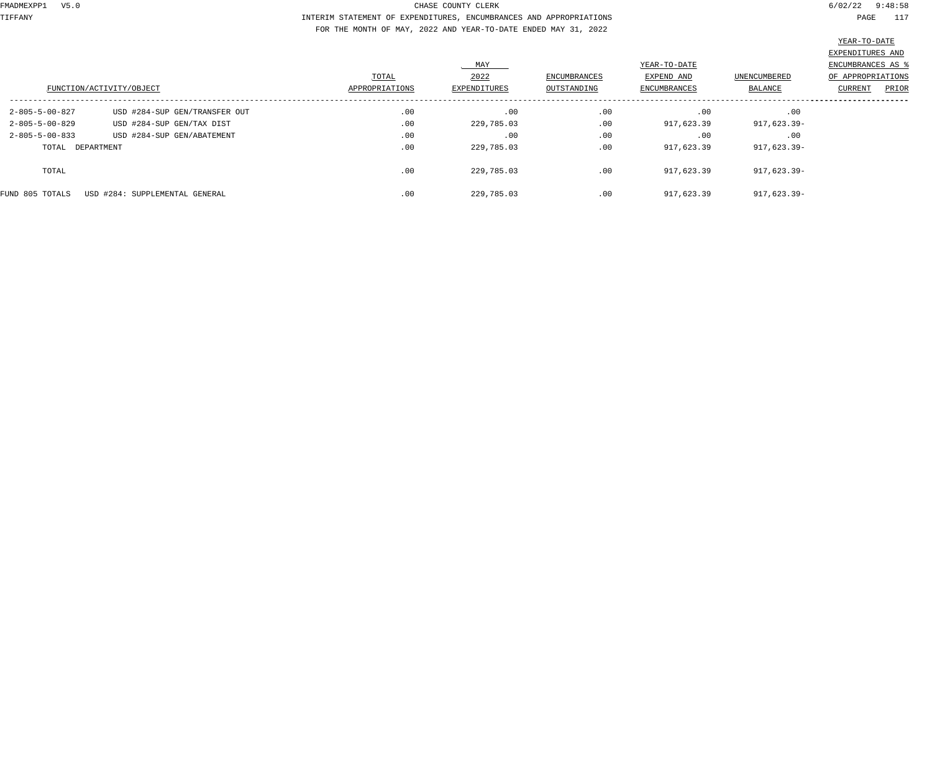TIFFANY INTERIM STATEMENT OF EXPENDITURES, ENCUMBRANCES AND APPROPRIATIONS PAGE 117 FOR THE MONTH OF MAY, 2022 AND YEAR-TO-DATE ENDED MAY 31, 2022

|                          |                                |                |              |              |              |              | EXPENDITURES AND         |
|--------------------------|--------------------------------|----------------|--------------|--------------|--------------|--------------|--------------------------|
|                          |                                |                | MAY          |              | YEAR-TO-DATE |              | <b>ENCUMBRANCES AS ?</b> |
|                          |                                | TOTAL          | 2022         | ENCUMBRANCES | EXPEND AND   | UNENCUMBERED | OF APPROPRIATIONS        |
| FUNCTION/ACTIVITY/OBJECT |                                | APPROPRIATIONS | EXPENDITURES | OUTSTANDING  | ENCUMBRANCES | BALANCE      | PRIOR<br>CURRENT         |
| $2 - 805 - 5 - 00 - 827$ | USD #284-SUP GEN/TRANSFER OUT  | .00            | .00          | .00          | .00          | .00          |                          |
| $2 - 805 - 5 - 00 - 829$ | USD #284-SUP GEN/TAX DIST      | .00            | 229,785.03   | .00          | 917,623.39   | 917,623.39-  |                          |
| $2 - 805 - 5 - 00 - 833$ | USD #284-SUP GEN/ABATEMENT     | .00            | .00          | .00          | .00          | .00          |                          |
| TOTAL DEPARTMENT         |                                | .00            | 229,785.03   | .00          | 917,623.39   | 917,623.39-  |                          |
| TOTAL                    |                                | .00            | 229,785.03   | .00          | 917,623.39   | 917,623.39-  |                          |
| FUND 805 TOTALS          | USD #284: SUPPLEMENTAL GENERAL | .00            | 229,785.03   | .00          | 917,623.39   | 917,623.39-  |                          |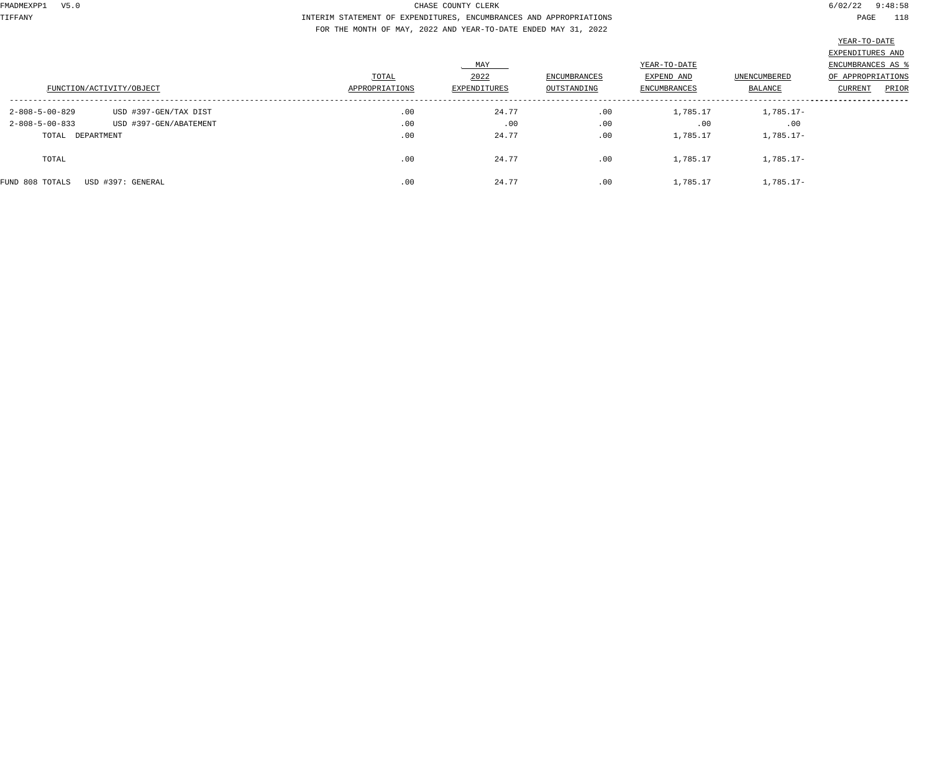TIFFANY INTERIM STATEMENT OF EXPENDITURES, ENCUMBRANCES AND APPROPRIATIONS PAGE 118 FOR THE MONTH OF MAY, 2022 AND YEAR-TO-DATE ENDED MAY 31, 2022

|                          |                          |                         | MAY                         |                                    | YEAR-TO-DATE                      |                         | EXPENDITURES AND<br>ENCUMBRANCES AS |       |
|--------------------------|--------------------------|-------------------------|-----------------------------|------------------------------------|-----------------------------------|-------------------------|-------------------------------------|-------|
|                          | FUNCTION/ACTIVITY/OBJECT | TOTAL<br>APPROPRIATIONS | 2022<br><b>EXPENDITURES</b> | <b>ENCUMBRANCES</b><br>OUTSTANDING | EXPEND AND<br><b>ENCUMBRANCES</b> | UNENCUMBERED<br>BALANCE | OF APPROPRIATIONS<br>CURRENT        | PRIOR |
| 2-808-5-00-829           | USD #397-GEN/TAX DIST    | .00                     | 24.77                       | .00                                | 1,785.17                          | $1,785.17-$             |                                     |       |
| $2 - 808 - 5 - 00 - 833$ | USD #397-GEN/ABATEMENT   | .00                     | .00                         | .00                                | .00                               | .00                     |                                     |       |
| TOTAL DEPARTMENT         |                          | .00                     | 24.77                       | .00                                | 1,785.17                          | $1,785.17-$             |                                     |       |
| TOTAL                    |                          | .00                     | 24.77                       | .00                                | 1,785.17                          | $1,785.17-$             |                                     |       |
| FUND 808 TOTALS          | USD #397: GENERAL        | .00                     | 24.77                       | .00                                | 1,785.17                          | $1,785.17-$             |                                     |       |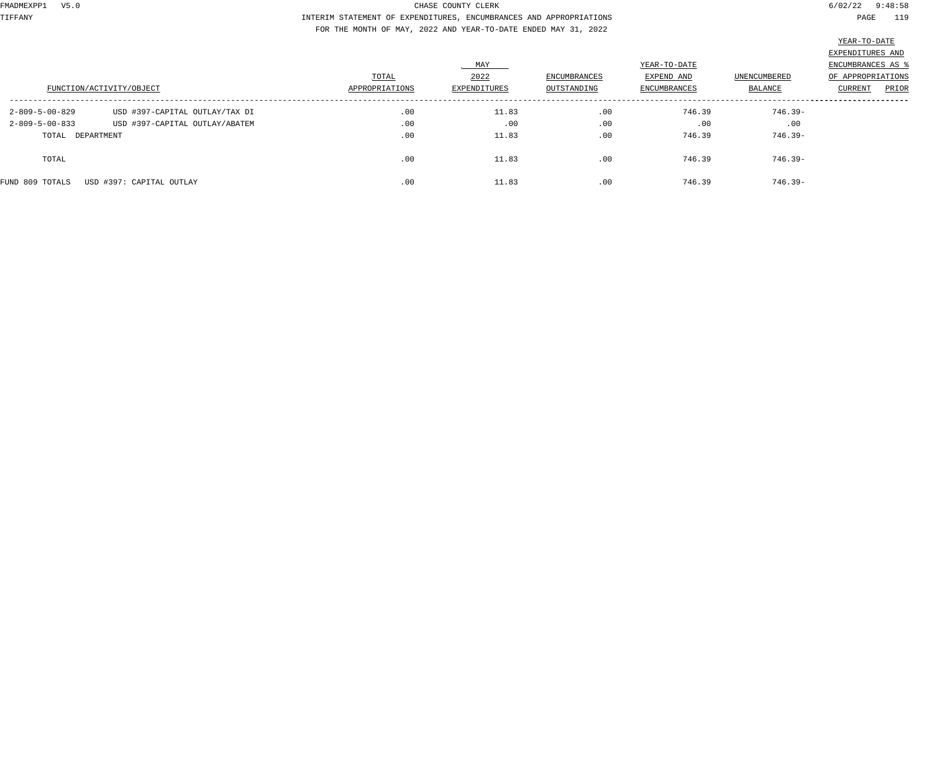TIFFANY INTERIM STATEMENT OF EXPENDITURES, ENCUMBRANCES AND APPROPRIATIONS PAGE 119 FOR THE MONTH OF MAY, 2022 AND YEAR-TO-DATE ENDED MAY 31, 2022

|                                                                          | FUNCTION/ACTIVITY/OBJECT                                         | TOTAL<br>APPROPRIATIONS | MAY<br>2022<br>EXPENDITURES | <b>ENCUMBRANCES</b><br>OUTSTANDING | YEAR-TO-DATE<br>EXPEND AND<br>ENCUMBRANCES | UNENCUMBERED<br>BALANCE      | EXPENDITURES AND<br>ENCUMBRANCES AS<br>OF APPROPRIATIONS<br>PRIOR<br>CURRENT |
|--------------------------------------------------------------------------|------------------------------------------------------------------|-------------------------|-----------------------------|------------------------------------|--------------------------------------------|------------------------------|------------------------------------------------------------------------------|
| $2 - 809 - 5 - 00 - 829$<br>$2 - 809 - 5 - 00 - 833$<br>TOTAL DEPARTMENT | USD #397-CAPITAL OUTLAY/TAX DI<br>USD #397-CAPITAL OUTLAY/ABATEM | .00<br>.00<br>.00       | 11.83<br>.00<br>11.83       | .00<br>.00<br>.00                  | 746.39<br>.00<br>746.39                    | 746.39-<br>.00<br>$746.39 -$ |                                                                              |
| TOTAL                                                                    |                                                                  | .00                     | 11.83                       | .00                                | 746.39                                     | $746.39 -$                   |                                                                              |
| FUND 809 TOTALS                                                          | USD #397: CAPITAL OUTLAY                                         | .00                     | 11.83                       | .00                                | 746.39                                     | $746.39 -$                   |                                                                              |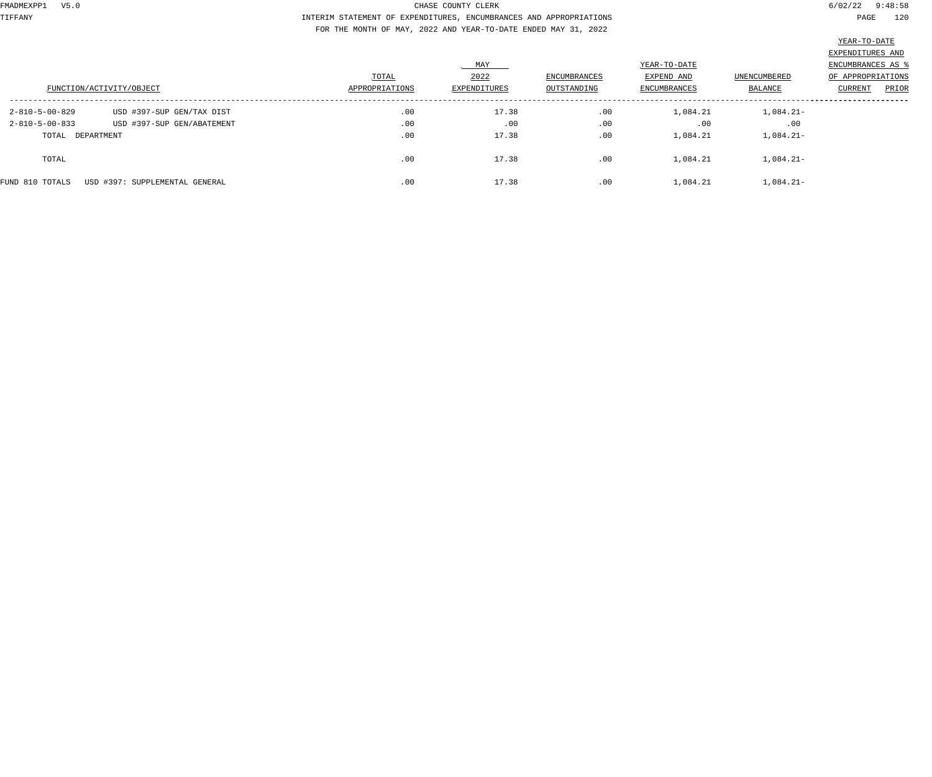TIFFANY INTERIM STATEMENT OF EXPENDITURES, ENCUMBRANCES AND APPROPRIATIONS PAGE 120 FOR THE MONTH OF MAY, 2022 AND YEAR-TO-DATE ENDED MAY 31, 2022

|                                                                | FUNCTION/ACTIVITY/OBJECT                                | TOTAL<br>APPROPRIATIONS | MAY<br>2022<br>EXPENDITURES | <b>ENCUMBRANCES</b><br>OUTSTANDING | YEAR-TO-DATE<br>EXPEND AND<br><b>ENCUMBRANCES</b> | UNENCUMBERED<br>BALANCE           | EXPENDITURES AND<br>ENCUMBRANCES AS<br>OF APPROPRIATIONS<br>PRIOR<br>CURRENT |
|----------------------------------------------------------------|---------------------------------------------------------|-------------------------|-----------------------------|------------------------------------|---------------------------------------------------|-----------------------------------|------------------------------------------------------------------------------|
| 2-810-5-00-829<br>$2 - 810 - 5 - 00 - 833$<br>TOTAL DEPARTMENT | USD #397-SUP GEN/TAX DIST<br>USD #397-SUP GEN/ABATEMENT | .00<br>.00<br>.00       | 17.38<br>.00<br>17.38       | .00<br>.00<br>.00                  | 1,084.21<br>.00<br>1,084.21                       | $1,084.21-$<br>.00<br>$1,084.21-$ |                                                                              |
| TOTAL                                                          |                                                         | .00                     | 17.38                       | .00                                | 1,084.21                                          | $1,084.21-$                       |                                                                              |
| FUND 810 TOTALS                                                | USD #397: SUPPLEMENTAL GENERAL                          | .00                     | 17.38                       | .00                                | 1,084.21                                          | $1,084.21-$                       |                                                                              |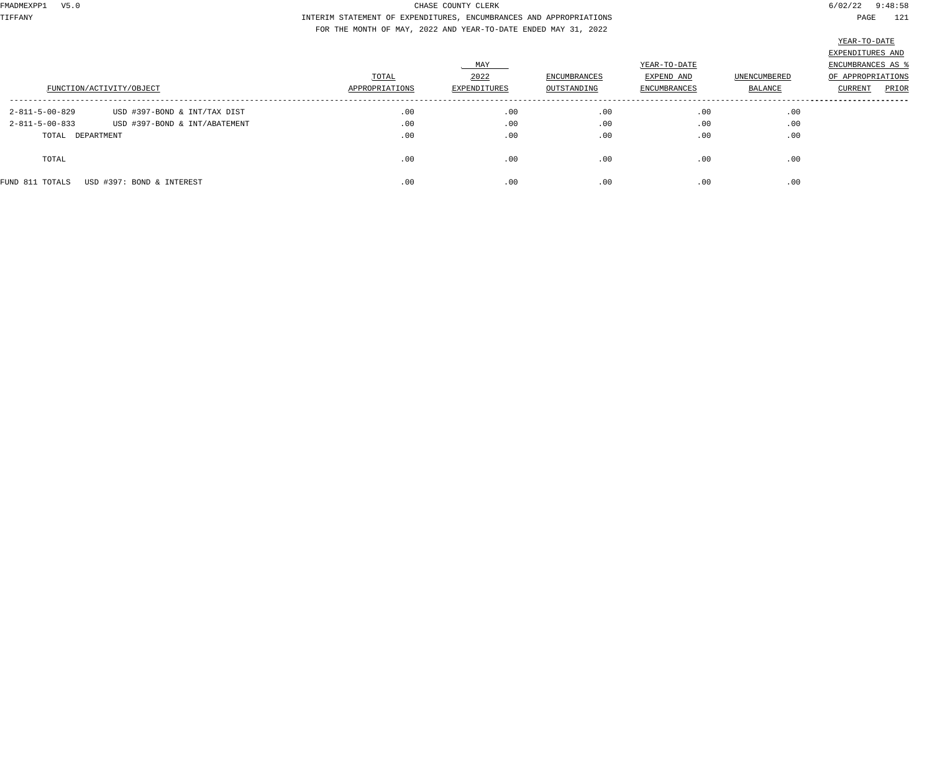TIFFANY INTERIM STATEMENT OF EXPENDITURES, ENCUMBRANCES AND APPROPRIATIONS PAGE 121 FOR THE MONTH OF MAY, 2022 AND YEAR-TO-DATE ENDED MAY 31, 2022

|                          |                               |                         | MAY                  |                                    | YEAR-TO-DATE               |                         | EXPENDITURES AND<br>ENCUMBRANCES AS   |
|--------------------------|-------------------------------|-------------------------|----------------------|------------------------------------|----------------------------|-------------------------|---------------------------------------|
| FUNCTION/ACTIVITY/OBJECT |                               | TOTAL<br>APPROPRIATIONS | 2022<br>EXPENDITURES | <b>ENCUMBRANCES</b><br>OUTSTANDING | EXPEND AND<br>ENCUMBRANCES | UNENCUMBERED<br>BALANCE | OF APPROPRIATIONS<br>CURRENT<br>PRIOR |
| $2 - 811 - 5 - 00 - 829$ | USD #397-BOND & INT/TAX DIST  | .00                     | .00                  | .00                                | .00                        | .00                     |                                       |
| $2 - 811 - 5 - 00 - 833$ | USD #397-BOND & INT/ABATEMENT | .00                     | .00                  | .00                                | .00                        | .00                     |                                       |
| TOTAL DEPARTMENT         |                               | .00                     | .00                  | .00                                | .00                        | .00                     |                                       |
| TOTAL                    |                               | .00                     | .00                  | .00                                | .00                        | .00                     |                                       |
| FUND 811 TOTALS          | USD #397: BOND & INTEREST     | .00                     | .00                  | .00                                | .00                        | .00                     |                                       |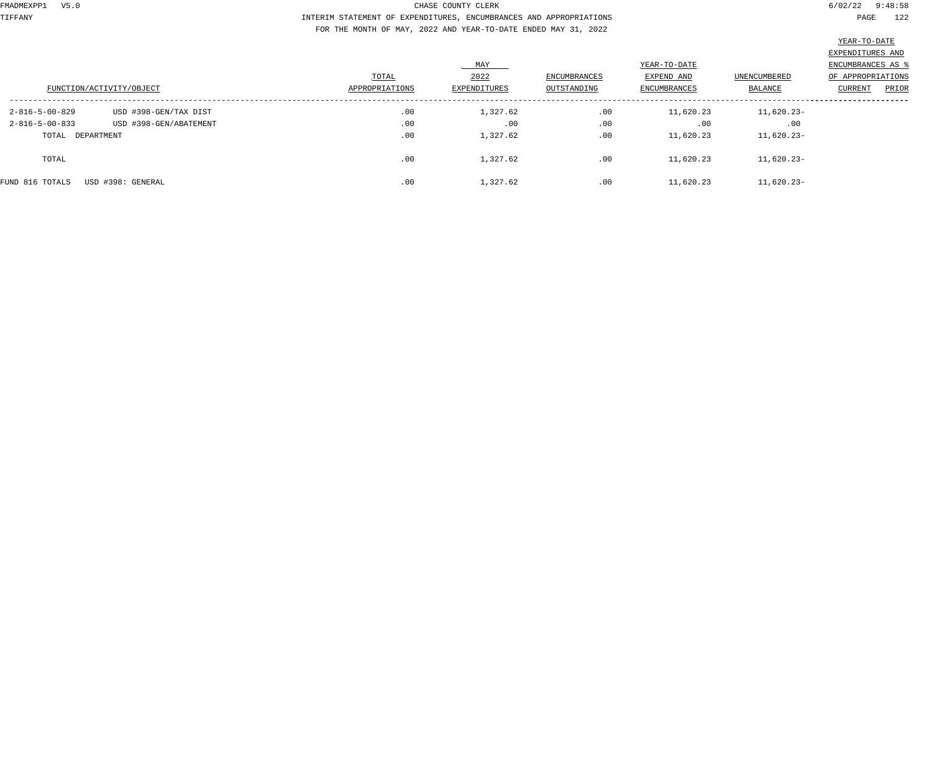TIFFANY INTERIM STATEMENT OF EXPENDITURES, ENCUMBRANCES AND APPROPRIATIONS PAGE 122 FOR THE MONTH OF MAY, 2022 AND YEAR-TO-DATE ENDED MAY 31, 2022

| FUNCTION/ACTIVITY/OBJECT |                        | TOTAL<br>APPROPRIATIONS | MAY<br>2022<br>EXPENDITURES | <b>ENCUMBRANCES</b><br>OUTSTANDING | YEAR-TO-DATE<br>EXPEND AND<br><b>ENCUMBRANCES</b> | <b>UNENCUMBERED</b><br>BALANCE | EXPENDITURES AND<br>ENCUMBRANCES AS<br>OF APPROPRIATIONS<br>CURRENT<br>PRIOR |
|--------------------------|------------------------|-------------------------|-----------------------------|------------------------------------|---------------------------------------------------|--------------------------------|------------------------------------------------------------------------------|
| 2-816-5-00-829           | USD #398-GEN/TAX DIST  | .00                     | 1,327.62                    | .00                                | 11,620.23                                         | $11,620.23-$                   |                                                                              |
| $2 - 816 - 5 - 00 - 833$ | USD #398-GEN/ABATEMENT | .00                     | .00                         | .00                                | .00                                               | .00                            |                                                                              |
| TOTAL DEPARTMENT         |                        | .00                     | 1,327.62                    | .00                                | 11,620.23                                         | $11,620.23-$                   |                                                                              |
| TOTAL                    |                        | .00                     | 1,327.62                    | .00                                | 11,620.23                                         | $11,620.23-$                   |                                                                              |
| FUND 816 TOTALS          | USD #398: GENERAL      | .00                     | 1,327.62                    | .00                                | 11,620.23                                         | $11,620.23-$                   |                                                                              |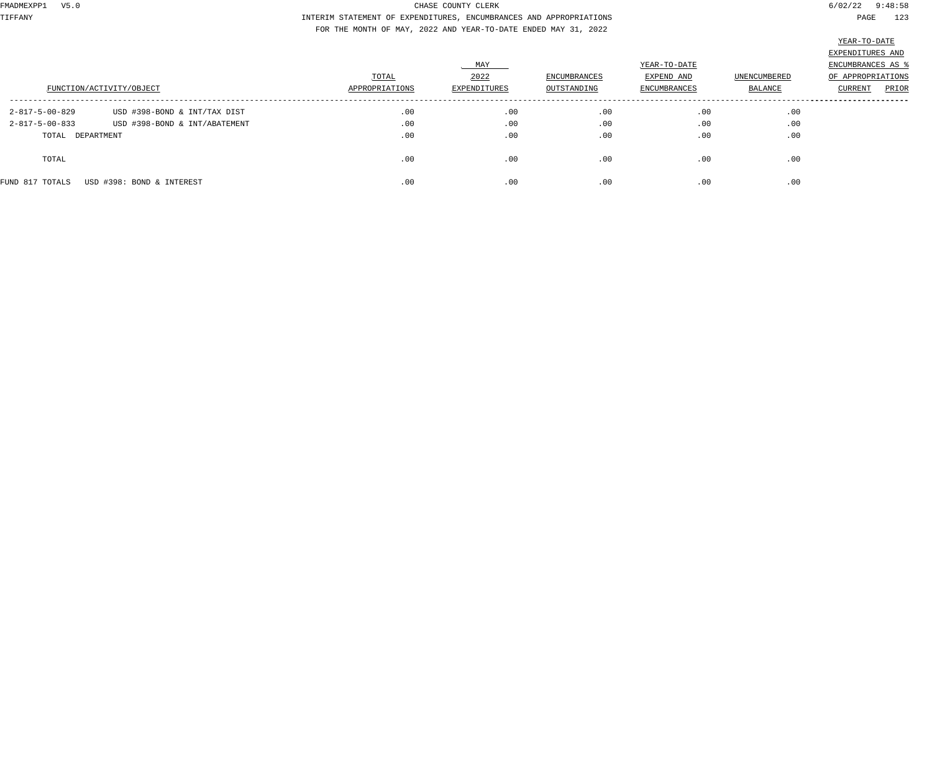TIFFANY INTERIM STATEMENT OF EXPENDITURES, ENCUMBRANCES AND APPROPRIATIONS PAGE 123 FOR THE MONTH OF MAY, 2022 AND YEAR-TO-DATE ENDED MAY 31, 2022

| FUNCTION/ACTIVITY/OBJECT                   |                                                               | TOTAL<br>APPROPRIATIONS | MAY<br>2022<br>EXPENDITURES | ENCUMBRANCES<br>OUTSTANDING | YEAR-TO-DATE<br>EXPEND AND<br>ENCUMBRANCES | UNENCUMBERED<br>BALANCE | EXPENDITURES AND<br>ENCUMBRANCES AS %<br>OF APPROPRIATIONS<br>PRIOR<br>CURRENT |
|--------------------------------------------|---------------------------------------------------------------|-------------------------|-----------------------------|-----------------------------|--------------------------------------------|-------------------------|--------------------------------------------------------------------------------|
| 2-817-5-00-829<br>$2 - 817 - 5 - 00 - 833$ | USD #398-BOND & INT/TAX DIST<br>USD #398-BOND & INT/ABATEMENT | .00<br>.00              | .00<br>.00                  | .00<br>.00                  | .00<br>.00                                 | .00<br>.00              |                                                                                |
| TOTAL DEPARTMENT                           |                                                               | .00                     | .00                         | .00                         | .00                                        | .00                     |                                                                                |
| TOTAL                                      |                                                               | .00                     | .00                         | .00                         | .00                                        | .00                     |                                                                                |
| FUND 817 TOTALS                            | USD #398: BOND & INTEREST                                     | .00                     | .00                         | .00                         | .00                                        | .00                     |                                                                                |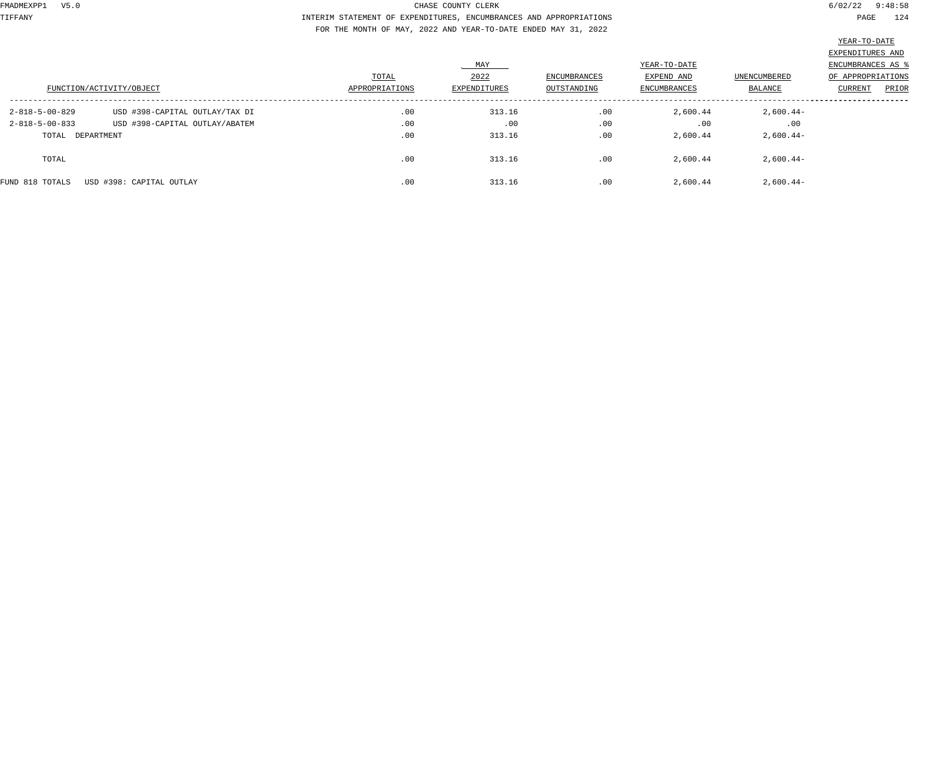TIFFANY INTERIM STATEMENT OF EXPENDITURES, ENCUMBRANCES AND APPROPRIATIONS PAGE 124 FOR THE MONTH OF MAY, 2022 AND YEAR-TO-DATE ENDED MAY 31, 2022

|                          |                                |                |              |                     |                     |              | EXPENDITURES AND         |
|--------------------------|--------------------------------|----------------|--------------|---------------------|---------------------|--------------|--------------------------|
|                          |                                |                | MAY          |                     | YEAR-TO-DATE        |              | <b>ENCUMBRANCES AS 8</b> |
| FUNCTION/ACTIVITY/OBJECT |                                | TOTAL          | 2022         | <b>ENCUMBRANCES</b> | EXPEND AND          | UNENCUMBERED | OF APPROPRIATIONS        |
|                          |                                | APPROPRIATIONS | EXPENDITURES | OUTSTANDING         | <b>ENCUMBRANCES</b> | BALANCE      | CURRENT<br>PRIOR         |
| $2 - 818 - 5 - 00 - 829$ | USD #398-CAPITAL OUTLAY/TAX DI | .00            | 313.16       | .00                 | 2,600.44            | $2,600.44-$  |                          |
| $2 - 818 - 5 - 00 - 833$ | USD #398-CAPITAL OUTLAY/ABATEM | .00            | .00          | .00                 | .00                 | .00          |                          |
| TOTAL DEPARTMENT         |                                | .00            | 313.16       | .00                 | 2,600.44            | $2,600.44-$  |                          |
| TOTAL                    |                                | .00            | 313.16       | .00                 | 2,600.44            | $2,600.44-$  |                          |
| FUND 818 TOTALS          | USD #398: CAPITAL OUTLAY       | .00            | 313.16       | .00                 | 2,600.44            | $2,600.44-$  |                          |
|                          |                                |                |              |                     |                     |              |                          |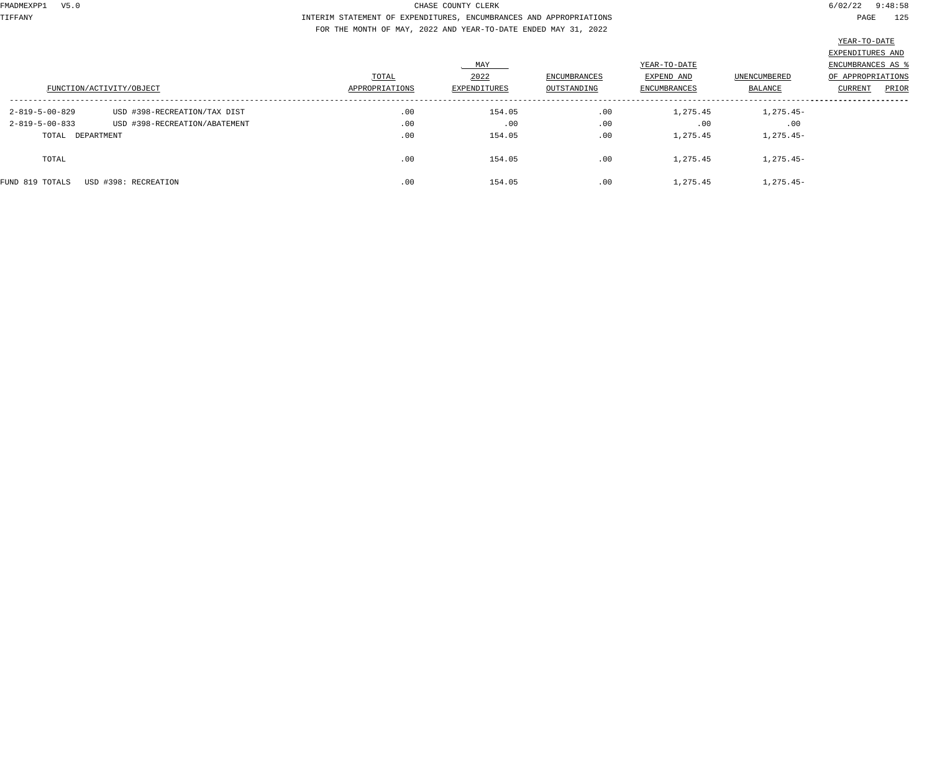TIFFANY INTERIM STATEMENT OF EXPENDITURES, ENCUMBRANCES AND APPROPRIATIONS PAGE 125 FOR THE MONTH OF MAY, 2022 AND YEAR-TO-DATE ENDED MAY 31, 2022

|                          | FUNCTION/ACTIVITY/OBJECT      | TOTAL<br>APPROPRIATIONS | MAY<br>2022<br>EXPENDITURES | <b>ENCUMBRANCES</b><br>OUTSTANDING | YEAR-TO-DATE<br>EXPEND AND<br><b>ENCUMBRANCES</b> | <b>UNENCUMBERED</b><br>BALANCE | EXPENDITURES AND<br>ENCUMBRANCES AS<br>OF APPROPRIATIONS<br>CURRENT<br>PRIOR |
|--------------------------|-------------------------------|-------------------------|-----------------------------|------------------------------------|---------------------------------------------------|--------------------------------|------------------------------------------------------------------------------|
| 2-819-5-00-829           | USD #398-RECREATION/TAX DIST  | .00                     | 154.05                      | .00                                | 1,275.45                                          | $1,275.45-$                    |                                                                              |
| $2 - 819 - 5 - 00 - 833$ | USD #398-RECREATION/ABATEMENT | .00                     | .00                         | .00                                | .00                                               | .00                            |                                                                              |
| TOTAL DEPARTMENT         |                               | .00                     | 154.05                      | .00                                | 1,275.45                                          | $1,275.45-$                    |                                                                              |
| TOTAL                    |                               | .00                     | 154.05                      | .00                                | 1,275.45                                          | $1,275.45-$                    |                                                                              |
| FUND 819 TOTALS          | USD #398: RECREATION          | .00                     | 154.05                      | .00                                | 1,275.45                                          | $1,275.45-$                    |                                                                              |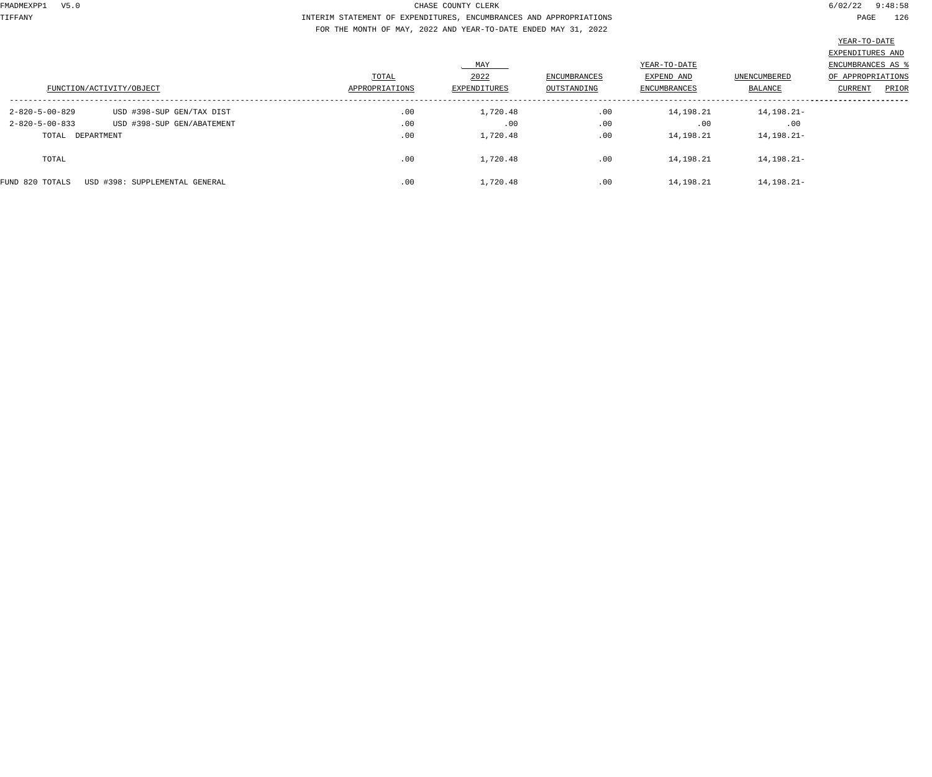TIFFANY INTERIM STATEMENT OF EXPENDITURES, ENCUMBRANCES AND APPROPRIATIONS PAGE 126 FOR THE MONTH OF MAY, 2022 AND YEAR-TO-DATE ENDED MAY 31, 2022

|                          |                                |                |              |                     |                     |                     | the contract of the contract of the contract of the contract of the contract of |       |
|--------------------------|--------------------------------|----------------|--------------|---------------------|---------------------|---------------------|---------------------------------------------------------------------------------|-------|
|                          |                                |                |              |                     |                     |                     | EXPENDITURES AND                                                                |       |
|                          |                                |                | MAY          |                     |                     | YEAR-TO-DATE        |                                                                                 |       |
| FUNCTION/ACTIVITY/OBJECT |                                | TOTAL          | 2022         | <b>ENCUMBRANCES</b> | EXPEND AND          | <b>UNENCUMBERED</b> | OF APPROPRIATIONS                                                               |       |
|                          |                                | APPROPRIATIONS | EXPENDITURES | OUTSTANDING         | <b>ENCUMBRANCES</b> | BALANCE             | CURRENT                                                                         | PRIOR |
| $2 - 820 - 5 - 00 - 829$ | USD #398-SUP GEN/TAX DIST      | .00            | 1,720.48     | .00                 | 14,198.21           | 14, 198. 21-        |                                                                                 |       |
| $2 - 820 - 5 - 00 - 833$ | USD #398-SUP GEN/ABATEMENT     | .00            | .00          | .00                 | .00                 | .00                 |                                                                                 |       |
| TOTAL DEPARTMENT         |                                | .00            | 1,720.48     | .00                 | 14,198.21           | 14, 198. 21-        |                                                                                 |       |
| TOTAL                    |                                | .00            | 1,720.48     | .00                 | 14,198.21           | 14, 198. 21-        |                                                                                 |       |
| FUND 820 TOTALS          | USD #398: SUPPLEMENTAL GENERAL | .00            | 1,720.48     | .00                 | 14,198.21           | 14, 198. 21-        |                                                                                 |       |
|                          |                                |                |              |                     |                     |                     |                                                                                 |       |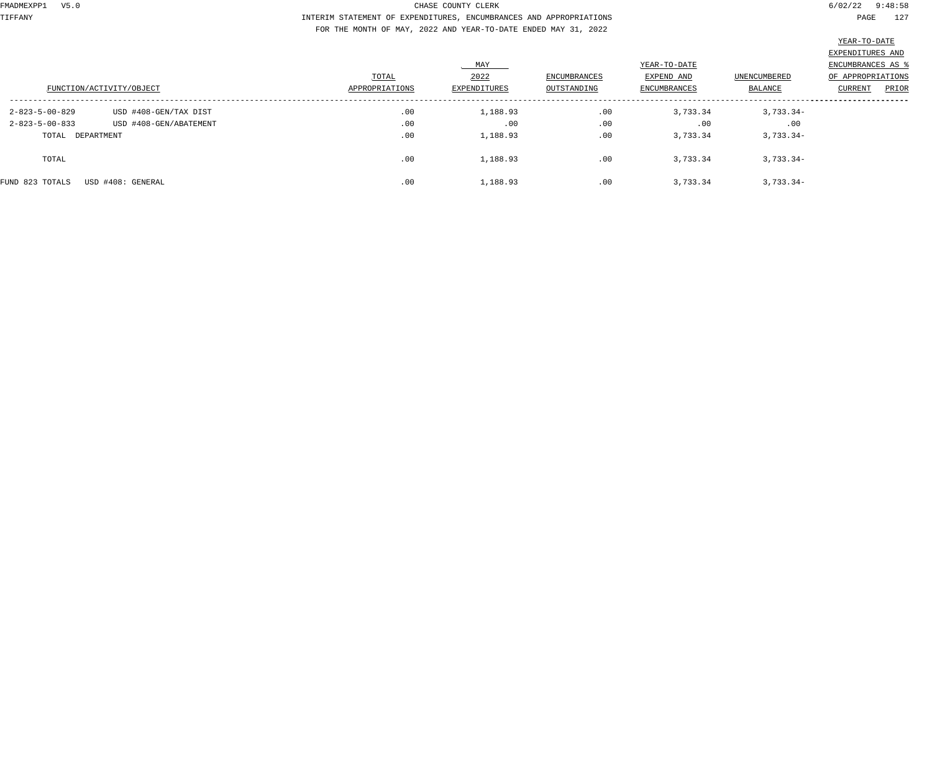TIFFANY INTERIM STATEMENT OF EXPENDITURES, ENCUMBRANCES AND APPROPRIATIONS PAGE 127 FOR THE MONTH OF MAY, 2022 AND YEAR-TO-DATE ENDED MAY 31, 2022

| FUNCTION/ACTIVITY/OBJECT                             |                                                 | TOTAL<br>APPROPRIATIONS | MAY<br>2022<br>EXPENDITURES | <b>ENCUMBRANCES</b><br>OUTSTANDING | YEAR-TO-DATE<br>EXPEND AND<br><b>ENCUMBRANCES</b> | UNENCUMBERED<br>BALANCE | EXPENDITURES AND<br>ENCUMBRANCES AS \$<br>OF APPROPRIATIONS<br>CURRENT<br>PRIOR |
|------------------------------------------------------|-------------------------------------------------|-------------------------|-----------------------------|------------------------------------|---------------------------------------------------|-------------------------|---------------------------------------------------------------------------------|
| $2 - 823 - 5 - 00 - 829$<br>$2 - 823 - 5 - 00 - 833$ | USD #408-GEN/TAX DIST<br>USD #408-GEN/ABATEMENT | .00<br>.00              | 1,188.93<br>.00             | .00<br>.00                         | 3,733.34<br>.00                                   | $3,733.34-$<br>.00      |                                                                                 |
| TOTAL DEPARTMENT                                     |                                                 | .00                     | 1,188.93                    | .00                                | 3,733.34                                          | $3,733.34-$             |                                                                                 |
| TOTAL                                                |                                                 | .00                     | 1,188.93                    | .00                                | 3,733.34                                          | $3,733.34-$             |                                                                                 |
| FUND 823 TOTALS                                      | USD #408: GENERAL                               | .00                     | 1,188.93                    | .00                                | 3,733.34                                          | $3,733.34-$             |                                                                                 |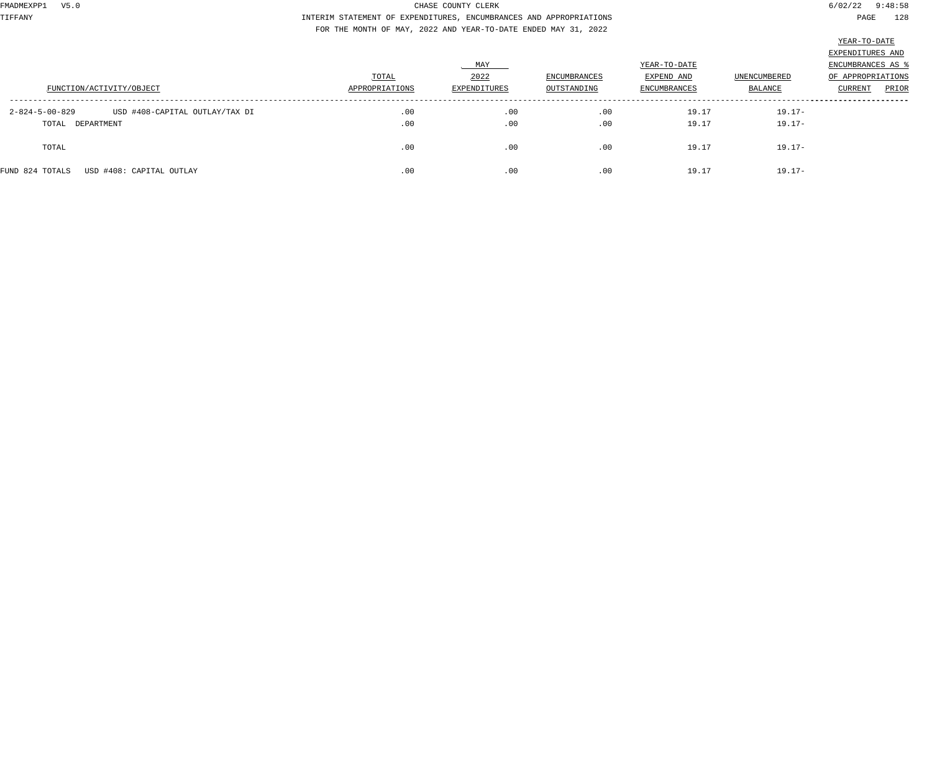TIFFANY INTERIM STATEMENT OF EXPENDITURES, ENCUMBRANCES AND APPROPRIATIONS PAGE 128 FOR THE MONTH OF MAY, 2022 AND YEAR-TO-DATE ENDED MAY 31, 2022

| $\lambda$<br>$\cdot$ $\cdot$<br>7.<br>1<br>٠ |
|----------------------------------------------|
|                                              |

|                                                                                |                         | MAY                  |                             | YEAR-TO-DATE               |                                | EXPENDITURES AND<br>ENCUMBRANCES AS   |
|--------------------------------------------------------------------------------|-------------------------|----------------------|-----------------------------|----------------------------|--------------------------------|---------------------------------------|
| FUNCTION/ACTIVITY/OBJECT                                                       | TOTAL<br>APPROPRIATIONS | 2022<br>EXPENDITURES | ENCUMBRANCES<br>OUTSTANDING | EXPEND AND<br>ENCUMBRANCES | UNENCUMBERED<br><b>BALANCE</b> | OF APPROPRIATIONS<br>PRIOR<br>CURRENT |
| $2 - 824 - 5 - 00 - 829$<br>USD #408-CAPITAL OUTLAY/TAX DI<br>TOTAL DEPARTMENT | .00<br>.00              | .00<br>.00           | .00<br>.00                  | 19.17<br>19.17             | $19.17-$<br>$19.17-$           |                                       |
| TOTAL                                                                          | .00                     | .00                  | .00                         | 19.17                      | $19.17-$                       |                                       |
| USD #408: CAPITAL OUTLAY<br>FUND 824 TOTALS                                    | .00                     | .00                  | .00                         | 19.17                      | $19.17 -$                      |                                       |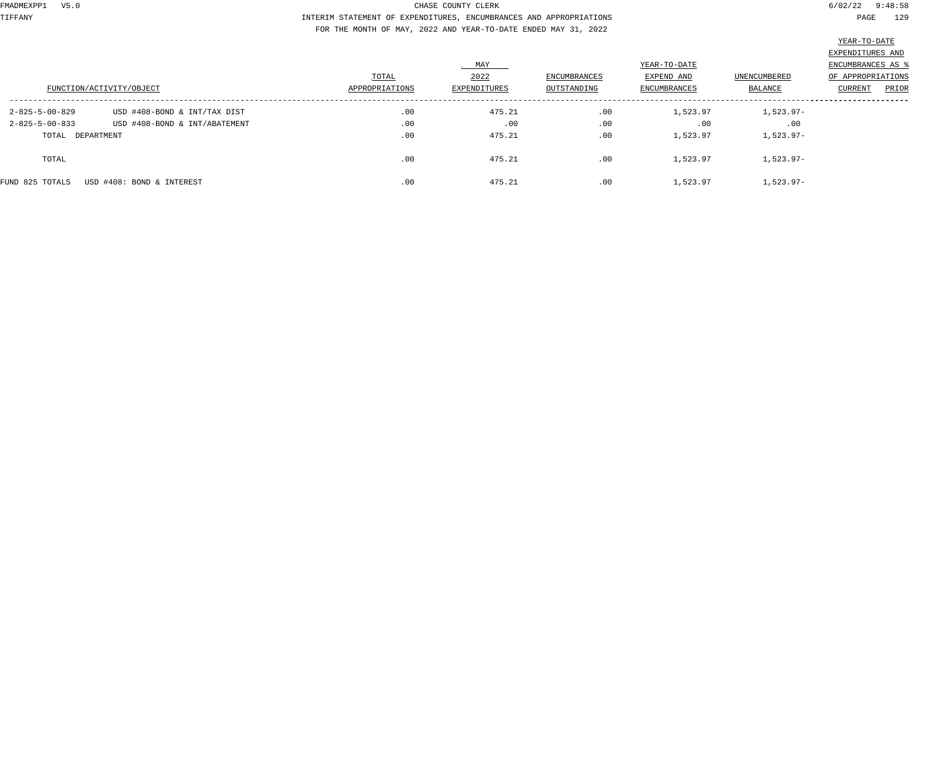TIFFANY INTERIM STATEMENT OF EXPENDITURES, ENCUMBRANCES AND APPROPRIATIONS PAGE 129 FOR THE MONTH OF MAY, 2022 AND YEAR-TO-DATE ENDED MAY 31, 2022

|                          |                               |                |              |                     |                     |                     | EXPENDITURES AND  |       |
|--------------------------|-------------------------------|----------------|--------------|---------------------|---------------------|---------------------|-------------------|-------|
|                          |                               |                | MAY          |                     |                     | YEAR-TO-DATE        |                   |       |
|                          |                               | TOTAL          | 2022         | <b>ENCUMBRANCES</b> | EXPEND AND          | <b>UNENCUMBERED</b> | OF APPROPRIATIONS |       |
| FUNCTION/ACTIVITY/OBJECT |                               | APPROPRIATIONS | EXPENDITURES | OUTSTANDING         | <b>ENCUMBRANCES</b> | BALANCE             | <b>CURRENT</b>    | PRIOR |
|                          |                               |                |              |                     |                     |                     |                   |       |
| 2-825-5-00-829           | USD #408-BOND & INT/TAX DIST  | .00            | 475.21       | .00                 | 1,523.97            | 1,523.97-           |                   |       |
| $2 - 825 - 5 - 00 - 833$ | USD #408-BOND & INT/ABATEMENT | .00            | .00          | .00                 | .00                 | .00                 |                   |       |
| TOTAL DEPARTMENT         |                               | .00            | 475.21       | .00                 | 1,523.97            | 1,523.97-           |                   |       |
|                          |                               |                |              |                     |                     |                     |                   |       |
| TOTAL                    |                               | .00            | 475.21       | .00                 | 1,523.97            | $1,523.97-$         |                   |       |
|                          |                               |                |              |                     |                     |                     |                   |       |
| FUND 825 TOTALS          | USD #408: BOND & INTEREST     | .00            | 475.21       | .00                 | 1,523.97            | $1,523.97-$         |                   |       |
|                          |                               |                |              |                     |                     |                     |                   |       |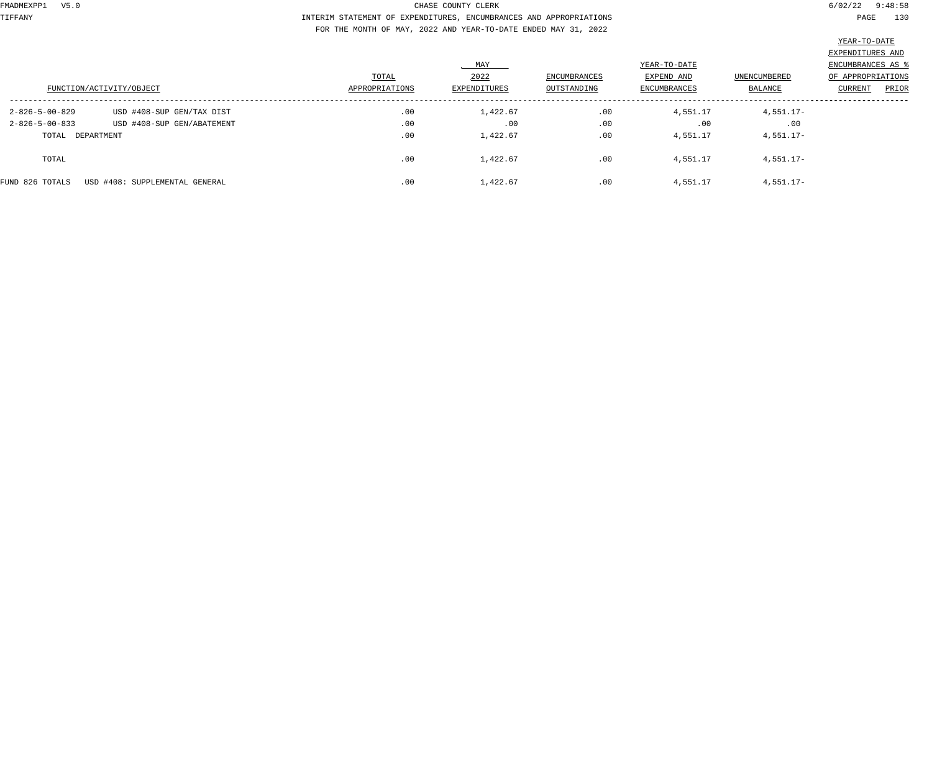TIFFANY INTERIM STATEMENT OF EXPENDITURES, ENCUMBRANCES AND APPROPRIATIONS PAGE 130 FOR THE MONTH OF MAY, 2022 AND YEAR-TO-DATE ENDED MAY 31, 2022

|                          |                                |                |                     |                     |                     |                     | the control of the control of the control of the control of the control of the control of the control of the control of the control of the control of the control of the control of the control of the control of the control |
|--------------------------|--------------------------------|----------------|---------------------|---------------------|---------------------|---------------------|-------------------------------------------------------------------------------------------------------------------------------------------------------------------------------------------------------------------------------|
|                          |                                |                |                     |                     |                     |                     | EXPENDITURES AND                                                                                                                                                                                                              |
|                          |                                |                | MAY                 |                     | YEAR-TO-DATE        |                     | ENCUMBRANCES AS 9                                                                                                                                                                                                             |
|                          |                                | TOTAL          | 2022                | <b>ENCUMBRANCES</b> | EXPEND AND          | <b>UNENCUMBERED</b> | OF APPROPRIATIONS                                                                                                                                                                                                             |
|                          | FUNCTION/ACTIVITY/OBJECT       | APPROPRIATIONS | <b>EXPENDITURES</b> | OUTSTANDING         | <b>ENCUMBRANCES</b> | BALANCE             | PRIOR<br><b>CURRENT</b>                                                                                                                                                                                                       |
| $2 - 826 - 5 - 00 - 829$ | USD #408-SUP GEN/TAX DIST      | .00            | 1,422.67            | .00                 | 4,551.17            | $4,551.17-$         |                                                                                                                                                                                                                               |
| $2 - 826 - 5 - 00 - 833$ | USD #408-SUP GEN/ABATEMENT     | .00            | .00                 | .00                 | .00                 | .00                 |                                                                                                                                                                                                                               |
| TOTAL DEPARTMENT         |                                | .00            | 1,422.67            | .00                 | 4,551.17            | $4,551.17-$         |                                                                                                                                                                                                                               |
| TOTAL                    |                                | .00            | 1,422.67            | .00                 | 4,551.17            | $4,551.17-$         |                                                                                                                                                                                                                               |
| FUND 826 TOTALS          | USD #408: SUPPLEMENTAL GENERAL | .00            | 1,422.67            | .00                 | 4,551.17            | $4,551.17-$         |                                                                                                                                                                                                                               |
|                          |                                |                |                     |                     |                     |                     |                                                                                                                                                                                                                               |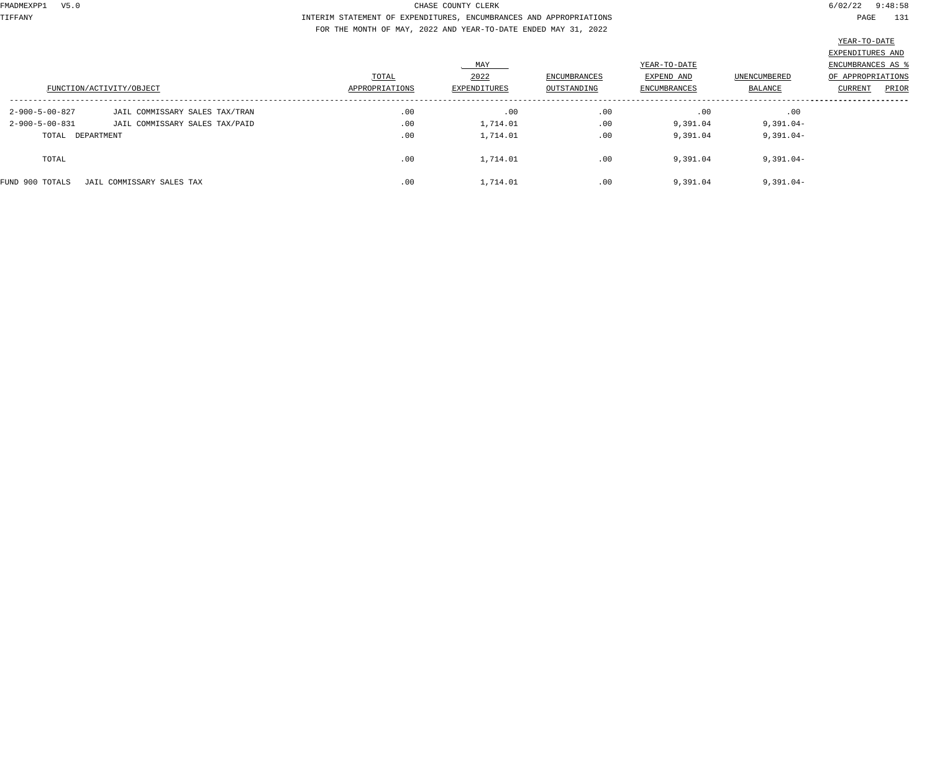TIFFANY INTERIM STATEMENT OF EXPENDITURES, ENCUMBRANCES AND APPROPRIATIONS PAGE 131 FOR THE MONTH OF MAY, 2022 AND YEAR-TO-DATE ENDED MAY 31, 2022

|                          | FUNCTION/ACTIVITY/OBJECT       | TOTAL<br>APPROPRIATIONS | MAY<br>2022<br>EXPENDITURES | ENCUMBRANCES<br>OUTSTANDING | YEAR-TO-DATE<br>EXPEND AND<br><b>ENCUMBRANCES</b> | UNENCUMBERED<br>BALANCE | EXPENDITURES AND<br>ENCUMBRANCES AS<br>OF APPROPRIATIONS<br>PRIOR<br>CURRENT |
|--------------------------|--------------------------------|-------------------------|-----------------------------|-----------------------------|---------------------------------------------------|-------------------------|------------------------------------------------------------------------------|
| 2-900-5-00-827           | JAIL COMMISSARY SALES TAX/TRAN | .00                     | .00                         | .00                         | .00                                               | .00                     |                                                                              |
| $2 - 900 - 5 - 00 - 831$ | JAIL COMMISSARY SALES TAX/PAID | .00                     | 1,714.01                    | .00                         | 9,391.04                                          | $9,391.04-$             |                                                                              |
| TOTAL DEPARTMENT         |                                | .00                     | 1,714.01                    | .00                         | 9,391.04                                          | $9,391.04-$             |                                                                              |
| TOTAL                    |                                | .00                     | 1,714.01                    | .00                         | 9,391.04                                          | $9,391.04-$             |                                                                              |
| FUND 900 TOTALS          | JAIL COMMISSARY SALES TAX      | .00                     | 1,714.01                    | .00                         | 9,391.04                                          | $9,391.04-$             |                                                                              |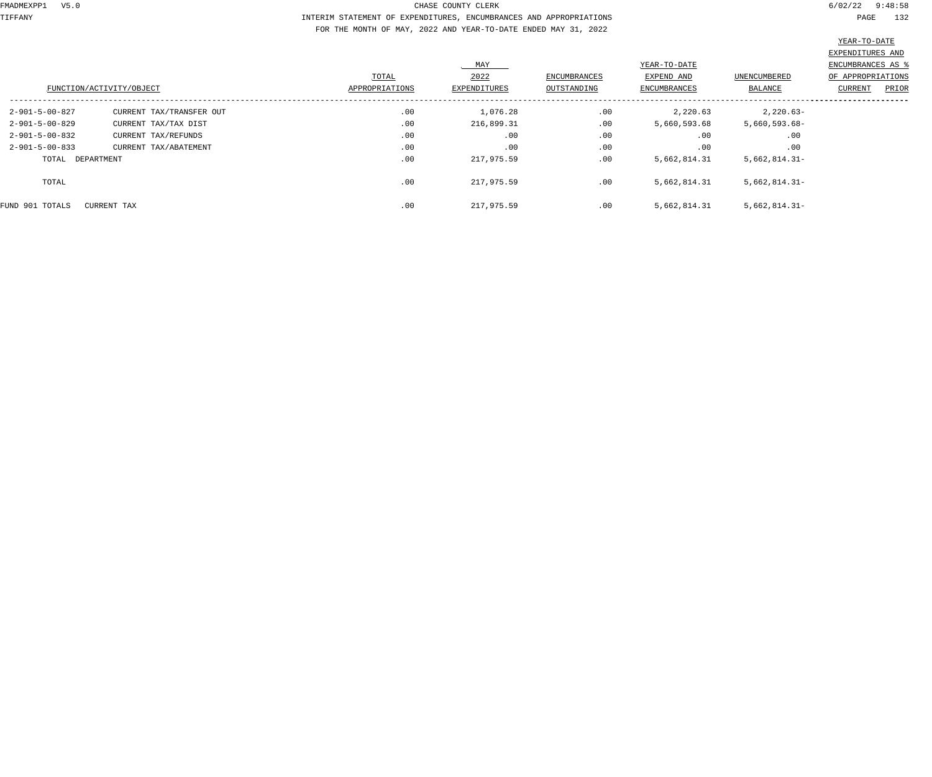TIFFANY INTERIM STATEMENT OF EXPENDITURES, ENCUMBRANCES AND APPROPRIATIONS PAGE 132 FOR THE MONTH OF MAY, 2022 AND YEAR-TO-DATE ENDED MAY 31, 2022

|                          |                          |                |                     |                     |                     |                     | EXPENDITURES AND  |
|--------------------------|--------------------------|----------------|---------------------|---------------------|---------------------|---------------------|-------------------|
|                          |                          |                | MAY                 |                     | YEAR-TO-DATE        |                     | ENCUMBRANCES AS   |
|                          |                          | TOTAL          | 2022                | <b>ENCUMBRANCES</b> | EXPEND AND          | <b>UNENCUMBERED</b> | OF APPROPRIATIONS |
|                          | FUNCTION/ACTIVITY/OBJECT | APPROPRIATIONS | <b>EXPENDITURES</b> | OUTSTANDING         | <b>ENCUMBRANCES</b> | BALANCE             | CURRENT<br>PRIOR  |
| 2-901-5-00-827           | CURRENT TAX/TRANSFER OUT | .00            | 1,076.28            | .00                 | 2,220.63            | $2,220.63-$         |                   |
| $2 - 901 - 5 - 00 - 829$ | CURRENT TAX/TAX DIST     | .00            | 216,899.31          | .00                 | 5,660,593.68        | 5,660,593.68-       |                   |
| $2 - 901 - 5 - 00 - 832$ | CURRENT TAX/REFUNDS      | .00            | .00                 | .00                 | .00                 | .00                 |                   |
| $2 - 901 - 5 - 00 - 833$ | CURRENT TAX/ABATEMENT    | .00            | .00                 | .00                 | .00                 | .00                 |                   |
| TOTAL DEPARTMENT         |                          | .00            | 217,975.59          | .00                 | 5,662,814.31        | $5,662,814.31-$     |                   |
| TOTAL                    |                          | .00            | 217,975.59          | .00                 | 5,662,814.31        | $5,662,814.31-$     |                   |
| FUND 901 TOTALS          | CURRENT TAX              | .00            | 217,975.59          | .00                 | 5,662,814.31        | $5,662,814.31-$     |                   |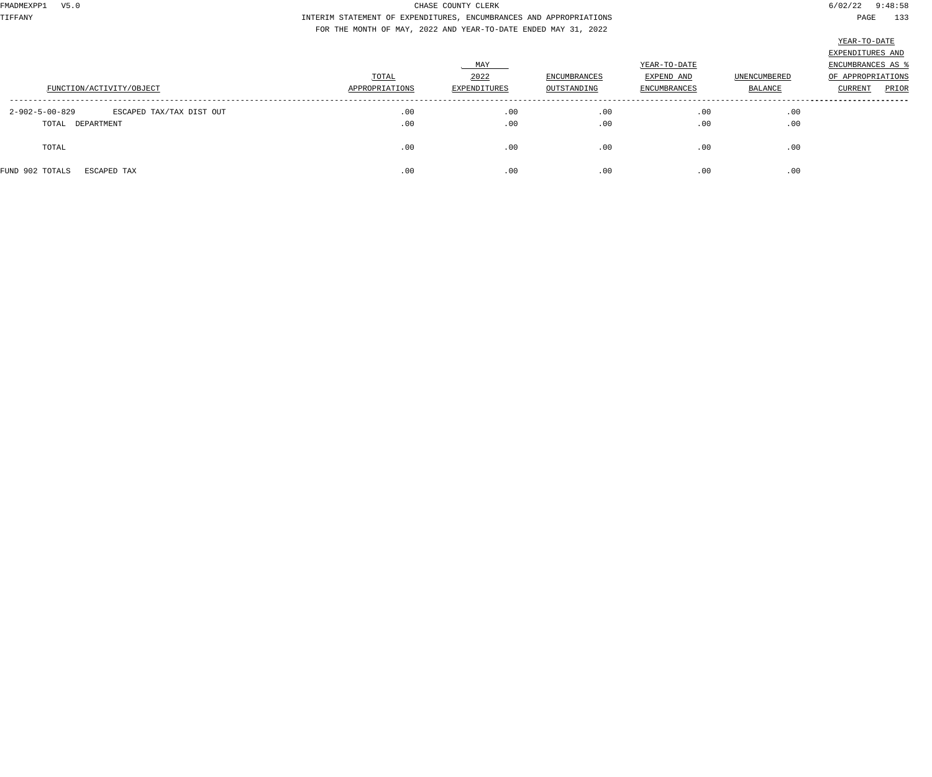TIFFANY INTERIM STATEMENT OF EXPENDITURES, ENCUMBRANCES AND APPROPRIATIONS PAGE 133 FOR THE MONTH OF MAY, 2022 AND YEAR-TO-DATE ENDED MAY 31, 2022

| FUNCTION/ACTIVITY/OBJECT                                       | TOTAL<br>APPROPRIATIONS | MAY<br>2022<br>EXPENDITURES | <b>ENCUMBRANCES</b><br>OUTSTANDING | YEAR-TO-DATE<br>EXPEND AND<br><b>ENCUMBRANCES</b> | <b>UNENCUMBERED</b><br>BALANCE | EXPENDITURES AND<br>ENCUMBRANCES AS<br>OF APPROPRIATIONS<br>CURRENT<br>PRIOR |
|----------------------------------------------------------------|-------------------------|-----------------------------|------------------------------------|---------------------------------------------------|--------------------------------|------------------------------------------------------------------------------|
| 2-902-5-00-829<br>ESCAPED TAX/TAX DIST OUT<br>TOTAL DEPARTMENT | .00<br>.00              | .00<br>.00                  | .00<br>.00                         | .00<br>.00                                        | .00<br>.00                     |                                                                              |
| TOTAL                                                          | .00                     | .00                         | .00                                | .00                                               | .00                            |                                                                              |
| FUND 902 TOTALS<br>ESCAPED TAX                                 | .00                     | .00                         | .00                                | .00                                               | .00                            |                                                                              |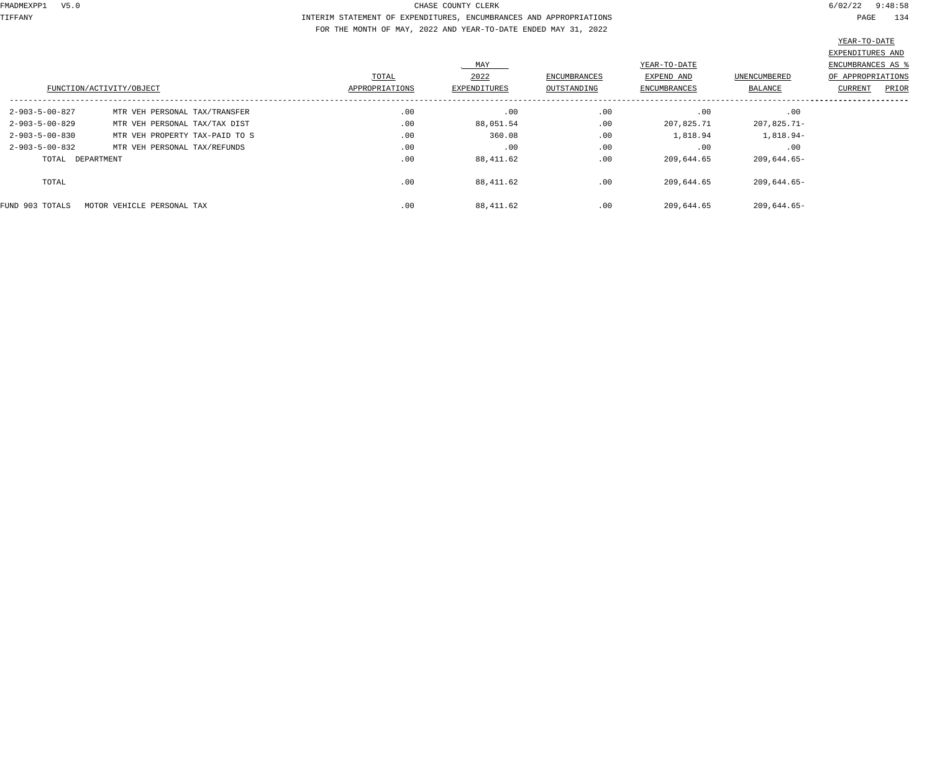TIFFANY INTERIM STATEMENT OF EXPENDITURES, ENCUMBRANCES AND APPROPRIATIONS PAGE 134 FOR THE MONTH OF MAY, 2022 AND YEAR-TO-DATE ENDED MAY 31, 2022

|                          | FUNCTION/ACTIVITY/OBJECT       | TOTAL<br>APPROPRIATIONS | MAY<br>2022<br>EXPENDITURES | ENCUMBRANCES<br>OUTSTANDING | YEAR-TO-DATE<br>EXPEND AND<br><b>ENCUMBRANCES</b> | UNENCUMBERED<br>BALANCE | EXPENDITURES AND<br>ENCUMBRANCES AS %<br>OF APPROPRIATIONS<br>PRIOR<br><b>CURRENT</b> |
|--------------------------|--------------------------------|-------------------------|-----------------------------|-----------------------------|---------------------------------------------------|-------------------------|---------------------------------------------------------------------------------------|
|                          |                                |                         |                             |                             |                                                   |                         |                                                                                       |
| 2-903-5-00-827           | MTR VEH PERSONAL TAX/TRANSFER  | .00                     | .00                         | .00                         | .00                                               | .00                     |                                                                                       |
| $2 - 903 - 5 - 00 - 829$ | MTR VEH PERSONAL TAX/TAX DIST  | .00                     | 88,051.54                   | .00                         | 207,825.71                                        | 207,825.71-             |                                                                                       |
| $2 - 903 - 5 - 00 - 830$ | MTR VEH PROPERTY TAX-PAID TO S | .00                     | 360.08                      | .00                         | 1,818.94                                          | 1,818.94-               |                                                                                       |
| $2 - 903 - 5 - 00 - 832$ | MTR VEH PERSONAL TAX/REFUNDS   | .00                     | .00                         | .00                         | .00                                               | .00                     |                                                                                       |
| TOTAL                    | DEPARTMENT                     | .00                     | 88,411.62                   | .00                         | 209,644.65                                        | 209,644.65-             |                                                                                       |
| TOTAL                    |                                | .00                     | 88,411.62                   | .00                         | 209,644.65                                        | 209,644.65-             |                                                                                       |
| FUND 903 TOTALS          | MOTOR VEHICLE PERSONAL TAX     | .00                     | 88,411.62                   | .00                         | 209,644.65                                        | 209,644.65-             |                                                                                       |
|                          |                                |                         |                             |                             |                                                   |                         |                                                                                       |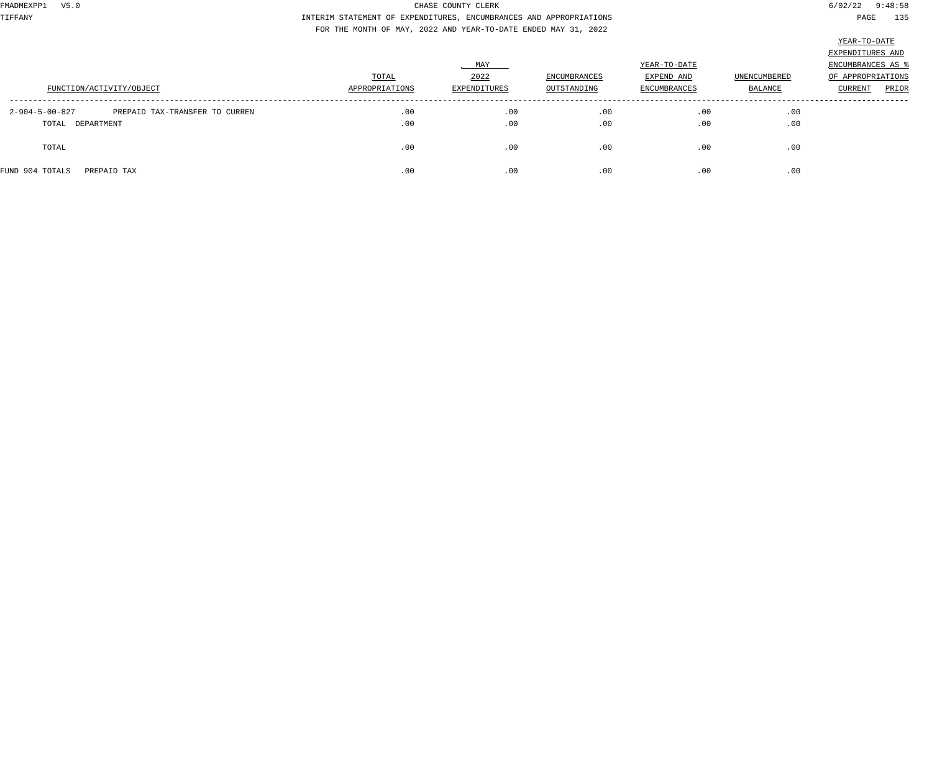TIFFANY INTERIM STATEMENT OF EXPENDITURES, ENCUMBRANCES AND APPROPRIATIONS PAGE 135 FOR THE MONTH OF MAY, 2022 AND YEAR-TO-DATE ENDED MAY 31, 2022

|                                                                      |                         | MAY                         | <b>ENCUMBRANCES</b> | YEAR-TO-DATE<br>EXPEND AND | <b>UNENCUMBERED</b> | EXPENDITURES AND<br>ENCUMBRANCES AS 9<br>OF APPROPRIATIONS |
|----------------------------------------------------------------------|-------------------------|-----------------------------|---------------------|----------------------------|---------------------|------------------------------------------------------------|
| FUNCTION/ACTIVITY/OBJECT                                             | TOTAL<br>APPROPRIATIONS | 2022<br><b>EXPENDITURES</b> | OUTSTANDING         | <b>ENCUMBRANCES</b>        | BALANCE             | PRIOR<br><b>CURRENT</b>                                    |
| PREPAID TAX-TRANSFER TO CURREN<br>2-904-5-00-827<br>TOTAL DEPARTMENT | .00<br>.00              | .00<br>.00                  | .00<br>.00          | .00<br>.00                 | .00<br>.00          |                                                            |
| TOTAL                                                                | .00                     | .00                         | .00                 | .00                        | .00                 |                                                            |
| FUND 904 TOTALS<br>PREPAID TAX                                       | .00                     | .00                         | .00                 | .00                        | .00                 |                                                            |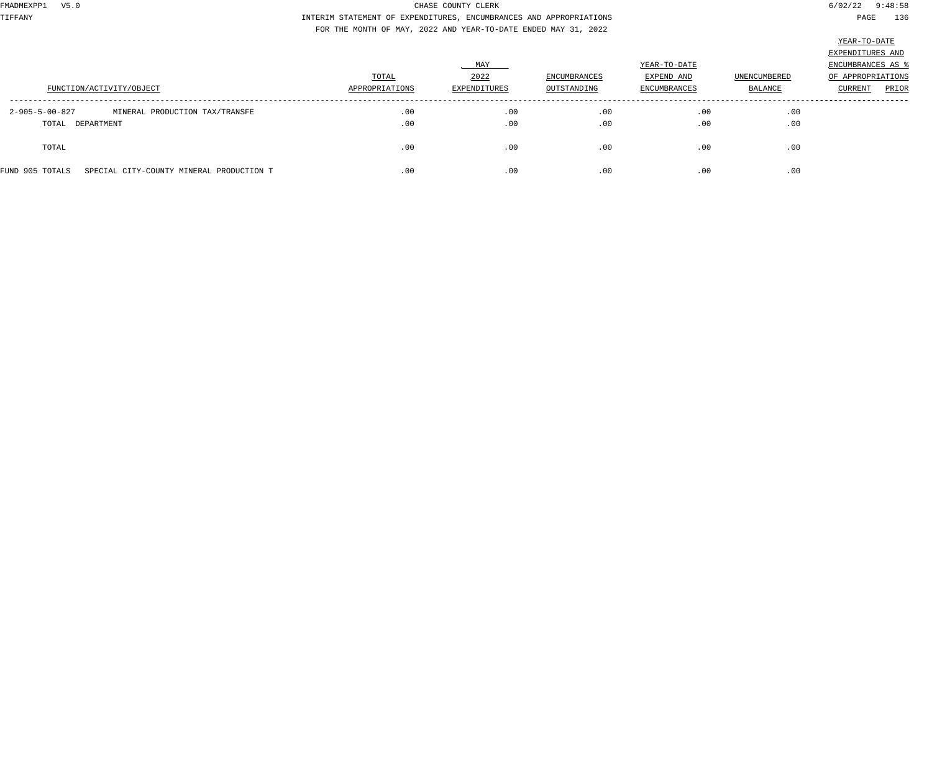TIFFANY INTERIM STATEMENT OF EXPENDITURES, ENCUMBRANCES AND APPROPRIATIONS PAGE 136 FOR THE MONTH OF MAY, 2022 AND YEAR-TO-DATE ENDED MAY 31, 2022

| r<br>Л<br>. .<br>٠<br>٠ |
|-------------------------|
|-------------------------|

|                                                             |                |              |                     |                     |              | EXPENDITURES AND        |
|-------------------------------------------------------------|----------------|--------------|---------------------|---------------------|--------------|-------------------------|
|                                                             |                | MAY          |                     | YEAR-TO-DATE        |              | ENCUMBRANCES AS 9       |
|                                                             | TOTAL          | 2022         | <b>ENCUMBRANCES</b> | EXPEND AND          | UNENCUMBERED | OF APPROPRIATIONS       |
| FUNCTION/ACTIVITY/OBJECT                                    | APPROPRIATIONS | EXPENDITURES | OUTSTANDING         | <b>ENCUMBRANCES</b> | BALANCE      | PRIOR<br><b>CURRENT</b> |
|                                                             |                |              |                     |                     |              |                         |
| $2 - 905 - 5 - 00 - 827$<br>MINERAL PRODUCTION TAX/TRANSFE  | .00            | .00          | .00                 | .00                 | .00          |                         |
| TOTAL DEPARTMENT                                            | .00            | .00          | .00                 | .00                 | .00          |                         |
|                                                             |                |              |                     |                     |              |                         |
| TOTAL                                                       | .00            | .00          | .00                 | .00                 | .00          |                         |
|                                                             |                |              |                     |                     |              |                         |
| FUND 905 TOTALS<br>SPECIAL CITY-COUNTY MINERAL PRODUCTION T | .00            | .00          | .00                 | .00                 | .00          |                         |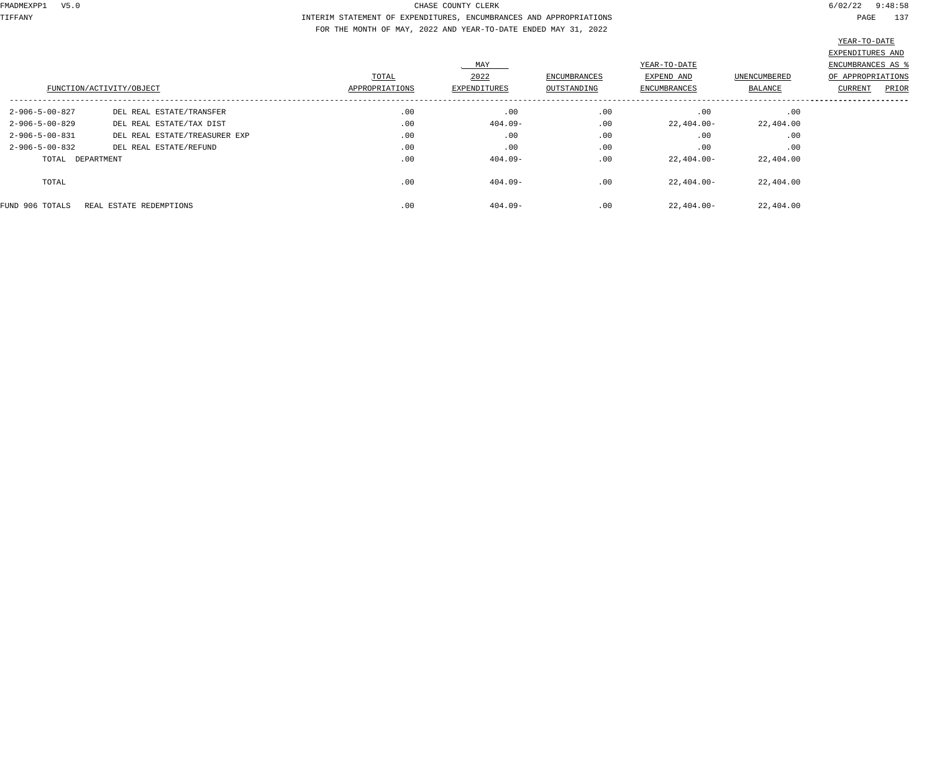TIFFANY INTERIM STATEMENT OF EXPENDITURES, ENCUMBRANCES AND APPROPRIATIONS PAGE 137 FOR THE MONTH OF MAY, 2022 AND YEAR-TO-DATE ENDED MAY 31, 2022

|                          |                               |                | MAY          |                     | YEAR-TO-DATE |              | EXPENDITURES AND<br>ENCUMBRANCES AS |
|--------------------------|-------------------------------|----------------|--------------|---------------------|--------------|--------------|-------------------------------------|
|                          |                               | TOTAL          | 2022         | <b>ENCUMBRANCES</b> | EXPEND AND   | UNENCUMBERED | OF APPROPRIATIONS                   |
|                          | FUNCTION/ACTIVITY/OBJECT      | APPROPRIATIONS | EXPENDITURES | OUTSTANDING         | ENCUMBRANCES | BALANCE      | PRIOR<br>CURRENT                    |
| 2-906-5-00-827           | DEL REAL ESTATE/TRANSFER      | .00            | .00          | .00                 | .00          | .00          |                                     |
| $2 - 906 - 5 - 00 - 829$ | DEL REAL ESTATE/TAX DIST      | .00            | $404.09 -$   | .00                 | 22,404.00-   | 22,404.00    |                                     |
| 2-906-5-00-831           | DEL REAL ESTATE/TREASURER EXP | .00            | .00          | .00                 | .00          | .00          |                                     |
| $2 - 906 - 5 - 00 - 832$ | DEL REAL ESTATE/REFUND        | .00            | .00          | .00                 | .00          | .00          |                                     |
| TOTAL DEPARTMENT         |                               | .00            | $404.09 -$   | .00                 | $22,404.00-$ | 22,404.00    |                                     |
| TOTAL                    |                               | .00            | $404.09 -$   | .00                 | 22,404.00-   | 22,404.00    |                                     |
| FUND 906 TOTALS          | REAL ESTATE REDEMPTIONS       | .00            | $404.09 -$   | .00                 | $22,404.00-$ | 22,404.00    |                                     |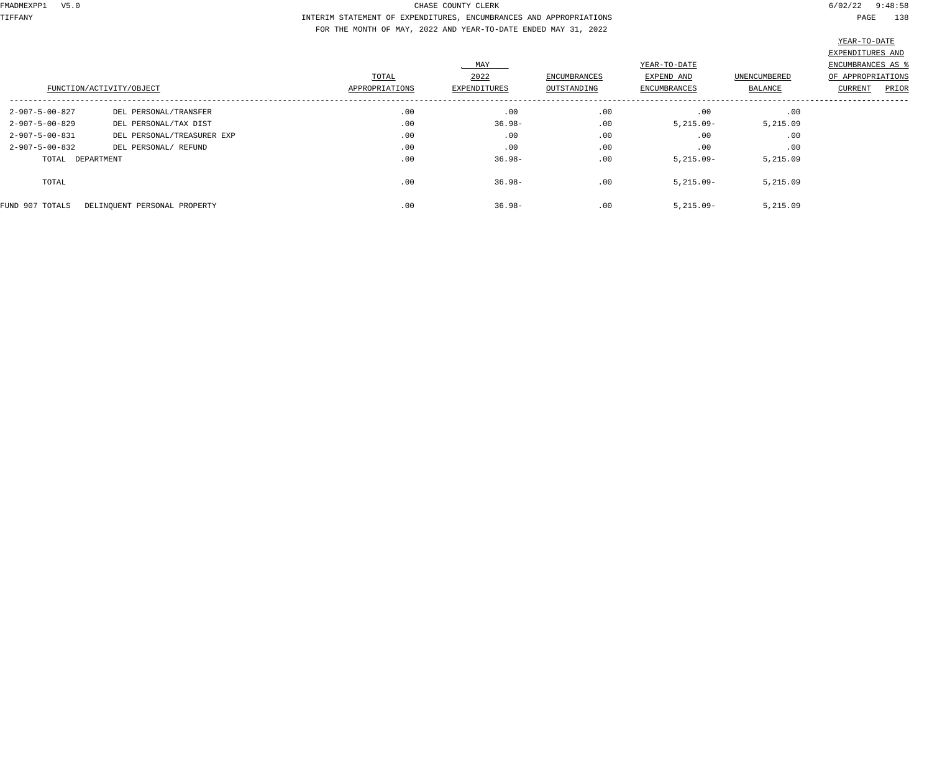TIFFANY INTERIM STATEMENT OF EXPENDITURES, ENCUMBRANCES AND APPROPRIATIONS PAGE 138 FOR THE MONTH OF MAY, 2022 AND YEAR-TO-DATE ENDED MAY 31, 2022

|                          |                              |                |                     |                     |                     |                | EXPENDITURES AND  |
|--------------------------|------------------------------|----------------|---------------------|---------------------|---------------------|----------------|-------------------|
|                          |                              |                | MAY                 |                     | YEAR-TO-DATE        |                | ENCUMBRANCES AS   |
|                          |                              | TOTAL          | 2022                | <b>ENCUMBRANCES</b> | EXPEND AND          | UNENCUMBERED   | OF APPROPRIATIONS |
|                          | FUNCTION/ACTIVITY/OBJECT     | APPROPRIATIONS | <b>EXPENDITURES</b> | OUTSTANDING         | <b>ENCUMBRANCES</b> | <b>BALANCE</b> | PRIOR<br>CURRENT  |
| $2 - 907 - 5 - 00 - 827$ | DEL PERSONAL/TRANSFER        | .00            | .00                 | .00                 | .00                 | .00            |                   |
| 2-907-5-00-829           | DEL PERSONAL/TAX DIST        | .00            | $36.98 -$           | .00                 | $5,215.09-$         | 5,215.09       |                   |
| $2 - 907 - 5 - 00 - 831$ | DEL PERSONAL/TREASURER EXP   | .00            | .00                 | .00                 | .00                 | .00            |                   |
| $2 - 907 - 5 - 00 - 832$ | DEL PERSONAL/ REFUND         | .00            | .00                 | .00                 | .00                 | .00            |                   |
| TOTAL DEPARTMENT         |                              | .00            | $36.98 -$           | .00                 | $5,215.09-$         | 5,215.09       |                   |
| TOTAL                    |                              | .00            | $36.98 -$           | .00                 | $5,215.09-$         | 5,215.09       |                   |
| FUND 907 TOTALS          | DELINOUENT PERSONAL PROPERTY | .00            | $36.98 -$           | .00                 | $5,215.09-$         | 5,215.09       |                   |
|                          |                              |                |                     |                     |                     |                |                   |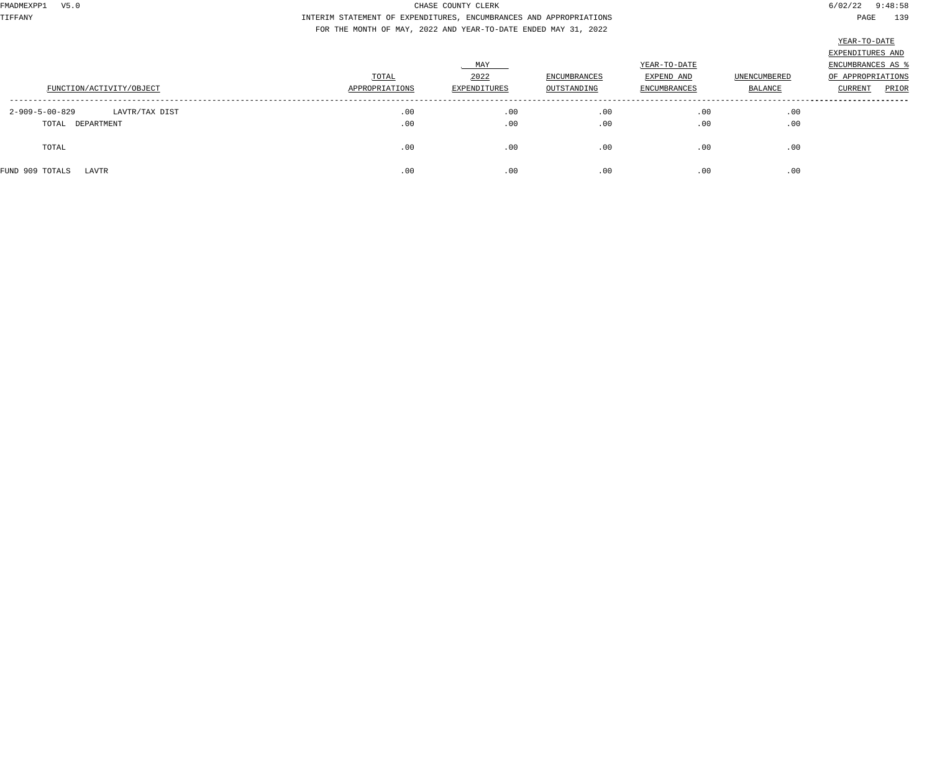TIFFANY INTERIM STATEMENT OF EXPENDITURES, ENCUMBRANCES AND APPROPRIATIONS PAGE 139 FOR THE MONTH OF MAY, 2022 AND YEAR-TO-DATE ENDED MAY 31, 2022

| FUNCTION/ACTIVITY/OBJECT                             | TOTAL<br>APPROPRIATIONS | MAY<br>2022<br>EXPENDITURES | <b>ENCUMBRANCES</b><br>OUTSTANDING | YEAR-TO-DATE<br>EXPEND AND<br><b>ENCUMBRANCES</b> | <b>UNENCUMBERED</b><br>BALANCE | EXPENDITURES AND<br>ENCUMBRANCES AS<br>OF APPROPRIATIONS<br>PRIOR<br>CURRENT |
|------------------------------------------------------|-------------------------|-----------------------------|------------------------------------|---------------------------------------------------|--------------------------------|------------------------------------------------------------------------------|
| 2-909-5-00-829<br>LAVTR/TAX DIST<br>TOTAL DEPARTMENT | .00<br>.00              | .00<br>.00                  | .00<br>.00                         | .00<br>.00                                        | .00<br>.00                     |                                                                              |
| TOTAL                                                | .00                     | .00                         | .00                                | .00                                               | .00                            |                                                                              |
| FUND 909 TOTALS<br>LAVTR                             | .00                     | .00                         | .00                                | .00                                               | .00                            |                                                                              |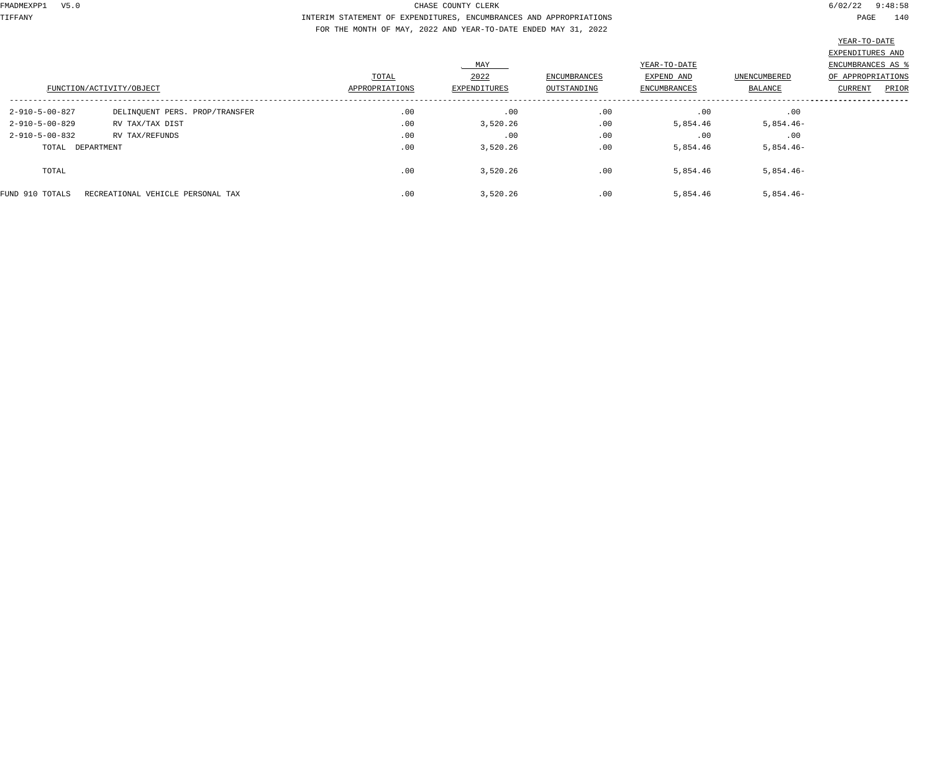TIFFANY INTERIM STATEMENT OF EXPENDITURES, ENCUMBRANCES AND APPROPRIATIONS PAGE 140 FOR THE MONTH OF MAY, 2022 AND YEAR-TO-DATE ENDED MAY 31, 2022

|                          |                                   |                |              |                     |              |              | EXPENDITURES AND  |
|--------------------------|-----------------------------------|----------------|--------------|---------------------|--------------|--------------|-------------------|
|                          |                                   |                | MAY          |                     | YEAR-TO-DATE |              | ENCUMBRANCES AS   |
|                          |                                   | TOTAL          | 2022         | <b>ENCUMBRANCES</b> | EXPEND AND   | UNENCUMBERED | OF APPROPRIATIONS |
| FUNCTION/ACTIVITY/OBJECT |                                   | APPROPRIATIONS | EXPENDITURES | OUTSTANDING         | ENCUMBRANCES | BALANCE      | PRIOR<br>CURRENT  |
| 2-910-5-00-827           | DELINQUENT PERS. PROP/TRANSFER    | .00            | .00          | .00                 | .00          | .00          |                   |
| $2 - 910 - 5 - 00 - 829$ | RV TAX/TAX DIST                   | .00            | 3,520.26     | .00                 | 5,854.46     | $5,854.46-$  |                   |
| $2 - 910 - 5 - 00 - 832$ | RV TAX/REFUNDS                    | .00            | .00          | .00                 | .00          | .00          |                   |
| TOTAL DEPARTMENT         |                                   | .00            | 3,520.26     | .00                 | 5,854.46     | $5,854.46-$  |                   |
| TOTAL                    |                                   | .00            | 3,520.26     | .00                 | 5,854.46     | $5,854.46-$  |                   |
| FUND 910 TOTALS          | RECREATIONAL VEHICLE PERSONAL TAX | .00            | 3,520.26     | .00                 | 5,854.46     | $5,854.46-$  |                   |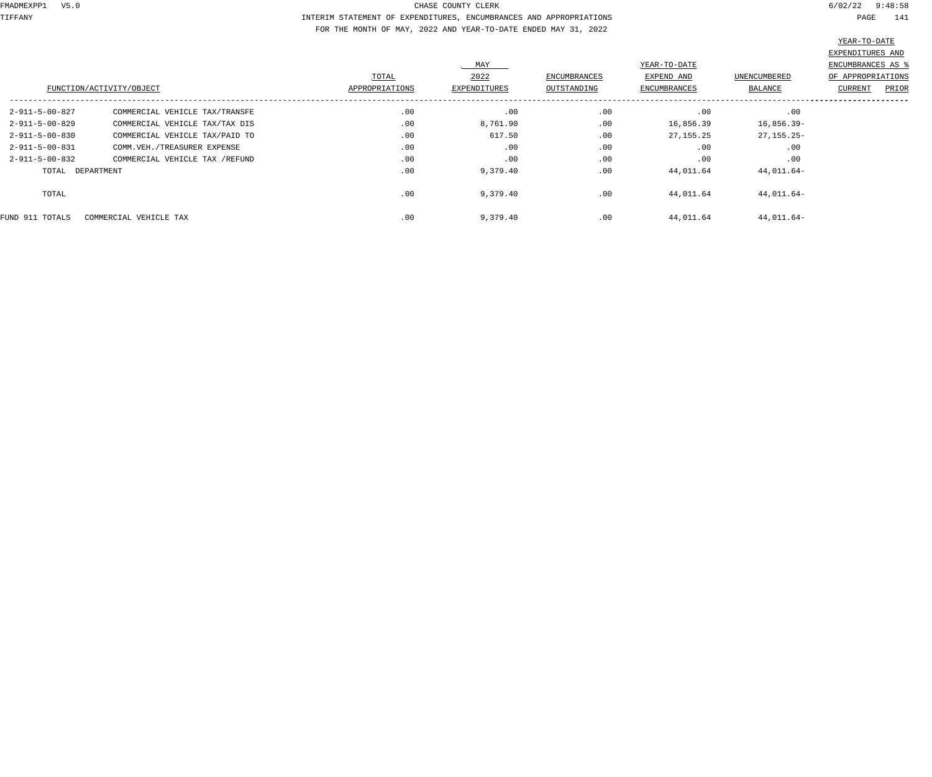TIFFANY INTERIM STATEMENT OF EXPENDITURES, ENCUMBRANCES AND APPROPRIATIONS PAGE 141 FOR THE MONTH OF MAY, 2022 AND YEAR-TO-DATE ENDED MAY 31, 2022

| ENCUMBRANCES AS<br>OF APPROPRIATIONS<br>PRIOR<br>CURRENT |  |
|----------------------------------------------------------|--|
|                                                          |  |
|                                                          |  |
|                                                          |  |
|                                                          |  |
|                                                          |  |
|                                                          |  |
|                                                          |  |
|                                                          |  |
|                                                          |  |
|                                                          |  |
|                                                          |  |
|                                                          |  |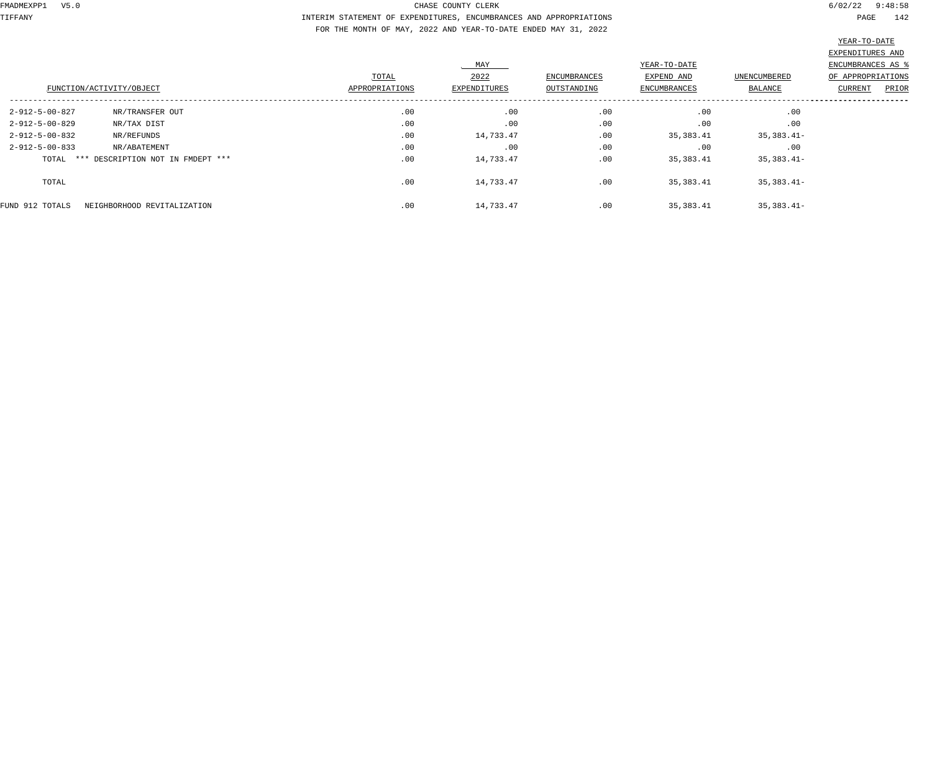# TIFFANY INTERIM STATEMENT OF EXPENDITURES, ENCUMBRANCES AND APPROPRIATIONS PAGE 142 FOR THE MONTH OF MAY, 2022 AND YEAR-TO-DATE ENDED MAY 31, 2022

|                                                |                |                     |                     |                     |                     | EXPENDITURES AND         |
|------------------------------------------------|----------------|---------------------|---------------------|---------------------|---------------------|--------------------------|
|                                                |                | MAY                 |                     | YEAR-TO-DATE        |                     | <b>ENCUMBRANCES AS %</b> |
|                                                | TOTAL          | 2022                | <b>ENCUMBRANCES</b> | EXPEND AND          | <b>UNENCUMBERED</b> | OF APPROPRIATIONS        |
| FUNCTION/ACTIVITY/OBJECT                       | APPROPRIATIONS | <b>EXPENDITURES</b> | OUTSTANDING         | <b>ENCUMBRANCES</b> | BALANCE             | CURRENT<br>PRIOR         |
| 2-912-5-00-827<br>NR/TRANSFER OUT              | .00            | .00                 | .00                 | .00                 | .00                 |                          |
| $2 - 912 - 5 - 00 - 829$<br>NR/TAX DIST        | .00            | .00                 | .00                 | .00                 | .00                 |                          |
| $2 - 912 - 5 - 00 - 832$<br>NR/REFUNDS         | .00            | 14,733.47           | .00                 | 35,383.41           | $35,383.41-$        |                          |
| $2 - 912 - 5 - 00 - 833$<br>NR/ABATEMENT       | .00            | .00                 | .00                 | .00                 | .00                 |                          |
| TOTAL *** DESCRIPTION NOT IN FMDEPT ***        | .00            | 14,733.47           | .00                 | 35,383.41           | $35,383.41-$        |                          |
| TOTAL                                          | .00            | 14,733.47           | .00                 | 35,383.41           | $35,383.41-$        |                          |
| FUND 912 TOTALS<br>NEIGHBORHOOD REVITALIZATION | .00            | 14,733.47           | .00                 | 35,383.41           | $35,383.41-$        |                          |
|                                                |                |                     |                     |                     |                     |                          |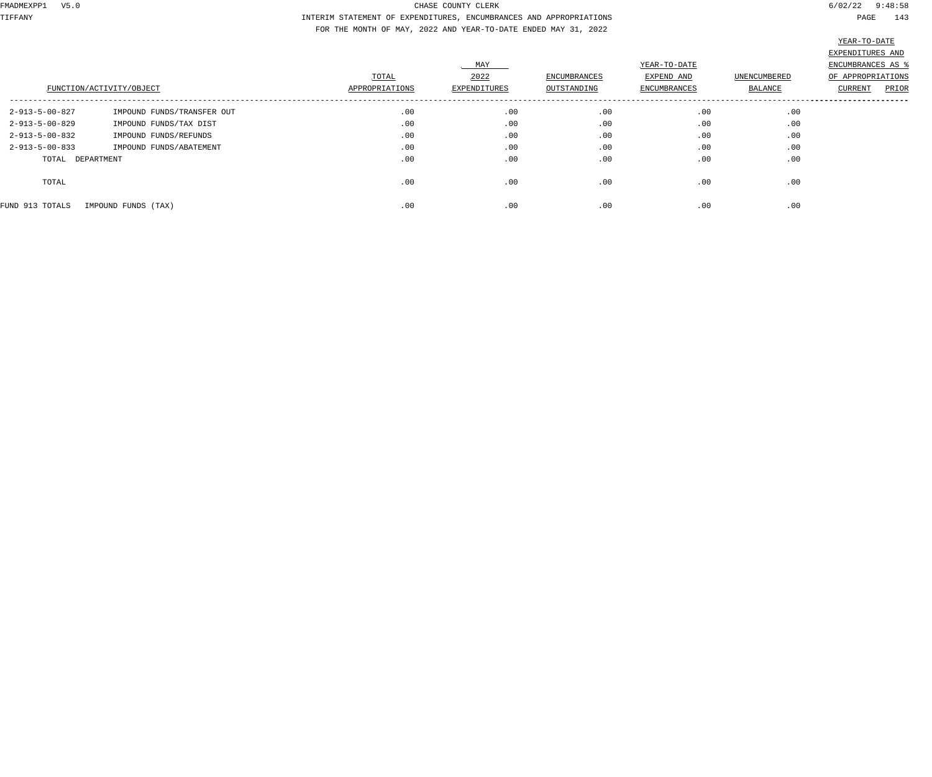TIFFANY INTERIM STATEMENT OF EXPENDITURES, ENCUMBRANCES AND APPROPRIATIONS PAGE 143 FOR THE MONTH OF MAY, 2022 AND YEAR-TO-DATE ENDED MAY 31, 2022

|                          | FUNCTION/ACTIVITY/OBJECT   | TOTAL<br>APPROPRIATIONS | MAY<br>2022<br><b>EXPENDITURES</b> | ENCUMBRANCES<br>OUTSTANDING | YEAR-TO-DATE<br>EXPEND AND<br><b>ENCUMBRANCES</b> | UNENCUMBERED<br>BALANCE | EXPENDITURES AND<br>ENCUMBRANCES AS %<br>OF APPROPRIATIONS<br>PRIOR<br>CURRENT |
|--------------------------|----------------------------|-------------------------|------------------------------------|-----------------------------|---------------------------------------------------|-------------------------|--------------------------------------------------------------------------------|
| 2-913-5-00-827           | IMPOUND FUNDS/TRANSFER OUT | .00                     | .00                                | .00                         | .00                                               | .00                     |                                                                                |
| $2 - 913 - 5 - 00 - 829$ | IMPOUND FUNDS/TAX DIST     | .00                     | .00                                | .00                         | .00                                               | .00                     |                                                                                |
| $2 - 913 - 5 - 00 - 832$ | IMPOUND FUNDS/REFUNDS      | .00                     | .00                                | .00                         | .00                                               | .00                     |                                                                                |
| $2 - 913 - 5 - 00 - 833$ | IMPOUND FUNDS/ABATEMENT    | .00                     | .00                                | .00                         | .00                                               | .00                     |                                                                                |
| TOTAL DEPARTMENT         |                            | .00                     | .00                                | .00                         | .00                                               | .00                     |                                                                                |
| TOTAL                    |                            | .00                     | .00                                | .00                         | .00                                               | .00                     |                                                                                |
| FUND 913 TOTALS          | IMPOUND FUNDS (TAX)        | .00                     | .00                                | .00                         | .00                                               | .00                     |                                                                                |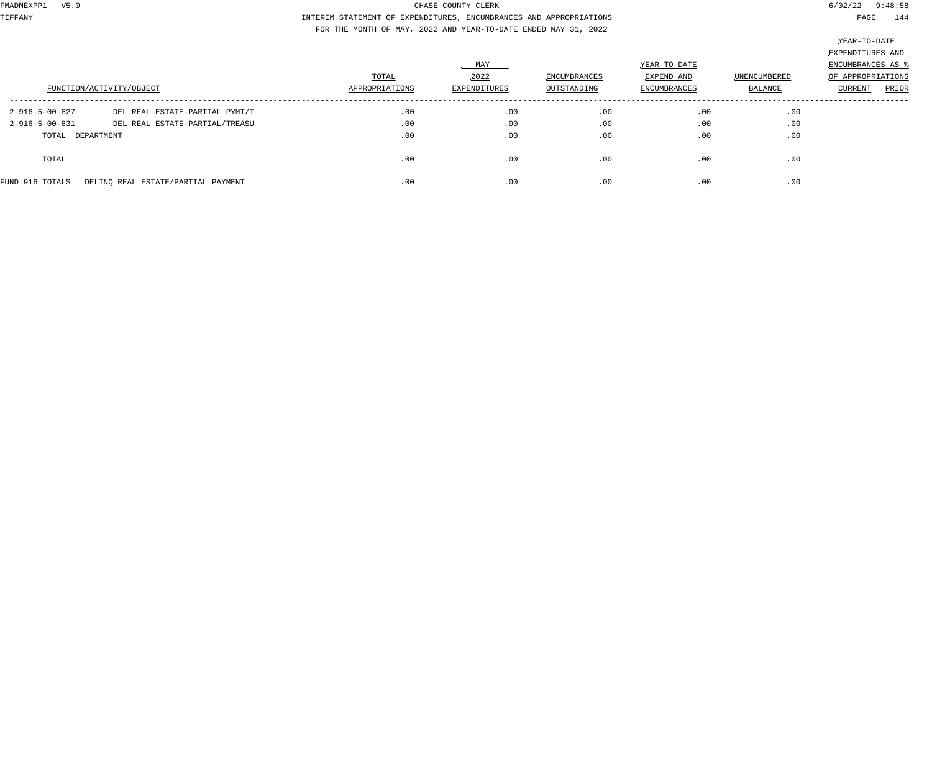TIFFANY INTERIM STATEMENT OF EXPENDITURES, ENCUMBRANCES AND APPROPRIATIONS PAGE 144 FOR THE MONTH OF MAY, 2022 AND YEAR-TO-DATE ENDED MAY 31, 2022

|                                            | FUNCTION/ACTIVITY/OBJECT                                         | TOTAL<br>APPROPRIATIONS | MAY<br>2022<br>EXPENDITURES | ENCUMBRANCES<br>OUTSTANDING | YEAR-TO-DATE<br>EXPEND AND<br>ENCUMBRANCES | UNENCUMBERED<br>BALANCE | EXPENDITURES AND<br>ENCUMBRANCES AS<br>OF APPROPRIATIONS<br>PRIOR<br>CURRENT |
|--------------------------------------------|------------------------------------------------------------------|-------------------------|-----------------------------|-----------------------------|--------------------------------------------|-------------------------|------------------------------------------------------------------------------|
| 2-916-5-00-827<br>$2 - 916 - 5 - 00 - 831$ | DEL REAL ESTATE-PARTIAL PYMT/T<br>DEL REAL ESTATE-PARTIAL/TREASU | .00<br>.00              | .00<br>.00                  | .00<br>.00                  | .00<br>.00                                 | .00<br>.00              |                                                                              |
| TOTAL DEPARTMENT                           |                                                                  | .00                     | .00                         | .00                         | .00                                        | .00                     |                                                                              |
| TOTAL                                      |                                                                  | .00                     | .00                         | .00                         | .00                                        | .00                     |                                                                              |
| FUND 916 TOTALS                            | DELINQ REAL ESTATE/PARTIAL PAYMENT                               | .00                     | .00                         | .00                         | .00                                        | .00                     |                                                                              |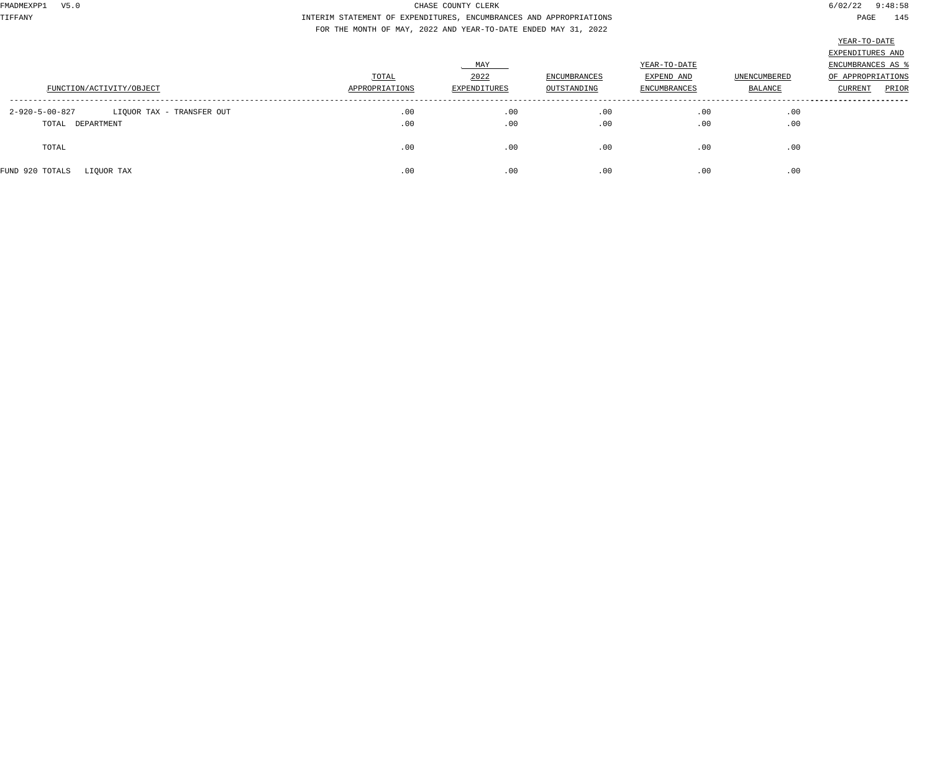TIFFANY INTERIM STATEMENT OF EXPENDITURES, ENCUMBRANCES AND APPROPRIATIONS PAGE 145 FOR THE MONTH OF MAY, 2022 AND YEAR-TO-DATE ENDED MAY 31, 2022

| ٠<br>٠<br>٠ |
|-------------|
|-------------|

|                                             | TOTAL          | MAY<br>2022  | ENCUMBRANCES | YEAR-TO-DATE<br>EXPEND AND | <b>UNENCUMBERED</b> | EXPENDITURES AND<br>ENCUMBRANCES AS %<br>OF APPROPRIATIONS |
|---------------------------------------------|----------------|--------------|--------------|----------------------------|---------------------|------------------------------------------------------------|
| FUNCTION/ACTIVITY/OBJECT                    | APPROPRIATIONS | EXPENDITURES | OUTSTANDING  | <b>ENCUMBRANCES</b>        | BALANCE             | PRIOR<br>CURRENT                                           |
| 2-920-5-00-827<br>LIQUOR TAX - TRANSFER OUT | .00            | .00          | .00          | .00                        | .00                 |                                                            |
| TOTAL DEPARTMENT                            | .00            | .00          | .00          | .00                        | .00                 |                                                            |
| TOTAL                                       | .00            | .00          | .00          | .00                        | .00                 |                                                            |
| FUND 920 TOTALS<br>LIQUOR TAX               | .00            | .00          | .00          | .00                        | .00                 |                                                            |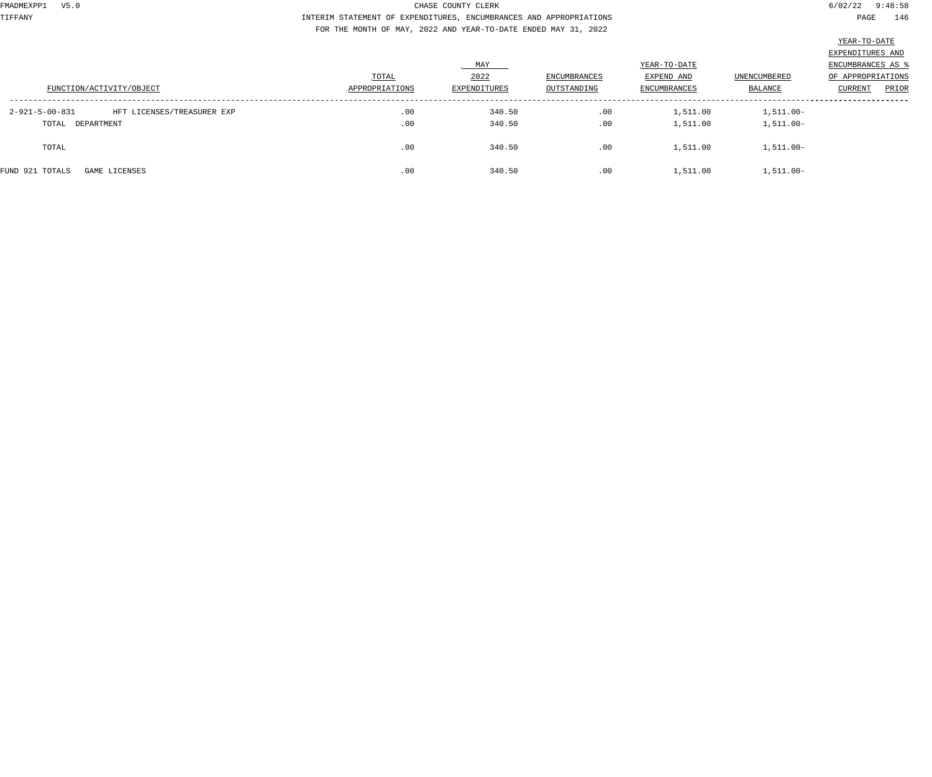TIFFANY INTERIM STATEMENT OF EXPENDITURES, ENCUMBRANCES AND APPROPRIATIONS PAGE 146 FOR THE MONTH OF MAY, 2022 AND YEAR-TO-DATE ENDED MAY 31, 2022

|                                                        |                |              |              |              |              | EXPENDITURES AND         |       |
|--------------------------------------------------------|----------------|--------------|--------------|--------------|--------------|--------------------------|-------|
|                                                        |                | MAY          |              | YEAR-TO-DATE |              | <b>ENCUMBRANCES AS 8</b> |       |
|                                                        | TOTAL          | 2022         | ENCUMBRANCES | EXPEND AND   | UNENCUMBERED | OF APPROPRIATIONS        |       |
| FUNCTION/ACTIVITY/OBJECT                               | APPROPRIATIONS | EXPENDITURES | OUTSTANDING  | ENCUMBRANCES | BALANCE      | <b>CURRENT</b>           | PRIOR |
|                                                        |                |              |              |              |              |                          |       |
| $2 - 921 - 5 - 00 - 831$<br>HFT LICENSES/TREASURER EXP | .00            | 340.50       | .00          | 1,511.00     | $1,511.00-$  |                          |       |
| TOTAL DEPARTMENT                                       | .00            | 340.50       | .00          | 1,511.00     | 1,511.00-    |                          |       |
|                                                        |                |              |              |              |              |                          |       |
| TOTAL                                                  | .00            | 340.50       | .00          | 1,511.00     | $1,511.00-$  |                          |       |
|                                                        |                |              |              |              |              |                          |       |
| FUND 921 TOTALS<br>GAME LICENSES                       | .00            | 340.50       | .00          | 1,511.00     | $1,511.00-$  |                          |       |
|                                                        |                |              |              |              |              |                          |       |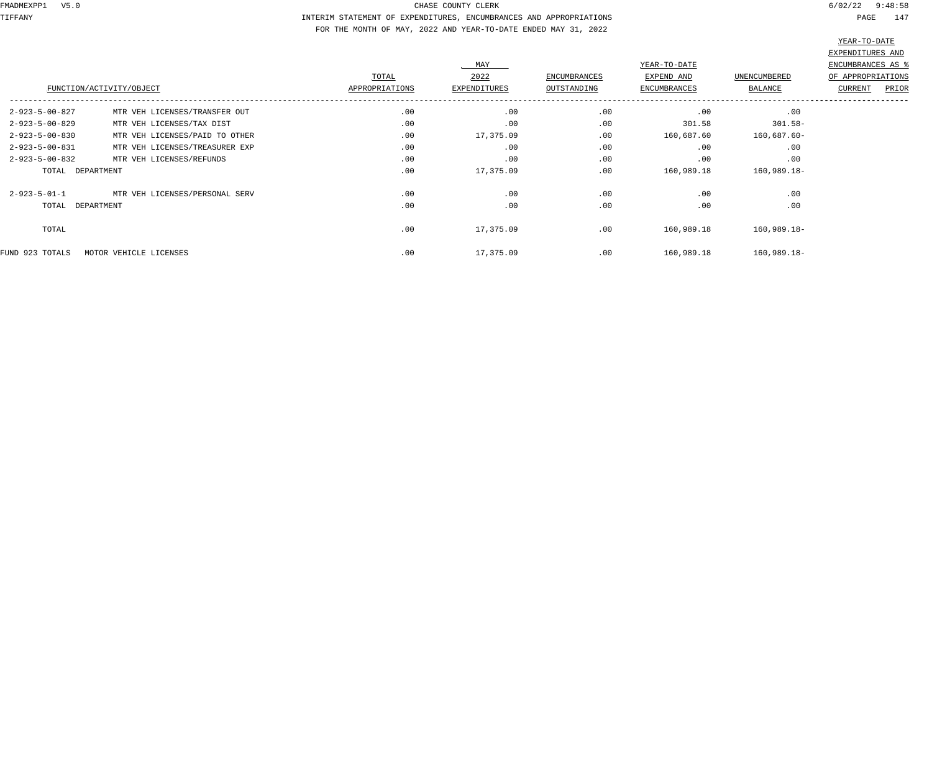TIFFANY INTERIM STATEMENT OF EXPENDITURES, ENCUMBRANCES AND APPROPRIATIONS PAGE 147 FOR THE MONTH OF MAY, 2022 AND YEAR-TO-DATE ENDED MAY 31, 2022

|                                                            |                |              |                     |                     |              | EXPENDITURES AND  |
|------------------------------------------------------------|----------------|--------------|---------------------|---------------------|--------------|-------------------|
|                                                            |                | MAY          |                     | YEAR-TO-DATE        |              | ENCUMBRANCES AS   |
|                                                            | TOTAL          | 2022         | <b>ENCUMBRANCES</b> | EXPEND AND          | UNENCUMBERED | OF APPROPRIATIONS |
| FUNCTION/ACTIVITY/OBJECT                                   | APPROPRIATIONS | EXPENDITURES | OUTSTANDING         | <b>ENCUMBRANCES</b> | BALANCE      | PRIOR<br>CURRENT  |
| $2 - 923 - 5 - 00 - 827$<br>MTR VEH LICENSES/TRANSFER OUT  | .00            | .00          | .00                 | .00                 | .00          |                   |
| $2 - 923 - 5 - 00 - 829$<br>MTR VEH LICENSES/TAX DIST      | .00            | .00          | .00                 | 301.58              | $301.58 -$   |                   |
| $2 - 923 - 5 - 00 - 830$<br>MTR VEH LICENSES/PAID TO OTHER | .00            | 17,375.09    | .00                 | 160,687.60          | 160,687.60-  |                   |
| $2 - 923 - 5 - 00 - 831$<br>MTR VEH LICENSES/TREASURER EXP | .00            | .00          | .00                 | .00                 | .00          |                   |
| $2 - 923 - 5 - 00 - 832$<br>MTR VEH LICENSES/REFUNDS       | .00            | .00          | .00                 | .00                 | .00          |                   |
| TOTAL DEPARTMENT                                           | .00            | 17,375.09    | .00                 | 160,989.18          | 160,989.18-  |                   |
| $2 - 923 - 5 - 01 - 1$<br>MTR VEH LICENSES/PERSONAL SERV   | .00            | .00          | .00                 | .00                 | .00          |                   |
| TOTAL DEPARTMENT                                           | .00            | .00          | .00                 | .00                 | .00          |                   |
| TOTAL                                                      | .00            | 17,375.09    | .00                 | 160,989.18          | 160,989.18-  |                   |
| FUND 923 TOTALS<br>MOTOR VEHICLE LICENSES                  | .00            | 17,375.09    | .00                 | 160,989.18          | 160,989.18-  |                   |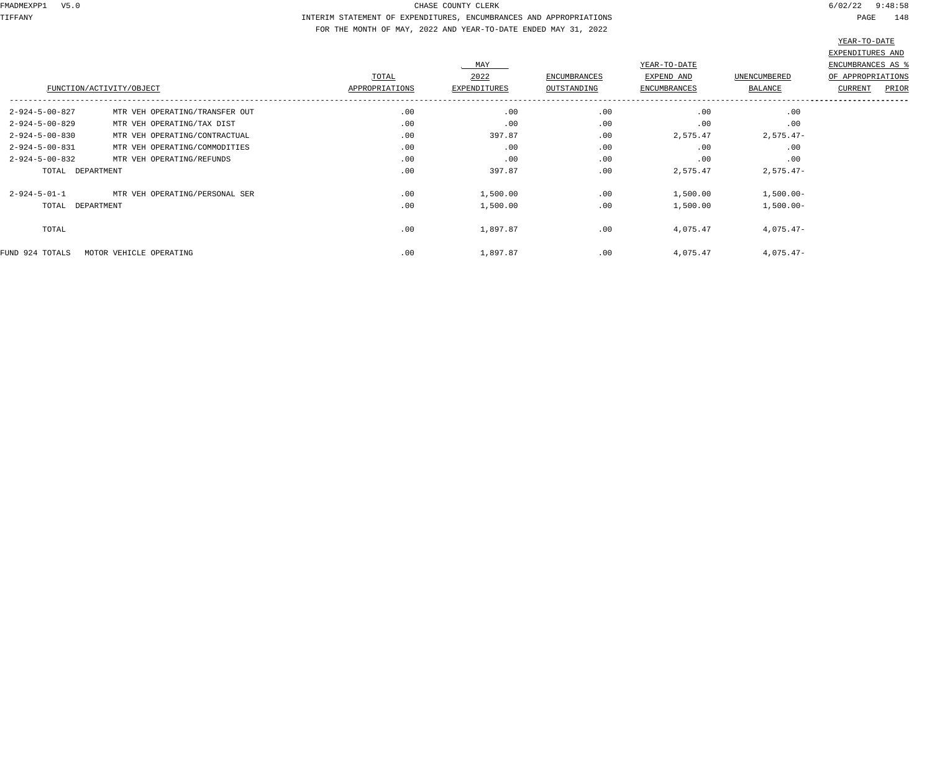TIFFANY INTERIM STATEMENT OF EXPENDITURES, ENCUMBRANCES AND APPROPRIATIONS PAGE 148 FOR THE MONTH OF MAY, 2022 AND YEAR-TO-DATE ENDED MAY 31, 2022

|                          |                                |                | MAY                 |                     | YEAR-TO-DATE        |              | EXPENDITURES AND<br>ENCUMBRANCES AS |
|--------------------------|--------------------------------|----------------|---------------------|---------------------|---------------------|--------------|-------------------------------------|
|                          |                                | TOTAL          | 2022                | <b>ENCUMBRANCES</b> | EXPEND AND          | UNENCUMBERED | OF APPROPRIATIONS                   |
|                          | FUNCTION/ACTIVITY/OBJECT       | APPROPRIATIONS | <b>EXPENDITURES</b> | OUTSTANDING         | <b>ENCUMBRANCES</b> | BALANCE      | CURRENT<br>PRIOR                    |
| $2 - 924 - 5 - 00 - 827$ | MTR VEH OPERATING/TRANSFER OUT | .00            | .00                 | .00                 | .00                 | .00          |                                     |
| $2 - 924 - 5 - 00 - 829$ | MTR VEH OPERATING/TAX DIST     | .00            | .00                 | .00                 | .00                 | .00          |                                     |
| $2 - 924 - 5 - 00 - 830$ | MTR VEH OPERATING/CONTRACTUAL  | .00            | 397.87              | .00                 | 2,575.47            | $2,575.47-$  |                                     |
| $2 - 924 - 5 - 00 - 831$ | MTR VEH OPERATING/COMMODITIES  | .00            | .00                 | .00                 | .00                 | .00          |                                     |
| 2-924-5-00-832           | MTR VEH OPERATING/REFUNDS      | .00            | .00                 | .00                 | .00                 | .00          |                                     |
| TOTAL DEPARTMENT         |                                | .00            | 397.87              | .00                 | 2,575.47            | $2,575.47-$  |                                     |
| $2 - 924 - 5 - 01 - 1$   | MTR VEH OPERATING/PERSONAL SER | .00            | 1,500.00            | .00                 | 1,500.00            | $1,500.00-$  |                                     |
| TOTAL DEPARTMENT         |                                | .00            | 1,500.00            | .00                 | 1,500.00            | $1,500.00-$  |                                     |
| TOTAL                    |                                | .00            | 1,897.87            | .00                 | 4,075.47            | $4,075.47-$  |                                     |
| FUND 924 TOTALS          | MOTOR VEHICLE OPERATING        | .00            | 1,897.87            | .00                 | 4,075.47            | $4,075.47-$  |                                     |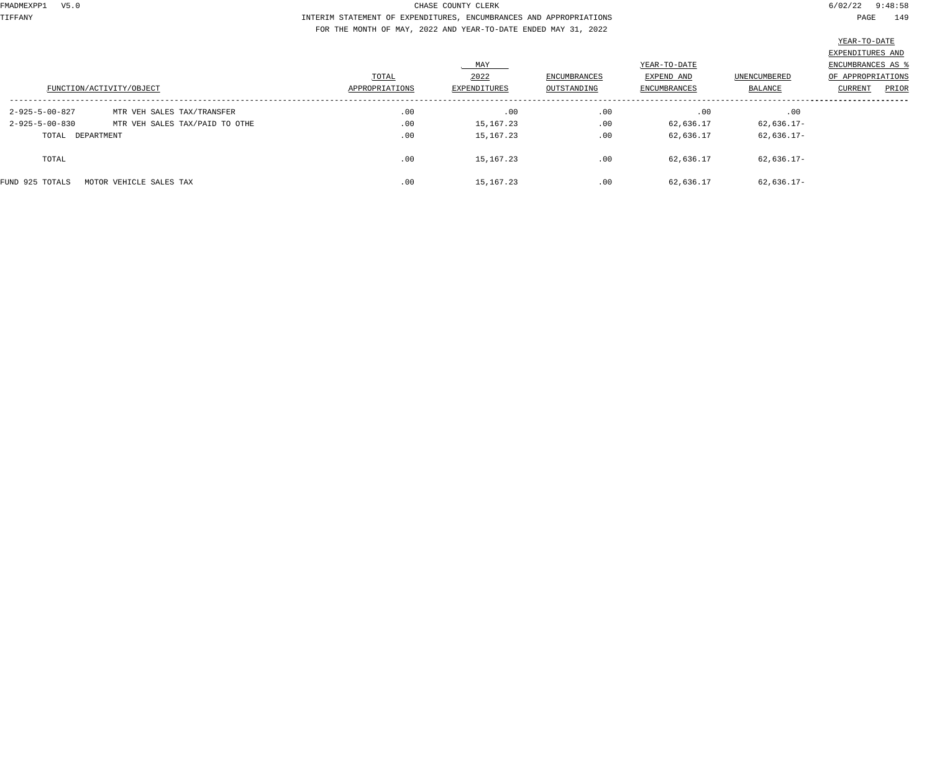TIFFANY INTERIM STATEMENT OF EXPENDITURES, ENCUMBRANCES AND APPROPRIATIONS PAGE 149 FOR THE MONTH OF MAY, 2022 AND YEAR-TO-DATE ENDED MAY 31, 2022

|                          | FUNCTION/ACTIVITY/OBJECT       | TOTAL<br>APPROPRIATIONS | MAY<br>2022<br>EXPENDITURES | <b>ENCUMBRANCES</b><br>OUTSTANDING | YEAR-TO-DATE<br>EXPEND AND<br><b>ENCUMBRANCES</b> | UNENCUMBERED<br>BALANCE | EXPENDITURES AND<br>ENCUMBRANCES AS<br>OF APPROPRIATIONS<br>PRIOR<br>CURRENT |
|--------------------------|--------------------------------|-------------------------|-----------------------------|------------------------------------|---------------------------------------------------|-------------------------|------------------------------------------------------------------------------|
| 2-925-5-00-827           | MTR VEH SALES TAX/TRANSFER     | .00                     | .00                         | .00                                | .00                                               | .00                     |                                                                              |
| $2 - 925 - 5 - 00 - 830$ | MTR VEH SALES TAX/PAID TO OTHE | .00                     | 15,167.23                   | .00                                | 62,636.17                                         | 62,636.17-              |                                                                              |
| TOTAL DEPARTMENT         |                                | .00                     | 15,167.23                   | .00                                | 62,636.17                                         | 62,636.17-              |                                                                              |
| TOTAL                    |                                | .00                     | 15,167.23                   | .00                                | 62,636.17                                         | 62,636.17-              |                                                                              |
| FUND 925 TOTALS          | MOTOR VEHICLE SALES TAX        | .00                     | 15,167.23                   | .00                                | 62,636.17                                         | 62,636.17-              |                                                                              |